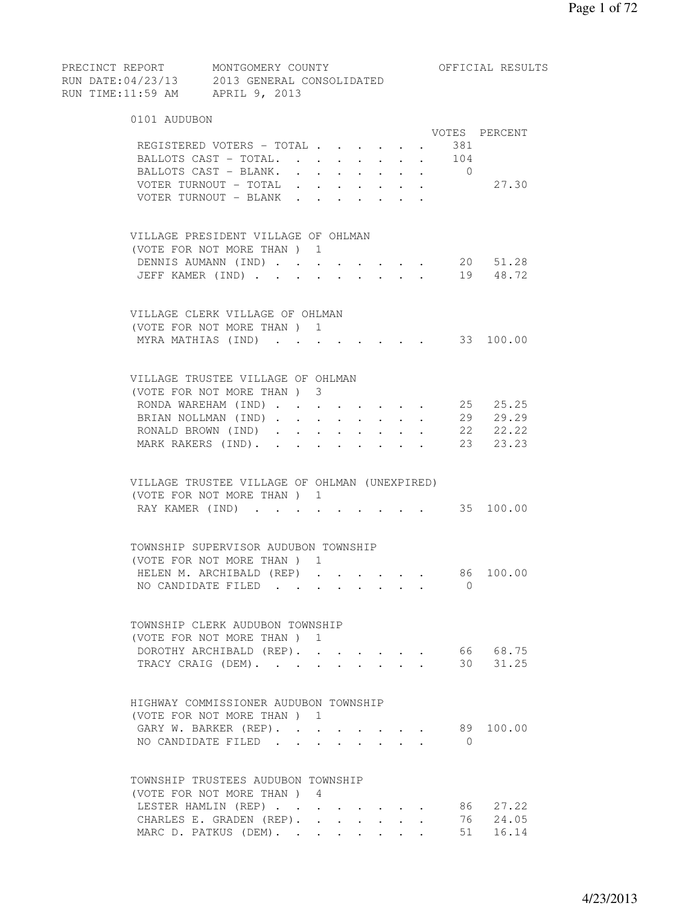| RUN DATE: 04/23/13 2013 GENERAL CONSOLIDATED<br>RUN TIME:11:59 AM APRIL 9, 2013 |  |                                                                                                                                                                                                                                                                                                                                                                                                                              |            |                                                           |                                          |            |                |                      |
|---------------------------------------------------------------------------------|--|------------------------------------------------------------------------------------------------------------------------------------------------------------------------------------------------------------------------------------------------------------------------------------------------------------------------------------------------------------------------------------------------------------------------------|------------|-----------------------------------------------------------|------------------------------------------|------------|----------------|----------------------|
| 0101 AUDUBON                                                                    |  |                                                                                                                                                                                                                                                                                                                                                                                                                              |            |                                                           |                                          |            |                |                      |
|                                                                                 |  |                                                                                                                                                                                                                                                                                                                                                                                                                              |            |                                                           |                                          |            |                | VOTES PERCENT        |
| REGISTERED VOTERS - TOTAL 381                                                   |  |                                                                                                                                                                                                                                                                                                                                                                                                                              |            |                                                           |                                          |            |                |                      |
| BALLOTS CAST - TOTAL. 104                                                       |  |                                                                                                                                                                                                                                                                                                                                                                                                                              |            |                                                           |                                          |            |                |                      |
| BALLOTS CAST - BLANK.                                                           |  | $\mathbf{a} = \mathbf{a} + \mathbf{a} + \mathbf{a} + \mathbf{a} + \mathbf{a} + \mathbf{a} + \mathbf{a} + \mathbf{a} + \mathbf{a} + \mathbf{a} + \mathbf{a} + \mathbf{a} + \mathbf{a} + \mathbf{a} + \mathbf{a} + \mathbf{a} + \mathbf{a} + \mathbf{a} + \mathbf{a} + \mathbf{a} + \mathbf{a} + \mathbf{a} + \mathbf{a} + \mathbf{a} + \mathbf{a} + \mathbf{a} + \mathbf{a} + \mathbf{a} + \mathbf{a} + \mathbf{a} + \mathbf$ |            |                                                           |                                          |            | $\overline{0}$ |                      |
| VOTER TURNOUT - TOTAL                                                           |  |                                                                                                                                                                                                                                                                                                                                                                                                                              |            | $\mathbf{A}$ and $\mathbf{A}$ and $\mathbf{A}$            |                                          |            |                | 27.30                |
| VOTER TURNOUT - BLANK                                                           |  |                                                                                                                                                                                                                                                                                                                                                                                                                              |            | $\mathbf{r} = \mathbf{r}$                                 |                                          |            |                |                      |
| VILLAGE PRESIDENT VILLAGE OF OHLMAN                                             |  |                                                                                                                                                                                                                                                                                                                                                                                                                              |            |                                                           |                                          |            |                |                      |
| (VOTE FOR NOT MORE THAN) 1                                                      |  |                                                                                                                                                                                                                                                                                                                                                                                                                              |            |                                                           |                                          |            |                |                      |
| DENNIS AUMANN (IND)                                                             |  |                                                                                                                                                                                                                                                                                                                                                                                                                              |            |                                                           |                                          |            |                | 20 51.28             |
| JEFF KAMER (IND) 19 48.72                                                       |  |                                                                                                                                                                                                                                                                                                                                                                                                                              |            |                                                           |                                          |            |                |                      |
| VILLAGE CLERK VILLAGE OF OHLMAN                                                 |  |                                                                                                                                                                                                                                                                                                                                                                                                                              |            |                                                           |                                          |            |                |                      |
| (VOTE FOR NOT MORE THAN) 1                                                      |  |                                                                                                                                                                                                                                                                                                                                                                                                                              |            |                                                           |                                          |            |                |                      |
| MYRA MATHIAS (IND) 33 100.00                                                    |  |                                                                                                                                                                                                                                                                                                                                                                                                                              |            |                                                           |                                          |            |                |                      |
|                                                                                 |  |                                                                                                                                                                                                                                                                                                                                                                                                                              |            |                                                           |                                          |            |                |                      |
| VILLAGE TRUSTEE VILLAGE OF OHLMAN                                               |  |                                                                                                                                                                                                                                                                                                                                                                                                                              |            |                                                           |                                          |            |                |                      |
| (VOTE FOR NOT MORE THAN ) 3                                                     |  |                                                                                                                                                                                                                                                                                                                                                                                                                              |            |                                                           |                                          |            |                |                      |
| RONDA WAREHAM (IND)                                                             |  |                                                                                                                                                                                                                                                                                                                                                                                                                              |            | $\mathbf{r}$ , $\mathbf{r}$ , $\mathbf{r}$ , $\mathbf{r}$ |                                          |            |                | 25 25.25<br>29 29.29 |
| BRIAN NOLLMAN (IND)                                                             |  |                                                                                                                                                                                                                                                                                                                                                                                                                              |            | $\mathbf{r} = \mathbf{r} + \mathbf{r}$ .                  | $\mathbf{L}$ and $\mathbf{L}$            | $\sim$ $-$ |                | 22 22.22             |
| RONALD BROWN (IND)                                                              |  | $\sim 10^{-10}$                                                                                                                                                                                                                                                                                                                                                                                                              | $\sim$ $-$ | $\ddot{\phantom{0}}$                                      | $\mathbf{z} = \mathbf{z} + \mathbf{z}$ . |            |                | 23 23.23             |
| MARK RAKERS (IND).                                                              |  |                                                                                                                                                                                                                                                                                                                                                                                                                              |            |                                                           |                                          |            |                |                      |
| VILLAGE TRUSTEE VILLAGE OF OHLMAN (UNEXPIRED)                                   |  |                                                                                                                                                                                                                                                                                                                                                                                                                              |            |                                                           |                                          |            |                |                      |
| (VOTE FOR NOT MORE THAN) 1                                                      |  |                                                                                                                                                                                                                                                                                                                                                                                                                              |            |                                                           |                                          |            |                |                      |
| RAY KAMER (IND) 35 100.00                                                       |  |                                                                                                                                                                                                                                                                                                                                                                                                                              |            |                                                           |                                          |            |                |                      |
|                                                                                 |  |                                                                                                                                                                                                                                                                                                                                                                                                                              |            |                                                           |                                          |            |                |                      |
| TOWNSHIP SUPERVISOR AUDUBON TOWNSHIP                                            |  |                                                                                                                                                                                                                                                                                                                                                                                                                              |            |                                                           |                                          |            |                |                      |
| (VOTE FOR NOT MORE THAN) 1                                                      |  |                                                                                                                                                                                                                                                                                                                                                                                                                              |            |                                                           |                                          |            |                |                      |
| HELEN M. ARCHIBALD (REP) 86 100.00<br>NO CANDIDATE FILED 0                      |  |                                                                                                                                                                                                                                                                                                                                                                                                                              |            |                                                           |                                          |            |                |                      |
|                                                                                 |  |                                                                                                                                                                                                                                                                                                                                                                                                                              |            |                                                           |                                          |            |                |                      |
| TOWNSHIP CLERK AUDUBON TOWNSHIP                                                 |  |                                                                                                                                                                                                                                                                                                                                                                                                                              |            |                                                           |                                          |            |                |                      |
| (VOTE FOR NOT MORE THAN) 1                                                      |  |                                                                                                                                                                                                                                                                                                                                                                                                                              |            |                                                           |                                          |            |                |                      |
| DOROTHY ARCHIBALD (REP). .                                                      |  |                                                                                                                                                                                                                                                                                                                                                                                                                              |            |                                                           |                                          |            |                | 66 68.75             |
| TRACY CRAIG (DEM).                                                              |  |                                                                                                                                                                                                                                                                                                                                                                                                                              |            |                                                           | $\mathbf{r} = \mathbf{r}$                |            |                | 30 31.25             |
| HIGHWAY COMMISSIONER AUDUBON TOWNSHIP                                           |  |                                                                                                                                                                                                                                                                                                                                                                                                                              |            |                                                           |                                          |            |                |                      |
| (VOTE FOR NOT MORE THAN) 1                                                      |  |                                                                                                                                                                                                                                                                                                                                                                                                                              |            |                                                           |                                          |            |                |                      |
| GARY W. BARKER (REP).                                                           |  |                                                                                                                                                                                                                                                                                                                                                                                                                              |            |                                                           |                                          |            |                | 89 100.00            |
| NO CANDIDATE FILED                                                              |  |                                                                                                                                                                                                                                                                                                                                                                                                                              |            |                                                           |                                          |            | $\bigcirc$     |                      |
|                                                                                 |  |                                                                                                                                                                                                                                                                                                                                                                                                                              |            |                                                           |                                          |            |                |                      |
| TOWNSHIP TRUSTEES AUDUBON TOWNSHIP                                              |  |                                                                                                                                                                                                                                                                                                                                                                                                                              |            |                                                           |                                          |            |                |                      |
| (VOTE FOR NOT MORE THAN) 4                                                      |  |                                                                                                                                                                                                                                                                                                                                                                                                                              |            |                                                           |                                          |            |                |                      |
| LESTER HAMLIN (REP)                                                             |  |                                                                                                                                                                                                                                                                                                                                                                                                                              |            |                                                           |                                          |            |                | 86 27.22             |
| CHARLES E. GRADEN (REP).                                                        |  |                                                                                                                                                                                                                                                                                                                                                                                                                              |            |                                                           |                                          |            |                | 76 24.05             |

MARC D. PATKUS (DEM). . . . . . . . 51 16.14

PRECINCT REPORT MONTGOMERY COUNTY THE OFFICIAL RESULTS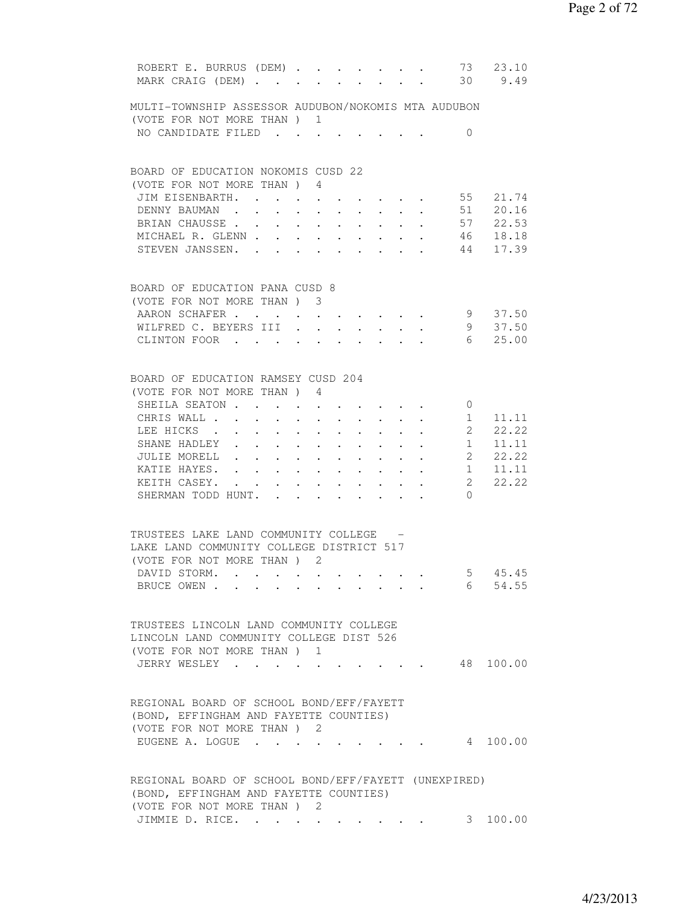| ROBERT E. BURRUS (DEM)<br>MARK CRAIG (DEM)                                                                                    |  |                      |                                                 |                                                                                           |           |        |                                                             |                        | 73 23.10<br>30 9.49 |
|-------------------------------------------------------------------------------------------------------------------------------|--|----------------------|-------------------------------------------------|-------------------------------------------------------------------------------------------|-----------|--------|-------------------------------------------------------------|------------------------|---------------------|
| MULTI-TOWNSHIP ASSESSOR AUDUBON/NOKOMIS MTA AUDUBON                                                                           |  |                      |                                                 |                                                                                           |           |        |                                                             |                        |                     |
| (VOTE FOR NOT MORE THAN) 1<br>NO CANDIDATE FILED                                                                              |  |                      |                                                 |                                                                                           |           |        |                                                             | $\overline{0}$         |                     |
|                                                                                                                               |  |                      |                                                 |                                                                                           |           |        |                                                             |                        |                     |
| BOARD OF EDUCATION NOKOMIS CUSD 22                                                                                            |  |                      |                                                 |                                                                                           |           |        |                                                             |                        |                     |
| (VOTE FOR NOT MORE THAN) 4                                                                                                    |  |                      |                                                 |                                                                                           |           |        |                                                             |                        |                     |
| JIM EISENBARTH. 55 21.74<br>DENNY BAUMAN                                                                                      |  |                      | $\mathbf{L}$                                    |                                                                                           |           |        |                                                             | $\cdot$ 51 20.16       |                     |
| BRIAN CHAUSSE 57 22.53                                                                                                        |  |                      |                                                 |                                                                                           |           |        |                                                             |                        |                     |
| MICHAEL R. GLENN 46                                                                                                           |  |                      |                                                 |                                                                                           |           |        |                                                             |                        | 18.18               |
| STEVEN JANSSEN. 44                                                                                                            |  |                      |                                                 |                                                                                           |           |        |                                                             |                        | 17.39               |
| BOARD OF EDUCATION PANA CUSD 8                                                                                                |  |                      |                                                 |                                                                                           |           |        |                                                             |                        |                     |
| (VOTE FOR NOT MORE THAN ) 3                                                                                                   |  |                      |                                                 |                                                                                           |           |        |                                                             |                        |                     |
| AARON SCHAFER                                                                                                                 |  |                      |                                                 |                                                                                           |           |        |                                                             |                        | 9 37.50             |
| WILFRED C. BEYERS III                                                                                                         |  |                      |                                                 |                                                                                           |           |        |                                                             |                        | 9 37.50             |
| CLINTON FOOR                                                                                                                  |  |                      |                                                 |                                                                                           |           |        |                                                             |                        | 6 25.00             |
| BOARD OF EDUCATION RAMSEY CUSD 204                                                                                            |  |                      |                                                 |                                                                                           |           |        |                                                             |                        |                     |
| (VOTE FOR NOT MORE THAN) 4                                                                                                    |  |                      |                                                 |                                                                                           |           |        |                                                             |                        |                     |
| SHEILA SEATON                                                                                                                 |  | $\ddot{\phantom{0}}$ |                                                 | $\mathbf{z} = \left\{ \mathbf{z}_1, \ldots, \mathbf{z}_n \right\}$ , where $\mathbf{z}_1$ |           |        |                                                             | $\mathbf{0}$           |                     |
| CHRIS WALL                                                                                                                    |  |                      |                                                 | $\cdot$ $\cdot$                                                                           | $\sim$    | $\sim$ | $\mathbf{L} = \mathbf{L}$                                   | 1<br>$\overline{2}$    | 11.11<br>22.22      |
| LEE HICKS<br>SHANE HADLEY                                                                                                     |  | $\ddot{\phantom{1}}$ |                                                 | $\cdot$ $\cdot$ $\cdot$ $\cdot$ $\cdot$                                                   |           |        |                                                             | $1 \quad \blacksquare$ | 11.11               |
| JULIE MORELL                                                                                                                  |  |                      |                                                 |                                                                                           |           |        |                                                             |                        | 2, 22, 22           |
| KATIE HAYES.                                                                                                                  |  |                      |                                                 |                                                                                           |           |        |                                                             |                        | $1 \quad 11.11$     |
| KEITH CASEY.                                                                                                                  |  |                      |                                                 |                                                                                           |           |        | $\bullet$ .<br><br><br><br><br><br><br><br><br><br><br><br> |                        | 2 22.22             |
| SHERMAN TODD HUNT. .                                                                                                          |  |                      | $\cdot$ $\cdot$ $\cdot$ $\cdot$ $\cdot$ $\cdot$ |                                                                                           | $\bullet$ |        |                                                             | $\Omega$               |                     |
| TRUSTEES LAKE LAND COMMUNITY COLLEGE -<br>LAKE LAND COMMUNITY COLLEGE DISTRICT 517<br>(VOTE FOR NOT MORE THAN) 2              |  |                      |                                                 |                                                                                           |           |        |                                                             |                        |                     |
| DAVID STORM.<br>BRUCE OWEN                                                                                                    |  |                      |                                                 |                                                                                           |           |        |                                                             | $5\phantom{.0}$<br>6   | 45.45<br>54.55      |
|                                                                                                                               |  |                      |                                                 |                                                                                           |           |        |                                                             |                        |                     |
| TRUSTEES LINCOLN LAND COMMUNITY COLLEGE<br>LINCOLN LAND COMMUNITY COLLEGE DIST 526<br>(VOTE FOR NOT MORE THAN) 1              |  |                      |                                                 |                                                                                           |           |        |                                                             |                        |                     |
| JERRY WESLEY                                                                                                                  |  |                      |                                                 |                                                                                           |           |        |                                                             |                        | 48 100.00           |
| REGIONAL BOARD OF SCHOOL BOND/EFF/FAYETT<br>(BOND, EFFINGHAM AND FAYETTE COUNTIES)<br>(VOTE FOR NOT MORE THAN) 2              |  |                      |                                                 |                                                                                           |           |        |                                                             |                        |                     |
| EUGENE A. LOGUE .                                                                                                             |  |                      |                                                 |                                                                                           |           |        |                                                             |                        |                     |
| REGIONAL BOARD OF SCHOOL BOND/EFF/FAYETT (UNEXPIRED)<br>(BOND, EFFINGHAM AND FAYETTE COUNTIES)<br>(VOTE FOR NOT MORE THAN ) 2 |  |                      |                                                 |                                                                                           |           |        |                                                             |                        |                     |
| JIMMIE D. RICE.                                                                                                               |  |                      |                                                 |                                                                                           |           |        |                                                             | 3                      | 100.00              |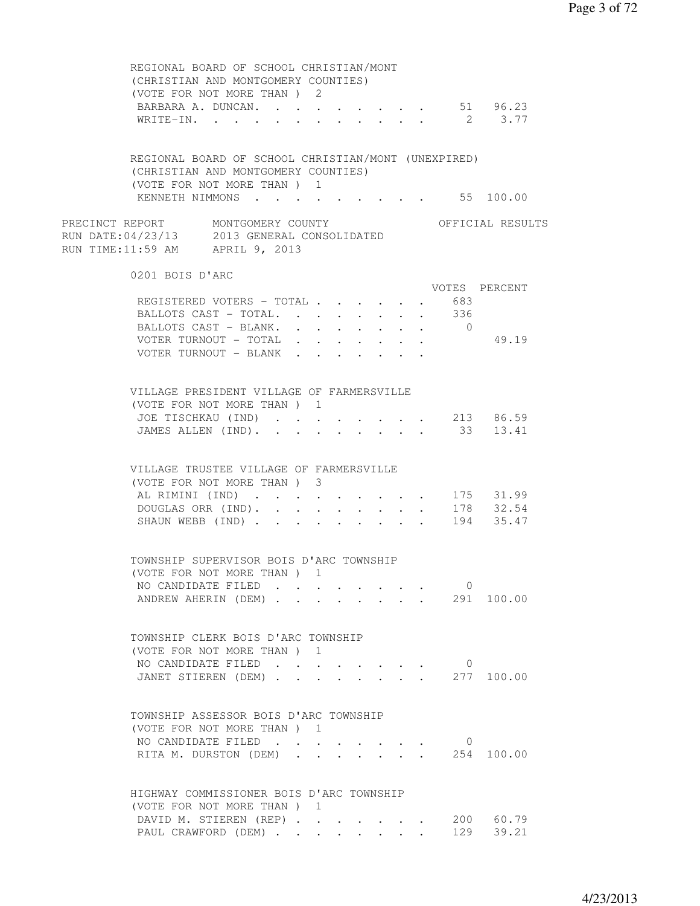| REGIONAL BOARD OF SCHOOL CHRISTIAN/MONT<br>(CHRISTIAN AND MONTGOMERY COUNTIES)<br>(VOTE FOR NOT MORE THAN) 2<br>BARBARA A. DUNCAN. 51 96.23<br>WRITE-IN. 2 3.77   |  |  |                                                       |        |                |                   |
|-------------------------------------------------------------------------------------------------------------------------------------------------------------------|--|--|-------------------------------------------------------|--------|----------------|-------------------|
| REGIONAL BOARD OF SCHOOL CHRISTIAN/MONT (UNEXPIRED)<br>(CHRISTIAN AND MONTGOMERY COUNTIES)<br>(VOTE FOR NOT MORE THAN) 1                                          |  |  |                                                       |        |                |                   |
| KENNETH NIMMONS 55 100.00                                                                                                                                         |  |  |                                                       |        |                |                   |
| PRECINCT REPORT MONTGOMERY COUNTY<br>RUN DATE:04/23/13 2013 GENERAL CONSOLIDATED<br>RUN TIME:11:59 AM APRIL 9, 2013                                               |  |  |                                                       |        |                | OFFICIAL RESULTS  |
| 0201 BOIS D'ARC                                                                                                                                                   |  |  |                                                       |        |                | VOTES PERCENT     |
|                                                                                                                                                                   |  |  |                                                       |        | 683            |                   |
| REGISTERED VOTERS - TOTAL                                                                                                                                         |  |  |                                                       | $\sim$ |                |                   |
| BALLOTS CAST - TOTAL.                                                                                                                                             |  |  |                                                       |        | 336            |                   |
| BALLOTS CAST - BLANK. 0                                                                                                                                           |  |  |                                                       |        |                |                   |
| VOTER TURNOUT - TOTAL                                                                                                                                             |  |  |                                                       |        |                | 49.19             |
| VOTER TURNOUT - BLANK                                                                                                                                             |  |  |                                                       |        |                |                   |
| VILLAGE PRESIDENT VILLAGE OF FARMERSVILLE<br>(VOTE FOR NOT MORE THAN) 1                                                                                           |  |  |                                                       |        |                |                   |
| JOE TISCHKAU (IND)                                                                                                                                                |  |  |                                                       |        |                | $\cdot$ 213 86.59 |
| JAMES ALLEN (IND).                                                                                                                                                |  |  |                                                       |        |                | 33 13.41          |
| VILLAGE TRUSTEE VILLAGE OF FARMERSVILLE<br>(VOTE FOR NOT MORE THAN ) 3<br>AL RIMINI (IND) 175 31.99<br>DOUGLAS ORR (IND). 178 32.54<br>SHAUN WEBB (IND) 194 35.47 |  |  |                                                       |        |                |                   |
| TOWNSHIP SUPERVISOR BOIS D'ARC TOWNSHIP                                                                                                                           |  |  |                                                       |        |                |                   |
| (VOTE FOR NOT MORE THAN ) 1                                                                                                                                       |  |  |                                                       |        |                |                   |
| NO CANDIDATE FILED                                                                                                                                                |  |  |                                                       |        | 0              |                   |
| ANDREW AHERIN (DEM)                                                                                                                                               |  |  |                                                       |        |                | 291 100.00        |
| TOWNSHIP CLERK BOIS D'ARC TOWNSHIP                                                                                                                                |  |  |                                                       |        |                |                   |
| (VOTE FOR NOT MORE THAN ) 1                                                                                                                                       |  |  |                                                       |        |                |                   |
| NO CANDIDATE FILED                                                                                                                                                |  |  |                                                       |        | $\circ$        |                   |
| JANET STIEREN (DEM)                                                                                                                                               |  |  | $\mathbf{r} = \mathbf{r}$ , $\mathbf{r} = \mathbf{r}$ |        |                | 277 100.00        |
|                                                                                                                                                                   |  |  |                                                       |        |                |                   |
| TOWNSHIP ASSESSOR BOIS D'ARC TOWNSHIP                                                                                                                             |  |  |                                                       |        |                |                   |
| (VOTE FOR NOT MORE THAN) 1                                                                                                                                        |  |  |                                                       |        |                |                   |
| NO CANDIDATE FILED.                                                                                                                                               |  |  |                                                       |        | $\overline{0}$ |                   |
| RITA M. DURSTON (DEM).                                                                                                                                            |  |  |                                                       |        |                | 254 100.00        |
| HIGHWAY COMMISSIONER BOIS D'ARC TOWNSHIP                                                                                                                          |  |  |                                                       |        |                |                   |
| (VOTE FOR NOT MORE THAN) 1                                                                                                                                        |  |  |                                                       |        |                |                   |
| DAVID M. STIEREN (REP)                                                                                                                                            |  |  |                                                       |        |                | 200 60.79         |
| PAUL CRAWFORD (DEM)                                                                                                                                               |  |  |                                                       |        |                | 129 39.21         |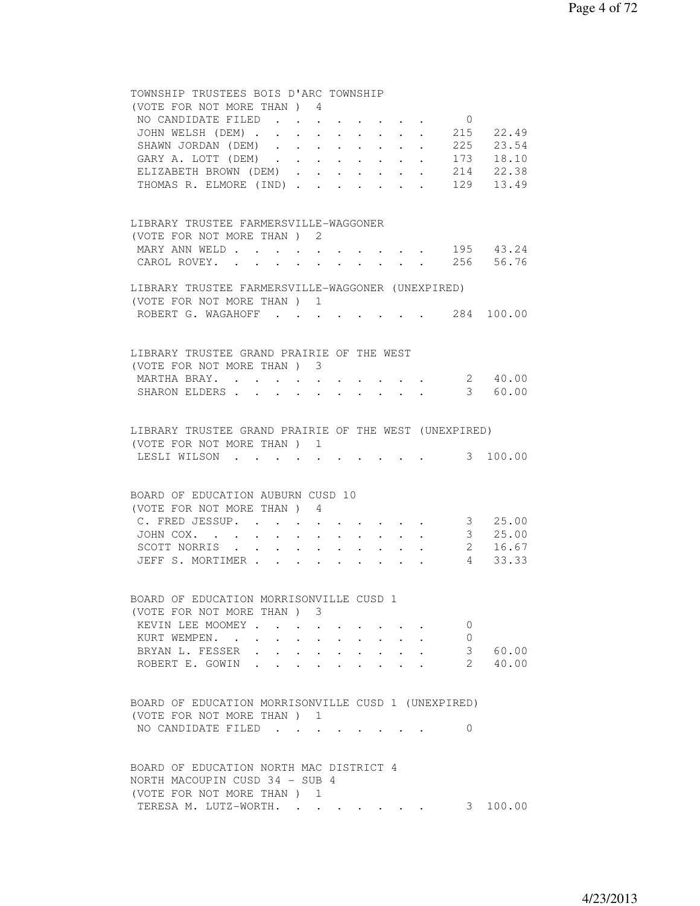## TOWNSHIP TRUSTEES BOIS D'ARC TOWNSHIP (VOTE FOR NOT MORE THAN ) 4 NO CANDIDATE FILED . . . . . . . . 0 JOHN WELSH (DEM) . . . . . . . . 215 22.49 SHAWN JORDAN (DEM) . . . . . . . . 225 23.54 GARY A. LOTT (DEM) . . . . . . . . 173 18.10 ELIZABETH BROWN (DEM) . . . . . . 214 22.38 THOMAS R. ELMORE (IND) . . . . . . . 129 13.49 LIBRARY TRUSTEE FARMERSVILLE-WAGGONER (VOTE FOR NOT MORE THAN ) 2 MARY ANN WELD . . . . . . . . . . 195 43.24 CAROL ROVEY. . . . . . . . . . . 256 56.76 LIBRARY TRUSTEE FARMERSVILLE-WAGGONER (UNEXPIRED) (VOTE FOR NOT MORE THAN ) 1 ROBERT G. WAGAHOFF . . . . . . . . 284 100.00 LIBRARY TRUSTEE GRAND PRAIRIE OF THE WEST (VOTE FOR NOT MORE THAN ) 3 MARTHA BRAY. . . . . . . . . . . 2 40.00 SHARON ELDERS . . . . . . . . . . . 3 60.00 LIBRARY TRUSTEE GRAND PRAIRIE OF THE WEST (UNEXPIRED) (VOTE FOR NOT MORE THAN ) 1 LESLI WILSON . . . . . . . . . . . 3 100.00 BOARD OF EDUCATION AUBURN CUSD 10 (VOTE FOR NOT MORE THAN ) 4 C. FRED JESSUP. . . . . . . . . . 3 25.00 JOHN COX. . . . . . . . . . . . 3 25.00 SCOTT NORRIS . . . . . . . . . . 2 16.67 JEFF S. MORTIMER . . . . . . . . . . 4 33.33 BOARD OF EDUCATION MORRISONVILLE CUSD 1 (VOTE FOR NOT MORE THAN ) 3 KEVIN LEE MOOMEY . . . . . . . . . 0 KURT WEMPEN. . . . . . . . . . . 0 BRYAN L. FESSER . . . . . . . . . . 3 60.00<br>ROBERT E. GOWIN . . . . . . . . . 2 40.00 ROBERT E. GOWIN . . . . . . . . . 2 40.00 BOARD OF EDUCATION MORRISONVILLE CUSD 1 (UNEXPIRED) (VOTE FOR NOT MORE THAN ) 1 NO CANDIDATE FILED . . . . . . . . 0 BOARD OF EDUCATION NORTH MAC DISTRICT 4 NORTH MACOUPIN CUSD 34 - SUB 4 (VOTE FOR NOT MORE THAN ) 1 TERESA M. LUTZ-WORTH. . . . . . . . 3 100.00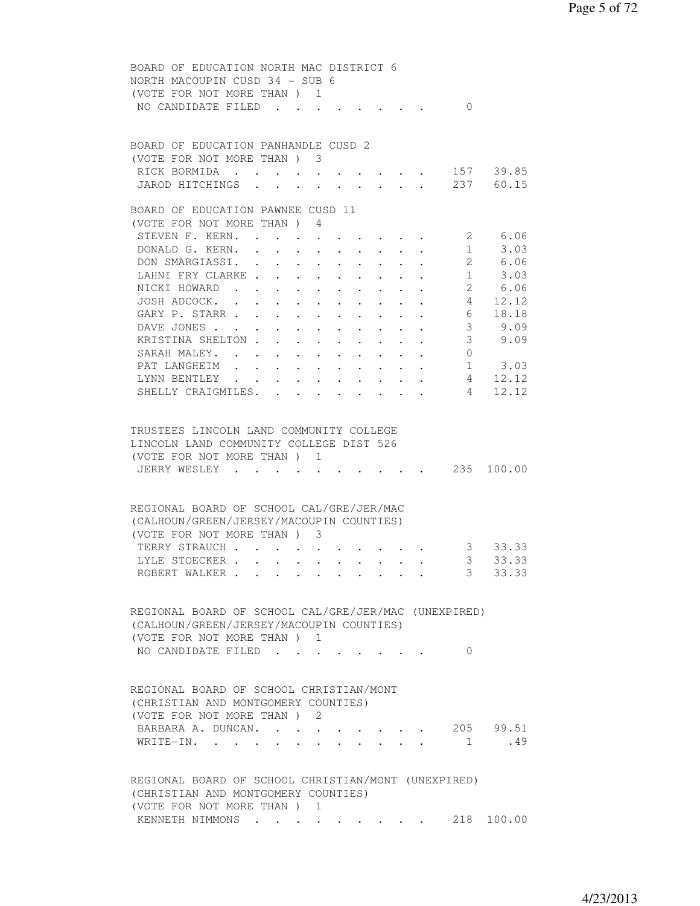| BOARD OF EDUCATION NORTH MAC DISTRICT 6<br>NORTH MACOUPIN CUSD 34 - SUB 6<br>(VOTE FOR NOT MORE THAN ) 1                                                                                                   |
|------------------------------------------------------------------------------------------------------------------------------------------------------------------------------------------------------------|
| NO CANDIDATE FILED<br>$\Omega$                                                                                                                                                                             |
| BOARD OF EDUCATION PANHANDLE CUSD 2                                                                                                                                                                        |
| (VOTE FOR NOT MORE THAN) 3                                                                                                                                                                                 |
| RICK BORMIDA 157 39.85                                                                                                                                                                                     |
| JAROD HITCHINGS 237 60.15                                                                                                                                                                                  |
| BOARD OF EDUCATION PAWNEE CUSD 11                                                                                                                                                                          |
| (VOTE FOR NOT MORE THAN ) 4                                                                                                                                                                                |
| 2 6.06<br>STEVEN F. KERN. .<br>$\bullet$ .<br><br><br><br><br><br><br><br><br><br><br><br><br><br>                                                                                                         |
| DONALD G. KERN. .<br>1<br>3.03<br>$\sim$<br>$\ddot{\phantom{0}}$<br>$\sim$<br>$\bullet$ .<br><br><br><br><br><br><br><br><br><br><br><br><br><br>                                                          |
| 2 6.06<br>DON SMARGIASSI. .<br>$\mathbf{r}$ , and $\mathbf{r}$ , and $\mathbf{r}$ , and $\mathbf{r}$<br>$\mathbf{L}$                                                                                       |
| $1 \t3.03$<br>LAHNI FRY CLARKE                                                                                                                                                                             |
| NICKI HOWARD 2 6.06                                                                                                                                                                                        |
| JOSH ADCOCK. 4 12.12                                                                                                                                                                                       |
| GARY P. STARR<br>6<br>18.18                                                                                                                                                                                |
| 9.09<br>3 <sup>7</sup><br>DAVE JONES<br>and a series of the series of the series of                                                                                                                        |
| 3 <sup>7</sup><br>KRISTINA SHELTON.<br>9.09                                                                                                                                                                |
| SARAH MALEY.<br>$\overline{0}$<br>$\ddot{\phantom{0}}$<br>$\bullet$ .<br><br><br><br><br><br><br><br><br><br><br><br><br><br><br>$\sim 100$<br>$\bullet$ .<br><br><br><br><br><br><br><br><br><br><br><br> |
| $1 \t3.03$<br>PAT LANGHEIM<br>$\sim$ $-$<br>$\sim$ $-$                                                                                                                                                     |
| 4 12.12<br>LYNN BENTLEY<br>$\sim$ $\sim$ $\sim$<br>$\mathbf{r}$ , and $\mathbf{r}$ , and $\mathbf{r}$<br>$\ddot{\phantom{0}}$<br>$\cdot$ $\cdot$ $\cdot$                                                   |
| SHELLY CRAIGMILES.<br>4<br>12.12<br>$\sim$ $\sim$                                                                                                                                                          |
| TRUSTEES LINCOLN LAND COMMUNITY COLLEGE<br>LINCOLN LAND COMMUNITY COLLEGE DIST 526<br>(VOTE FOR NOT MORE THAN) 1<br>235 100.00<br>JERRY WESLEY .<br>$\sim 10^{-11}$                                        |
| REGIONAL BOARD OF SCHOOL CAL/GRE/JER/MAC<br>(CALHOUN/GREEN/JERSEY/MACOUPIN COUNTIES)<br>(VOTE FOR NOT MORE THAN) 3<br>3 33.33<br>TERRY STRAUCH                                                             |
| $3 -$<br>33.33<br>LYLE STOECKER                                                                                                                                                                            |
| $\overline{\mathbf{3}}$<br>33.33<br>ROBERT WALKER                                                                                                                                                          |
| REGIONAL BOARD OF SCHOOL CAL/GRE/JER/MAC (UNEXPIRED)<br>(CALHOUN/GREEN/JERSEY/MACOUPIN COUNTIES)<br>(VOTE FOR NOT MORE THAN ) 1<br>NO CANDIDATE FILED<br>$\Omega$                                          |
| REGIONAL BOARD OF SCHOOL CHRISTIAN/MONT<br>(CHRISTIAN AND MONTGOMERY COUNTIES)<br>(VOTE FOR NOT MORE THAN ) 2                                                                                              |
| 205 99.51<br>BARBARA A. DUNCAN.                                                                                                                                                                            |
| .49<br>$1 \qquad \qquad$<br>WRITE-IN.                                                                                                                                                                      |
| REGIONAL BOARD OF SCHOOL CHRISTIAN/MONT (UNEXPIRED)<br>(CHRISTIAN AND MONTGOMERY COUNTIES)<br>(VOTE FOR NOT MORE THAN ) 1                                                                                  |
| . 218 100.00<br>KENNETH NIMMONS                                                                                                                                                                            |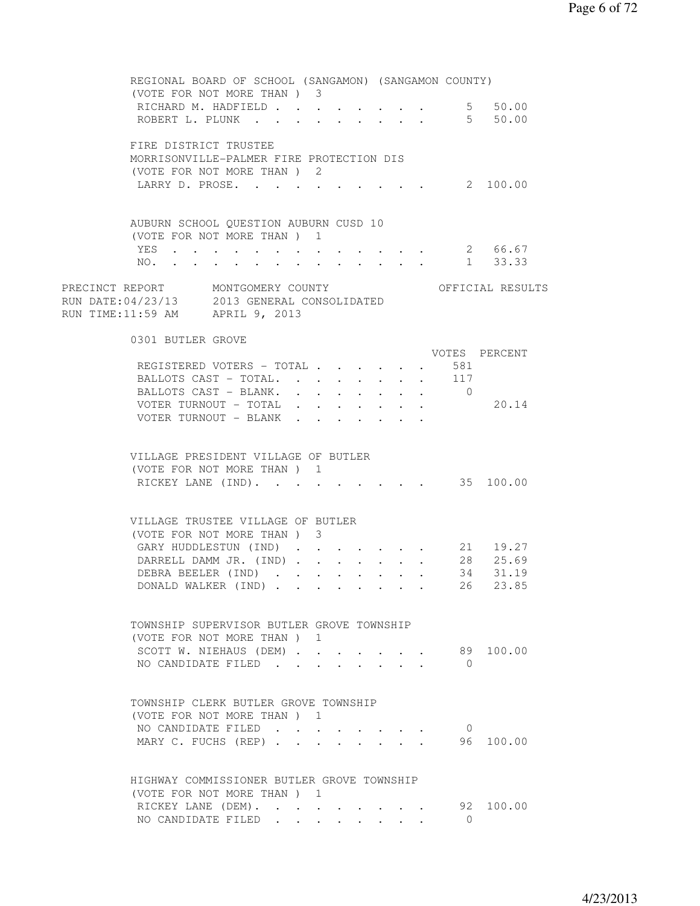| REGIONAL BOARD OF SCHOOL (SANGAMON) (SANGAMON COUNTY)                                                               |                           |  |                           |                |                  |
|---------------------------------------------------------------------------------------------------------------------|---------------------------|--|---------------------------|----------------|------------------|
| (VOTE FOR NOT MORE THAN) 3<br>RICHARD M. HADFIELD 5 50.00                                                           |                           |  |                           |                |                  |
| ROBERT L. PLUNK 5 50.00                                                                                             |                           |  |                           |                |                  |
|                                                                                                                     |                           |  |                           |                |                  |
| FIRE DISTRICT TRUSTEE                                                                                               |                           |  |                           |                |                  |
| MORRISONVILLE-PALMER FIRE PROTECTION DIS                                                                            |                           |  |                           |                |                  |
| (VOTE FOR NOT MORE THAN) 2                                                                                          |                           |  |                           |                |                  |
| LARRY D. PROSE.                                                                                                     |                           |  |                           |                | 2 100.00         |
|                                                                                                                     |                           |  |                           |                |                  |
|                                                                                                                     |                           |  |                           |                |                  |
| AUBURN SCHOOL OUESTION AUBURN CUSD 10                                                                               |                           |  |                           |                |                  |
| (VOTE FOR NOT MORE THAN ) 1                                                                                         |                           |  |                           |                |                  |
| YES<br>. 2 66.67                                                                                                    |                           |  |                           |                |                  |
| NO. 1 33.33                                                                                                         |                           |  |                           |                |                  |
|                                                                                                                     |                           |  |                           |                |                  |
| PRECINCT REPORT MONTGOMERY COUNTY<br>RUN DATE:04/23/13 2013 GENERAL CONSOLIDATED<br>RUN TIME:11:59 AM APRIL 9, 2013 |                           |  |                           |                | OFFICIAL RESULTS |
|                                                                                                                     |                           |  |                           |                |                  |
|                                                                                                                     |                           |  |                           |                |                  |
|                                                                                                                     |                           |  |                           |                |                  |
| 0301 BUTLER GROVE                                                                                                   |                           |  |                           |                |                  |
|                                                                                                                     |                           |  |                           | VOTES PERCENT  |                  |
| REGISTERED VOTERS - TOTAL 581                                                                                       |                           |  |                           |                |                  |
| BALLOTS CAST - TOTAL. 117                                                                                           |                           |  |                           |                |                  |
| BALLOTS CAST - BLANK. 0                                                                                             |                           |  |                           |                |                  |
| VOTER TURNOUT - TOTAL<br>VOTER TURNOUT - BLANK                                                                      |                           |  |                           |                | 20.14            |
|                                                                                                                     | $\mathbf{r} = \mathbf{r}$ |  |                           |                |                  |
|                                                                                                                     |                           |  |                           |                |                  |
| VILLAGE PRESIDENT VILLAGE OF BUTLER                                                                                 |                           |  |                           |                |                  |
| (VOTE FOR NOT MORE THAN) 1                                                                                          |                           |  |                           |                |                  |
| RICKEY LANE (IND). 35 100.00                                                                                        |                           |  |                           |                |                  |
|                                                                                                                     |                           |  |                           |                |                  |
|                                                                                                                     |                           |  |                           |                |                  |
| VILLAGE TRUSTEE VILLAGE OF BUTLER                                                                                   |                           |  |                           |                |                  |
| (VOTE FOR NOT MORE THAN) 3                                                                                          |                           |  |                           |                |                  |
| GARY HUDDLESTUN (IND)                                                                                               |                           |  |                           |                | 21 19.27         |
| DARRELL DAMM JR. (IND)                                                                                              |                           |  |                           |                | 28 25.69         |
| DEBRA BEELER (IND)                                                                                                  |                           |  |                           | 34             | 31.19            |
| DONALD WALKER (IND)                                                                                                 |                           |  |                           | 26             | 23.85            |
|                                                                                                                     |                           |  |                           |                |                  |
|                                                                                                                     |                           |  |                           |                |                  |
| TOWNSHIP SUPERVISOR BUTLER GROVE TOWNSHIP                                                                           |                           |  |                           |                |                  |
| (VOTE FOR NOT MORE THAN) 1                                                                                          |                           |  |                           |                |                  |
| SCOTT W. NIEHAUS (DEM)                                                                                              |                           |  | $\sim$                    |                | 89 100.00        |
| NO CANDIDATE FILED                                                                                                  | $\sim$                    |  | $\mathbf{r} = \mathbf{r}$ | $\bigcirc$     |                  |
|                                                                                                                     |                           |  |                           |                |                  |
|                                                                                                                     |                           |  |                           |                |                  |
| TOWNSHIP CLERK BUTLER GROVE TOWNSHIP                                                                                |                           |  |                           |                |                  |
| (VOTE FOR NOT MORE THAN) 1<br>NO CANDIDATE FILED                                                                    |                           |  |                           | $\overline{0}$ |                  |
|                                                                                                                     |                           |  |                           |                | 96 100.00        |
| MARY C. FUCHS (REP)                                                                                                 |                           |  |                           |                |                  |
|                                                                                                                     |                           |  |                           |                |                  |
| HIGHWAY COMMISSIONER BUTLER GROVE TOWNSHIP                                                                          |                           |  |                           |                |                  |
| (VOTE FOR NOT MORE THAN) 1                                                                                          |                           |  |                           |                |                  |
| RICKEY LANE (DEM).                                                                                                  |                           |  |                           |                | 92 100.00        |
| NO CANDIDATE FILED                                                                                                  |                           |  |                           | $\overline{0}$ |                  |
|                                                                                                                     |                           |  |                           |                |                  |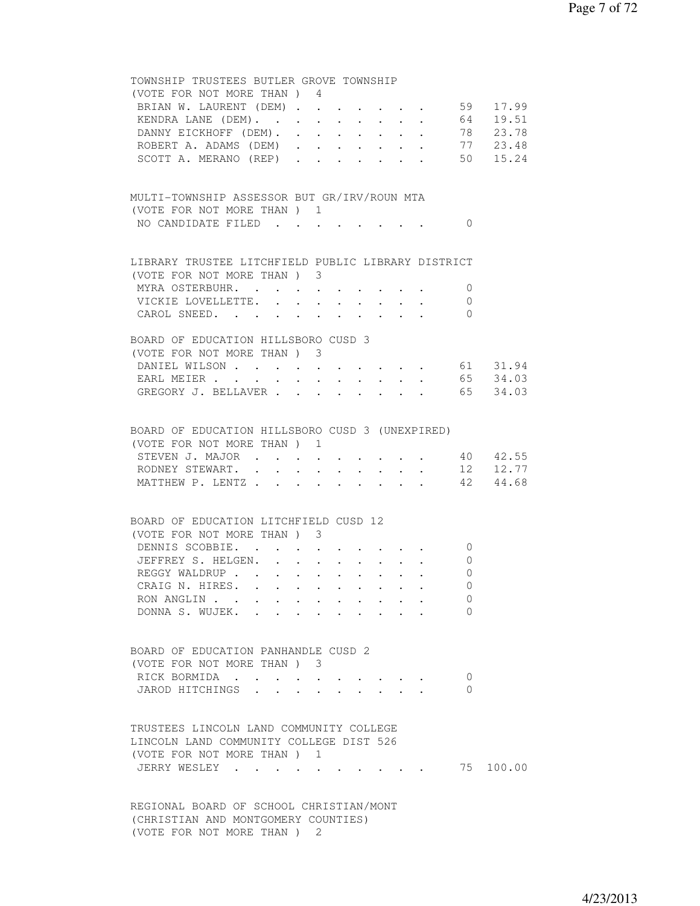| TOWNSHIP TRUSTEES BUTLER GROVE TOWNSHIP                                                                                                                                                                                                                 |
|---------------------------------------------------------------------------------------------------------------------------------------------------------------------------------------------------------------------------------------------------------|
| (VOTE FOR NOT MORE THAN) 4                                                                                                                                                                                                                              |
| . 59 17.99<br>BRIAN W. LAURENT (DEM)<br>$\mathbf{r}$ .                                                                                                                                                                                                  |
| $\cdot$ 64 19.51<br>KENDRA LANE (DEM).                                                                                                                                                                                                                  |
| DANNY EICKHOFF (DEM). 78 23.78                                                                                                                                                                                                                          |
| ROBERT A. ADAMS (DEM) 77 23.48                                                                                                                                                                                                                          |
| 50 15.24<br>SCOTT A. MERANO (REP)                                                                                                                                                                                                                       |
|                                                                                                                                                                                                                                                         |
|                                                                                                                                                                                                                                                         |
| MULTI-TOWNSHIP ASSESSOR BUT GR/IRV/ROUN MTA                                                                                                                                                                                                             |
| (VOTE FOR NOT MORE THAN) 1                                                                                                                                                                                                                              |
| NO CANDIDATE FILED<br>$\bigcirc$                                                                                                                                                                                                                        |
|                                                                                                                                                                                                                                                         |
| LIBRARY TRUSTEE LITCHFIELD PUBLIC LIBRARY DISTRICT                                                                                                                                                                                                      |
| (VOTE FOR NOT MORE THAN) 3                                                                                                                                                                                                                              |
| MYRA OSTERBUHR.<br>$\overline{0}$                                                                                                                                                                                                                       |
| VICKIE LOVELLETTE.<br>$\mathbf{0}$                                                                                                                                                                                                                      |
| CAROL SNEED.<br>$\Omega$                                                                                                                                                                                                                                |
|                                                                                                                                                                                                                                                         |
| BOARD OF EDUCATION HILLSBORO CUSD 3                                                                                                                                                                                                                     |
| (VOTE FOR NOT MORE THAN) 3                                                                                                                                                                                                                              |
| DANIEL WILSON 61 31.94                                                                                                                                                                                                                                  |
| EARL MEIER 65 34.03                                                                                                                                                                                                                                     |
| GREGORY J. BELLAVER 65 34.03                                                                                                                                                                                                                            |
|                                                                                                                                                                                                                                                         |
|                                                                                                                                                                                                                                                         |
| BOARD OF EDUCATION HILLSBORO CUSD 3 (UNEXPIRED)                                                                                                                                                                                                         |
| (VOTE FOR NOT MORE THAN) 1                                                                                                                                                                                                                              |
| STEVEN J. MAJOR 40 42.55                                                                                                                                                                                                                                |
| 12 12.77<br>RODNEY STEWART.                                                                                                                                                                                                                             |
| 42 44.68<br>MATTHEW P. LENTZ                                                                                                                                                                                                                            |
|                                                                                                                                                                                                                                                         |
| BOARD OF EDUCATION LITCHFIELD CUSD 12                                                                                                                                                                                                                   |
| (VOTE FOR NOT MORE THAN) 3                                                                                                                                                                                                                              |
|                                                                                                                                                                                                                                                         |
| DENNIS SCOBBIE.<br>$\overline{0}$                                                                                                                                                                                                                       |
| JEFFREY S. HELGEN.<br>0<br>$\mathbf{L}$<br>$\ddot{\phantom{0}}$                                                                                                                                                                                         |
| REGGY WALDRUP<br>$\mathbf{0}$<br>$\cdot$ $\cdot$ $\cdot$ $\cdot$                                                                                                                                                                                        |
| CRAIG N. HIRES.<br>$\left( \right)$                                                                                                                                                                                                                     |
| RON ANGLIN<br>0                                                                                                                                                                                                                                         |
| DONNA S. WUJEK.<br>$\Omega$                                                                                                                                                                                                                             |
|                                                                                                                                                                                                                                                         |
| BOARD OF EDUCATION PANHANDLE CUSD 2                                                                                                                                                                                                                     |
|                                                                                                                                                                                                                                                         |
| (VOTE FOR NOT MORE THAN) 3                                                                                                                                                                                                                              |
| RICK BORMIDA<br>0<br>$\bullet$ . In the contract of the contract of the contract of the contract of the contract of the contract of the contract of the contract of the contract of the contract of the contract of the contract of the contract of the |
| JAROD HITCHINGS<br>0                                                                                                                                                                                                                                    |
|                                                                                                                                                                                                                                                         |
| TRUSTEES LINCOLN LAND COMMUNITY COLLEGE                                                                                                                                                                                                                 |
| LINCOLN LAND COMMUNITY COLLEGE DIST 526                                                                                                                                                                                                                 |
| (VOTE FOR NOT MORE THAN) 1                                                                                                                                                                                                                              |
| 75 100.00                                                                                                                                                                                                                                               |
| JERRY WESLEY                                                                                                                                                                                                                                            |
|                                                                                                                                                                                                                                                         |
| REGIONAL BOARD OF SCHOOL CHRISTIAN/MONT                                                                                                                                                                                                                 |
|                                                                                                                                                                                                                                                         |

 (CHRISTIAN AND MONTGOMERY COUNTIES) (VOTE FOR NOT MORE THAN ) 2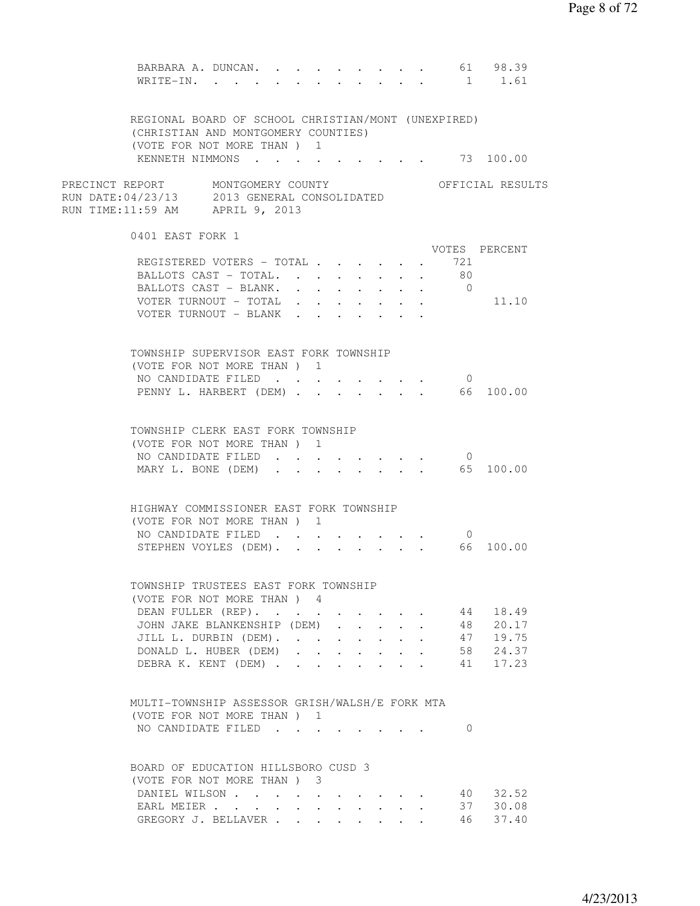| BARBARA A. DUNCAN.<br>WRITE-IN.                                                                                     |              |                  |                           |                      |                                         |                                            | 1              | 61 98.39<br>1.61     |  |
|---------------------------------------------------------------------------------------------------------------------|--------------|------------------|---------------------------|----------------------|-----------------------------------------|--------------------------------------------|----------------|----------------------|--|
| REGIONAL BOARD OF SCHOOL CHRISTIAN/MONT (UNEXPIRED)<br>(CHRISTIAN AND MONTGOMERY COUNTIES)                          |              |                  |                           |                      |                                         |                                            |                |                      |  |
| (VOTE FOR NOT MORE THAN) 1<br>KENNETH NIMMONS 73 100.00                                                             |              |                  |                           |                      |                                         |                                            |                |                      |  |
| PRECINCT REPORT MONTGOMERY COUNTY<br>RUN DATE:04/23/13 2013 GENERAL CONSOLIDATED<br>RUN TIME:11:59 AM APRIL 9, 2013 |              |                  |                           |                      |                                         |                                            |                | OFFICIAL RESULTS     |  |
| 0401 EAST FORK 1                                                                                                    |              |                  |                           |                      |                                         |                                            |                | VOTES PERCENT        |  |
| REGISTERED VOTERS - TOTAL                                                                                           |              |                  |                           |                      |                                         |                                            | 721            |                      |  |
| BALLOTS CAST - TOTAL.                                                                                               |              |                  |                           |                      |                                         | $\sim$ 100 $\sim$ 100 $\sim$               | $\cdot$ 80     |                      |  |
| BALLOTS CAST - BLANK.                                                                                               |              |                  |                           |                      |                                         |                                            | $\overline{0}$ |                      |  |
| VOTER TURNOUT - TOTAL                                                                                               |              |                  |                           |                      |                                         |                                            |                | 11.10                |  |
| VOTER TURNOUT - BLANK                                                                                               |              |                  |                           |                      |                                         |                                            |                |                      |  |
|                                                                                                                     |              |                  |                           |                      |                                         |                                            |                |                      |  |
| TOWNSHIP SUPERVISOR EAST FORK TOWNSHIP                                                                              |              |                  |                           |                      |                                         |                                            |                |                      |  |
| (VOTE FOR NOT MORE THAN) 1                                                                                          |              |                  |                           |                      |                                         |                                            |                |                      |  |
| NO CANDIDATE FILED                                                                                                  |              |                  |                           |                      |                                         |                                            | $\overline{0}$ |                      |  |
| PENNY L. HARBERT (DEM) 66 100.00                                                                                    |              |                  |                           |                      |                                         |                                            |                |                      |  |
| TOWNSHIP CLERK EAST FORK TOWNSHIP<br>(VOTE FOR NOT MORE THAN) 1                                                     |              |                  |                           |                      |                                         |                                            |                |                      |  |
| NO CANDIDATE FILED                                                                                                  |              |                  |                           |                      |                                         |                                            | $\overline{0}$ |                      |  |
| MARY L. BONE (DEM) 65 100.00                                                                                        |              |                  |                           |                      |                                         |                                            |                |                      |  |
| HIGHWAY COMMISSIONER EAST FORK TOWNSHIP                                                                             |              |                  |                           |                      |                                         |                                            |                |                      |  |
| (VOTE FOR NOT MORE THAN) 1                                                                                          |              |                  |                           |                      |                                         |                                            |                |                      |  |
| NO CANDIDATE FILED                                                                                                  |              |                  |                           |                      |                                         |                                            | $\overline{0}$ |                      |  |
| STEPHEN VOYLES (DEM).                                                                                               |              |                  |                           | $\sim$               |                                         | $\mathbf{r}$ , $\mathbf{r}$ , $\mathbf{r}$ |                | 66 100.00            |  |
| TOWNSHIP TRUSTEES EAST FORK TOWNSHIP                                                                                |              |                  |                           |                      |                                         |                                            |                |                      |  |
| (VOTE FOR NOT MORE THAN) 4                                                                                          |              |                  |                           |                      |                                         |                                            |                |                      |  |
| DEAN FULLER (REP).                                                                                                  |              |                  |                           |                      |                                         |                                            | 44             | 18.49                |  |
| JOHN JAKE BLANKENSHIP (DEM)                                                                                         |              |                  |                           |                      | $\cdot$ $\cdot$ $\cdot$ $\cdot$ $\cdot$ |                                            | 48             | 20.17                |  |
| JILL L. DURBIN (DEM).                                                                                               |              |                  |                           |                      | $\cdot$ $\cdot$ $\cdot$ $\cdot$ $\cdot$ |                                            |                | 19.75                |  |
| DONALD L. HUBER (DEM)                                                                                               | $\sim$       | $\sim$ 100 $\pm$ | $\mathbf{L}^{\text{max}}$ | $\ddot{\phantom{0}}$ |                                         |                                            |                | 47 19.75<br>58 24.37 |  |
| DEBRA K. KENT (DEM).                                                                                                | $\mathbf{L}$ | $\sim$           |                           |                      |                                         |                                            |                | 41 17.23             |  |
| MULTI-TOWNSHIP ASSESSOR GRISH/WALSH/E FORK MTA                                                                      |              |                  |                           |                      |                                         |                                            |                |                      |  |
| (VOTE FOR NOT MORE THAN) 1                                                                                          |              |                  |                           |                      |                                         |                                            |                |                      |  |
| NO CANDIDATE FILED                                                                                                  |              |                  |                           |                      |                                         |                                            | $\Omega$       |                      |  |
|                                                                                                                     |              |                  |                           |                      |                                         |                                            |                |                      |  |
| BOARD OF EDUCATION HILLSBORO CUSD 3                                                                                 |              |                  |                           |                      |                                         |                                            |                |                      |  |
| (VOTE FOR NOT MORE THAN) 3                                                                                          |              |                  |                           |                      |                                         |                                            |                |                      |  |
| DANIEL WILSON                                                                                                       |              |                  |                           |                      |                                         |                                            |                | 40 32.52             |  |
| EARL MEIER                                                                                                          |              |                  |                           |                      |                                         |                                            |                | 37 30.08             |  |
| GREGORY J. BELLAVER                                                                                                 |              |                  | $\mathbf{L}$              |                      | $\cdot$ $\cdot$ $\cdot$ $\cdot$         |                                            | 46 —           | 37.40                |  |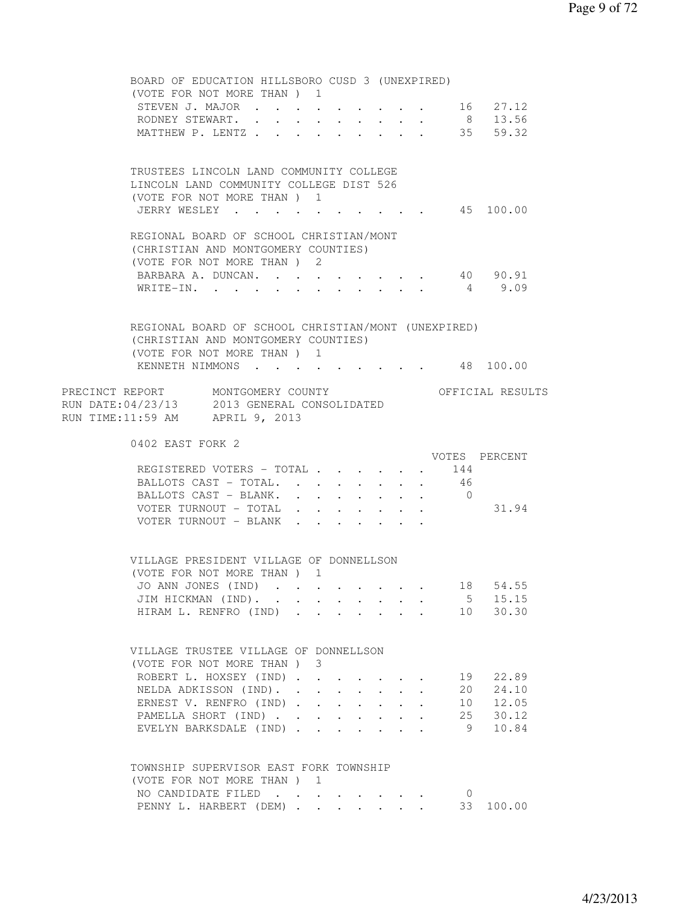| BOARD OF EDUCATION HILLSBORO CUSD 3 (UNEXPIRED)                                    |                                                                                                                                                                                                                                                                                                                                                                                                                              |                           |                                       |                                                             |                                      |                      |                      |                  |
|------------------------------------------------------------------------------------|------------------------------------------------------------------------------------------------------------------------------------------------------------------------------------------------------------------------------------------------------------------------------------------------------------------------------------------------------------------------------------------------------------------------------|---------------------------|---------------------------------------|-------------------------------------------------------------|--------------------------------------|----------------------|----------------------|------------------|
| (VOTE FOR NOT MORE THAN) 1                                                         |                                                                                                                                                                                                                                                                                                                                                                                                                              |                           |                                       |                                                             |                                      |                      |                      |                  |
| STEVEN J. MAJOR 16 27.12                                                           |                                                                                                                                                                                                                                                                                                                                                                                                                              |                           |                                       |                                                             |                                      |                      |                      |                  |
| RODNEY STEWART. 8 13.56                                                            |                                                                                                                                                                                                                                                                                                                                                                                                                              |                           |                                       |                                                             |                                      |                      |                      |                  |
| MATTHEW P. LENTZ 35 59.32                                                          |                                                                                                                                                                                                                                                                                                                                                                                                                              |                           |                                       |                                                             |                                      |                      |                      |                  |
|                                                                                    |                                                                                                                                                                                                                                                                                                                                                                                                                              |                           |                                       |                                                             |                                      |                      |                      |                  |
| TRUSTEES LINCOLN LAND COMMUNITY COLLEGE<br>LINCOLN LAND COMMUNITY COLLEGE DIST 526 |                                                                                                                                                                                                                                                                                                                                                                                                                              |                           |                                       |                                                             |                                      |                      |                      |                  |
| (VOTE FOR NOT MORE THAN) 1                                                         |                                                                                                                                                                                                                                                                                                                                                                                                                              |                           |                                       |                                                             |                                      |                      |                      |                  |
| JERRY WESLEY 45 100.00                                                             |                                                                                                                                                                                                                                                                                                                                                                                                                              |                           |                                       |                                                             |                                      |                      |                      |                  |
|                                                                                    |                                                                                                                                                                                                                                                                                                                                                                                                                              |                           |                                       |                                                             |                                      |                      |                      |                  |
| REGIONAL BOARD OF SCHOOL CHRISTIAN/MONT                                            |                                                                                                                                                                                                                                                                                                                                                                                                                              |                           |                                       |                                                             |                                      |                      |                      |                  |
| (CHRISTIAN AND MONTGOMERY COUNTIES)                                                |                                                                                                                                                                                                                                                                                                                                                                                                                              |                           |                                       |                                                             |                                      |                      |                      |                  |
| (VOTE FOR NOT MORE THAN ) 2                                                        |                                                                                                                                                                                                                                                                                                                                                                                                                              |                           |                                       |                                                             |                                      |                      |                      |                  |
| BARBARA A. DUNCAN.                                                                 |                                                                                                                                                                                                                                                                                                                                                                                                                              |                           |                                       |                                                             |                                      |                      |                      | 40 90.91         |
| WRITE-IN.                                                                          |                                                                                                                                                                                                                                                                                                                                                                                                                              |                           |                                       |                                                             |                                      |                      |                      | 4 9.09           |
|                                                                                    |                                                                                                                                                                                                                                                                                                                                                                                                                              |                           |                                       |                                                             |                                      |                      |                      |                  |
| REGIONAL BOARD OF SCHOOL CHRISTIAN/MONT (UNEXPIRED)                                |                                                                                                                                                                                                                                                                                                                                                                                                                              |                           |                                       |                                                             |                                      |                      |                      |                  |
| (CHRISTIAN AND MONTGOMERY COUNTIES)                                                |                                                                                                                                                                                                                                                                                                                                                                                                                              |                           |                                       |                                                             |                                      |                      |                      |                  |
| (VOTE FOR NOT MORE THAN) 1                                                         |                                                                                                                                                                                                                                                                                                                                                                                                                              |                           |                                       |                                                             |                                      |                      |                      |                  |
| KENNETH NIMMONS 48 100.00                                                          |                                                                                                                                                                                                                                                                                                                                                                                                                              |                           |                                       |                                                             |                                      |                      |                      |                  |
|                                                                                    |                                                                                                                                                                                                                                                                                                                                                                                                                              |                           |                                       |                                                             |                                      |                      |                      |                  |
|                                                                                    |                                                                                                                                                                                                                                                                                                                                                                                                                              |                           |                                       |                                                             |                                      |                      |                      | OFFICIAL RESULTS |
| PRECINCT REPORT MONTGOMERY COUNTY<br>RUN DATE:04/23/13 2013 GENERAL CONSOLIDATED   |                                                                                                                                                                                                                                                                                                                                                                                                                              |                           |                                       |                                                             |                                      |                      |                      |                  |
| RUN TIME:11:59 AM APRIL 9, 2013                                                    |                                                                                                                                                                                                                                                                                                                                                                                                                              |                           |                                       |                                                             |                                      |                      |                      |                  |
|                                                                                    |                                                                                                                                                                                                                                                                                                                                                                                                                              |                           |                                       |                                                             |                                      |                      |                      |                  |
|                                                                                    |                                                                                                                                                                                                                                                                                                                                                                                                                              |                           |                                       |                                                             |                                      |                      |                      |                  |
| 0402 EAST FORK 2                                                                   |                                                                                                                                                                                                                                                                                                                                                                                                                              |                           |                                       |                                                             |                                      |                      |                      |                  |
|                                                                                    |                                                                                                                                                                                                                                                                                                                                                                                                                              |                           |                                       |                                                             |                                      |                      |                      | VOTES PERCENT    |
| REGISTERED VOTERS - TOTAL 144                                                      |                                                                                                                                                                                                                                                                                                                                                                                                                              |                           |                                       |                                                             |                                      |                      |                      |                  |
| BALLOTS CAST - TOTAL. 46                                                           |                                                                                                                                                                                                                                                                                                                                                                                                                              |                           |                                       |                                                             |                                      |                      |                      |                  |
| BALLOTS CAST - BLANK. 0                                                            |                                                                                                                                                                                                                                                                                                                                                                                                                              |                           |                                       |                                                             |                                      |                      |                      |                  |
| VOTER TURNOUT - TOTAL                                                              | $\mathbf{r} = \mathbf{r} + \mathbf{r} + \mathbf{r} + \mathbf{r} + \mathbf{r} + \mathbf{r} + \mathbf{r} + \mathbf{r} + \mathbf{r} + \mathbf{r} + \mathbf{r} + \mathbf{r} + \mathbf{r} + \mathbf{r} + \mathbf{r} + \mathbf{r} + \mathbf{r} + \mathbf{r} + \mathbf{r} + \mathbf{r} + \mathbf{r} + \mathbf{r} + \mathbf{r} + \mathbf{r} + \mathbf{r} + \mathbf{r} + \mathbf{r} + \mathbf{r} + \mathbf{r} + \mathbf{r} + \mathbf$ |                           |                                       |                                                             |                                      |                      |                      | 31.94            |
| VOTER TURNOUT - BLANK                                                              |                                                                                                                                                                                                                                                                                                                                                                                                                              |                           |                                       |                                                             |                                      |                      |                      |                  |
|                                                                                    |                                                                                                                                                                                                                                                                                                                                                                                                                              |                           |                                       |                                                             |                                      |                      |                      |                  |
|                                                                                    |                                                                                                                                                                                                                                                                                                                                                                                                                              |                           |                                       |                                                             |                                      |                      |                      |                  |
| VILLAGE PRESIDENT VILLAGE OF DONNELLSON<br>(VOTE FOR NOT MORE THAN) 1              |                                                                                                                                                                                                                                                                                                                                                                                                                              |                           |                                       |                                                             |                                      |                      |                      |                  |
| JO ANN JONES (IND)                                                                 |                                                                                                                                                                                                                                                                                                                                                                                                                              |                           |                                       |                                                             |                                      |                      | 18                   | 54.55            |
| JIM HICKMAN (IND).                                                                 |                                                                                                                                                                                                                                                                                                                                                                                                                              |                           |                                       |                                                             |                                      |                      | 5                    | 15.15            |
| HIRAM L. RENFRO (IND)                                                              |                                                                                                                                                                                                                                                                                                                                                                                                                              |                           |                                       |                                                             |                                      |                      | 10                   | 30.30            |
|                                                                                    |                                                                                                                                                                                                                                                                                                                                                                                                                              |                           |                                       |                                                             |                                      |                      |                      |                  |
|                                                                                    |                                                                                                                                                                                                                                                                                                                                                                                                                              |                           |                                       |                                                             |                                      |                      |                      |                  |
| VILLAGE TRUSTEE VILLAGE OF DONNELLSON                                              |                                                                                                                                                                                                                                                                                                                                                                                                                              |                           |                                       |                                                             |                                      |                      |                      |                  |
| (VOTE FOR NOT MORE THAN) 3                                                         |                                                                                                                                                                                                                                                                                                                                                                                                                              |                           |                                       |                                                             |                                      |                      |                      |                  |
| ROBERT L. HOXSEY (IND)                                                             |                                                                                                                                                                                                                                                                                                                                                                                                                              |                           |                                       |                                                             |                                      |                      | 19                   | 22.89            |
| NELDA ADKISSON (IND). .                                                            | $\ddot{\phantom{a}}$                                                                                                                                                                                                                                                                                                                                                                                                         |                           | $\cdot$ $\cdot$ $\cdot$ $\cdot$       |                                                             |                                      |                      | 20                   | 24.10            |
| ERNEST V. RENFRO (IND).                                                            | $\ddot{\phantom{0}}$                                                                                                                                                                                                                                                                                                                                                                                                         | $\mathbf{L}^{\text{max}}$ | $\ddot{\phantom{0}}$                  |                                                             | $\mathbf{L} = \mathbf{L} \mathbf{L}$ | $\ddot{\phantom{0}}$ | 10                   | 12.05            |
| PAMELLA SHORT (IND).                                                               | $\sim$ 100 $\pm$                                                                                                                                                                                                                                                                                                                                                                                                             |                           | $\bullet$ . In the case of the $\sim$ | $\bullet$ .<br><br><br><br><br><br><br><br><br><br><br><br> | $\ddot{\phantom{a}}$                 |                      | 25                   | 30.12            |
| EVELYN BARKSDALE (IND)                                                             |                                                                                                                                                                                                                                                                                                                                                                                                                              |                           |                                       |                                                             |                                      |                      | 9                    | 10.84            |
|                                                                                    |                                                                                                                                                                                                                                                                                                                                                                                                                              |                           |                                       |                                                             |                                      |                      |                      |                  |
| TOWNSHIP SUPERVISOR EAST FORK TOWNSHIP                                             |                                                                                                                                                                                                                                                                                                                                                                                                                              |                           |                                       |                                                             |                                      |                      |                      |                  |
| (VOTE FOR NOT MORE THAN) 1                                                         |                                                                                                                                                                                                                                                                                                                                                                                                                              |                           |                                       |                                                             |                                      |                      |                      |                  |
| NO CANDIDATE FILED<br>PENNY L. HARBERT (DEM)                                       |                                                                                                                                                                                                                                                                                                                                                                                                                              |                           |                                       |                                                             |                                      |                      | $\overline{0}$<br>33 | 100.00           |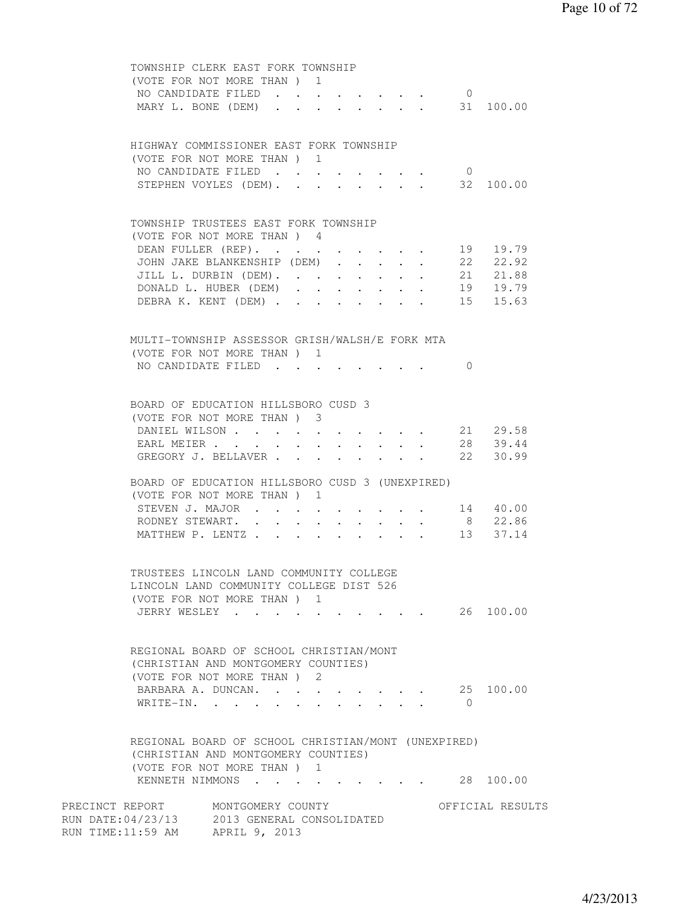|                                 | TOWNSHIP CLERK EAST FORK TOWNSHIP<br>(VOTE FOR NOT MORE THAN) 1                                                           |                  |
|---------------------------------|---------------------------------------------------------------------------------------------------------------------------|------------------|
| MARY L. BONE (DEM)              | NO CANDIDATE FILED<br>$\overline{0}$<br>$\cdot$ $\cdot$ $\cdot$ $\cdot$ $\cdot$ $\cdot$ $\cdot$                           | 31 100.00        |
|                                 | HIGHWAY COMMISSIONER EAST FORK TOWNSHIP<br>(VOTE FOR NOT MORE THAN) 1                                                     |                  |
|                                 | NO CANDIDATE FILED<br>$\overline{0}$<br>STEPHEN VOYLES (DEM). 32 100.00                                                   |                  |
|                                 | TOWNSHIP TRUSTEES EAST FORK TOWNSHIP<br>(VOTE FOR NOT MORE THAN) 4                                                        |                  |
|                                 | DEAN FULLER (REP).                                                                                                        | 19 19.79         |
|                                 | JOHN JAKE BLANKENSHIP (DEM)                                                                                               | 22 22.92         |
|                                 | JILL L. DURBIN (DEM). 21 21.88                                                                                            |                  |
|                                 | DONALD L. HUBER (DEM)                                                                                                     | 19 19.79         |
|                                 | DEBRA K. KENT (DEM)                                                                                                       | 15 15.63         |
|                                 | MULTI-TOWNSHIP ASSESSOR GRISH/WALSH/E FORK MTA<br>(VOTE FOR NOT MORE THAN) 1                                              |                  |
|                                 | NO CANDIDATE FILED<br>$\Omega$                                                                                            |                  |
|                                 | BOARD OF EDUCATION HILLSBORO CUSD 3<br>(VOTE FOR NOT MORE THAN) 3                                                         |                  |
|                                 | DANIEL WILSON                                                                                                             | 21 29.58         |
|                                 | EARL MEIER<br>$\cdot$ $\cdot$ $\cdot$ $\cdot$ $\cdot$ $\cdot$                                                             | 28 39.44         |
|                                 | GREGORY J. BELLAVER<br>$\ddot{\phantom{a}}$                                                                               | 22 30.99         |
|                                 | BOARD OF EDUCATION HILLSBORO CUSD 3 (UNEXPIRED)<br>(VOTE FOR NOT MORE THAN) 1                                             |                  |
|                                 | STEVEN J. MAJOR 14 40.00                                                                                                  |                  |
|                                 | RODNEY STEWART.                                                                                                           | 8 22.86          |
|                                 | MATTHEW P. LENTZ 13 37.14                                                                                                 |                  |
|                                 | TRUSTEES LINCOLN LAND COMMUNITY COLLEGE<br>LINCOLN LAND COMMUNITY COLLEGE DIST 526<br>(VOTE FOR NOT MORE THAN) 1          |                  |
|                                 | JERRY WESLEY 26 100.00                                                                                                    |                  |
|                                 | REGIONAL BOARD OF SCHOOL CHRISTIAN/MONT<br>(CHRISTIAN AND MONTGOMERY COUNTIES)<br>(VOTE FOR NOT MORE THAN) 2              |                  |
| WRITE-IN.                       | BARBARA A. DUNCAN.<br>$\bigcirc$                                                                                          | 25 100.00        |
|                                 | REGIONAL BOARD OF SCHOOL CHRISTIAN/MONT (UNEXPIRED)<br>(CHRISTIAN AND MONTGOMERY COUNTIES)<br>(VOTE FOR NOT MORE THAN ) 1 |                  |
|                                 | KENNETH NIMMONS                                                                                                           | 28 100.00        |
| RUN TIME:11:59 AM APRIL 9, 2013 | PRECINCT REPORT MONTGOMERY COUNTY<br>RUN DATE: 04/23/13 2013 GENERAL CONSOLIDATED                                         | OFFICIAL RESULTS |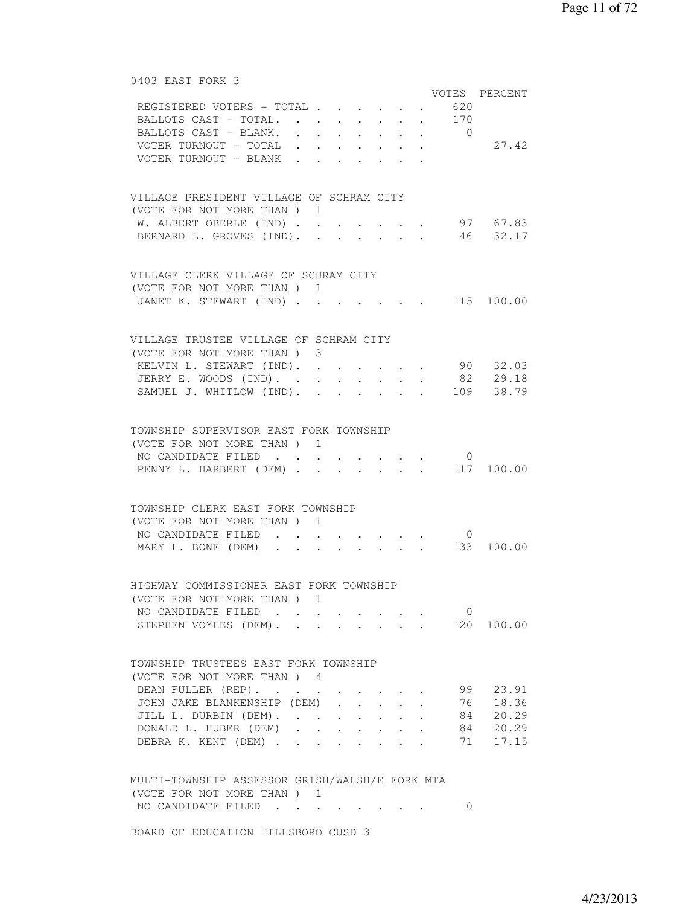| 0403 EAST FORK 3                               |                          |                      |                                 |                                          |                |                                            |
|------------------------------------------------|--------------------------|----------------------|---------------------------------|------------------------------------------|----------------|--------------------------------------------|
|                                                |                          |                      |                                 |                                          |                | VOTES PERCENT                              |
| REGISTERED VOTERS - TOTAL 620                  |                          |                      |                                 |                                          |                |                                            |
| BALLOTS CAST - TOTAL. 170                      |                          |                      |                                 |                                          |                |                                            |
| BALLOTS CAST - BLANK. 0                        |                          |                      |                                 |                                          |                |                                            |
| VOTER TURNOUT - TOTAL                          |                          |                      |                                 |                                          |                | 27.42                                      |
|                                                |                          |                      |                                 |                                          |                |                                            |
| VOTER TURNOUT - BLANK                          |                          |                      |                                 |                                          |                |                                            |
|                                                |                          |                      |                                 |                                          |                |                                            |
| VILLAGE PRESIDENT VILLAGE OF SCHRAM CITY       |                          |                      |                                 |                                          |                |                                            |
| (VOTE FOR NOT MORE THAN) 1                     |                          |                      |                                 |                                          |                |                                            |
| W. ALBERT OBERLE (IND) 97 67.83                |                          |                      |                                 |                                          |                |                                            |
| BERNARD L. GROVES (IND). 46 32.17              |                          |                      |                                 |                                          |                |                                            |
|                                                |                          |                      |                                 |                                          |                |                                            |
|                                                |                          |                      |                                 |                                          |                |                                            |
| VILLAGE CLERK VILLAGE OF SCHRAM CITY           |                          |                      |                                 |                                          |                |                                            |
| (VOTE FOR NOT MORE THAN) 1                     |                          |                      |                                 |                                          |                |                                            |
| JANET K. STEWART (IND)                         |                          |                      |                                 |                                          |                | $\cdot$ $\cdot$ $\cdot$ $\cdot$ 115 100.00 |
|                                                |                          |                      |                                 |                                          |                |                                            |
|                                                |                          |                      |                                 |                                          |                |                                            |
| VILLAGE TRUSTEE VILLAGE OF SCHRAM CITY         |                          |                      |                                 |                                          |                |                                            |
| (VOTE FOR NOT MORE THAN) 3                     |                          |                      |                                 |                                          |                |                                            |
| KELVIN L. STEWART (IND).                       |                          |                      |                                 |                                          |                | 90 32.03                                   |
| JERRY E. WOODS (IND). 82 29.18                 |                          |                      |                                 |                                          |                |                                            |
| SAMUEL J. WHITLOW (IND). .                     |                          |                      |                                 |                                          |                | $\cdot \cdot \cdot \cdot \cdot 109$ 38.79  |
|                                                |                          |                      |                                 |                                          |                |                                            |
|                                                |                          |                      |                                 |                                          |                |                                            |
| TOWNSHIP SUPERVISOR EAST FORK TOWNSHIP         |                          |                      |                                 |                                          |                |                                            |
| (VOTE FOR NOT MORE THAN) 1                     |                          |                      |                                 |                                          |                |                                            |
| NO CANDIDATE FILED                             |                          |                      |                                 |                                          | $\overline{0}$ |                                            |
| PENNY L. HARBERT (DEM) 117 100.00              |                          |                      |                                 |                                          |                |                                            |
|                                                |                          |                      |                                 |                                          |                |                                            |
| TOWNSHIP CLERK EAST FORK TOWNSHIP              |                          |                      |                                 |                                          |                |                                            |
| (VOTE FOR NOT MORE THAN) 1                     |                          |                      |                                 |                                          |                |                                            |
| NO CANDIDATE FILED.                            | $\ddot{\phantom{0}}$     |                      | $\cdot$ $\cdot$ $\cdot$ $\cdot$ |                                          | $\overline{0}$ |                                            |
| MARY L. BONE (DEM)                             |                          |                      |                                 |                                          |                | $\cdot$ 133 100.00                         |
|                                                |                          |                      |                                 |                                          |                |                                            |
|                                                |                          |                      |                                 |                                          |                |                                            |
| HIGHWAY COMMISSIONER EAST FORK TOWNSHIP        |                          |                      |                                 |                                          |                |                                            |
| (VOTE FOR NOT MORE THAN) 1                     |                          |                      |                                 |                                          |                |                                            |
| NO CANDIDATE FILED                             |                          |                      |                                 |                                          | $\mathbf{0}$   |                                            |
| STEPHEN VOYLES (DEM).                          |                          |                      |                                 | $\mathbf{r} = \mathbf{r} + \mathbf{r}$ . |                | 120 100.00                                 |
|                                                |                          |                      |                                 |                                          |                |                                            |
|                                                |                          |                      |                                 |                                          |                |                                            |
| TOWNSHIP TRUSTEES EAST FORK TOWNSHIP           |                          |                      |                                 |                                          |                |                                            |
| (VOTE FOR NOT MORE THAN ) 4                    |                          |                      |                                 |                                          |                |                                            |
| DEAN FULLER (REP).                             |                          |                      |                                 |                                          | 99             | 23.91                                      |
| JOHN JAKE BLANKENSHIP (DEM)                    |                          |                      | $\ddot{\phantom{0}}$            | $\ddot{\phantom{0}}$                     | 76             | 18.36                                      |
| JILL L. DURBIN (DEM). .                        | <b>Contract Contract</b> | $\bullet$            |                                 | $\bullet$ .                              | 84             | 20.29                                      |
| DONALD L. HUBER (DEM) .                        |                          | <b>Service</b> State | $\ddot{\phantom{0}}$            |                                          |                | 84 20.29                                   |
| DEBRA K. KENT (DEM)                            |                          |                      |                                 |                                          | 71             | 17.15                                      |
|                                                |                          |                      |                                 |                                          |                |                                            |
|                                                |                          |                      |                                 |                                          |                |                                            |
| MULTI-TOWNSHIP ASSESSOR GRISH/WALSH/E FORK MTA |                          |                      |                                 |                                          |                |                                            |
| (VOTE FOR NOT MORE THAN) 1                     |                          |                      |                                 |                                          |                |                                            |
| NO CANDIDATE FILED                             |                          |                      |                                 |                                          | 0              |                                            |
|                                                |                          |                      |                                 |                                          |                |                                            |

BOARD OF EDUCATION HILLSBORO CUSD 3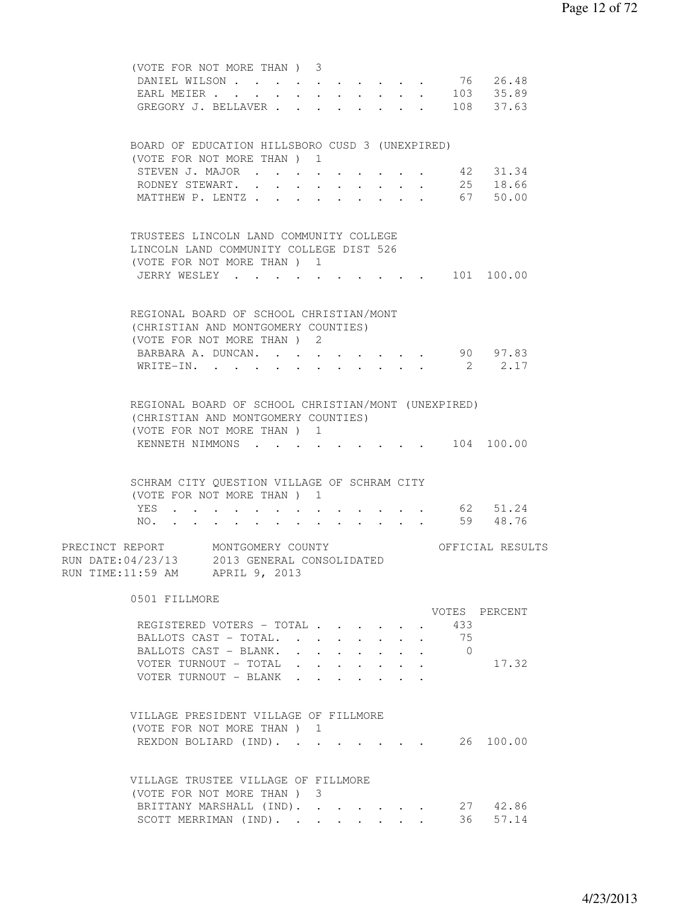| (VOTE FOR NOT MORE THAN) 3                                        |                                                                                                                                                                                                                                |                                                |                      |            |              |                      |            |                      |  |
|-------------------------------------------------------------------|--------------------------------------------------------------------------------------------------------------------------------------------------------------------------------------------------------------------------------|------------------------------------------------|----------------------|------------|--------------|----------------------|------------|----------------------|--|
| DANIEL WILSON                                                     |                                                                                                                                                                                                                                |                                                |                      |            |              |                      |            | 76 26.48             |  |
| EARL MEIER                                                        |                                                                                                                                                                                                                                |                                                |                      |            |              |                      |            | $\cdot$ 103 35.89    |  |
| GREGORY J. BELLAVER 108 37.63                                     |                                                                                                                                                                                                                                |                                                |                      |            |              |                      |            |                      |  |
|                                                                   |                                                                                                                                                                                                                                |                                                |                      |            |              |                      |            |                      |  |
| BOARD OF EDUCATION HILLSBORO CUSD 3 (UNEXPIRED)                   |                                                                                                                                                                                                                                |                                                |                      |            |              |                      |            |                      |  |
| (VOTE FOR NOT MORE THAN) 1                                        |                                                                                                                                                                                                                                |                                                |                      |            |              |                      |            |                      |  |
| STEVEN J. MAJOR                                                   |                                                                                                                                                                                                                                |                                                |                      |            |              |                      | 42         | 31.34                |  |
| RODNEY STEWART. .                                                 | $\sim$                                                                                                                                                                                                                         | $\ddot{\phantom{0}}$<br>$\ddot{\phantom{0}}$   | $\sim$               | $\sim$     | $\sim$       | $\ddot{\phantom{0}}$ |            | 25 18.66<br>67 50.00 |  |
| MATTHEW P. LENTZ                                                  |                                                                                                                                                                                                                                | $\mathbf{L}$                                   | $\mathbf{L}$         | $\sim 100$ | $\mathbf{L}$ |                      |            |                      |  |
| TRUSTEES LINCOLN LAND COMMUNITY COLLEGE                           |                                                                                                                                                                                                                                |                                                |                      |            |              |                      |            |                      |  |
| LINCOLN LAND COMMUNITY COLLEGE DIST 526                           |                                                                                                                                                                                                                                |                                                |                      |            |              |                      |            |                      |  |
| (VOTE FOR NOT MORE THAN) 1                                        |                                                                                                                                                                                                                                |                                                |                      |            |              |                      |            |                      |  |
| JERRY WESLEY                                                      |                                                                                                                                                                                                                                |                                                |                      |            |              |                      |            | $\cdot$ 101 100.00   |  |
|                                                                   |                                                                                                                                                                                                                                |                                                |                      |            |              |                      |            |                      |  |
| REGIONAL BOARD OF SCHOOL CHRISTIAN/MONT                           |                                                                                                                                                                                                                                |                                                |                      |            |              |                      |            |                      |  |
| (CHRISTIAN AND MONTGOMERY COUNTIES)                               |                                                                                                                                                                                                                                |                                                |                      |            |              |                      |            |                      |  |
| (VOTE FOR NOT MORE THAN ) 2                                       |                                                                                                                                                                                                                                |                                                |                      |            |              |                      |            |                      |  |
| BARBARA A. DUNCAN.                                                |                                                                                                                                                                                                                                |                                                |                      |            |              |                      |            | 90 97.83             |  |
| WRITE-IN.                                                         |                                                                                                                                                                                                                                |                                                |                      |            |              |                      |            | 2 2.17               |  |
|                                                                   |                                                                                                                                                                                                                                |                                                |                      |            |              |                      |            |                      |  |
| REGIONAL BOARD OF SCHOOL CHRISTIAN/MONT (UNEXPIRED)               |                                                                                                                                                                                                                                |                                                |                      |            |              |                      |            |                      |  |
| (CHRISTIAN AND MONTGOMERY COUNTIES)<br>(VOTE FOR NOT MORE THAN) 1 |                                                                                                                                                                                                                                |                                                |                      |            |              |                      |            |                      |  |
| KENNETH NIMMONS 104 100.00                                        |                                                                                                                                                                                                                                |                                                |                      |            |              |                      |            |                      |  |
|                                                                   |                                                                                                                                                                                                                                |                                                |                      |            |              |                      |            |                      |  |
| SCHRAM CITY QUESTION VILLAGE OF SCHRAM CITY                       |                                                                                                                                                                                                                                |                                                |                      |            |              |                      |            |                      |  |
| (VOTE FOR NOT MORE THAN) 1                                        |                                                                                                                                                                                                                                |                                                |                      |            |              |                      |            |                      |  |
| YES.                                                              |                                                                                                                                                                                                                                |                                                |                      |            |              |                      |            | 62 51.24             |  |
| NO.                                                               | and a series of the contract of the series of the series of the series of the series of the series of the series of the series of the series of the series of the series of the series of the series of the series of the seri |                                                |                      |            |              |                      |            | 59 48.76             |  |
|                                                                   |                                                                                                                                                                                                                                |                                                |                      |            |              |                      |            |                      |  |
| PRECINCT REPORT MONTGOMERY COUNTY                                 |                                                                                                                                                                                                                                |                                                |                      |            |              |                      |            | OFFICIAL RESULTS     |  |
| RUN DATE: 04/23/13 2013 GENERAL CONSOLIDATED                      |                                                                                                                                                                                                                                |                                                |                      |            |              |                      |            |                      |  |
| RUN TIME:11:59 AM APRIL 9, 2013                                   |                                                                                                                                                                                                                                |                                                |                      |            |              |                      |            |                      |  |
| 0501 FILLMORE                                                     |                                                                                                                                                                                                                                |                                                |                      |            |              |                      |            |                      |  |
|                                                                   |                                                                                                                                                                                                                                |                                                |                      |            |              |                      |            | VOTES PERCENT        |  |
| REGISTERED VOTERS - TOTAL                                         |                                                                                                                                                                                                                                |                                                |                      |            |              |                      | 433        |                      |  |
| BALLOTS CAST - TOTAL. .                                           |                                                                                                                                                                                                                                | $\sim$                                         |                      |            |              |                      | - 75       |                      |  |
| BALLOTS CAST - BLANK.                                             |                                                                                                                                                                                                                                | $\sim$ $\sim$                                  | $\ddot{\phantom{0}}$ |            |              |                      | $\bigcirc$ |                      |  |
| VOTER TURNOUT - TOTAL                                             |                                                                                                                                                                                                                                | $\mathbf{r}$ and $\mathbf{r}$ and $\mathbf{r}$ |                      |            | $\mathbf{L}$ | $\sim$               |            | 17.32                |  |
| VOTER TURNOUT - BLANK                                             |                                                                                                                                                                                                                                | $\mathbf{r} = \mathbf{r} \cdot \mathbf{r}$     |                      |            |              |                      |            |                      |  |
|                                                                   |                                                                                                                                                                                                                                |                                                |                      |            |              |                      |            |                      |  |
| VILLAGE PRESIDENT VILLAGE OF FILLMORE                             |                                                                                                                                                                                                                                |                                                |                      |            |              |                      |            |                      |  |
| (VOTE FOR NOT MORE THAN) 1                                        |                                                                                                                                                                                                                                |                                                |                      |            |              |                      |            |                      |  |
| REXDON BOLIARD (IND).                                             |                                                                                                                                                                                                                                |                                                |                      |            |              |                      |            | 26 100.00            |  |
| VILLAGE TRUSTEE VILLAGE OF FILLMORE                               |                                                                                                                                                                                                                                |                                                |                      |            |              |                      |            |                      |  |
| (VOTE FOR NOT MORE THAN) 3                                        |                                                                                                                                                                                                                                |                                                |                      |            |              |                      |            |                      |  |
| BRITTANY MARSHALL (IND).                                          |                                                                                                                                                                                                                                |                                                |                      |            |              |                      |            | 27 42.86             |  |
| SCOTT MERRIMAN (IND).                                             |                                                                                                                                                                                                                                |                                                |                      |            |              |                      | 36         | 57.14                |  |
|                                                                   |                                                                                                                                                                                                                                |                                                |                      |            |              |                      |            |                      |  |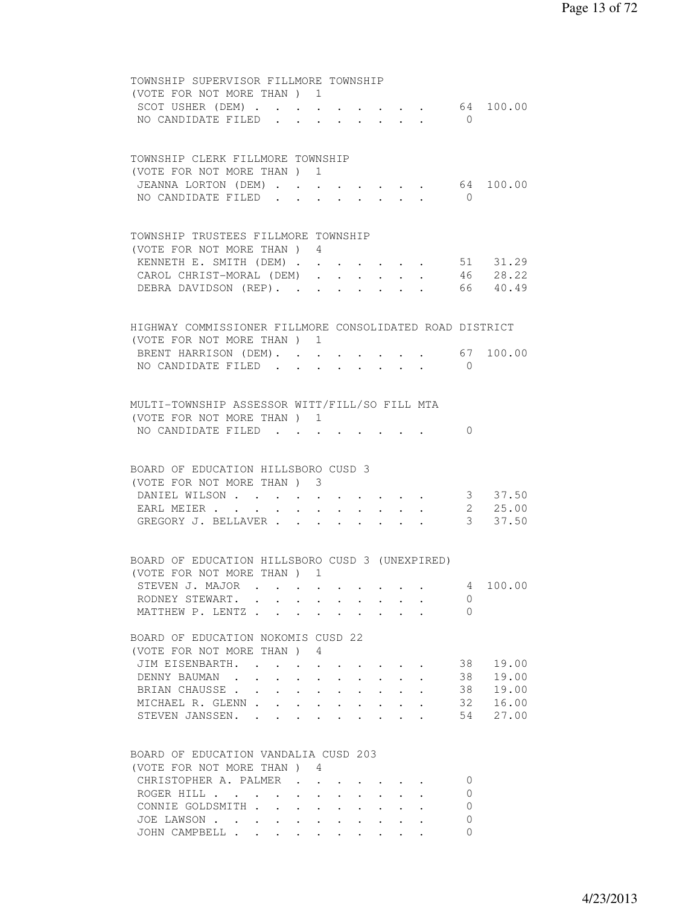| TOWNSHIP SUPERVISOR FILLMORE TOWNSHIP                    |  |                                                                          |              |                                                         |              |           |
|----------------------------------------------------------|--|--------------------------------------------------------------------------|--------------|---------------------------------------------------------|--------------|-----------|
| (VOTE FOR NOT MORE THAN) 1                               |  |                                                                          |              |                                                         |              |           |
| SCOT USHER (DEM) 64 100.00                               |  |                                                                          |              |                                                         |              |           |
| NO CANDIDATE FILED                                       |  |                                                                          |              | $\cdot$ $\cdot$ $\cdot$ $\cdot$ $\cdot$ $\cdot$ $\cdot$ | $\bigcap$    |           |
|                                                          |  |                                                                          |              |                                                         |              |           |
|                                                          |  |                                                                          |              |                                                         |              |           |
| TOWNSHIP CLERK FILLMORE TOWNSHIP                         |  |                                                                          |              |                                                         |              |           |
| (VOTE FOR NOT MORE THAN) 1                               |  |                                                                          |              |                                                         |              |           |
| JEANNA LORTON (DEM)                                      |  |                                                                          |              | $\cdot$ $\cdot$ $\cdot$ $\cdot$ $\cdot$                 |              | 64 100.00 |
| NO CANDIDATE FILED                                       |  |                                                                          | $\mathbf{L}$ |                                                         | $\bigcirc$   |           |
|                                                          |  |                                                                          |              |                                                         |              |           |
| TOWNSHIP TRUSTEES FILLMORE TOWNSHIP                      |  |                                                                          |              |                                                         |              |           |
| (VOTE FOR NOT MORE THAN) 4                               |  |                                                                          |              |                                                         |              |           |
| KENNETH E. SMITH (DEM)                                   |  |                                                                          |              |                                                         |              | 51 31.29  |
| CAROL CHRIST-MORAL (DEM)                                 |  |                                                                          |              |                                                         |              | 46 28.22  |
| DEBRA DAVIDSON (REP).                                    |  |                                                                          |              |                                                         |              | 66 40.49  |
|                                                          |  |                                                                          |              |                                                         |              |           |
|                                                          |  |                                                                          |              |                                                         |              |           |
| HIGHWAY COMMISSIONER FILLMORE CONSOLIDATED ROAD DISTRICT |  |                                                                          |              |                                                         |              |           |
| (VOTE FOR NOT MORE THAN) 1                               |  |                                                                          |              |                                                         |              |           |
| BRENT HARRISON (DEM). 67 100.00                          |  |                                                                          |              |                                                         |              |           |
| NO CANDIDATE FILED                                       |  |                                                                          |              |                                                         | $\bigcirc$   |           |
|                                                          |  |                                                                          |              |                                                         |              |           |
| MULTI-TOWNSHIP ASSESSOR WITT/FILL/SO FILL MTA            |  |                                                                          |              |                                                         |              |           |
| (VOTE FOR NOT MORE THAN) 1                               |  |                                                                          |              |                                                         |              |           |
| NO CANDIDATE FILED                                       |  |                                                                          |              |                                                         | $\Omega$     |           |
|                                                          |  |                                                                          |              |                                                         |              |           |
|                                                          |  |                                                                          |              |                                                         |              |           |
| BOARD OF EDUCATION HILLSBORO CUSD 3                      |  |                                                                          |              |                                                         |              |           |
| (VOTE FOR NOT MORE THAN) 3                               |  |                                                                          |              |                                                         |              |           |
| DANIEL WILSON                                            |  |                                                                          |              |                                                         |              | 3 37.50   |
| EARL MEIER                                               |  |                                                                          |              |                                                         |              | 2, 25.00  |
| GREGORY J. BELLAVER                                      |  |                                                                          |              |                                                         |              | 3 37.50   |
|                                                          |  |                                                                          |              |                                                         |              |           |
|                                                          |  |                                                                          |              |                                                         |              |           |
| BOARD OF EDUCATION HILLSBORO CUSD 3 (UNEXPIRED)          |  |                                                                          |              |                                                         |              |           |
| (VOTE FOR NOT MORE THAN) 1                               |  |                                                                          |              |                                                         |              |           |
| STEVEN J. MAJOR                                          |  |                                                                          |              |                                                         |              | 4 100.00  |
| RODNEY STEWART.                                          |  |                                                                          |              |                                                         | 0            |           |
| MATTHEW P. LENTZ                                         |  |                                                                          |              |                                                         | $\Omega$     |           |
| BOARD OF EDUCATION NOKOMIS CUSD 22                       |  |                                                                          |              |                                                         |              |           |
| (VOTE FOR NOT MORE THAN) 4                               |  |                                                                          |              |                                                         |              |           |
|                                                          |  |                                                                          |              |                                                         | 38           | 19.00     |
| JIM EISENBARTH.<br>DENNY BAUMAN                          |  |                                                                          |              |                                                         | 38           | 19.00     |
|                                                          |  | $\mathbf{r}$ , $\mathbf{r}$ , $\mathbf{r}$ , $\mathbf{r}$ , $\mathbf{r}$ |              |                                                         | 38           | 19.00     |
| BRIAN CHAUSSE<br>MICHAEL R. GLENN                        |  |                                                                          |              |                                                         | 32           | 16.00     |
| STEVEN JANSSEN.                                          |  |                                                                          |              |                                                         | 54           | 27.00     |
|                                                          |  |                                                                          |              |                                                         |              |           |
|                                                          |  |                                                                          |              |                                                         |              |           |
| BOARD OF EDUCATION VANDALIA CUSD 203                     |  |                                                                          |              |                                                         |              |           |
| (VOTE FOR NOT MORE THAN) 4                               |  |                                                                          |              |                                                         |              |           |
| CHRISTOPHER A. PALMER                                    |  |                                                                          |              |                                                         | $\Omega$     |           |
| ROGER HILL $\ldots$ $\ldots$ $\ldots$ $\ldots$ $\ldots$  |  |                                                                          |              |                                                         | $\Omega$     |           |
| CONNIE GOLDSMITH                                         |  |                                                                          |              |                                                         | $\mathbf{0}$ |           |
| JOE LAWSON                                               |  |                                                                          |              |                                                         | 0            |           |
| JOHN CAMPBELL                                            |  |                                                                          |              |                                                         | $\Omega$     |           |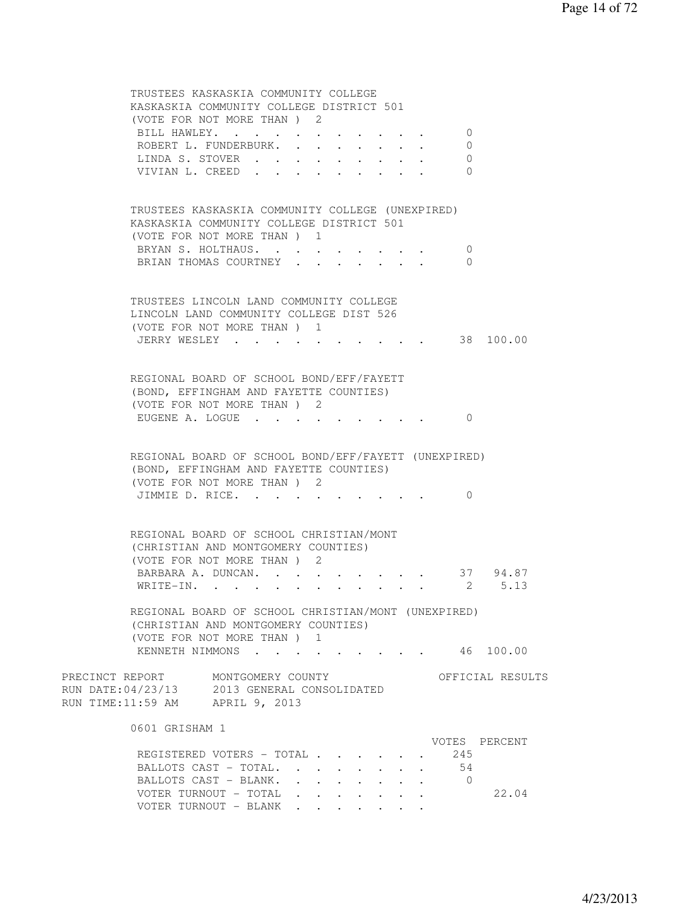TRUSTEES KASKASKIA COMMUNITY COLLEGE KASKASKIA COMMUNITY COLLEGE DISTRICT 501 (VOTE FOR NOT MORE THAN ) 2 BILL HAWLEY. . . . . . . . . . . 0 ROBERT L. FUNDERBURK. . . . . . . . 0 LINDA S. STOVER . . . . . . . . . 0 VIVIAN L. CREED . . . . . . . . . 0 TRUSTEES KASKASKIA COMMUNITY COLLEGE (UNEXPIRED) KASKASKIA COMMUNITY COLLEGE DISTRICT 501 (VOTE FOR NOT MORE THAN ) 1 BRYAN S. HOLTHAUS. . . . . . . . . 0 BRIAN THOMAS COURTNEY . . . . . . . 0 TRUSTEES LINCOLN LAND COMMUNITY COLLEGE LINCOLN LAND COMMUNITY COLLEGE DIST 526 (VOTE FOR NOT MORE THAN ) 1 JERRY WESLEY . . . . . . . . . . 38 100.00 REGIONAL BOARD OF SCHOOL BOND/EFF/FAYETT (BOND, EFFINGHAM AND FAYETTE COUNTIES) (VOTE FOR NOT MORE THAN ) 2 EUGENE A. LOGUE . . . . . . . . . 0 REGIONAL BOARD OF SCHOOL BOND/EFF/FAYETT (UNEXPIRED) (BOND, EFFINGHAM AND FAYETTE COUNTIES) (VOTE FOR NOT MORE THAN ) 2 JIMMIE D. RICE. . . . . . . . . . 0 REGIONAL BOARD OF SCHOOL CHRISTIAN/MONT (CHRISTIAN AND MONTGOMERY COUNTIES) (VOTE FOR NOT MORE THAN ) 2 BARBARA A. DUNCAN. . . . . . . . . 37 94.87 WRITE-IN. . . . . . . . . . . . 2 5.13 REGIONAL BOARD OF SCHOOL CHRISTIAN/MONT (UNEXPIRED) (CHRISTIAN AND MONTGOMERY COUNTIES) (VOTE FOR NOT MORE THAN ) 1 KENNETH NIMMONS . . . . . . . . . 46 100.00 PRECINCT REPORT MONTGOMERY COUNTY THE OFFICIAL RESULTS RUN DATE:04/23/13 2013 GENERAL CONSOLIDATED RUN TIME:11:59 AM APRIL 9, 2013 0601 GRISHAM 1 VOTES PERCENT REGISTERED VOTERS - TOTAL . . . . . 245 BALLOTS CAST - TOTAL. . . . . . . . 54 BALLOTS CAST - BLANK. . . . . . . . 0 VOTER TURNOUT - TOTAL . . . . . . . 22.04 VOTER TURNOUT - BLANK . . . . . . .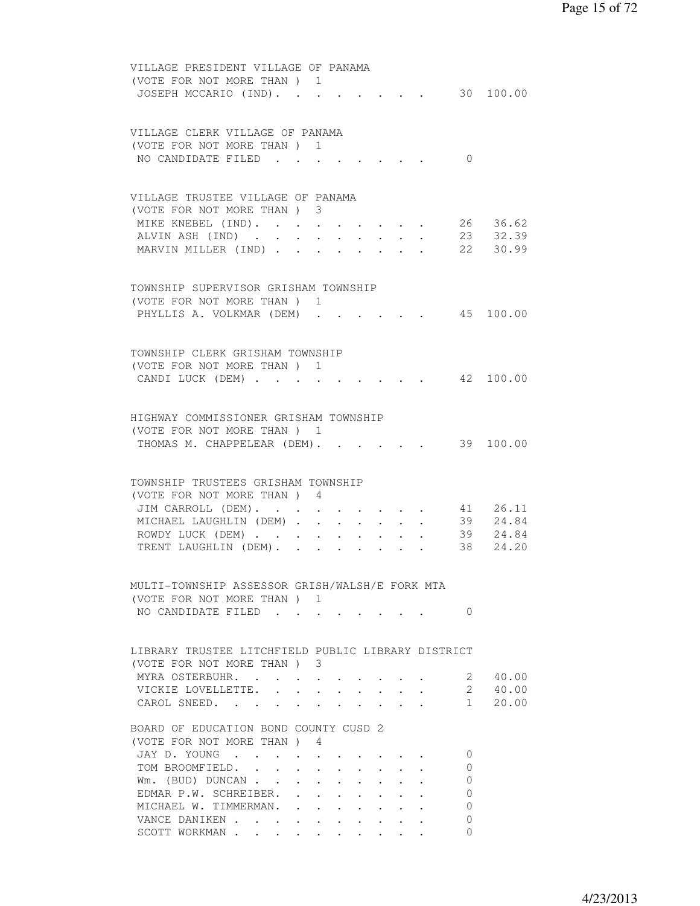| VILLAGE PRESIDENT VILLAGE OF PANAMA                |                           |                 |              |                           |                        |                           |
|----------------------------------------------------|---------------------------|-----------------|--------------|---------------------------|------------------------|---------------------------|
| (VOTE FOR NOT MORE THAN) 1                         |                           |                 |              |                           |                        |                           |
| JOSEPH MCCARIO (IND).                              |                           |                 |              |                           |                        | 30 100.00                 |
|                                                    |                           |                 |              |                           |                        |                           |
|                                                    |                           |                 |              |                           |                        |                           |
| VILLAGE CLERK VILLAGE OF PANAMA                    |                           |                 |              |                           |                        |                           |
| (VOTE FOR NOT MORE THAN) 1                         |                           |                 |              |                           |                        |                           |
| NO CANDIDATE FILED                                 |                           |                 |              |                           | $\Omega$               |                           |
|                                                    |                           |                 |              |                           |                        |                           |
|                                                    |                           |                 |              |                           |                        |                           |
|                                                    |                           |                 |              |                           |                        |                           |
| VILLAGE TRUSTEE VILLAGE OF PANAMA                  |                           |                 |              |                           |                        |                           |
| (VOTE FOR NOT MORE THAN) 3                         |                           |                 |              |                           |                        |                           |
| MIKE KNEBEL (IND).                                 |                           |                 |              |                           |                        | 26 36.62                  |
| ALVIN ASH (IND)                                    |                           |                 |              |                           |                        | 23 32.39                  |
| MARVIN MILLER (IND) 22 30.99                       |                           |                 |              |                           |                        |                           |
|                                                    |                           |                 |              |                           |                        |                           |
|                                                    |                           |                 |              |                           |                        |                           |
| TOWNSHIP SUPERVISOR GRISHAM TOWNSHIP               |                           |                 |              |                           |                        |                           |
| (VOTE FOR NOT MORE THAN) 1                         |                           |                 |              |                           |                        |                           |
| PHYLLIS A. VOLKMAR (DEM)                           |                           |                 |              |                           |                        | 45 100.00                 |
|                                                    |                           |                 |              |                           |                        |                           |
|                                                    |                           |                 |              |                           |                        |                           |
| TOWNSHIP CLERK GRISHAM TOWNSHIP                    |                           |                 |              |                           |                        |                           |
| (VOTE FOR NOT MORE THAN ) 1                        |                           |                 |              |                           |                        |                           |
|                                                    |                           |                 |              |                           |                        | 42 100.00                 |
| CANDI LUCK (DEM)                                   |                           |                 |              |                           |                        |                           |
|                                                    |                           |                 |              |                           |                        |                           |
|                                                    |                           |                 |              |                           |                        |                           |
| HIGHWAY COMMISSIONER GRISHAM TOWNSHIP              |                           |                 |              |                           |                        |                           |
| (VOTE FOR NOT MORE THAN) 1                         |                           |                 |              |                           |                        |                           |
| THOMAS M. CHAPPELEAR (DEM).                        |                           |                 |              |                           |                        | $\cdot$ $\cdot$ 39 100.00 |
|                                                    |                           |                 |              |                           |                        |                           |
|                                                    |                           |                 |              |                           |                        |                           |
| TOWNSHIP TRUSTEES GRISHAM TOWNSHIP                 |                           |                 |              |                           |                        |                           |
| (VOTE FOR NOT MORE THAN) 4                         |                           |                 |              |                           |                        |                           |
| JIM CARROLL (DEM).                                 |                           |                 |              |                           |                        | 26.11                     |
| MICHAEL LAUGHLIN (DEM)                             |                           | $\cdot$ $\cdot$ |              |                           | 41<br>39               | 24.84                     |
| ROWDY LUCK (DEM)                                   |                           |                 |              |                           |                        | 39 24.84                  |
| TRENT LAUGHLIN (DEM).                              |                           |                 | $\mathbf{L}$ |                           | 38                     | 24.20                     |
|                                                    |                           |                 |              |                           |                        |                           |
|                                                    |                           |                 |              |                           |                        |                           |
| MULTI-TOWNSHIP ASSESSOR GRISH/WALSH/E FORK MTA     |                           |                 |              |                           |                        |                           |
| (VOTE FOR NOT MORE THAN) 1                         |                           |                 |              |                           |                        |                           |
|                                                    |                           |                 |              |                           | $\Omega$               |                           |
| NO CANDIDATE FILED                                 |                           |                 |              |                           |                        |                           |
|                                                    |                           |                 |              |                           |                        |                           |
|                                                    |                           |                 |              |                           |                        |                           |
| LIBRARY TRUSTEE LITCHFIELD PUBLIC LIBRARY DISTRICT |                           |                 |              |                           |                        |                           |
| (VOTE FOR NOT MORE THAN) 3                         |                           |                 |              |                           |                        |                           |
| MYRA OSTERBUHR.                                    |                           |                 |              |                           |                        | 2 40.00                   |
| VICKIE LOVELLETTE. 2 40.00                         |                           |                 |              |                           |                        |                           |
| CAROL SNEED.                                       |                           |                 |              |                           | $1 \quad \blacksquare$ | 20.00                     |
|                                                    |                           |                 |              |                           |                        |                           |
| BOARD OF EDUCATION BOND COUNTY CUSD 2              |                           |                 |              |                           |                        |                           |
| (VOTE FOR NOT MORE THAN) 4                         |                           |                 |              |                           |                        |                           |
| JAY D. YOUNG                                       |                           |                 |              |                           | 0                      |                           |
| TOM BROOMFIELD.                                    | $\mathbf{L}$              |                 |              |                           | $\Omega$               |                           |
| Wm. (BUD) DUNCAN                                   | $\mathbf{L}^{\text{max}}$ | $\cdot$ $\cdot$ |              | $\mathbf{L}$ $\mathbf{L}$ | $\Omega$               |                           |
| EDMAR P.W. SCHREIBER.                              |                           |                 |              |                           | $\Omega$               |                           |
|                                                    |                           |                 |              |                           |                        |                           |
| MICHAEL W. TIMMERMAN.                              |                           |                 |              |                           | $\mathbf{0}$           |                           |
| VANCE DANIKEN                                      |                           |                 |              |                           | $\Omega$               |                           |
| SCOTT WORKMAN                                      |                           |                 |              |                           | 0                      |                           |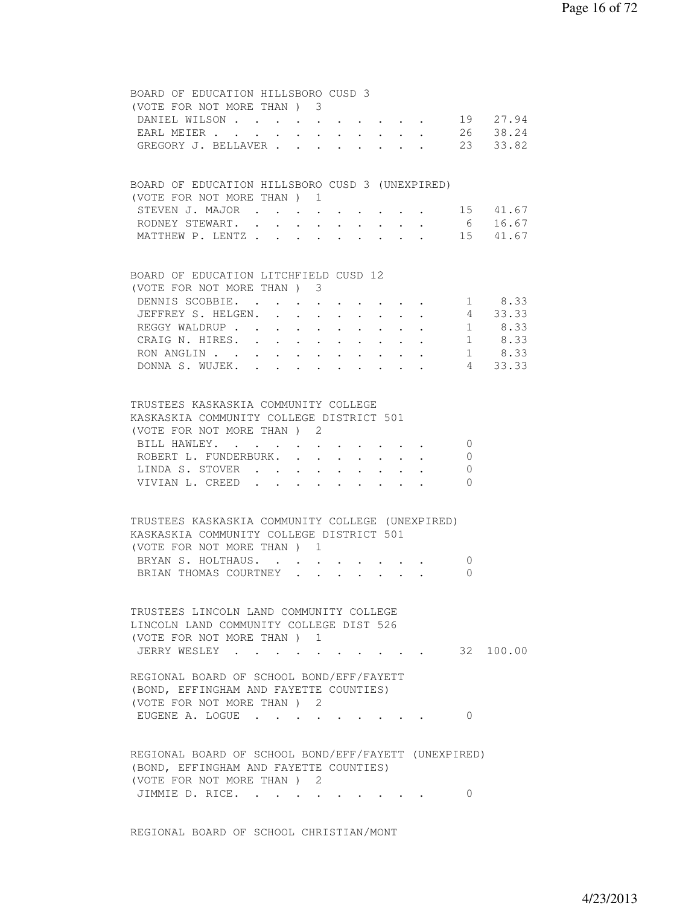| BOARD OF EDUCATION HILLSBORO CUSD 3                                                                                               |
|-----------------------------------------------------------------------------------------------------------------------------------|
| (VOTE FOR NOT MORE THAN) 3                                                                                                        |
| DANIEL WILSON 19 27.94                                                                                                            |
| EARL MEIER 26 38.24                                                                                                               |
| GREGORY J. BELLAVER 23 33.82                                                                                                      |
|                                                                                                                                   |
|                                                                                                                                   |
| BOARD OF EDUCATION HILLSBORO CUSD 3 (UNEXPIRED)                                                                                   |
| (VOTE FOR NOT MORE THAN) 1                                                                                                        |
| $\cdot$ 15 41.67<br>STEVEN J. MAJOR                                                                                               |
| 6 16.67<br>RODNEY STEWART.                                                                                                        |
| MATTHEW P. LENTZ 15 41.67                                                                                                         |
|                                                                                                                                   |
| BOARD OF EDUCATION LITCHFIELD CUSD 12                                                                                             |
| (VOTE FOR NOT MORE THAN) 3                                                                                                        |
| 1 8.33<br>DENNIS SCOBBIE.                                                                                                         |
| $4 \quad 33.33$<br>JEFFREY S. HELGEN.<br>$\cdot$ $\cdot$ $\cdot$ $\cdot$ $\cdot$<br>$\overline{G}(\overline{G})$                  |
| 1 8.33<br>REGGY WALDRUP<br>$\sim$ $-$<br>$\mathbf{L}^{\text{max}}$ , $\mathbf{L}^{\text{max}}$<br>$\cdot$ $\cdot$ $\cdot$ $\cdot$ |
| $\mathcal{L}_{\text{max}}$ , and $\mathcal{L}_{\text{max}}$<br>CRAIG N. HIRES.<br>1 8.33                                          |
| 1 8.33<br>RON ANGLIN                                                                                                              |
| DONNA S. WUJEK. 4 33.33                                                                                                           |
|                                                                                                                                   |
|                                                                                                                                   |
| TRUSTEES KASKASKIA COMMUNITY COLLEGE                                                                                              |
| KASKASKIA COMMUNITY COLLEGE DISTRICT 501                                                                                          |
| (VOTE FOR NOT MORE THAN) 2                                                                                                        |
| BILL HAWLEY.<br>$\bigcirc$<br>and a strain and a strain of the                                                                    |
| ROBERT L. FUNDERBURK.<br>$\overline{0}$                                                                                           |
| LINDA S. STOVER<br>$\circ$                                                                                                        |
| VIVIAN L. CREED<br>$\bigcirc$                                                                                                     |
|                                                                                                                                   |
|                                                                                                                                   |
| TRUSTEES KASKASKIA COMMUNITY COLLEGE (UNEXPIRED)                                                                                  |
| KASKASKIA COMMUNITY COLLEGE DISTRICT 501                                                                                          |
| (VOTE FOR NOT MORE THAN) 1                                                                                                        |
| BRYAN S. HOLTHAUS.<br>$\overline{0}$<br>$\mathbf{r} = \mathbf{r} + \mathbf{r}$ , where $\mathbf{r} = \mathbf{r} + \mathbf{r}$     |
| $\mathbf{r} = \mathbf{r} \cdot \mathbf{r}$ , $\mathbf{r} = \mathbf{r} \cdot \mathbf{r}$<br>BRIAN THOMAS COURTNEY<br>$\Omega$      |
|                                                                                                                                   |
|                                                                                                                                   |
| TRUSTEES LINCOLN LAND COMMUNITY COLLEGE                                                                                           |
| LINCOLN LAND COMMUNITY COLLEGE DIST 526                                                                                           |
| (VOTE FOR NOT MORE THAN) 1                                                                                                        |
| $\cdot$ 32 100.00<br>JERRY WESLEY                                                                                                 |
|                                                                                                                                   |
| REGIONAL BOARD OF SCHOOL BOND/EFF/FAYETT                                                                                          |
| (BOND, EFFINGHAM AND FAYETTE COUNTIES)                                                                                            |
| (VOTE FOR NOT MORE THAN) 2                                                                                                        |
| EUGENE A. LOGUE<br>$\Omega$                                                                                                       |
|                                                                                                                                   |
|                                                                                                                                   |
| REGIONAL BOARD OF SCHOOL BOND/EFF/FAYETT (UNEXPIRED)                                                                              |
| (BOND, EFFINGHAM AND FAYETTE COUNTIES)                                                                                            |
| (VOTE FOR NOT MORE THAN) 2                                                                                                        |
| JIMMIE D. RICE.<br>$\circ$                                                                                                        |
|                                                                                                                                   |

REGIONAL BOARD OF SCHOOL CHRISTIAN/MONT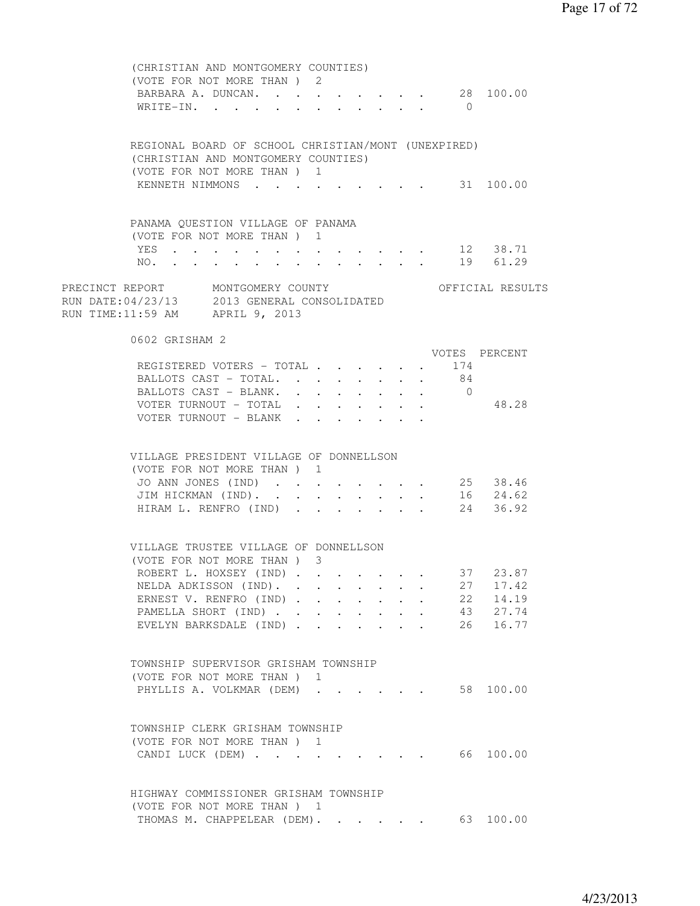| (CHRISTIAN AND MONTGOMERY COUNTIES)                                                                                                     |  |
|-----------------------------------------------------------------------------------------------------------------------------------------|--|
| (VOTE FOR NOT MORE THAN) 2                                                                                                              |  |
| BARBARA A. DUNCAN. 28 100.00                                                                                                            |  |
| WRITE-IN.<br>$\bigcirc$                                                                                                                 |  |
| REGIONAL BOARD OF SCHOOL CHRISTIAN/MONT (UNEXPIRED)                                                                                     |  |
| (CHRISTIAN AND MONTGOMERY COUNTIES)                                                                                                     |  |
| (VOTE FOR NOT MORE THAN ) 1                                                                                                             |  |
| KENNETH NIMMONS 31 100.00                                                                                                               |  |
|                                                                                                                                         |  |
| PANAMA QUESTION VILLAGE OF PANAMA                                                                                                       |  |
| (VOTE FOR NOT MORE THAN ) 1                                                                                                             |  |
| . 12 38.71<br>YES                                                                                                                       |  |
| NO. 19 61.29                                                                                                                            |  |
| PRECINCT REPORT MONTGOMERY COUNTY<br>RUN DATE:04/23/13 2013 GENERAL CONSOLIDATED<br>OFFICIAL RESULTS<br>RUN TIME:11:59 AM APRIL 9, 2013 |  |
| 0602 GRISHAM 2                                                                                                                          |  |
| VOTES PERCENT                                                                                                                           |  |
| REGISTERED VOTERS - TOTAL 174                                                                                                           |  |
| BALLOTS CAST - TOTAL. 84                                                                                                                |  |
| BALLOTS CAST - BLANK.<br>$\overline{0}$                                                                                                 |  |
| VOTER TURNOUT - TOTAL<br>48.28                                                                                                          |  |
| VOTER TURNOUT - BLANK                                                                                                                   |  |
|                                                                                                                                         |  |
| VILLAGE PRESIDENT VILLAGE OF DONNELLSON<br>(VOTE FOR NOT MORE THAN) 1                                                                   |  |
| 25 38.46<br>JO ANN JONES (IND)                                                                                                          |  |
| 16 24.62<br>JIM HICKMAN (IND).                                                                                                          |  |
| 24<br>HIRAM L. RENFRO (IND)<br>36.92                                                                                                    |  |
| VILLAGE TRUSTEE VILLAGE OF DONNELLSON<br>(VOTE FOR NOT MORE THAN) 3                                                                     |  |
| 37 23.87<br>ROBERT L. HOXSEY (IND)                                                                                                      |  |
| 27<br>17.42<br>NELDA ADKISSON (IND).                                                                                                    |  |
| 22<br>14.19<br>ERNEST V. RENFRO (IND)                                                                                                   |  |
| PAMELLA SHORT (IND)<br>43<br>27.74<br>$\cdot$ $\cdot$ $\cdot$ $\cdot$ $\cdot$ $\cdot$                                                   |  |
| 26<br>16.77<br>EVELYN BARKSDALE (IND).                                                                                                  |  |
| TOWNSHIP SUPERVISOR GRISHAM TOWNSHIP<br>(VOTE FOR NOT MORE THAN) 1                                                                      |  |
| PHYLLIS A. VOLKMAR (DEM)<br>58 100.00                                                                                                   |  |
| TOWNSHIP CLERK GRISHAM TOWNSHIP<br>(VOTE FOR NOT MORE THAN) 1<br>CANDI LUCK (DEM)<br>66 100.00                                          |  |
| HIGHWAY COMMISSIONER GRISHAM TOWNSHIP<br>(VOTE FOR NOT MORE THAN ) 1                                                                    |  |
| THOMAS M. CHAPPELEAR (DEM). 63 100.00                                                                                                   |  |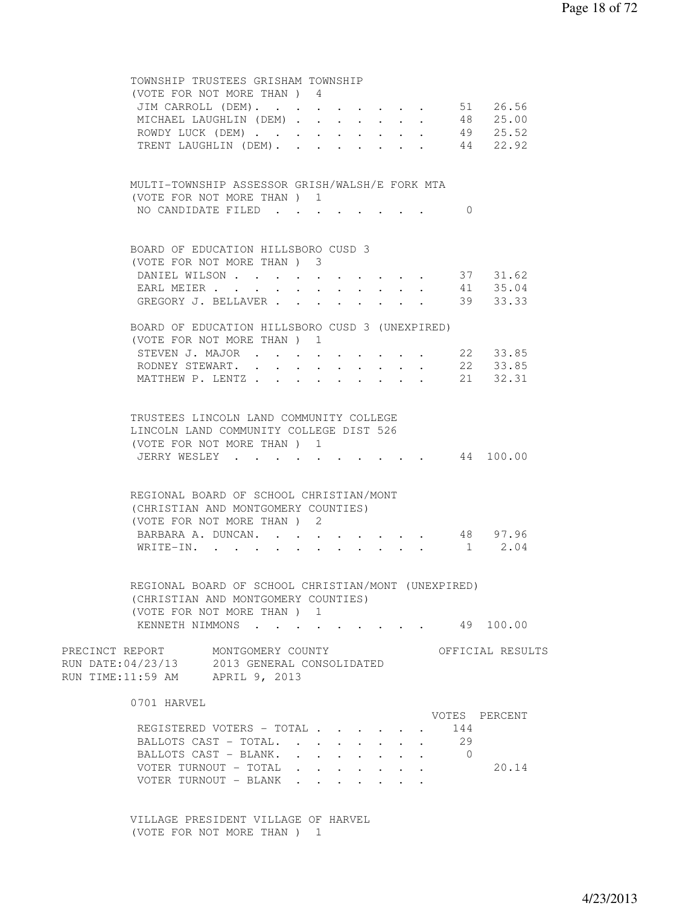| TOWNSHIP TRUSTEES GRISHAM TOWNSHIP                                                                                                         |                                                              |        |  |                                         |            |                      |
|--------------------------------------------------------------------------------------------------------------------------------------------|--------------------------------------------------------------|--------|--|-----------------------------------------|------------|----------------------|
| (VOTE FOR NOT MORE THAN) 4                                                                                                                 |                                                              |        |  |                                         |            |                      |
| JIM CARROLL (DEM). 51 26.56                                                                                                                |                                                              |        |  |                                         |            |                      |
| MICHAEL LAUGHLIN (DEM) 48 25.00                                                                                                            |                                                              |        |  |                                         |            |                      |
| ROWDY LUCK (DEM) 49 25.52                                                                                                                  |                                                              |        |  |                                         |            |                      |
| TRENT LAUGHLIN (DEM). 44 22.92                                                                                                             |                                                              |        |  |                                         |            |                      |
| MULTI-TOWNSHIP ASSESSOR GRISH/WALSH/E FORK MTA                                                                                             |                                                              |        |  |                                         |            |                      |
| (VOTE FOR NOT MORE THAN) 1                                                                                                                 |                                                              |        |  |                                         |            |                      |
| NO CANDIDATE FILED                                                                                                                         |                                                              |        |  |                                         | $\Omega$   |                      |
|                                                                                                                                            |                                                              |        |  |                                         |            |                      |
| BOARD OF EDUCATION HILLSBORO CUSD 3                                                                                                        |                                                              |        |  |                                         |            |                      |
| (VOTE FOR NOT MORE THAN) 3                                                                                                                 |                                                              |        |  |                                         |            |                      |
| DANIEL WILSON                                                                                                                              |                                                              |        |  |                                         |            | 37 31.62             |
| EARL MEIER<br>GREGORY J. BELLAVER                                                                                                          |                                                              |        |  |                                         |            | 41 35.04<br>39 33.33 |
|                                                                                                                                            |                                                              |        |  |                                         |            |                      |
| BOARD OF EDUCATION HILLSBORO CUSD 3 (UNEXPIRED)<br>(VOTE FOR NOT MORE THAN) 1                                                              |                                                              |        |  |                                         |            |                      |
| STEVEN J. MAJOR 22 33.85                                                                                                                   |                                                              |        |  |                                         |            |                      |
| RODNEY STEWART. 22 33.85                                                                                                                   |                                                              |        |  |                                         |            |                      |
| MATTHEW P. LENTZ 21 32.31                                                                                                                  |                                                              |        |  |                                         |            |                      |
|                                                                                                                                            |                                                              |        |  |                                         |            |                      |
| TRUSTEES LINCOLN LAND COMMUNITY COLLEGE<br>LINCOLN LAND COMMUNITY COLLEGE DIST 526<br>(VOTE FOR NOT MORE THAN) 1<br>JERRY WESLEY 44 100.00 |                                                              |        |  |                                         |            |                      |
|                                                                                                                                            |                                                              |        |  |                                         |            |                      |
| REGIONAL BOARD OF SCHOOL CHRISTIAN/MONT<br>(CHRISTIAN AND MONTGOMERY COUNTIES)<br>(VOTE FOR NOT MORE THAN) 2                               |                                                              |        |  |                                         |            |                      |
| BARBARA A. DUNCAN.                                                                                                                         | $\ddot{\phantom{0}}$                                         |        |  |                                         |            | 48 97.96             |
| WRITE-IN.                                                                                                                                  |                                                              |        |  | $\cdot$ $\cdot$ $\cdot$ $\cdot$ $\cdot$ |            | $1 \t 2.04$          |
|                                                                                                                                            |                                                              |        |  |                                         |            |                      |
| REGIONAL BOARD OF SCHOOL CHRISTIAN/MONT (UNEXPIRED)<br>(CHRISTIAN AND MONTGOMERY COUNTIES)<br>(VOTE FOR NOT MORE THAN ) 1                  |                                                              |        |  |                                         |            |                      |
| KENNETH NIMMONS 49 100.00                                                                                                                  |                                                              |        |  |                                         |            |                      |
| PRECINCT REPORT MONTGOMERY COUNTY<br>RUN DATE: 04/23/13 2013 GENERAL CONSOLIDATED<br>RUN TIME:11:59 AM APRIL 9, 2013                       |                                                              |        |  |                                         |            | OFFICIAL RESULTS     |
| 0701 HARVEL                                                                                                                                |                                                              |        |  |                                         |            |                      |
|                                                                                                                                            |                                                              |        |  |                                         |            | VOTES PERCENT        |
| REGISTERED VOTERS - TOTAL                                                                                                                  |                                                              |        |  |                                         | 144        |                      |
| BALLOTS CAST - TOTAL.                                                                                                                      |                                                              |        |  |                                         | 29         |                      |
| BALLOTS CAST - BLANK.                                                                                                                      | $\mathbf{L} = \mathbf{L} \mathbf{L} + \mathbf{L} \mathbf{L}$ |        |  |                                         | $\bigcirc$ |                      |
| VOTER TURNOUT - TOTAL                                                                                                                      | $\ddot{\phantom{0}}$<br>$\ddot{\phantom{0}}$                 | $\sim$ |  |                                         |            | 20.14                |
| VOTER TURNOUT - BLANK                                                                                                                      | $\cdot$ $\cdot$ $\cdot$ $\cdot$ $\cdot$                      |        |  |                                         |            |                      |

 VILLAGE PRESIDENT VILLAGE OF HARVEL (VOTE FOR NOT MORE THAN ) 1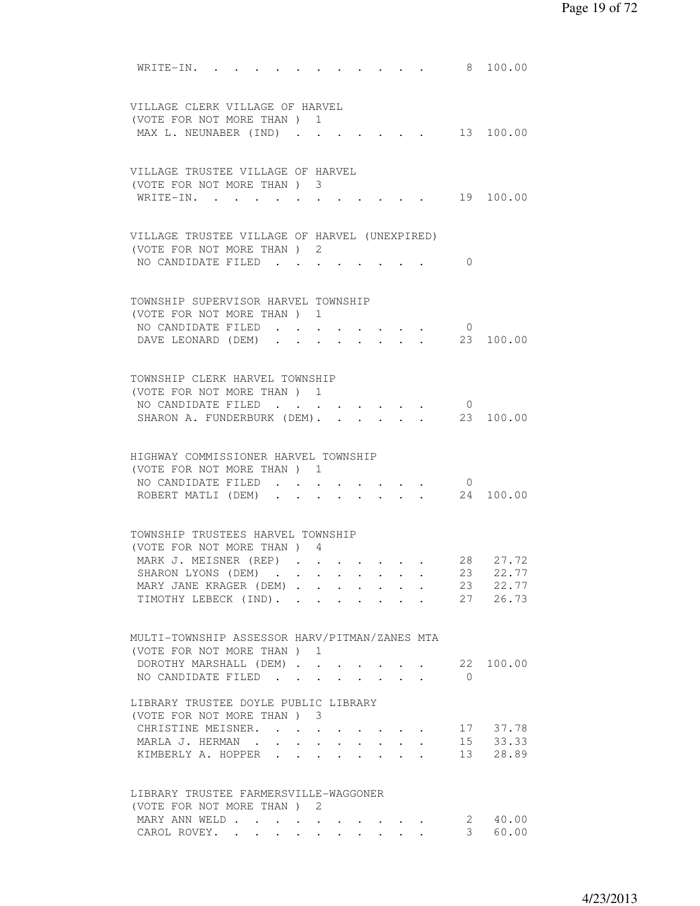| WRITE-IN.<br>100.00<br>8                                                                      |
|-----------------------------------------------------------------------------------------------|
| VILLAGE CLERK VILLAGE OF HARVEL                                                               |
| (VOTE FOR NOT MORE THAN )<br>1                                                                |
| 13 100.00<br>MAX L. NEUNABER (IND)                                                            |
|                                                                                               |
| VILLAGE TRUSTEE VILLAGE OF HARVEL                                                             |
| (VOTE FOR NOT MORE THAN) 3                                                                    |
| 19 100.00<br>WRITE-IN.                                                                        |
|                                                                                               |
| VILLAGE TRUSTEE VILLAGE OF HARVEL (UNEXPIRED)                                                 |
| (VOTE FOR NOT MORE THAN) 2<br>NO CANDIDATE FILED<br>$\Omega$                                  |
|                                                                                               |
| TOWNSHIP SUPERVISOR HARVEL TOWNSHIP                                                           |
| (VOTE FOR NOT MORE THAN) 1                                                                    |
| NO CANDIDATE FILED<br>$\overline{0}$                                                          |
| 23 100.00<br>DAVE LEONARD (DEM).<br>$\mathbf{r} = \mathbf{r}$<br>$\sim$                       |
|                                                                                               |
| TOWNSHIP CLERK HARVEL TOWNSHIP                                                                |
| (VOTE FOR NOT MORE THAN) 1                                                                    |
| NO CANDIDATE FILED<br>$\circ$<br>$\cdot$                                                      |
| SHARON A. FUNDERBURK (DEM).<br>100.00<br>23                                                   |
| HIGHWAY COMMISSIONER HARVEL TOWNSHIP                                                          |
| (VOTE FOR NOT MORE THAN) 1                                                                    |
| NO CANDIDATE FILED<br>$\overline{0}$<br>$\mathbf{L} = \mathbf{L}$                             |
| ROBERT MATLI (DEM)<br>24<br>100.00<br>$\ddot{\phantom{a}}$                                    |
|                                                                                               |
| TOWNSHIP TRUSTEES HARVEL TOWNSHIP                                                             |
| (VOTE FOR NOT MORE THAN) 4                                                                    |
| MARK J. MEISNER (REP)<br>28 27.72                                                             |
| SHARON LYONS (DEM)<br>23 22.77<br>$\sim$ $\sim$                                               |
| 23 22.77<br>MARY JANE KRAGER (DEM)<br>27 26.73<br>TIMOTHY LEBECK (IND).                       |
|                                                                                               |
| MULTI-TOWNSHIP ASSESSOR HARV/PITMAN/ZANES MTA                                                 |
| (VOTE FOR NOT MORE THAN) 1                                                                    |
| DOROTHY MARSHALL (DEM)<br>22 100.00                                                           |
| NO CANDIDATE FILED<br>$\bigcirc$<br>$\cdot$ $\cdot$ $\cdot$ $\cdot$ $\cdot$                   |
| LIBRARY TRUSTEE DOYLE PUBLIC LIBRARY                                                          |
| (VOTE FOR NOT MORE THAN ) 3                                                                   |
| CHRISTINE MEISNER.<br>17 37.78                                                                |
| 15 33.33<br>13 28.89<br>MARLA J. HERMAN.<br>$\bullet$ . In the case of the case of the $\sim$ |
| KIMBERLY A. HOPPER<br>$\ddot{\phantom{0}}$<br>$\sim$                                          |
|                                                                                               |
| LIBRARY TRUSTEE FARMERSVILLE-WAGGONER<br>(VOTE FOR NOT MORE THAN) 2                           |
|                                                                                               |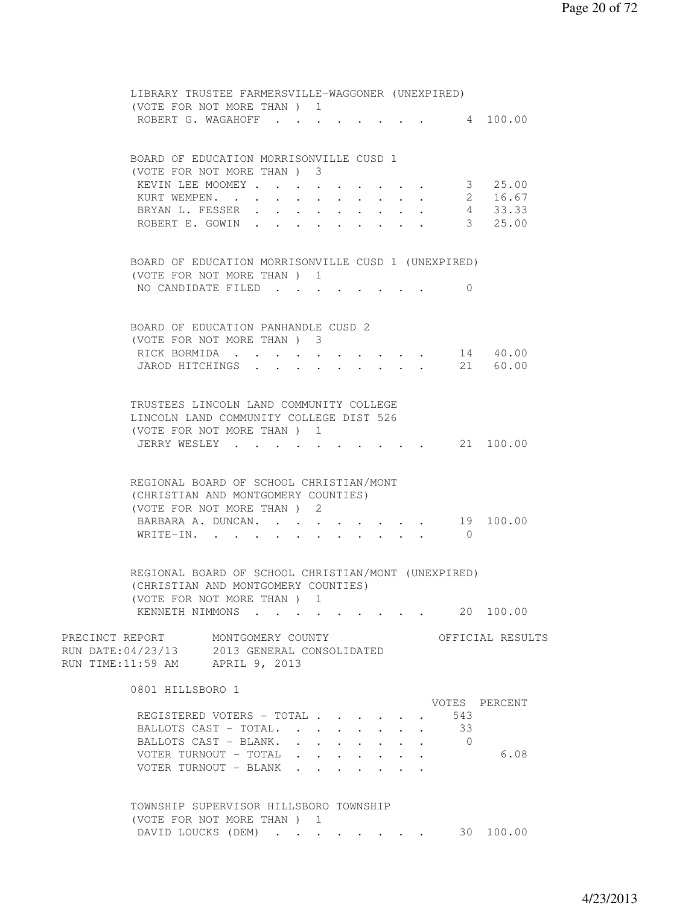| LIBRARY TRUSTEE FARMERSVILLE-WAGGONER (UNEXPIRED)<br>(VOTE FOR NOT MORE THAN) 1                                                                                |                         |
|----------------------------------------------------------------------------------------------------------------------------------------------------------------|-------------------------|
| ROBERT G. WAGAHOFF                                                                                                                                             | $\cdot$ 4 100.00        |
| BOARD OF EDUCATION MORRISONVILLE CUSD 1<br>(VOTE FOR NOT MORE THAN) 3                                                                                          |                         |
| KEVIN LEE MOOMEY                                                                                                                                               | 3 25.00                 |
| KURT WEMPEN. 2 16.67                                                                                                                                           |                         |
| BRYAN L. FESSER 4 33.33                                                                                                                                        | 3, 25,00                |
| ROBERT E. GOWIN                                                                                                                                                |                         |
| BOARD OF EDUCATION MORRISONVILLE CUSD 1 (UNEXPIRED)                                                                                                            |                         |
| (VOTE FOR NOT MORE THAN) 1                                                                                                                                     |                         |
| NO CANDIDATE FILED                                                                                                                                             | 0                       |
| BOARD OF EDUCATION PANHANDLE CUSD 2                                                                                                                            |                         |
| (VOTE FOR NOT MORE THAN) 3                                                                                                                                     |                         |
| RICK BORMIDA                                                                                                                                                   | 14 40.00                |
| JAROD HITCHINGS                                                                                                                                                | 21 60.00                |
| TRUSTEES LINCOLN LAND COMMUNITY COLLEGE<br>LINCOLN LAND COMMUNITY COLLEGE DIST 526<br>(VOTE FOR NOT MORE THAN) 1                                               |                         |
| JERRY WESLEY 21 100.00                                                                                                                                         |                         |
| REGIONAL BOARD OF SCHOOL CHRISTIAN/MONT<br>(CHRISTIAN AND MONTGOMERY COUNTIES)<br>(VOTE FOR NOT MORE THAN) 2<br>BARBARA A. DUNCAN.<br>WRITE-IN.                | 19 100.00<br>$\bigcirc$ |
| REGIONAL BOARD OF SCHOOL CHRISTIAN/MONT (UNEXPIRED)<br>(CHRISTIAN AND MONTGOMERY COUNTIES)<br>(VOTE FOR NOT MORE THAN ) 1                                      |                         |
| KENNETH NIMMONS                                                                                                                                                | 20 100.00               |
| PRECINCT REPORT MONTGOMERY COUNTY<br>RUN DATE: 04/23/13 2013 GENERAL CONSOLIDATED<br>RUN TIME:11:59 AM APRIL 9, 2013                                           | OFFICIAL RESULTS        |
| 0801 HILLSBORO 1                                                                                                                                               | VOTES PERCENT           |
| REGISTERED VOTERS - TOTAL                                                                                                                                      | 543                     |
| BALLOTS CAST - TOTAL. .                                                                                                                                        | 33                      |
| BALLOTS CAST - BLANK.<br>$\sim$ $\sim$<br>$\ddot{\phantom{0}}$<br>$\sim$<br>VOTER TURNOUT - TOTAL<br>$\mathbf{r}$ , $\mathbf{r}$ , $\mathbf{r}$ , $\mathbf{r}$ | $\bigcirc$<br>6.08      |
| VOTER TURNOUT - BLANK<br>$\cdot$ $\cdot$ $\cdot$                                                                                                               |                         |
| TOWNSHIP SUPERVISOR HILLSBORO TOWNSHIP                                                                                                                         |                         |
| (VOTE FOR NOT MORE THAN) 1<br>DAVID LOUCKS (DEM)                                                                                                               | 30 100.00               |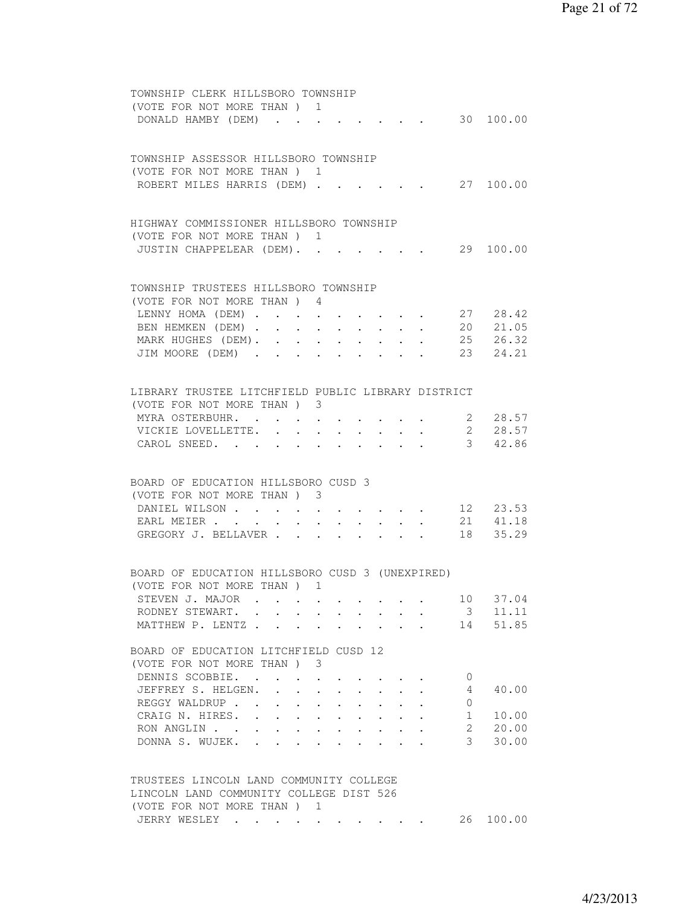| TOWNSHIP CLERK HILLSBORO TOWNSHIP<br>(VOTE FOR NOT MORE THAN) 1<br>DONALD HAMBY (DEM) 30 100.00                                                                     |  |
|---------------------------------------------------------------------------------------------------------------------------------------------------------------------|--|
| TOWNSHIP ASSESSOR HILLSBORO TOWNSHIP<br>(VOTE FOR NOT MORE THAN) 1                                                                                                  |  |
| ROBERT MILES HARRIS (DEM) 27 100.00                                                                                                                                 |  |
| HIGHWAY COMMISSIONER HILLSBORO TOWNSHIP<br>(VOTE FOR NOT MORE THAN) 1<br>29 100.00<br>JUSTIN CHAPPELEAR (DEM).                                                      |  |
| TOWNSHIP TRUSTEES HILLSBORO TOWNSHIP                                                                                                                                |  |
| (VOTE FOR NOT MORE THAN) 4                                                                                                                                          |  |
| LENNY HOMA (DEM) 27 28.42                                                                                                                                           |  |
| BEN HEMKEN (DEM) 20 21.05                                                                                                                                           |  |
| MARK HUGHES (DEM). 25 26.32                                                                                                                                         |  |
| JIM MOORE (DEM) 23 24.21                                                                                                                                            |  |
|                                                                                                                                                                     |  |
| LIBRARY TRUSTEE LITCHFIELD PUBLIC LIBRARY DISTRICT                                                                                                                  |  |
| (VOTE FOR NOT MORE THAN) 3                                                                                                                                          |  |
| MYRA OSTERBUHR. 2 28.57                                                                                                                                             |  |
| VICKIE LOVELLETTE. 2 28.57                                                                                                                                          |  |
| CAROL SNEED. 3 42.86                                                                                                                                                |  |
| BOARD OF EDUCATION HILLSBORO CUSD 3                                                                                                                                 |  |
| (VOTE FOR NOT MORE THAN) 3                                                                                                                                          |  |
| DANIEL WILSON<br>12 23.53                                                                                                                                           |  |
| 21 41.18<br>$\mathbf{r} = \mathbf{r} \times \mathbf{r}$ , where $\mathbf{r} = \mathbf{r} \times \mathbf{r}$ , $\mathbf{r} = \mathbf{r}$<br>EARL MEIER<br>$\sim$ $-$ |  |
| 18 35.29<br>GREGORY J. BELLAVER                                                                                                                                     |  |
|                                                                                                                                                                     |  |
| BOARD OF EDUCATION HILLSBORO CUSD 3 (UNEXPIRED)                                                                                                                     |  |
| (VOTE FOR NOT MORE THAN) 1<br>10 37.04<br>STEVEN J. MAJOR                                                                                                           |  |
| RODNEY STEWART.<br>$\overline{\mathbf{3}}$<br>11.11                                                                                                                 |  |
| 14<br>51.85<br>MATTHEW P. LENTZ<br>$\mathbf{L}$                                                                                                                     |  |
| BOARD OF EDUCATION LITCHFIELD CUSD 12                                                                                                                               |  |
| (VOTE FOR NOT MORE THAN)<br>3                                                                                                                                       |  |
| DENNIS SCOBBIE.<br>$\mathbf{0}$<br>$\mathcal{L}(\mathcal{A})$ , and $\mathcal{L}(\mathcal{A})$ , and $\mathcal{L}(\mathcal{A})$                                     |  |
| JEFFREY S. HELGEN.<br>40.00<br>4<br>$\sim$<br>$\sim$                                                                                                                |  |
| REGGY WALDRUP<br>0                                                                                                                                                  |  |
| CRAIG N. HIRES.<br>10.00<br>1                                                                                                                                       |  |
| $\overline{2}$<br>20.00<br>RON ANGLIN                                                                                                                               |  |
| 3<br>30.00<br>DONNA S. WUJEK.                                                                                                                                       |  |
|                                                                                                                                                                     |  |
| TRUSTEES LINCOLN LAND COMMUNITY COLLEGE                                                                                                                             |  |
| LINCOLN LAND COMMUNITY COLLEGE DIST 526                                                                                                                             |  |
| (VOTE FOR NOT MORE THAN) 1<br>JERRY WESLEY<br>26 100.00                                                                                                             |  |
|                                                                                                                                                                     |  |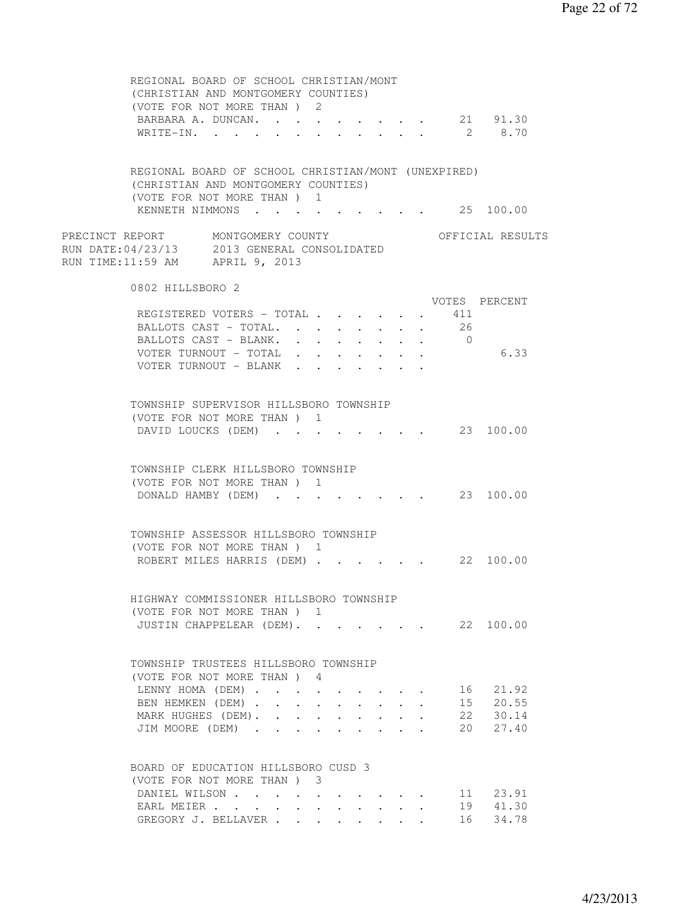| REGIONAL BOARD OF SCHOOL CHRISTIAN/MONT<br>(CHRISTIAN AND MONTGOMERY COUNTIES)                                       |  |  |  |            |                  |
|----------------------------------------------------------------------------------------------------------------------|--|--|--|------------|------------------|
| (VOTE FOR NOT MORE THAN) 2                                                                                           |  |  |  |            |                  |
| BARBARA A. DUNCAN. 21 91.30                                                                                          |  |  |  |            |                  |
| WRITE-IN.                                                                                                            |  |  |  |            | 2 8.70           |
|                                                                                                                      |  |  |  |            |                  |
| REGIONAL BOARD OF SCHOOL CHRISTIAN/MONT (UNEXPIRED)                                                                  |  |  |  |            |                  |
| (CHRISTIAN AND MONTGOMERY COUNTIES)                                                                                  |  |  |  |            |                  |
| (VOTE FOR NOT MORE THAN) 1<br>KENNETH NIMMONS 25 100.00                                                              |  |  |  |            |                  |
|                                                                                                                      |  |  |  |            |                  |
| PRECINCT REPORT MONTGOMERY COUNTY<br>RUN DATE: 04/23/13 2013 GENERAL CONSOLIDATED<br>RUN TIME:11:59 AM APRIL 9, 2013 |  |  |  |            | OFFICIAL RESULTS |
| 0802 HILLSBORO 2                                                                                                     |  |  |  |            |                  |
|                                                                                                                      |  |  |  |            | VOTES PERCENT    |
| REGISTERED VOTERS - TOTAL                                                                                            |  |  |  | 411        |                  |
| BALLOTS CAST - TOTAL.                                                                                                |  |  |  | 26         |                  |
| BALLOTS CAST - BLANK.                                                                                                |  |  |  | $\bigcirc$ |                  |
| VOTER TURNOUT - TOTAL                                                                                                |  |  |  |            | 6.33             |
| VOTER TURNOUT - BLANK                                                                                                |  |  |  |            |                  |
|                                                                                                                      |  |  |  |            |                  |
| TOWNSHIP SUPERVISOR HILLSBORO TOWNSHIP                                                                               |  |  |  |            |                  |
| (VOTE FOR NOT MORE THAN) 1                                                                                           |  |  |  |            |                  |
| DAVID LOUCKS (DEM) 23 100.00                                                                                         |  |  |  |            |                  |
| TOWNSHIP CLERK HILLSBORO TOWNSHIP                                                                                    |  |  |  |            |                  |
| (VOTE FOR NOT MORE THAN) 1                                                                                           |  |  |  |            |                  |
| DONALD HAMBY (DEM) 23 100.00                                                                                         |  |  |  |            |                  |
|                                                                                                                      |  |  |  |            |                  |
| TOWNSHIP ASSESSOR HILLSBORO TOWNSHIP                                                                                 |  |  |  |            |                  |
| (VOTE FOR NOT MORE THAN) 1                                                                                           |  |  |  |            |                  |
| ROBERT MILES HARRIS (DEM) 22 100.00                                                                                  |  |  |  |            |                  |
|                                                                                                                      |  |  |  |            |                  |
| HIGHWAY COMMISSIONER HILLSBORO TOWNSHIP                                                                              |  |  |  |            |                  |
| (VOTE FOR NOT MORE THAN ) 1                                                                                          |  |  |  |            |                  |
| JUSTIN CHAPPELEAR (DEM). 22 100.00                                                                                   |  |  |  |            |                  |
|                                                                                                                      |  |  |  |            |                  |
| TOWNSHIP TRUSTEES HILLSBORO TOWNSHIP                                                                                 |  |  |  |            |                  |
| (VOTE FOR NOT MORE THAN) 4                                                                                           |  |  |  |            |                  |
| LENNY HOMA (DEM)                                                                                                     |  |  |  |            | 16 21.92         |
| BEN HEMKEN (DEM).                                                                                                    |  |  |  |            | 15 20.55         |
| MARK HUGHES (DEM).                                                                                                   |  |  |  |            | 22 30.14         |
| JIM MOORE (DEM)                                                                                                      |  |  |  |            | 20 27.40         |
|                                                                                                                      |  |  |  |            |                  |
| BOARD OF EDUCATION HILLSBORO CUSD 3                                                                                  |  |  |  |            |                  |
| (VOTE FOR NOT MORE THAN) 3                                                                                           |  |  |  |            |                  |
| DANIEL WILSON                                                                                                        |  |  |  |            | 11 23.91         |
| EARL MEIER                                                                                                           |  |  |  |            | 19 41.30         |
| GREGORY J. BELLAVER                                                                                                  |  |  |  |            | 16 34.78         |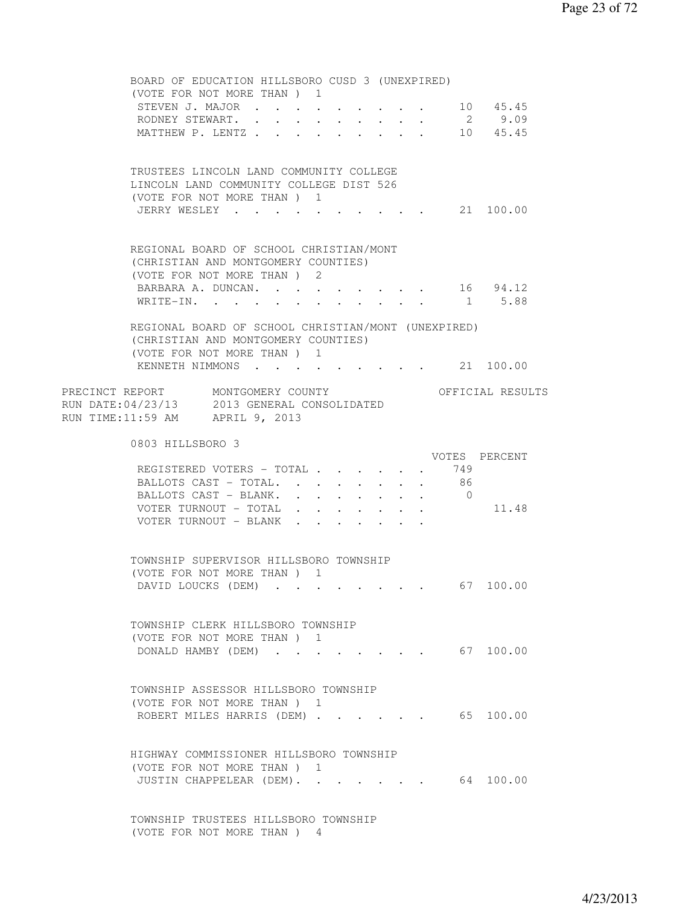BOARD OF EDUCATION HILLSBORO CUSD 3 (UNEXPIRED) (VOTE FOR NOT MORE THAN ) 1 STEVEN J. MAJOR . . . . . . . . . . 10 45.45 RODNEY STEWART. . . . . . . . . . 2 9.09<br>MATTHEW P. LENTZ . . . . . . . . . 10 45.45 MATTHEW P. LENTZ . . . . . . . TRUSTEES LINCOLN LAND COMMUNITY COLLEGE LINCOLN LAND COMMUNITY COLLEGE DIST 526 (VOTE FOR NOT MORE THAN ) 1 JERRY WESLEY . . . . . . . . . . 21 100.00 REGIONAL BOARD OF SCHOOL CHRISTIAN/MONT (CHRISTIAN AND MONTGOMERY COUNTIES) (VOTE FOR NOT MORE THAN ) 2 BARBARA A. DUNCAN. . . . . . . . . 16 94.12 WRITE-IN. . . . . . . . . . . . 1 5.88 REGIONAL BOARD OF SCHOOL CHRISTIAN/MONT (UNEXPIRED) (CHRISTIAN AND MONTGOMERY COUNTIES) (VOTE FOR NOT MORE THAN ) 1 KENNETH NIMMONS . . . . . . . . . 21 100.00 PRECINCT REPORT MONTGOMERY COUNTY THE OFFICIAL RESULTS RUN DATE:04/23/13 2013 GENERAL CONSOLIDATED RUN TIME:11:59 AM APRIL 9, 2013 0803 HILLSBORO 3 VOTES PERCENT REGISTERED VOTERS - TOTAL . . . . . . 749<br>BALLOTS CAST - TOTAL. . . . . . . . 86<br>BALLOTS CAST - DIANU BALLOTS CAST - TOTAL. . . . . . . . 86<br>BALLOTS CAST - BLANK. . . . . . . . 0 BALLOTS CAST - BLANK. . . . . . . . VOTER TURNOUT - TOTAL . . . . . . . 11.48 VOTER TURNOUT - BLANK . . . . . . TOWNSHIP SUPERVISOR HILLSBORO TOWNSHIP (VOTE FOR NOT MORE THAN ) 1 DAVID LOUCKS (DEM) . . . . . . . . 67 100.00 TOWNSHIP CLERK HILLSBORO TOWNSHIP (VOTE FOR NOT MORE THAN ) 1 DONALD HAMBY (DEM) . . . . . . . . 67 100.00 TOWNSHIP ASSESSOR HILLSBORO TOWNSHIP (VOTE FOR NOT MORE THAN ) 1 ROBERT MILES HARRIS (DEM) . . . . . . 65 100.00 HIGHWAY COMMISSIONER HILLSBORO TOWNSHIP (VOTE FOR NOT MORE THAN ) 1 JUSTIN CHAPPELEAR (DEM). . . . . . . 64 100.00 TOWNSHIP TRUSTEES HILLSBORO TOWNSHIP

(VOTE FOR NOT MORE THAN ) 4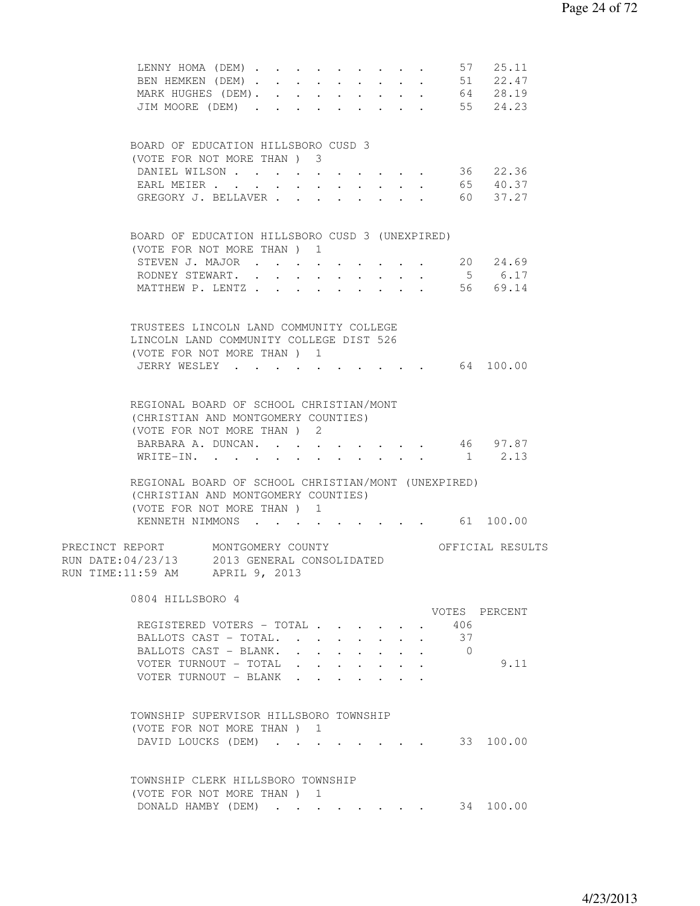| LENNY HOMA (DEM)<br>BEN HEMKEN (DEM)<br>MARK HUGHES (DEM). 64 28.19                                                      |                      |                           |                                                                                           |                               |              | $\mathcal{L}^{\mathcal{A}}$ , $\mathcal{L}^{\mathcal{A}}$ , $\mathcal{L}^{\mathcal{A}}$ , $\mathcal{L}^{\mathcal{A}}$ , $\mathcal{L}^{\mathcal{A}}$ |                | 57 25.11<br>51 22.47 |  |
|--------------------------------------------------------------------------------------------------------------------------|----------------------|---------------------------|-------------------------------------------------------------------------------------------|-------------------------------|--------------|-----------------------------------------------------------------------------------------------------------------------------------------------------|----------------|----------------------|--|
| JIM MOORE (DEM)                                                                                                          |                      |                           |                                                                                           |                               |              |                                                                                                                                                     |                | 55 24.23             |  |
| BOARD OF EDUCATION HILLSBORO CUSD 3<br>(VOTE FOR NOT MORE THAN) 3                                                        |                      |                           |                                                                                           |                               |              |                                                                                                                                                     |                |                      |  |
| DANIEL WILSON                                                                                                            |                      | $\ddot{\phantom{0}}$      |                                                                                           |                               |              | $\mathbf{r}$ , and $\mathbf{r}$ , and $\mathbf{r}$                                                                                                  |                | 36 22.36             |  |
| EARL MEIER                                                                                                               | $\ddot{\phantom{0}}$ |                           |                                                                                           | $\ddot{\phantom{0}}$          |              |                                                                                                                                                     |                | 65 40.37<br>60 37.27 |  |
| GREGORY J. BELLAVER                                                                                                      |                      | $\sim$                    | <b>Carl College</b>                                                                       | $\mathbf{L}$ and $\mathbf{L}$ | $\mathbf{L}$ |                                                                                                                                                     |                |                      |  |
| BOARD OF EDUCATION HILLSBORO CUSD 3 (UNEXPIRED)                                                                          |                      |                           |                                                                                           |                               |              |                                                                                                                                                     |                |                      |  |
| (VOTE FOR NOT MORE THAN) 1<br>STEVEN J. MAJOR                                                                            |                      |                           |                                                                                           |                               |              |                                                                                                                                                     |                | 20 24.69             |  |
| RODNEY STEWART.<br>$\cdot$ $\cdot$ $\cdot$ $\cdot$                                                                       |                      |                           |                                                                                           |                               |              |                                                                                                                                                     | 5 <sup>5</sup> | 6.17                 |  |
| MATTHEW P. LENTZ                                                                                                         |                      |                           |                                                                                           |                               |              |                                                                                                                                                     |                | 56 69.14             |  |
| TRUSTEES LINCOLN LAND COMMUNITY COLLEGE<br>LINCOLN LAND COMMUNITY COLLEGE DIST 526                                       |                      |                           |                                                                                           |                               |              |                                                                                                                                                     |                |                      |  |
| (VOTE FOR NOT MORE THAN) 1                                                                                               |                      |                           |                                                                                           |                               |              |                                                                                                                                                     |                |                      |  |
| JERRY WESLEY 64 100.00                                                                                                   |                      |                           |                                                                                           |                               |              |                                                                                                                                                     |                |                      |  |
| REGIONAL BOARD OF SCHOOL CHRISTIAN/MONT<br>(CHRISTIAN AND MONTGOMERY COUNTIES)<br>(VOTE FOR NOT MORE THAN) 2             |                      |                           |                                                                                           |                               |              |                                                                                                                                                     |                |                      |  |
| BARBARA A. DUNCAN. 46 97.87                                                                                              |                      |                           |                                                                                           |                               |              |                                                                                                                                                     |                |                      |  |
| WRITE-IN. 1 2.13                                                                                                         |                      |                           |                                                                                           |                               |              |                                                                                                                                                     |                |                      |  |
| REGIONAL BOARD OF SCHOOL CHRISTIAN/MONT (UNEXPIRED)<br>(CHRISTIAN AND MONTGOMERY COUNTIES)<br>(VOTE FOR NOT MORE THAN) 1 |                      |                           |                                                                                           |                               |              |                                                                                                                                                     |                |                      |  |
| KENNETH NIMMONS 61 100.00                                                                                                |                      |                           |                                                                                           |                               |              |                                                                                                                                                     |                |                      |  |
| PRECINCT REPORT MONTGOMERY COUNTY<br>RUN DATE: 04/23/13 2013 GENERAL CONSOLIDATED<br>RUN TIME:11:59 AM APRIL 9, 2013     |                      |                           |                                                                                           |                               |              |                                                                                                                                                     |                | OFFICIAL RESULTS     |  |
| 0804 HILLSBORO 4                                                                                                         |                      |                           |                                                                                           |                               |              |                                                                                                                                                     |                | VOTES PERCENT        |  |
| REGISTERED VOTERS - TOTAL                                                                                                |                      |                           |                                                                                           |                               |              |                                                                                                                                                     | 406            |                      |  |
| BALLOTS CAST - TOTAL                                                                                                     |                      |                           |                                                                                           |                               |              |                                                                                                                                                     | 37             |                      |  |
| BALLOTS CAST - BLANK.                                                                                                    |                      | $\mathbf{r}$ $\mathbf{r}$ |                                                                                           |                               |              |                                                                                                                                                     | $\bigcirc$     |                      |  |
| VOTER TURNOUT - TOTAL<br>VOTER TURNOUT - BLANK                                                                           |                      |                           | $\mathbf{r} = \mathbf{r} \cdot \mathbf{r}$ and $\mathbf{r} = \mathbf{r} \cdot \mathbf{r}$ |                               |              |                                                                                                                                                     |                | 9.11                 |  |
|                                                                                                                          |                      |                           |                                                                                           |                               |              |                                                                                                                                                     |                |                      |  |
| TOWNSHIP SUPERVISOR HILLSBORO TOWNSHIP                                                                                   |                      |                           |                                                                                           |                               |              |                                                                                                                                                     |                |                      |  |
| (VOTE FOR NOT MORE THAN) 1                                                                                               |                      |                           |                                                                                           |                               |              |                                                                                                                                                     |                |                      |  |
| DAVID LOUCKS (DEM)                                                                                                       |                      |                           |                                                                                           |                               |              |                                                                                                                                                     |                | 33 100.00            |  |
| TOWNSHIP CLERK HILLSBORO TOWNSHIP                                                                                        |                      |                           |                                                                                           |                               |              |                                                                                                                                                     |                |                      |  |
| (VOTE FOR NOT MORE THAN) 1<br>DONALD HAMBY (DEM) 34 100.00                                                               |                      |                           |                                                                                           |                               |              |                                                                                                                                                     |                |                      |  |
|                                                                                                                          |                      |                           |                                                                                           |                               |              |                                                                                                                                                     |                |                      |  |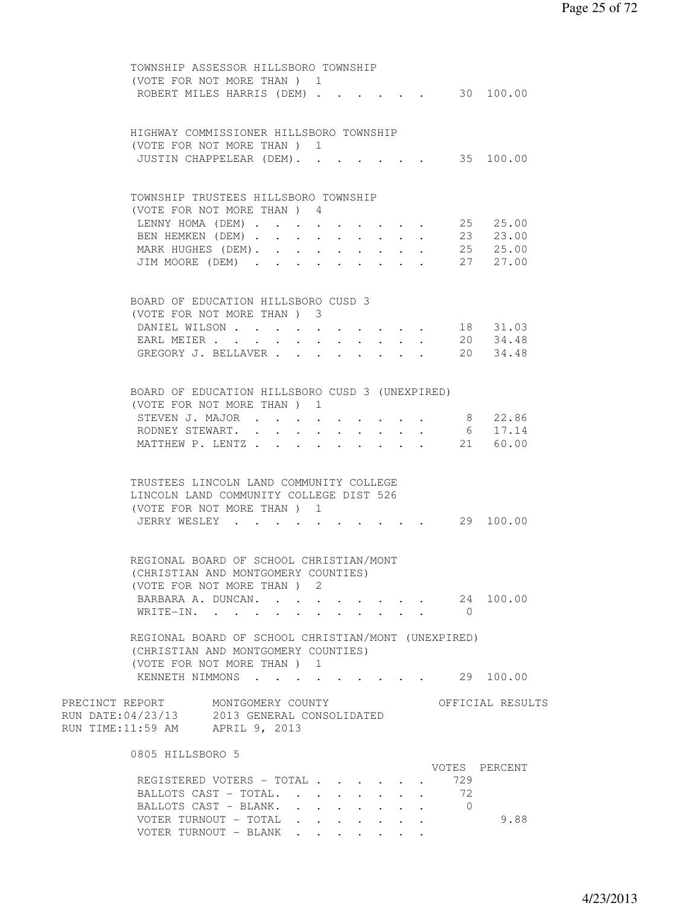| TOWNSHIP ASSESSOR HILLSBORO TOWNSHIP                |                                                                                    |
|-----------------------------------------------------|------------------------------------------------------------------------------------|
| (VOTE FOR NOT MORE THAN) 1                          |                                                                                    |
|                                                     | ROBERT MILES HARRIS (DEM) 30 100.00                                                |
|                                                     |                                                                                    |
|                                                     |                                                                                    |
| HIGHWAY COMMISSIONER HILLSBORO TOWNSHIP             |                                                                                    |
| (VOTE FOR NOT MORE THAN) 1                          |                                                                                    |
| JUSTIN CHAPPELEAR (DEM).                            | 35 100.00                                                                          |
|                                                     |                                                                                    |
|                                                     |                                                                                    |
| TOWNSHIP TRUSTEES HILLSBORO TOWNSHIP                |                                                                                    |
|                                                     |                                                                                    |
| (VOTE FOR NOT MORE THAN) 4                          |                                                                                    |
|                                                     | LENNY HOMA (DEM) 25 25.00                                                          |
|                                                     | BEN HEMKEN (DEM) 23 23.00                                                          |
|                                                     | MARK HUGHES (DEM). 25 25.00                                                        |
|                                                     | JIM MOORE (DEM) 27 27.00                                                           |
|                                                     |                                                                                    |
|                                                     |                                                                                    |
| BOARD OF EDUCATION HILLSBORO CUSD 3                 |                                                                                    |
| (VOTE FOR NOT MORE THAN) 3                          |                                                                                    |
|                                                     | DANIEL WILSON 18 31.03                                                             |
|                                                     | EARL MEIER 20 34.48                                                                |
|                                                     |                                                                                    |
|                                                     | GREGORY J. BELLAVER 20 34.48                                                       |
|                                                     |                                                                                    |
|                                                     |                                                                                    |
| BOARD OF EDUCATION HILLSBORO CUSD 3 (UNEXPIRED)     |                                                                                    |
| (VOTE FOR NOT MORE THAN) 1                          |                                                                                    |
| STEVEN J. MAJOR                                     | 8 22.86                                                                            |
| RODNEY STEWART.<br>$\ddot{\phantom{0}}$             | 6 17.14<br>$\cdot$ $\cdot$ $\cdot$ $\cdot$ $\cdot$ $\cdot$<br>$\ddot{\phantom{0}}$ |
| MATTHEW P. LENTZ                                    | 21 60.00                                                                           |
|                                                     |                                                                                    |
|                                                     |                                                                                    |
| TRUSTEES LINCOLN LAND COMMUNITY COLLEGE             |                                                                                    |
| LINCOLN LAND COMMUNITY COLLEGE DIST 526             |                                                                                    |
| (VOTE FOR NOT MORE THAN) 1                          |                                                                                    |
|                                                     |                                                                                    |
| JERRY WESLEY                                        | $\cdot$ 29 100.00                                                                  |
|                                                     |                                                                                    |
|                                                     |                                                                                    |
| REGIONAL BOARD OF SCHOOL CHRISTIAN/MONT             |                                                                                    |
| (CHRISTIAN AND MONTGOMERY COUNTIES)                 |                                                                                    |
| (VOTE FOR NOT MORE THAN) 2                          |                                                                                    |
|                                                     | BARBARA A. DUNCAN. 24 100.00                                                       |
| WRITE-IN.                                           | $\overline{0}$                                                                     |
|                                                     |                                                                                    |
| REGIONAL BOARD OF SCHOOL CHRISTIAN/MONT (UNEXPIRED) |                                                                                    |
| (CHRISTIAN AND MONTGOMERY COUNTIES)                 |                                                                                    |
| (VOTE FOR NOT MORE THAN ) 1                         |                                                                                    |
|                                                     |                                                                                    |
|                                                     | KENNETH NIMMONS 29 100.00                                                          |
|                                                     |                                                                                    |
| PRECINCT REPORT MONTGOMERY COUNTY                   | OFFICIAL RESULTS                                                                   |
| RUN DATE: 04/23/13 2013 GENERAL CONSOLIDATED        |                                                                                    |
| RUN TIME:11:59 AM APRIL 9, 2013                     |                                                                                    |
|                                                     |                                                                                    |
| 0805 HILLSBORO 5                                    |                                                                                    |
|                                                     | VOTES PERCENT                                                                      |
| REGISTERED VOTERS - TOTAL                           | 729                                                                                |
| BALLOTS CAST - TOTAL.                               | 72                                                                                 |
| BALLOTS CAST - BLANK.                               |                                                                                    |
| VOTER TURNOUT - TOTAL                               | 9.88                                                                               |
| VOTER TURNOUT - BLANK                               |                                                                                    |
|                                                     |                                                                                    |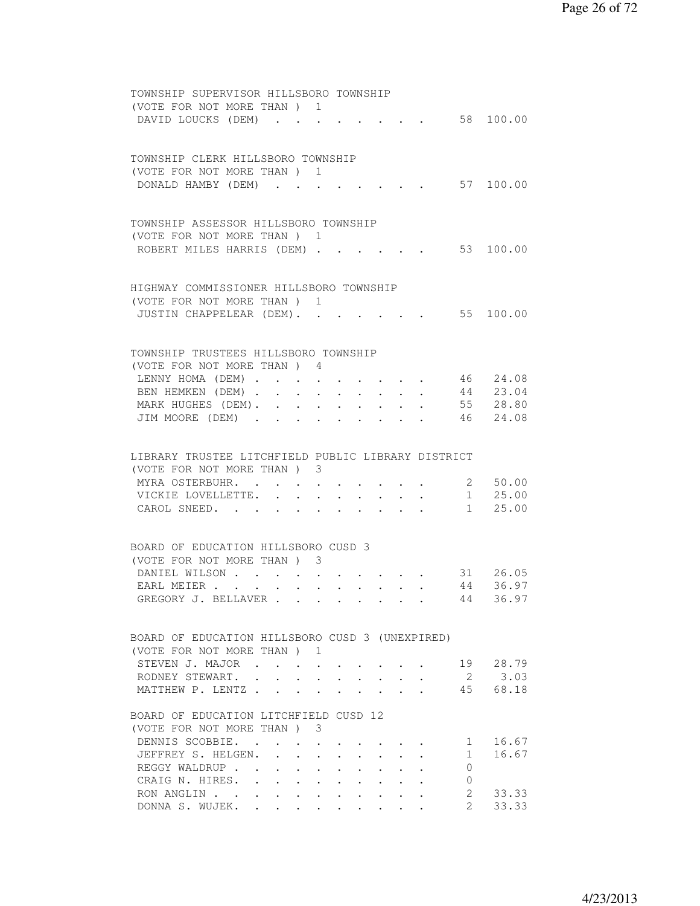| TOWNSHIP SUPERVISOR HILLSBORO TOWNSHIP<br>(VOTE FOR NOT MORE THAN) 1<br>DAVID LOUCKS (DEM) |                      |                                                                          |                         |                                                             |                                                             |        |                                                                          |                     | $\cdot$ 58 100.00         |
|--------------------------------------------------------------------------------------------|----------------------|--------------------------------------------------------------------------|-------------------------|-------------------------------------------------------------|-------------------------------------------------------------|--------|--------------------------------------------------------------------------|---------------------|---------------------------|
|                                                                                            |                      |                                                                          |                         |                                                             |                                                             |        |                                                                          |                     |                           |
| TOWNSHIP CLERK HILLSBORO TOWNSHIP                                                          |                      |                                                                          |                         |                                                             |                                                             |        |                                                                          |                     |                           |
| (VOTE FOR NOT MORE THAN) 1<br>DONALD HAMBY (DEM)                                           |                      |                                                                          |                         |                                                             |                                                             |        |                                                                          |                     | 57 100.00                 |
|                                                                                            |                      |                                                                          |                         |                                                             |                                                             |        |                                                                          |                     |                           |
| TOWNSHIP ASSESSOR HILLSBORO TOWNSHIP                                                       |                      |                                                                          |                         |                                                             |                                                             |        |                                                                          |                     |                           |
| (VOTE FOR NOT MORE THAN ) 1                                                                |                      |                                                                          |                         |                                                             |                                                             |        |                                                                          |                     |                           |
| ROBERT MILES HARRIS (DEM).                                                                 |                      |                                                                          |                         |                                                             |                                                             |        |                                                                          |                     | 53 100.00                 |
|                                                                                            |                      |                                                                          |                         |                                                             |                                                             |        |                                                                          |                     |                           |
| HIGHWAY COMMISSIONER HILLSBORO TOWNSHIP                                                    |                      |                                                                          |                         |                                                             |                                                             |        |                                                                          |                     |                           |
| (VOTE FOR NOT MORE THAN) 1                                                                 |                      |                                                                          |                         |                                                             |                                                             |        |                                                                          |                     |                           |
| JUSTIN CHAPPELEAR (DEM). 55 100.00                                                         |                      |                                                                          |                         |                                                             |                                                             |        |                                                                          |                     |                           |
|                                                                                            |                      |                                                                          |                         |                                                             |                                                             |        |                                                                          |                     |                           |
| TOWNSHIP TRUSTEES HILLSBORO TOWNSHIP                                                       |                      |                                                                          |                         |                                                             |                                                             |        |                                                                          |                     |                           |
| (VOTE FOR NOT MORE THAN) 4                                                                 |                      |                                                                          |                         |                                                             |                                                             |        |                                                                          |                     |                           |
| LENNY HOMA (DEM)                                                                           |                      | $\ddot{\phantom{0}}$                                                     |                         |                                                             |                                                             |        |                                                                          |                     | 46 24.08                  |
| BEN HEMKEN (DEM)<br>MARK HUGHES (DEM). 55 28.80                                            |                      | $\bullet$ .                                                              |                         |                                                             |                                                             | $\sim$ |                                                                          |                     | 44 23.04                  |
| JIM MOORE (DEM)                                                                            |                      |                                                                          |                         |                                                             |                                                             |        |                                                                          |                     | 46 24.08                  |
|                                                                                            |                      |                                                                          |                         |                                                             |                                                             |        |                                                                          |                     |                           |
|                                                                                            |                      |                                                                          |                         |                                                             |                                                             |        |                                                                          |                     |                           |
| LIBRARY TRUSTEE LITCHFIELD PUBLIC LIBRARY DISTRICT<br>(VOTE FOR NOT MORE THAN) 3           |                      |                                                                          |                         |                                                             |                                                             |        |                                                                          |                     |                           |
|                                                                                            |                      |                                                                          |                         |                                                             |                                                             |        |                                                                          |                     |                           |
|                                                                                            |                      |                                                                          |                         |                                                             |                                                             |        |                                                                          |                     |                           |
| MYRA OSTERBUHR. .                                                                          |                      |                                                                          |                         |                                                             |                                                             |        |                                                                          |                     | 2 50.00                   |
| VICKIE LOVELLETTE. .<br>CAROL SNEED.                                                       |                      |                                                                          |                         |                                                             | $\bullet$ .                                                 |        |                                                                          |                     | $1 \t 25.00$<br>$1$ 25.00 |
|                                                                                            |                      |                                                                          |                         |                                                             |                                                             |        |                                                                          |                     |                           |
| BOARD OF EDUCATION HILLSBORO CUSD 3                                                        |                      |                                                                          |                         |                                                             |                                                             |        |                                                                          |                     |                           |
| (VOTE FOR NOT MORE THAN) 3                                                                 |                      |                                                                          |                         |                                                             |                                                             |        |                                                                          |                     |                           |
| DANIEL WILSON                                                                              |                      |                                                                          |                         |                                                             |                                                             |        |                                                                          |                     | 31 26.05                  |
| EARL MEIER                                                                                 |                      |                                                                          |                         |                                                             |                                                             |        |                                                                          | 44                  | 36.97                     |
| GREGORY J. BELLAVER                                                                        |                      |                                                                          |                         |                                                             |                                                             |        |                                                                          |                     | 44 36.97                  |
|                                                                                            |                      |                                                                          |                         |                                                             |                                                             |        |                                                                          |                     |                           |
| BOARD OF EDUCATION HILLSBORO CUSD 3 (UNEXPIRED)                                            |                      |                                                                          |                         |                                                             |                                                             |        |                                                                          |                     |                           |
| (VOTE FOR NOT MORE THAN) 1                                                                 |                      |                                                                          |                         |                                                             |                                                             |        |                                                                          |                     |                           |
| STEVEN J. MAJOR                                                                            |                      |                                                                          |                         |                                                             |                                                             |        |                                                                          |                     | 19 28.79                  |
| RODNEY STEWART.                                                                            |                      |                                                                          |                         |                                                             |                                                             |        |                                                                          |                     | 2 3.03<br>45 68.18        |
| MATTHEW P. LENTZ                                                                           |                      |                                                                          |                         |                                                             |                                                             |        |                                                                          |                     |                           |
| BOARD OF EDUCATION LITCHFIELD CUSD 12                                                      |                      |                                                                          |                         |                                                             |                                                             |        |                                                                          |                     |                           |
| (VOTE FOR NOT MORE THAN) 3                                                                 |                      |                                                                          |                         |                                                             |                                                             |        |                                                                          |                     |                           |
| DENNIS SCOBBIE.<br>JEFFREY S. HELGEN.                                                      |                      | $\sim$                                                                   |                         |                                                             |                                                             |        |                                                                          | 1<br>$1 \quad$      | 16.67<br>16.67            |
| REGGY WALDRUP                                                                              | $\ddot{\phantom{0}}$ |                                                                          | $\cdot$ $\cdot$ $\cdot$ | $\ddot{\phantom{0}}$                                        | $\ddot{\phantom{0}}$                                        |        |                                                                          | 0                   |                           |
| CRAIG N. HIRES. .                                                                          |                      | $\mathbf{r} = \mathbf{r} + \mathbf{r}$ , where $\mathbf{r} = \mathbf{r}$ |                         | $\sim 10^{-10}$                                             | $\bullet$ .<br><br><br><br><br><br><br><br><br><br><br><br> |        | $\bullet$ . The set of $\bullet$                                         | 0                   |                           |
| RON ANGLIN<br>DONNA S. WUJEK. .                                                            |                      |                                                                          |                         | $\bullet$ .<br><br><br><br><br><br><br><br><br><br><br><br> |                                                             |        | $\mathbf{r} = \mathbf{r} + \mathbf{r}$ , where $\mathbf{r} = \mathbf{r}$ | 2<br>$\overline{2}$ | 33.33<br>33.33            |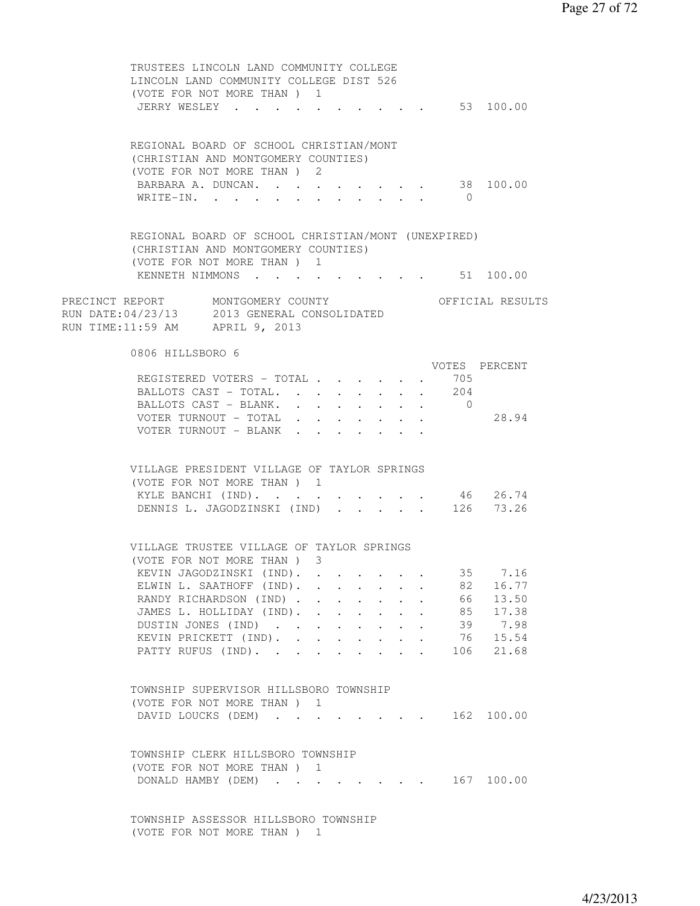TRUSTEES LINCOLN LAND COMMUNITY COLLEGE LINCOLN LAND COMMUNITY COLLEGE DIST 526 (VOTE FOR NOT MORE THAN ) 1 JERRY WESLEY . . . . . . . . . . . 53 100.00 REGIONAL BOARD OF SCHOOL CHRISTIAN/MONT (CHRISTIAN AND MONTGOMERY COUNTIES) (VOTE FOR NOT MORE THAN ) 2 BARBARA A. DUNCAN. . . . . . . . . 38 100.00 WRITE-IN. . . . . . . . . . . . 0 REGIONAL BOARD OF SCHOOL CHRISTIAN/MONT (UNEXPIRED) (CHRISTIAN AND MONTGOMERY COUNTIES) (VOTE FOR NOT MORE THAN ) 1 KENNETH NIMMONS . . . . . . . . . 51 100.00 PRECINCT REPORT MONTGOMERY COUNTY THE OFFICIAL RESULTS RUN DATE:04/23/13 2013 GENERAL CONSOLIDATED RUN TIME:11:59 AM APRIL 9, 2013 0806 HILLSBORO 6 VOTES PERCENT REGISTERED VOTERS - TOTAL . . . . . . 705 BALLOTS CAST - TOTAL. . . . . . . . 204 BALLOTS CAST - BLANK. . . . . . . . 0 VOTER TURNOUT - TOTAL . . . . . . . 28.94 VOTER TURNOUT - BLANK . . . . . . . VILLAGE PRESIDENT VILLAGE OF TAYLOR SPRINGS (VOTE FOR NOT MORE THAN ) 1 KYLE BANCHI (IND). . . . . . . . . 46 26.74 DENNIS L. JAGODZINSKI (IND) . . . . . 126 73.26 VILLAGE TRUSTEE VILLAGE OF TAYLOR SPRINGS (VOTE FOR NOT MORE THAN ) 3 KEVIN JAGODZINSKI (IND). . . . . . . 35 7.16 ELWIN L. SAATHOFF (IND). . . . . . . 82 16.77 RANDY RICHARDSON (IND) . . . . . . . 66 13.50 JAMES L. HOLLIDAY (IND). . . . . . . 85 17.38 DUSTIN JONES (IND) . . . . . . . . 39 7.98 KEVIN PRICKETT (IND). . . . . . . 76 15.54 PATTY RUFUS (IND). . . . . . . . . 106 21.68 TOWNSHIP SUPERVISOR HILLSBORO TOWNSHIP (VOTE FOR NOT MORE THAN ) 1 DAVID LOUCKS (DEM) . . . . . . . . 162 100.00 TOWNSHIP CLERK HILLSBORO TOWNSHIP (VOTE FOR NOT MORE THAN ) 1 DONALD HAMBY (DEM) . . . . . . . . 167 100.00 TOWNSHIP ASSESSOR HILLSBORO TOWNSHIP

(VOTE FOR NOT MORE THAN ) 1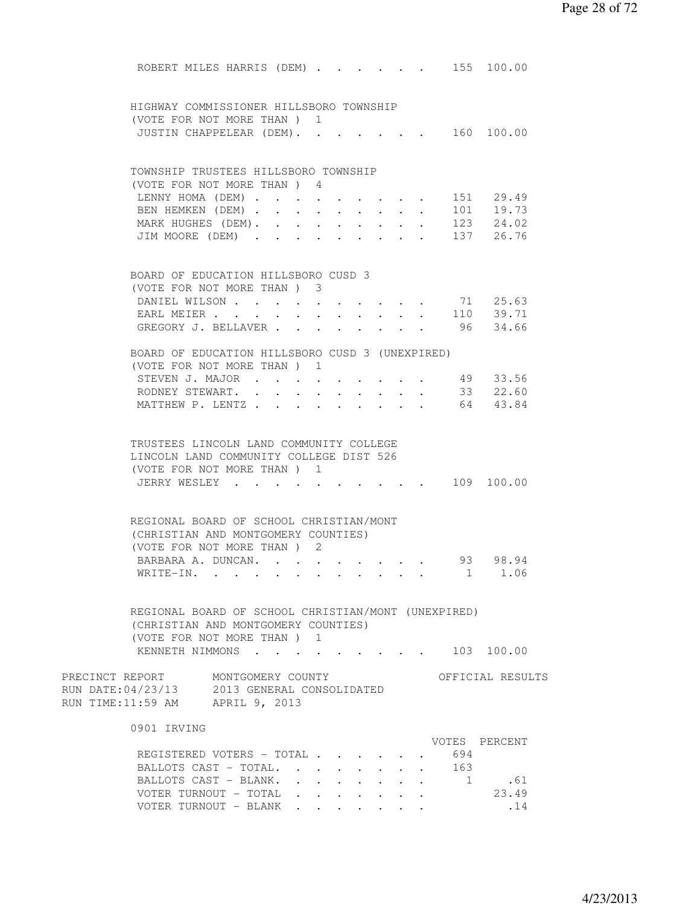| ROBERT MILES HARRIS (DEM) 155 100.00                                              |                                                             |                        |                                                                                            |        |                                                                     |                      |                       |                                                           |
|-----------------------------------------------------------------------------------|-------------------------------------------------------------|------------------------|--------------------------------------------------------------------------------------------|--------|---------------------------------------------------------------------|----------------------|-----------------------|-----------------------------------------------------------|
|                                                                                   |                                                             |                        |                                                                                            |        |                                                                     |                      |                       |                                                           |
| HIGHWAY COMMISSIONER HILLSBORO TOWNSHIP                                           |                                                             |                        |                                                                                            |        |                                                                     |                      |                       |                                                           |
| (VOTE FOR NOT MORE THAN) 1                                                        |                                                             |                        |                                                                                            |        |                                                                     |                      |                       |                                                           |
| JUSTIN CHAPPELEAR (DEM). 160 100.00                                               |                                                             |                        |                                                                                            |        |                                                                     |                      |                       |                                                           |
|                                                                                   |                                                             |                        |                                                                                            |        |                                                                     |                      |                       |                                                           |
| TOWNSHIP TRUSTEES HILLSBORO TOWNSHIP<br>(VOTE FOR NOT MORE THAN) 4                |                                                             |                        |                                                                                            |        |                                                                     |                      |                       |                                                           |
| LENNY HOMA (DEM) 151 29.49                                                        |                                                             |                        |                                                                                            |        |                                                                     |                      |                       |                                                           |
| BEN HEMKEN (DEM)                                                                  |                                                             |                        |                                                                                            |        |                                                                     |                      |                       | 101 19.73                                                 |
| MARK HUGHES (DEM).                                                                |                                                             |                        |                                                                                            |        |                                                                     |                      |                       | $\cdot$ $\cdot$ $\cdot$ $\cdot$ $\cdot$ $\cdot$ 123 24.02 |
| JIM MOORE (DEM) 137 26.76                                                         |                                                             |                        |                                                                                            |        |                                                                     |                      |                       |                                                           |
|                                                                                   |                                                             |                        |                                                                                            |        |                                                                     |                      |                       |                                                           |
| BOARD OF EDUCATION HILLSBORO CUSD 3                                               |                                                             |                        |                                                                                            |        |                                                                     |                      |                       |                                                           |
| (VOTE FOR NOT MORE THAN) 3<br>DANIEL WILSON                                       |                                                             |                        |                                                                                            |        |                                                                     |                      |                       | 71 25.63                                                  |
| EARL MEIER                                                                        |                                                             | $\sim$<br>$\mathbf{L}$ | $\bullet$ .<br><br><br><br><br><br><br><br>$\sim$                                          |        | $\mathbf{r}$ , and $\mathbf{r}$ , and $\mathbf{r}$                  |                      |                       | $\cdot \cdot \cdot \cdot$ 110 39.71                       |
| GREGORY J. BELLAVER                                                               |                                                             |                        | $\sim$                                                                                     | $\sim$ |                                                                     |                      |                       | $\cdot$ 96 34.66                                          |
|                                                                                   |                                                             |                        |                                                                                            |        |                                                                     |                      |                       |                                                           |
| BOARD OF EDUCATION HILLSBORO CUSD 3 (UNEXPIRED)                                   |                                                             |                        |                                                                                            |        |                                                                     |                      |                       |                                                           |
| (VOTE FOR NOT MORE THAN) 1                                                        |                                                             |                        |                                                                                            |        |                                                                     |                      |                       |                                                           |
| STEVEN J. MAJOR                                                                   |                                                             |                        |                                                                                            |        |                                                                     |                      |                       | 49 33.56                                                  |
| RODNEY STEWART. .<br>MATTHEW P. LENTZ                                             | $\bullet$ .<br><br><br><br><br><br><br><br><br><br><br><br> |                        |                                                                                            |        | $\bullet$ .<br><br><br><br><br><br><br><br><br><br><br><br><br><br> |                      |                       | 33 22.60<br>64 43.84                                      |
|                                                                                   |                                                             |                        |                                                                                            |        |                                                                     |                      |                       |                                                           |
|                                                                                   |                                                             |                        |                                                                                            |        |                                                                     |                      |                       |                                                           |
| TRUSTEES LINCOLN LAND COMMUNITY COLLEGE                                           |                                                             |                        |                                                                                            |        |                                                                     |                      |                       |                                                           |
| LINCOLN LAND COMMUNITY COLLEGE DIST 526                                           |                                                             |                        |                                                                                            |        |                                                                     |                      |                       |                                                           |
| (VOTE FOR NOT MORE THAN) 1<br>JERRY WESLEY 109 100.00                             |                                                             |                        |                                                                                            |        |                                                                     |                      |                       |                                                           |
|                                                                                   |                                                             |                        |                                                                                            |        |                                                                     |                      |                       |                                                           |
|                                                                                   |                                                             |                        |                                                                                            |        |                                                                     |                      |                       |                                                           |
| REGIONAL BOARD OF SCHOOL CHRISTIAN/MONT<br>(CHRISTIAN AND MONTGOMERY COUNTIES)    |                                                             |                        |                                                                                            |        |                                                                     |                      |                       |                                                           |
| (VOTE FOR NOT MORE THAN) 2                                                        |                                                             |                        |                                                                                            |        |                                                                     |                      |                       |                                                           |
| BARBARA A. DUNCAN. 93 98.94                                                       |                                                             |                        |                                                                                            |        |                                                                     |                      |                       |                                                           |
| WRITE-IN.                                                                         |                                                             |                        |                                                                                            |        |                                                                     |                      |                       | . 1 1.06                                                  |
|                                                                                   |                                                             |                        |                                                                                            |        |                                                                     |                      |                       |                                                           |
| REGIONAL BOARD OF SCHOOL CHRISTIAN/MONT (UNEXPIRED)                               |                                                             |                        |                                                                                            |        |                                                                     |                      |                       |                                                           |
| (CHRISTIAN AND MONTGOMERY COUNTIES)                                               |                                                             |                        |                                                                                            |        |                                                                     |                      |                       |                                                           |
| (VOTE FOR NOT MORE THAN ) 1                                                       |                                                             |                        |                                                                                            |        |                                                                     |                      |                       |                                                           |
| KENNETH NIMMONS                                                                   |                                                             |                        |                                                                                            |        |                                                                     |                      |                       | $\cdot$ $\cdot$ $\cdot$ 103 100.00                        |
|                                                                                   |                                                             |                        |                                                                                            |        |                                                                     |                      |                       |                                                           |
| PRECINCT REPORT MONTGOMERY COUNTY<br>RUN DATE: 04/23/13 2013 GENERAL CONSOLIDATED |                                                             |                        |                                                                                            |        |                                                                     |                      |                       | OFFICIAL RESULTS                                          |
| RUN TIME:11:59 AM APRIL 9, 2013                                                   |                                                             |                        |                                                                                            |        |                                                                     |                      |                       |                                                           |
|                                                                                   |                                                             |                        |                                                                                            |        |                                                                     |                      |                       |                                                           |
| 0901 IRVING                                                                       |                                                             |                        |                                                                                            |        |                                                                     |                      |                       |                                                           |
|                                                                                   |                                                             |                        |                                                                                            |        |                                                                     |                      |                       | VOTES PERCENT                                             |
| REGISTERED VOTERS - TOTAL .                                                       |                                                             |                        |                                                                                            |        |                                                                     |                      | 694                   |                                                           |
| BALLOTS CAST - TOTAL.<br>BALLOTS CAST - BLANK.                                    |                                                             |                        | $\cdot$ $\cdot$ $\cdot$ $\cdot$ $\cdot$ $\cdot$ $\cdot$ $\cdot$                            | $\sim$ |                                                                     | $\ddot{\phantom{0}}$ | 163<br>$\overline{1}$ |                                                           |
| VOTER TURNOUT - TOTAL                                                             |                                                             |                        | $\mathbf{r} = \mathbf{r} - \mathbf{r} = \mathbf{r} - \mathbf{r} = \mathbf{r} - \mathbf{r}$ |        |                                                                     |                      |                       | .61<br>23.49                                              |
| VOTER TURNOUT - BLANK                                                             |                                                             |                        |                                                                                            |        |                                                                     |                      |                       | .14                                                       |
|                                                                                   |                                                             |                        |                                                                                            |        |                                                                     |                      |                       |                                                           |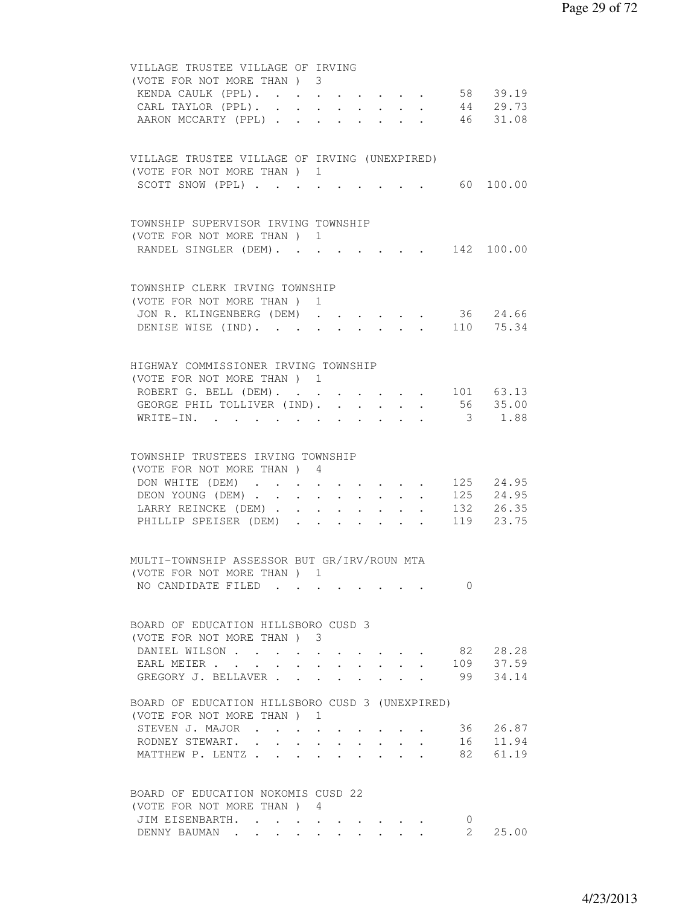| VILLAGE TRUSTEE VILLAGE OF IRVING<br>(VOTE FOR NOT MORE THAN) 3                                                             |
|-----------------------------------------------------------------------------------------------------------------------------|
| 58 39.19<br>KENDA CAULK (PPL).                                                                                              |
| 44 29.73<br>46 31.08<br>CARL TAYLOR (PPL).<br>$\mathbf{r}$ , and $\mathbf{r}$ , and $\mathbf{r}$                            |
| AARON MCCARTY (PPL)<br>$\mathbf{z} = \mathbf{z} + \mathbf{z}$<br>$\mathbf{L}$                                               |
|                                                                                                                             |
| VILLAGE TRUSTEE VILLAGE OF IRVING (UNEXPIRED)                                                                               |
| (VOTE FOR NOT MORE THAN) 1                                                                                                  |
| 60 100.00<br>SCOTT SNOW (PPL)                                                                                               |
|                                                                                                                             |
| TOWNSHIP SUPERVISOR IRVING TOWNSHIP                                                                                         |
| (VOTE FOR NOT MORE THAN) 1                                                                                                  |
| RANDEL SINGLER (DEM). 142 100.00                                                                                            |
|                                                                                                                             |
| TOWNSHIP CLERK IRVING TOWNSHIP                                                                                              |
| (VOTE FOR NOT MORE THAN )<br>1                                                                                              |
| 36 24.66<br>JON R. KLINGENBERG (DEM)                                                                                        |
| DENISE WISE (IND). 110 75.34                                                                                                |
|                                                                                                                             |
| HIGHWAY COMMISSIONER IRVING TOWNSHIP                                                                                        |
| (VOTE FOR NOT MORE THAN) 1                                                                                                  |
| ROBERT G. BELL (DEM). 101 63.13<br>GEORGE PHIL TOLLIVER (IND). 56 35.00                                                     |
| 3 1.88<br>WRITE-IN.                                                                                                         |
|                                                                                                                             |
|                                                                                                                             |
| TOWNSHIP TRUSTEES IRVING TOWNSHIP<br>(VOTE FOR NOT MORE THAN ) 4                                                            |
| DON WHITE (DEM) 125 24.95                                                                                                   |
| 125 24.95<br>DEON YOUNG (DEM)<br>$\mathbf{r} = \mathbf{r} - \mathbf{r} = \mathbf{r} - \mathbf{r} = \mathbf{r} - \mathbf{r}$ |
| LARRY REINCKE (DEM) 132 26.35                                                                                               |
| PHILLIP SPEISER (DEM)<br>119 23.75                                                                                          |
|                                                                                                                             |
| MULTI-TOWNSHIP ASSESSOR BUT GR/IRV/ROUN MTA                                                                                 |
| (VOTE FOR NOT MORE THAN ) 1                                                                                                 |
| NO CANDIDATE FILED<br>$\Omega$                                                                                              |
|                                                                                                                             |
| BOARD OF EDUCATION HILLSBORO CUSD 3                                                                                         |
| (VOTE FOR NOT MORE THAN) 3                                                                                                  |
| 82 28.28<br>DANIEL WILSON                                                                                                   |
| 37.59<br>109<br>EARL MEIER                                                                                                  |
| 34.14<br>GREGORY J. BELLAVER<br>99                                                                                          |
| BOARD OF EDUCATION HILLSBORO CUSD 3 (UNEXPIRED)                                                                             |
| (VOTE FOR NOT MORE THAN) 1                                                                                                  |
| 36 26.87<br>STEVEN J. MAJOR                                                                                                 |
| 16<br>11.94<br>RODNEY STEWART.<br>$\cdot$ $\cdot$ $\cdot$ $\cdot$ $\cdot$ $\cdot$ $\cdot$<br>$\ddot{\phantom{0}}$           |
| MATTHEW P. LENTZ<br>82<br>61.19<br>$\ddot{\phantom{0}}$<br>$\ddot{\phantom{0}}$                                             |
|                                                                                                                             |
| BOARD OF EDUCATION NOKOMIS CUSD 22                                                                                          |
| (VOTE FOR NOT MORE THAN) 4                                                                                                  |
| JIM EISENBARTH.<br>0                                                                                                        |
| $2^{\circ}$<br>25.00<br>DENNY BAUMAN                                                                                        |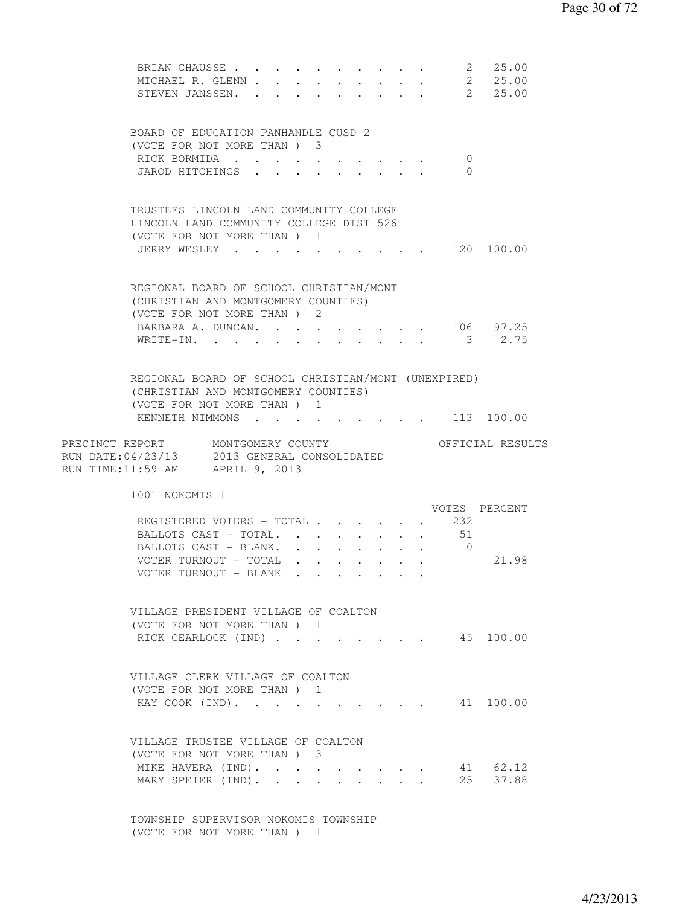| BRIAN CHAUSSE 2 25.00<br>MICHAEL R. GLENN 2 25.00<br>STEVEN JANSSEN. 2 25.00                                                                                     |  |                                         |  |                                                                               |  |                            |                            |
|------------------------------------------------------------------------------------------------------------------------------------------------------------------|--|-----------------------------------------|--|-------------------------------------------------------------------------------|--|----------------------------|----------------------------|
| BOARD OF EDUCATION PANHANDLE CUSD 2<br>(VOTE FOR NOT MORE THAN) 3<br>RICK BORMIDA<br>JAROD HITCHINGS                                                             |  | $\mathbf{r}$                            |  | $\mathbf{r} = \mathbf{r} + \mathbf{r} + \mathbf{r} + \mathbf{r} + \mathbf{r}$ |  | $\overline{0}$<br>$\Omega$ |                            |
| TRUSTEES LINCOLN LAND COMMUNITY COLLEGE<br>LINCOLN LAND COMMUNITY COLLEGE DIST 526<br>(VOTE FOR NOT MORE THAN ) 1<br>JERRY WESLEY                                |  | $\cdot$ $\cdot$ $\cdot$ $\cdot$ $\cdot$ |  |                                                                               |  |                            | $\cdot$ $\cdot$ 120 100.00 |
| REGIONAL BOARD OF SCHOOL CHRISTIAN/MONT<br>(CHRISTIAN AND MONTGOMERY COUNTIES)<br>(VOTE FOR NOT MORE THAN) 2<br>BARBARA A. DUNCAN. 106 97.25<br>WRITE-IN. 3 2.75 |  |                                         |  |                                                                               |  |                            |                            |
| REGIONAL BOARD OF SCHOOL CHRISTIAN/MONT (UNEXPIRED)<br>(CHRISTIAN AND MONTGOMERY COUNTIES)<br>(VOTE FOR NOT MORE THAN) 1<br>KENNETH NIMMONS 113 100.00           |  |                                         |  |                                                                               |  |                            |                            |
|                                                                                                                                                                  |  |                                         |  |                                                                               |  |                            |                            |
| PRECINCT REPORT MONTGOMERY COUNTY<br>RUN DATE: 04/23/13 2013 GENERAL CONSOLIDATED<br>RUN TIME:11:59 AM APRIL 9, 2013                                             |  |                                         |  |                                                                               |  |                            | OFFICIAL RESULTS           |
| 1001 NOKOMIS 1<br>REGISTERED VOTERS - TOTAL 232<br>BALLOTS CAST - TOTAL. 51<br>BALLOTS CAST - BLANK. 0<br>VOTER TURNOUT - TOTAL<br>VOTER TURNOUT - BLANK         |  |                                         |  |                                                                               |  |                            | VOTES PERCENT<br>21.98     |
| VILLAGE PRESIDENT VILLAGE OF COALTON<br>(VOTE FOR NOT MORE THAN) 1<br>RICK CEARLOCK (IND)                                                                        |  |                                         |  |                                                                               |  |                            | . 45 100.00                |
| VILLAGE CLERK VILLAGE OF COALTON<br>(VOTE FOR NOT MORE THAN) 1<br>KAY COOK (IND).                                                                                |  |                                         |  | $\mathbf{r} = \mathbf{r} + \mathbf{r} + \mathbf{r} + \mathbf{r}$              |  |                            | 41 100.00                  |

 TOWNSHIP SUPERVISOR NOKOMIS TOWNSHIP (VOTE FOR NOT MORE THAN ) 1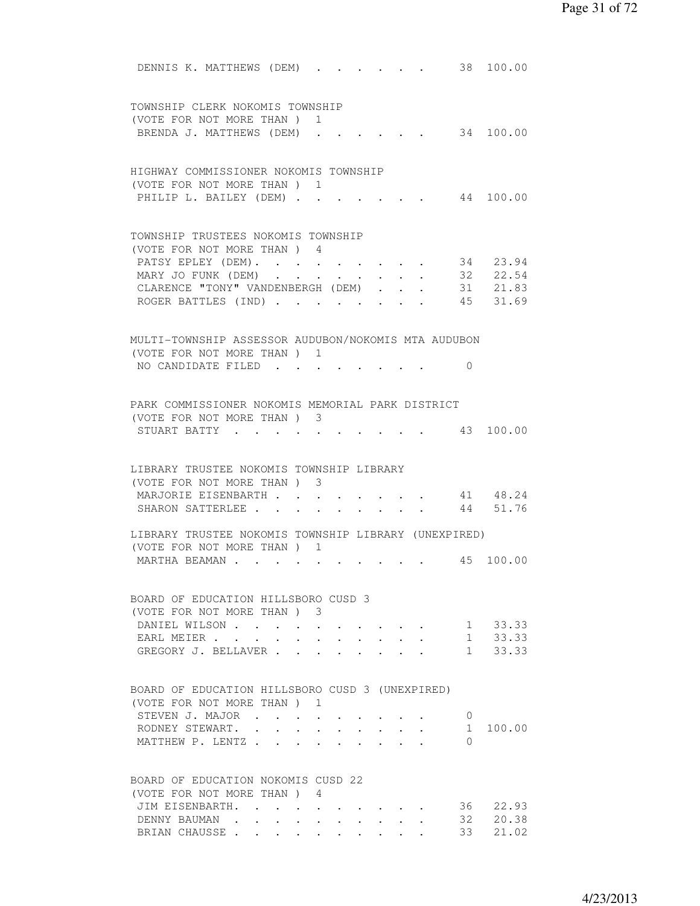| DENNIS K. MATTHEWS (DEM)<br>38 100.00                                                                                 |  |
|-----------------------------------------------------------------------------------------------------------------------|--|
| TOWNSHIP CLERK NOKOMIS TOWNSHIP                                                                                       |  |
| (VOTE FOR NOT MORE THAN)<br>1                                                                                         |  |
| 34 100.00<br>BRENDA J. MATTHEWS (DEM)                                                                                 |  |
|                                                                                                                       |  |
| HIGHWAY COMMISSIONER NOKOMIS TOWNSHIP                                                                                 |  |
| (VOTE FOR NOT MORE THAN) 1                                                                                            |  |
| PHILIP L. BAILEY (DEM)<br>44 100.00                                                                                   |  |
|                                                                                                                       |  |
| TOWNSHIP TRUSTEES NOKOMIS TOWNSHIP                                                                                    |  |
| (VOTE FOR NOT MORE THAN) 4                                                                                            |  |
| 34 23.94<br>PATSY EPLEY (DEM).                                                                                        |  |
| 32 22.54<br>31 21.83<br>45 31.69<br>MARY JO FUNK (DEM)<br>$\mathcal{A}^{\text{max}}$ , and $\mathcal{A}^{\text{max}}$ |  |
| CLARENCE "TONY" VANDENBERGH (DEM)                                                                                     |  |
| ROGER BATTLES (IND).<br>$\sim$ $\sim$                                                                                 |  |
|                                                                                                                       |  |
| MULTI-TOWNSHIP ASSESSOR AUDUBON/NOKOMIS MTA AUDUBON<br>(VOTE FOR NOT MORE THAN)                                       |  |
| 1                                                                                                                     |  |
| NO CANDIDATE FILED<br>$\Omega$                                                                                        |  |
| PARK COMMISSIONER NOKOMIS MEMORIAL PARK DISTRICT                                                                      |  |
| (VOTE FOR NOT MORE THAN) 3                                                                                            |  |
| 43 100.00<br>STUART BATTY                                                                                             |  |
|                                                                                                                       |  |
| LIBRARY TRUSTEE NOKOMIS TOWNSHIP LIBRARY                                                                              |  |
| (VOTE FOR NOT MORE THAN) 3                                                                                            |  |
| 41 48.24<br>MARJORIE EISENBARTH                                                                                       |  |
| 51.76<br>SHARON SATTERLEE<br>44                                                                                       |  |
| LIBRARY TRUSTEE NOKOMIS TOWNSHIP LIBRARY (UNEXPIRED)                                                                  |  |
| (VOTE FOR NOT MORE THAN) 1                                                                                            |  |
| 45 100.00<br>MARTHA BEAMAN                                                                                            |  |
| BOARD OF EDUCATION HILLSBORO CUSD 3                                                                                   |  |
| (VOTE FOR NOT MORE THAN) 3                                                                                            |  |
| 1 33.33<br>DANIEL WILSON                                                                                              |  |
| 1<br>33.33<br>EARL MEIER<br>$\ddot{\phantom{a}}$                                                                      |  |
| 1<br>33.33<br>GREGORY J. BELLAVER.                                                                                    |  |
|                                                                                                                       |  |
| BOARD OF EDUCATION HILLSBORO CUSD 3 (UNEXPIRED)                                                                       |  |
| (VOTE FOR NOT MORE THAN)<br>-1                                                                                        |  |
| STEVEN J. MAJOR<br>0                                                                                                  |  |
| RODNEY STEWART. .<br>100.00<br>$\mathbf{1}$<br>$\ddot{\phantom{0}}$                                                   |  |
| MATTHEW P. LENTZ.<br>$\Omega$                                                                                         |  |
|                                                                                                                       |  |
| BOARD OF EDUCATION NOKOMIS CUSD 22                                                                                    |  |
| (VOTE FOR NOT MORE THAN) 4<br>22.93                                                                                   |  |
| JIM EISENBARTH.<br>36 —<br>20.38                                                                                      |  |
| DENNY BAUMAN<br>32<br>33 21.02                                                                                        |  |
| BRIAN CHAUSSE                                                                                                         |  |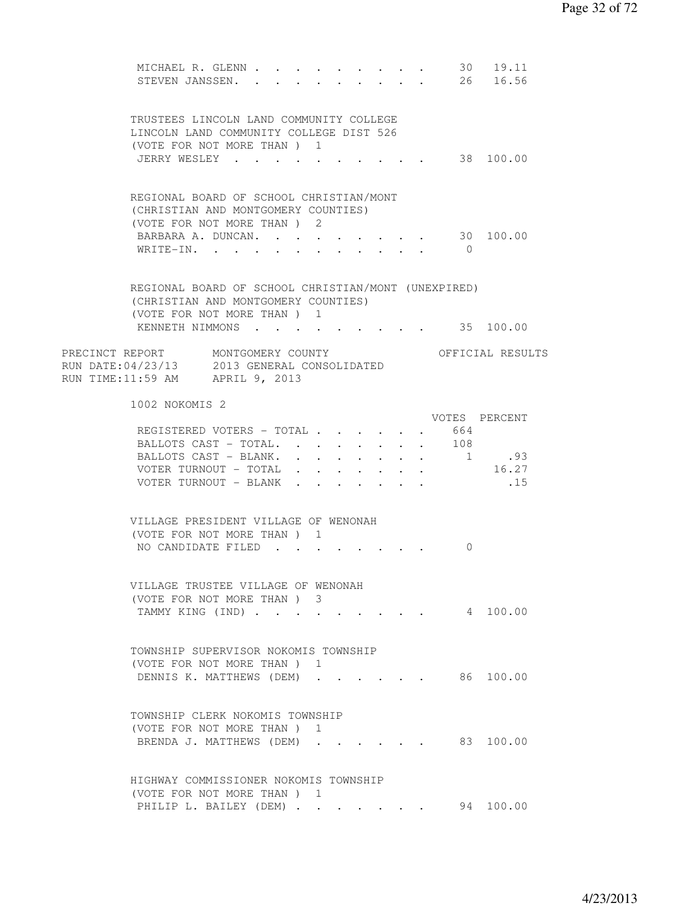| MICHAEL R. GLENN<br>STEVEN JANSSEN.                                                                                                                       |  |  | $\bullet$ . In the case of the $\bullet$ |  | $\mathbf{A}$ , and $\mathbf{A}$ , and $\mathbf{A}$<br>$\cdot$ $\cdot$ $\cdot$ $\cdot$ | 30             | 19.11<br>26 16.56                                 |  |
|-----------------------------------------------------------------------------------------------------------------------------------------------------------|--|--|------------------------------------------|--|---------------------------------------------------------------------------------------|----------------|---------------------------------------------------|--|
| TRUSTEES LINCOLN LAND COMMUNITY COLLEGE<br>LINCOLN LAND COMMUNITY COLLEGE DIST 526<br>(VOTE FOR NOT MORE THAN ) 1<br>JERRY WESLEY                         |  |  |                                          |  |                                                                                       |                | 38 100.00                                         |  |
|                                                                                                                                                           |  |  |                                          |  |                                                                                       |                |                                                   |  |
| REGIONAL BOARD OF SCHOOL CHRISTIAN/MONT<br>(CHRISTIAN AND MONTGOMERY COUNTIES)<br>(VOTE FOR NOT MORE THAN) 2<br>BARBARA A. DUNCAN. 30 100.00<br>WRITE-IN. |  |  |                                          |  |                                                                                       | $\overline{0}$ |                                                   |  |
|                                                                                                                                                           |  |  |                                          |  |                                                                                       |                |                                                   |  |
| REGIONAL BOARD OF SCHOOL CHRISTIAN/MONT (UNEXPIRED)<br>(CHRISTIAN AND MONTGOMERY COUNTIES)<br>(VOTE FOR NOT MORE THAN) 1                                  |  |  |                                          |  |                                                                                       |                |                                                   |  |
| KENNETH NIMMONS 35 100.00                                                                                                                                 |  |  |                                          |  |                                                                                       |                |                                                   |  |
| PRECINCT REPORT MONTGOMERY COUNTY<br>RUN DATE: 04/23/13 2013 GENERAL CONSOLIDATED<br>RUN TIME:11:59 AM APRIL 9, 2013                                      |  |  |                                          |  |                                                                                       |                | OFFICIAL RESULTS                                  |  |
| 1002 NOKOMIS 2                                                                                                                                            |  |  |                                          |  |                                                                                       |                |                                                   |  |
| REGISTERED VOTERS - TOTAL<br>BALLOTS CAST - TOTAL 108                                                                                                     |  |  |                                          |  |                                                                                       | 664            | VOTES PERCENT                                     |  |
| BALLOTS CAST - BLANK. 1 .93                                                                                                                               |  |  |                                          |  |                                                                                       |                |                                                   |  |
| VOTER TURNOUT - TOTAL<br>VOTER TURNOUT - BLANK                                                                                                            |  |  |                                          |  |                                                                                       |                | 16.27<br>.15                                      |  |
| VILLAGE PRESIDENT VILLAGE OF WENONAH<br>(VOTE FOR NOT MORE THAN) 1                                                                                        |  |  |                                          |  |                                                                                       |                |                                                   |  |
| NO CANDIDATE FILED                                                                                                                                        |  |  |                                          |  |                                                                                       | $\Omega$       |                                                   |  |
| VILLAGE TRUSTEE VILLAGE OF WENONAH                                                                                                                        |  |  |                                          |  |                                                                                       |                |                                                   |  |
| (VOTE FOR NOT MORE THAN) 3<br>TAMMY KING (IND) 4 100.00                                                                                                   |  |  |                                          |  |                                                                                       |                |                                                   |  |
| TOWNSHIP SUPERVISOR NOKOMIS TOWNSHIP<br>(VOTE FOR NOT MORE THAN) 1                                                                                        |  |  |                                          |  |                                                                                       |                |                                                   |  |
| DENNIS K. MATTHEWS (DEM) 86 100.00                                                                                                                        |  |  |                                          |  |                                                                                       |                |                                                   |  |
| TOWNSHIP CLERK NOKOMIS TOWNSHIP<br>(VOTE FOR NOT MORE THAN) 1                                                                                             |  |  |                                          |  |                                                                                       |                |                                                   |  |
| BRENDA J. MATTHEWS (DEM)                                                                                                                                  |  |  |                                          |  |                                                                                       |                | 83 100.00                                         |  |
| HIGHWAY COMMISSIONER NOKOMIS TOWNSHIP<br>(VOTE FOR NOT MORE THAN) 1                                                                                       |  |  |                                          |  |                                                                                       |                |                                                   |  |
| PHILIP L. BAILEY (DEM)                                                                                                                                    |  |  |                                          |  |                                                                                       |                | $\cdot$ $\cdot$ $\cdot$ $\cdot$ $\cdot$ 94 100.00 |  |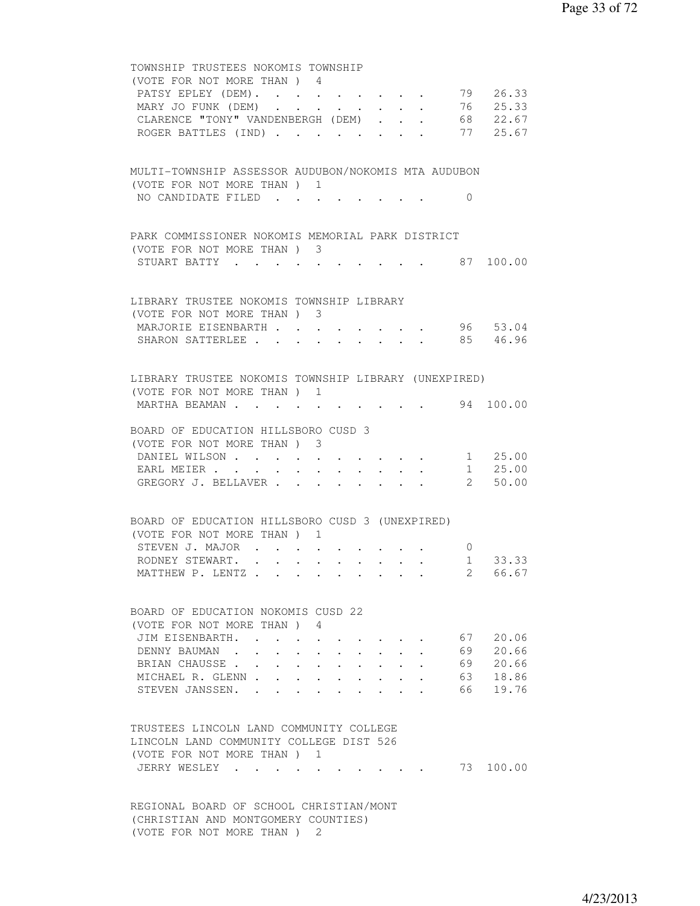| TOWNSHIP TRUSTEES NOKOMIS TOWNSHIP                                             |                                             |                |              |
|--------------------------------------------------------------------------------|---------------------------------------------|----------------|--------------|
| (VOTE FOR NOT MORE THAN) 4                                                     |                                             |                |              |
| PATSY EPLEY (DEM).                                                             |                                             |                | 79 26.33     |
| MARY JO FUNK (DEM) 76 25.33                                                    |                                             |                |              |
| CLARENCE "TONY" VANDENBERGH (DEM) 68 22.67                                     |                                             |                |              |
| ROGER BATTLES (IND) 77 25.67                                                   |                                             |                |              |
| MULTI-TOWNSHIP ASSESSOR AUDUBON/NOKOMIS MTA AUDUBON                            |                                             |                |              |
| (VOTE FOR NOT MORE THAN) 1                                                     |                                             |                |              |
| NO CANDIDATE FILED                                                             |                                             | $\Omega$       |              |
| PARK COMMISSIONER NOKOMIS MEMORIAL PARK DISTRICT                               |                                             |                |              |
| (VOTE FOR NOT MORE THAN) 3                                                     |                                             |                |              |
| STUART BATTY 87 100.00                                                         |                                             |                |              |
|                                                                                |                                             |                |              |
| LIBRARY TRUSTEE NOKOMIS TOWNSHIP LIBRARY                                       |                                             |                |              |
| (VOTE FOR NOT MORE THAN) 3                                                     |                                             |                | 96 53.04     |
| MARJORIE EISENBARTH<br>SHARON SATTERLEE                                        |                                             |                | 85 46.96     |
|                                                                                |                                             |                |              |
| LIBRARY TRUSTEE NOKOMIS TOWNSHIP LIBRARY (UNEXPIRED)                           |                                             |                |              |
| (VOTE FOR NOT MORE THAN) 1                                                     |                                             |                |              |
| MARTHA BEAMAN                                                                  |                                             |                | 94 100.00    |
|                                                                                |                                             |                |              |
| BOARD OF EDUCATION HILLSBORO CUSD 3<br>(VOTE FOR NOT MORE THAN) 3              |                                             |                |              |
| DANIEL WILSON 1 25.00                                                          |                                             |                |              |
| EARL MEIER                                                                     |                                             |                | $1 \t 25.00$ |
| GREGORY J. BELLAVER 2 50.00                                                    |                                             |                |              |
|                                                                                |                                             |                |              |
| BOARD OF EDUCATION HILLSBORO CUSD 3 (UNEXPIRED)                                |                                             |                |              |
| (VOTE FOR NOT MORE THAN) 1                                                     |                                             |                |              |
| STEVEN J. MAJOR                                                                |                                             | $\overline{0}$ |              |
| RODNEY STEWART.                                                                |                                             |                | 1 33.33      |
| MATTHEW P. LENTZ 2 66.67                                                       |                                             |                |              |
|                                                                                |                                             |                |              |
| BOARD OF EDUCATION NOKOMIS CUSD 22                                             |                                             |                |              |
| (VOTE FOR NOT MORE THAN) 4                                                     |                                             |                |              |
| JIM EISENBARTH.<br>$\sim$ $\sim$ $\sim$                                        |                                             |                | 67 20.06     |
| DENNY BAUMAN.                                                                  |                                             |                | 69 20.66     |
| BRIAN CHAUSSE.<br>$\cdot$ $\cdot$ $\cdot$ $\cdot$ $\cdot$                      | $\ddot{\phantom{a}}$ . $\ddot{\phantom{a}}$ | 69             | 20.66        |
| MICHAEL R. GLENN.<br>$\mathbf{r}$ , $\mathbf{r}$ , $\mathbf{r}$ , $\mathbf{r}$ | $\cdot$ $\cdot$ $\cdot$ $\cdot$             | 63             | 18.86        |
| STEVEN JANSSEN.<br>$\sim$ $\sim$ $\sim$ $\sim$<br>$\cdot$                      |                                             | 66 —           | 19.76        |
| TRUSTEES LINCOLN LAND COMMUNITY COLLEGE                                        |                                             |                |              |
| LINCOLN LAND COMMUNITY COLLEGE DIST 526                                        |                                             |                |              |
|                                                                                |                                             |                |              |
| (VOTE FOR NOT MORE THAN ) 1<br>JERRY WESLEY.                                   |                                             |                | 73 100.00    |
|                                                                                |                                             |                |              |
|                                                                                |                                             |                |              |
| REGIONAL BOARD OF SCHOOL CHRISTIAN/MONT                                        |                                             |                |              |
| (CHRISTIAN AND MONTGOMERY COUNTIES)                                            |                                             |                |              |

(VOTE FOR NOT MORE THAN ) 2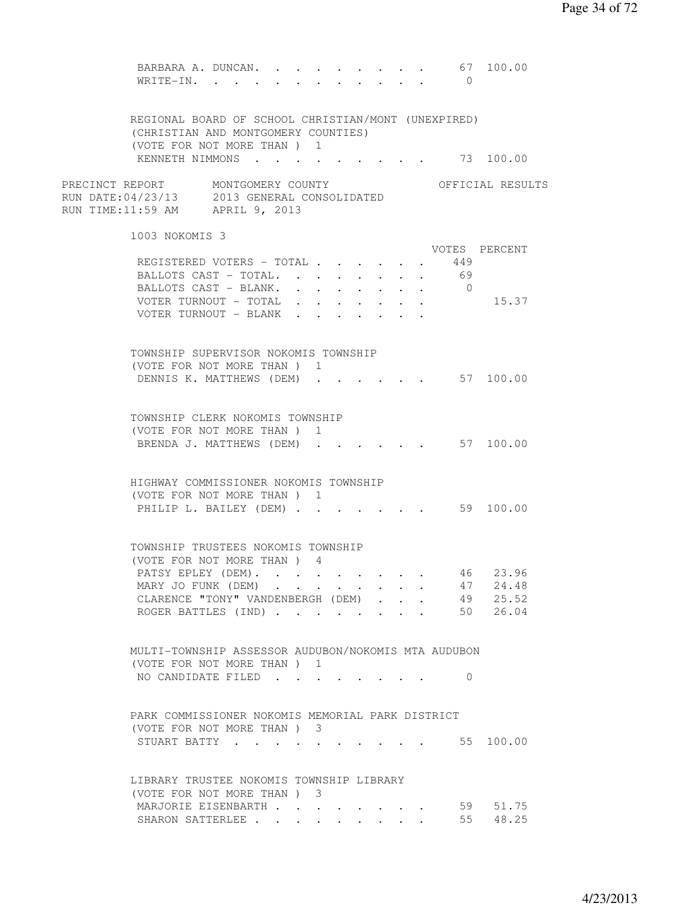|                                                                                                                     | BARBARA A. DUNCAN.<br>WRITE-IN.                                                            |  |  |  |  | $\bigcirc$ |                                                                                                                                                                                                                                                                                             |  |
|---------------------------------------------------------------------------------------------------------------------|--------------------------------------------------------------------------------------------|--|--|--|--|------------|---------------------------------------------------------------------------------------------------------------------------------------------------------------------------------------------------------------------------------------------------------------------------------------------|--|
|                                                                                                                     | REGIONAL BOARD OF SCHOOL CHRISTIAN/MONT (UNEXPIRED)<br>(CHRISTIAN AND MONTGOMERY COUNTIES) |  |  |  |  |            |                                                                                                                                                                                                                                                                                             |  |
|                                                                                                                     | (VOTE FOR NOT MORE THAN ) 1                                                                |  |  |  |  |            |                                                                                                                                                                                                                                                                                             |  |
| PRECINCT REPORT MONTGOMERY COUNTY<br>RUN DATE:04/23/13 2013 GENERAL CONSOLIDATED<br>RUN TIME:11:59 AM APRIL 9, 2013 |                                                                                            |  |  |  |  |            |                                                                                                                                                                                                                                                                                             |  |
|                                                                                                                     | 1003 NOKOMIS 3                                                                             |  |  |  |  |            |                                                                                                                                                                                                                                                                                             |  |
|                                                                                                                     | REGISTERED VOTERS - TOTAL 449                                                              |  |  |  |  |            |                                                                                                                                                                                                                                                                                             |  |
|                                                                                                                     | BALLOTS CAST - TOTAL. 69                                                                   |  |  |  |  |            |                                                                                                                                                                                                                                                                                             |  |
|                                                                                                                     | BALLOTS CAST - BLANK. 0                                                                    |  |  |  |  |            |                                                                                                                                                                                                                                                                                             |  |
|                                                                                                                     | VOTER TURNOUT - TOTAL                                                                      |  |  |  |  |            |                                                                                                                                                                                                                                                                                             |  |
|                                                                                                                     | VOTER TURNOUT - BLANK                                                                      |  |  |  |  |            |                                                                                                                                                                                                                                                                                             |  |
|                                                                                                                     | TOWNSHIP SUPERVISOR NOKOMIS TOWNSHIP                                                       |  |  |  |  |            |                                                                                                                                                                                                                                                                                             |  |
|                                                                                                                     | (VOTE FOR NOT MORE THAN) 1                                                                 |  |  |  |  |            |                                                                                                                                                                                                                                                                                             |  |
|                                                                                                                     |                                                                                            |  |  |  |  |            |                                                                                                                                                                                                                                                                                             |  |
|                                                                                                                     | TOWNSHIP CLERK NOKOMIS TOWNSHIP                                                            |  |  |  |  |            | 67 100.00<br>KENNETH NIMMONS 73 100.00<br>OFFICIAL RESULTS<br>VOTES PERCENT<br>15.37<br>DENNIS K. MATTHEWS (DEM) 57 100.00<br>$\cdot \cdot \cdot \cdot$ 57 100.00<br>PHILIP L. BAILEY (DEM) 59 100.00<br>46 23.96<br>47 24.48<br>49 25.52<br>50 26.04<br>$\Omega$<br>STUART BATTY 55 100.00 |  |
|                                                                                                                     | (VOTE FOR NOT MORE THAN) 1                                                                 |  |  |  |  |            |                                                                                                                                                                                                                                                                                             |  |
|                                                                                                                     | BRENDA J. MATTHEWS (DEM)                                                                   |  |  |  |  |            |                                                                                                                                                                                                                                                                                             |  |
|                                                                                                                     | HIGHWAY COMMISSIONER NOKOMIS TOWNSHIP                                                      |  |  |  |  |            |                                                                                                                                                                                                                                                                                             |  |
|                                                                                                                     | (VOTE FOR NOT MORE THAN ) 1                                                                |  |  |  |  |            |                                                                                                                                                                                                                                                                                             |  |
|                                                                                                                     |                                                                                            |  |  |  |  |            |                                                                                                                                                                                                                                                                                             |  |
|                                                                                                                     | TOWNSHIP TRUSTEES NOKOMIS TOWNSHIP                                                         |  |  |  |  |            |                                                                                                                                                                                                                                                                                             |  |
|                                                                                                                     | (VOTE FOR NOT MORE THAN) 4                                                                 |  |  |  |  |            |                                                                                                                                                                                                                                                                                             |  |
|                                                                                                                     | PATSY EPLEY (DEM).                                                                         |  |  |  |  |            |                                                                                                                                                                                                                                                                                             |  |
|                                                                                                                     | MARY JO FUNK (DEM)<br>CLARENCE "TONY" VANDENBERGH (DEM)                                    |  |  |  |  |            |                                                                                                                                                                                                                                                                                             |  |
|                                                                                                                     |                                                                                            |  |  |  |  |            |                                                                                                                                                                                                                                                                                             |  |
|                                                                                                                     | ROGER BATTLES (IND)                                                                        |  |  |  |  |            |                                                                                                                                                                                                                                                                                             |  |
|                                                                                                                     | MULTI-TOWNSHIP ASSESSOR AUDUBON/NOKOMIS MTA AUDUBON                                        |  |  |  |  |            |                                                                                                                                                                                                                                                                                             |  |
|                                                                                                                     | (VOTE FOR NOT MORE THAN) 1                                                                 |  |  |  |  |            |                                                                                                                                                                                                                                                                                             |  |
|                                                                                                                     | NO CANDIDATE FILED                                                                         |  |  |  |  |            |                                                                                                                                                                                                                                                                                             |  |
|                                                                                                                     | PARK COMMISSIONER NOKOMIS MEMORIAL PARK DISTRICT                                           |  |  |  |  |            |                                                                                                                                                                                                                                                                                             |  |
|                                                                                                                     | (VOTE FOR NOT MORE THAN) 3                                                                 |  |  |  |  |            |                                                                                                                                                                                                                                                                                             |  |
|                                                                                                                     |                                                                                            |  |  |  |  |            |                                                                                                                                                                                                                                                                                             |  |
|                                                                                                                     | LIBRARY TRUSTEE NOKOMIS TOWNSHIP LIBRARY                                                   |  |  |  |  |            |                                                                                                                                                                                                                                                                                             |  |
|                                                                                                                     | (VOTE FOR NOT MORE THAN) 3                                                                 |  |  |  |  |            |                                                                                                                                                                                                                                                                                             |  |
|                                                                                                                     | MARJORIE EISENBARTH                                                                        |  |  |  |  |            | 59 51.75                                                                                                                                                                                                                                                                                    |  |
|                                                                                                                     | SHARON SATTERLEE                                                                           |  |  |  |  |            | 55 48.25                                                                                                                                                                                                                                                                                    |  |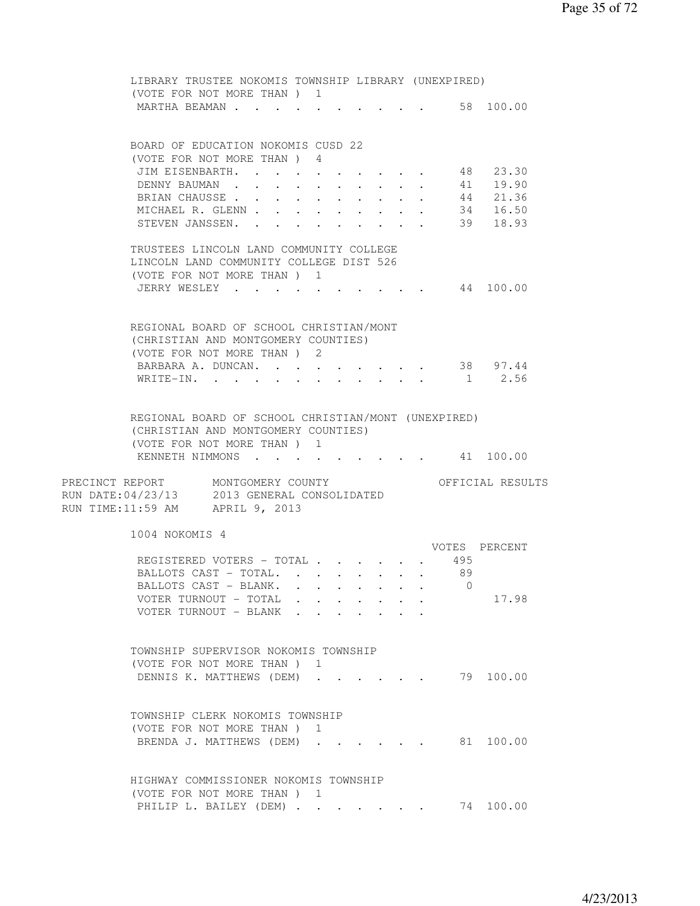| LIBRARY TRUSTEE NOKOMIS TOWNSHIP LIBRARY (UNEXPIRED)<br>(VOTE FOR NOT MORE THAN) 1 |                      |                                    |                            |           |                      |
|------------------------------------------------------------------------------------|----------------------|------------------------------------|----------------------------|-----------|----------------------|
| MARTHA BEAMAN                                                                      |                      |                                    |                            | 58 100.00 |                      |
|                                                                                    |                      |                                    |                            |           |                      |
| BOARD OF EDUCATION NOKOMIS CUSD 22                                                 |                      |                                    |                            |           |                      |
| (VOTE FOR NOT MORE THAN ) 4                                                        |                      |                                    |                            |           |                      |
| JIM EISENBARTH.                                                                    |                      |                                    |                            | 48        | 23.30                |
| DENNY BAUMAN                                                                       |                      |                                    |                            |           | 41 19.90             |
| BRIAN CHAUSSE                                                                      |                      |                                    | $\mathcal{L}_{\text{max}}$ |           | 44 21.36<br>34 16.50 |
| MICHAEL R. GLENN                                                                   | $\bullet$ .          | $\sim$                             |                            |           |                      |
| STEVEN JANSSEN.                                                                    | $\ddot{\phantom{0}}$ | $\ddot{\phantom{0}}$<br>$\sim$ $-$ |                            |           | 39 18.93             |
| TRUSTEES LINCOLN LAND COMMUNITY COLLEGE                                            |                      |                                    |                            |           |                      |
| LINCOLN LAND COMMUNITY COLLEGE DIST 526                                            |                      |                                    |                            |           |                      |
| (VOTE FOR NOT MORE THAN) 1                                                         |                      |                                    |                            |           |                      |
| JERRY WESLEY 44 100.00                                                             |                      |                                    |                            |           |                      |
|                                                                                    |                      |                                    |                            |           |                      |
| REGIONAL BOARD OF SCHOOL CHRISTIAN/MONT                                            |                      |                                    |                            |           |                      |
| (CHRISTIAN AND MONTGOMERY COUNTIES)                                                |                      |                                    |                            |           |                      |
| (VOTE FOR NOT MORE THAN) 2                                                         |                      |                                    |                            |           |                      |
| BARBARA A. DUNCAN. 38 97.44                                                        |                      |                                    |                            |           |                      |
| WRITE-IN.                                                                          |                      |                                    |                            |           | 1 2.56               |
|                                                                                    |                      |                                    |                            |           |                      |
| REGIONAL BOARD OF SCHOOL CHRISTIAN/MONT (UNEXPIRED)                                |                      |                                    |                            |           |                      |
| (CHRISTIAN AND MONTGOMERY COUNTIES)                                                |                      |                                    |                            |           |                      |
| (VOTE FOR NOT MORE THAN ) 1                                                        |                      |                                    |                            |           |                      |
| KENNETH NIMMONS                                                                    |                      |                                    |                            |           | 41 100.00            |
|                                                                                    |                      |                                    |                            |           |                      |
| PRECINCT REPORT MONTGOMERY COUNTY                                                  |                      |                                    |                            |           | OFFICIAL RESULTS     |
| RUN DATE: 04/23/13 2013 GENERAL CONSOLIDATED                                       |                      |                                    |                            |           |                      |
| RUN TIME:11:59 AM APRIL 9, 2013                                                    |                      |                                    |                            |           |                      |
| 1004 NOKOMIS 4                                                                     |                      |                                    |                            |           |                      |
|                                                                                    |                      |                                    |                            |           | VOTES PERCENT        |
| REGISTERED VOTERS - TOTAL                                                          |                      |                                    |                            | 495       |                      |
| BALLOTS CAST - TOTAL.                                                              |                      |                                    |                            | 89        |                      |
| BALLOTS CAST - BLANK.                                                              |                      |                                    |                            | $\sim$ 0  |                      |
| VOTER TURNOUT - TOTAL                                                              |                      |                                    |                            |           | 17.98                |
| VOTER TURNOUT - BLANK                                                              |                      |                                    |                            |           |                      |
|                                                                                    |                      |                                    |                            |           |                      |
|                                                                                    |                      |                                    |                            |           |                      |
| TOWNSHIP SUPERVISOR NOKOMIS TOWNSHIP<br>(VOTE FOR NOT MORE THAN) 1                 |                      |                                    |                            |           |                      |
| DENNIS K. MATTHEWS (DEM)                                                           |                      |                                    |                            |           | 79 100.00            |
|                                                                                    |                      |                                    |                            |           |                      |
|                                                                                    |                      |                                    |                            |           |                      |
| TOWNSHIP CLERK NOKOMIS TOWNSHIP                                                    |                      |                                    |                            |           |                      |
| (VOTE FOR NOT MORE THAN ) 1                                                        |                      |                                    |                            |           |                      |
| BRENDA J. MATTHEWS (DEM)                                                           |                      |                                    |                            |           | 81 100.00            |
|                                                                                    |                      |                                    |                            |           |                      |
| HIGHWAY COMMISSIONER NOKOMIS TOWNSHIP                                              |                      |                                    |                            |           |                      |
| (VOTE FOR NOT MORE THAN) 1                                                         |                      |                                    |                            |           |                      |
| PHILIP L. BAILEY (DEM)                                                             |                      |                                    |                            |           | 74 100.00            |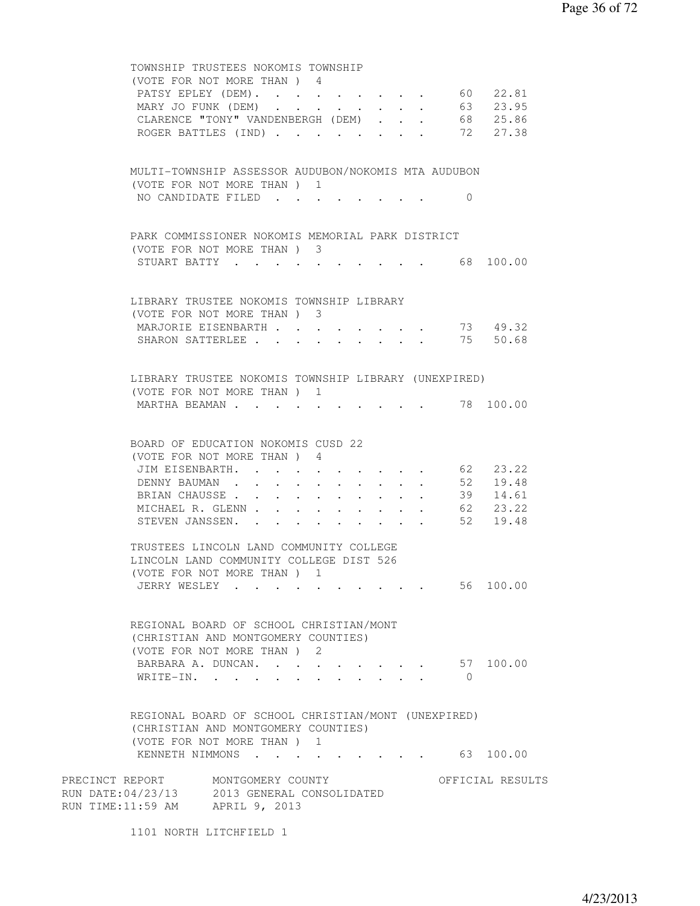|                                              | TOWNSHIP TRUSTEES NOKOMIS TOWNSHIP                                                 |                                                                                                                 |             |            |                      |
|----------------------------------------------|------------------------------------------------------------------------------------|-----------------------------------------------------------------------------------------------------------------|-------------|------------|----------------------|
|                                              | (VOTE FOR NOT MORE THAN) 4<br>PATSY EPLEY (DEM). 60 22.81                          |                                                                                                                 |             |            |                      |
|                                              | MARY JO FUNK (DEM) 63 23.95                                                        |                                                                                                                 |             |            |                      |
|                                              | CLARENCE "TONY" VANDENBERGH (DEM) 68 25.86                                         |                                                                                                                 |             |            |                      |
|                                              | ROGER BATTLES (IND) 72 27.38                                                       |                                                                                                                 |             |            |                      |
|                                              |                                                                                    |                                                                                                                 |             |            |                      |
|                                              | MULTI-TOWNSHIP ASSESSOR AUDUBON/NOKOMIS MTA AUDUBON                                |                                                                                                                 |             |            |                      |
|                                              | (VOTE FOR NOT MORE THAN) 1                                                         |                                                                                                                 |             |            |                      |
|                                              | NO CANDIDATE FILED                                                                 |                                                                                                                 |             | $\Omega$   |                      |
|                                              |                                                                                    |                                                                                                                 |             |            |                      |
|                                              | PARK COMMISSIONER NOKOMIS MEMORIAL PARK DISTRICT                                   |                                                                                                                 |             |            |                      |
|                                              | (VOTE FOR NOT MORE THAN) 3                                                         |                                                                                                                 |             |            |                      |
|                                              | STUART BATTY 68 100.00                                                             |                                                                                                                 |             |            |                      |
|                                              |                                                                                    |                                                                                                                 |             |            |                      |
|                                              | LIBRARY TRUSTEE NOKOMIS TOWNSHIP LIBRARY                                           |                                                                                                                 |             |            |                      |
|                                              | (VOTE FOR NOT MORE THAN) 3                                                         |                                                                                                                 |             |            |                      |
|                                              | MARJORIE EISENBARTH<br>SHARON SATTERLEE 75 50.68                                   |                                                                                                                 |             |            | 73 49.32             |
|                                              |                                                                                    |                                                                                                                 |             |            |                      |
|                                              |                                                                                    |                                                                                                                 |             |            |                      |
|                                              | LIBRARY TRUSTEE NOKOMIS TOWNSHIP LIBRARY (UNEXPIRED)<br>(VOTE FOR NOT MORE THAN) 1 |                                                                                                                 |             |            |                      |
| MARTHA BEAMAN                                |                                                                                    | the contract of the contract of the contract of the contract of the contract of the contract of the contract of |             |            | 78 100.00            |
|                                              |                                                                                    |                                                                                                                 |             |            |                      |
|                                              |                                                                                    |                                                                                                                 |             |            |                      |
|                                              | BOARD OF EDUCATION NOKOMIS CUSD 22<br>(VOTE FOR NOT MORE THAN) 4                   |                                                                                                                 |             |            |                      |
|                                              | JIM EISENBARTH. 62 23.22                                                           |                                                                                                                 |             |            |                      |
|                                              | DENNY BAUMAN                                                                       |                                                                                                                 |             |            | 52 19.48             |
|                                              | BRIAN CHAUSSE                                                                      |                                                                                                                 |             |            | 39 14.61             |
|                                              | MICHAEL R. GLENN                                                                   |                                                                                                                 | $\bullet$ . |            | 62 23.22<br>52 19.48 |
|                                              | STEVEN JANSSEN.                                                                    |                                                                                                                 |             |            |                      |
|                                              | TRUSTEES LINCOLN LAND COMMUNITY COLLEGE                                            |                                                                                                                 |             |            |                      |
|                                              | LINCOLN LAND COMMUNITY COLLEGE DIST 526                                            |                                                                                                                 |             |            |                      |
|                                              | (VOTE FOR NOT MORE THAN) 1                                                         |                                                                                                                 |             |            |                      |
|                                              | JERRY WESLEY                                                                       |                                                                                                                 |             |            | 56 100.00            |
|                                              |                                                                                    |                                                                                                                 |             |            |                      |
|                                              | REGIONAL BOARD OF SCHOOL CHRISTIAN/MONT                                            |                                                                                                                 |             |            |                      |
|                                              | (CHRISTIAN AND MONTGOMERY COUNTIES)                                                |                                                                                                                 |             |            |                      |
|                                              | (VOTE FOR NOT MORE THAN ) 2<br>BARBARA A. DUNCAN.                                  |                                                                                                                 |             |            | 57 100.00            |
|                                              | WRITE-IN.                                                                          |                                                                                                                 |             | $\bigcirc$ |                      |
|                                              |                                                                                    |                                                                                                                 |             |            |                      |
|                                              | REGIONAL BOARD OF SCHOOL CHRISTIAN/MONT (UNEXPIRED)                                |                                                                                                                 |             |            |                      |
|                                              | (CHRISTIAN AND MONTGOMERY COUNTIES)                                                |                                                                                                                 |             |            |                      |
|                                              | (VOTE FOR NOT MORE THAN ) 1                                                        |                                                                                                                 |             |            |                      |
|                                              | KENNETH NIMMONS                                                                    |                                                                                                                 |             |            | 63 100.00            |
| PRECINCT REPORT MONTGOMERY COUNTY            |                                                                                    |                                                                                                                 |             |            | OFFICIAL RESULTS     |
| RUN DATE: 04/23/13 2013 GENERAL CONSOLIDATED |                                                                                    |                                                                                                                 |             |            |                      |
| RUN TIME:11:59 AM APRIL 9, 2013              |                                                                                    |                                                                                                                 |             |            |                      |
|                                              | 1101 NORTH LITCHFIELD 1                                                            |                                                                                                                 |             |            |                      |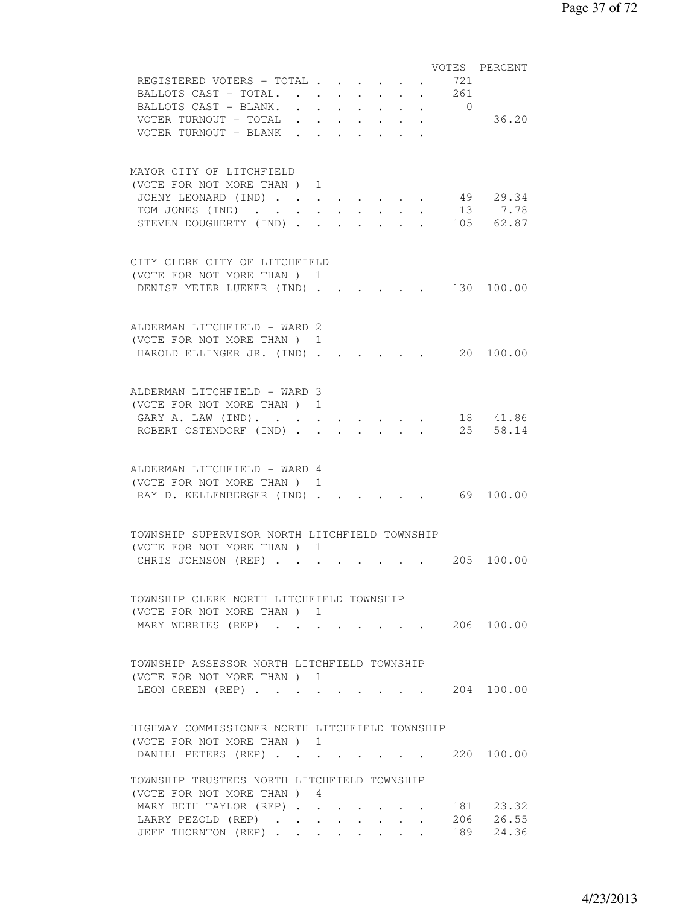|                                                |                            |                      |                                 |                                                 |            | VOTES PERCENT                             |
|------------------------------------------------|----------------------------|----------------------|---------------------------------|-------------------------------------------------|------------|-------------------------------------------|
| REGISTERED VOTERS - TOTAL                      |                            |                      |                                 |                                                 | 721        |                                           |
| BALLOTS CAST - TOTAL.                          |                            |                      |                                 |                                                 | 261        |                                           |
| BALLOTS CAST - BLANK.                          |                            |                      | $\cdot$ $\cdot$ $\cdot$ $\cdot$ | $\cdot$ $\cdot$ $\cdot$ $\cdot$                 | $\bigcirc$ |                                           |
| VOTER TURNOUT - TOTAL                          |                            |                      |                                 |                                                 |            | 36.20                                     |
| VOTER TURNOUT - BLANK                          |                            |                      |                                 | $\bullet$ , $\bullet$ , $\bullet$ , $\bullet$   |            |                                           |
|                                                |                            |                      |                                 |                                                 |            |                                           |
|                                                |                            |                      |                                 |                                                 |            |                                           |
| MAYOR CITY OF LITCHFIELD                       |                            |                      |                                 |                                                 |            |                                           |
| (VOTE FOR NOT MORE THAN ) 1                    |                            |                      |                                 |                                                 |            |                                           |
|                                                |                            |                      |                                 |                                                 |            | 49 29.34                                  |
| JOHNY LEONARD (IND)                            | $\mathcal{L}^{\text{max}}$ |                      |                                 |                                                 |            | 13 7.78                                   |
| TOM JONES (IND)                                |                            | $\ddot{\phantom{a}}$ |                                 |                                                 |            |                                           |
| STEVEN DOUGHERTY (IND).                        |                            |                      |                                 |                                                 |            | . 105 62.87                               |
|                                                |                            |                      |                                 |                                                 |            |                                           |
|                                                |                            |                      |                                 |                                                 |            |                                           |
| CITY CLERK CITY OF LITCHFIELD                  |                            |                      |                                 |                                                 |            |                                           |
| (VOTE FOR NOT MORE THAN) 1                     |                            |                      |                                 |                                                 |            |                                           |
| DENISE MEIER LUEKER (IND).                     |                            |                      |                                 |                                                 |            | 130 100.00                                |
|                                                |                            |                      |                                 |                                                 |            |                                           |
|                                                |                            |                      |                                 |                                                 |            |                                           |
| ALDERMAN LITCHFIELD - WARD 2                   |                            |                      |                                 |                                                 |            |                                           |
| (VOTE FOR NOT MORE THAN ) 1                    |                            |                      |                                 |                                                 |            |                                           |
| HAROLD ELLINGER JR. (IND).                     |                            |                      |                                 |                                                 |            | $\cdot$ $\cdot$ $\cdot$ $\cdot$ 20 100.00 |
|                                                |                            |                      |                                 |                                                 |            |                                           |
|                                                |                            |                      |                                 |                                                 |            |                                           |
| ALDERMAN LITCHFIELD - WARD 3                   |                            |                      |                                 |                                                 |            |                                           |
| (VOTE FOR NOT MORE THAN) 1                     |                            |                      |                                 |                                                 |            |                                           |
| GARY A. LAW (IND).                             |                            |                      |                                 |                                                 |            | 18 41.86                                  |
| ROBERT OSTENDORF (IND).                        |                            |                      | $\sim$                          |                                                 |            | 25 58.14                                  |
|                                                |                            |                      |                                 |                                                 |            |                                           |
|                                                |                            |                      |                                 |                                                 |            |                                           |
| ALDERMAN LITCHFIELD - WARD 4                   |                            |                      |                                 |                                                 |            |                                           |
| (VOTE FOR NOT MORE THAN) 1                     |                            |                      |                                 |                                                 |            |                                           |
| RAY D. KELLENBERGER (IND) .                    |                            |                      |                                 |                                                 |            | $\cdot$ . 69 100.00                       |
|                                                |                            |                      |                                 |                                                 |            |                                           |
|                                                |                            |                      |                                 |                                                 |            |                                           |
| TOWNSHIP SUPERVISOR NORTH LITCHFIELD TOWNSHIP  |                            |                      |                                 |                                                 |            |                                           |
|                                                |                            |                      |                                 |                                                 |            |                                           |
| (VOTE FOR NOT MORE THAN) 1                     |                            |                      |                                 |                                                 |            |                                           |
| CHRIS JOHNSON (REP)                            |                            |                      |                                 |                                                 |            | 205 100.00                                |
|                                                |                            |                      |                                 |                                                 |            |                                           |
|                                                |                            |                      |                                 |                                                 |            |                                           |
| TOWNSHIP CLERK NORTH LITCHFIELD TOWNSHIP       |                            |                      |                                 |                                                 |            |                                           |
| (VOTE FOR NOT MORE THAN) 1                     |                            |                      |                                 |                                                 |            |                                           |
| MARY WERRIES (REP)                             |                            |                      |                                 |                                                 |            | $\cdot$ 206 100.00                        |
|                                                |                            |                      |                                 |                                                 |            |                                           |
|                                                |                            |                      |                                 |                                                 |            |                                           |
| TOWNSHIP ASSESSOR NORTH LITCHFIELD TOWNSHIP    |                            |                      |                                 |                                                 |            |                                           |
| (VOTE FOR NOT MORE THAN) 1                     |                            |                      |                                 |                                                 |            |                                           |
| LEONGREEN(REP).                                |                            |                      |                                 |                                                 |            | 204 100.00                                |
|                                                |                            |                      |                                 |                                                 |            |                                           |
|                                                |                            |                      |                                 |                                                 |            |                                           |
| HIGHWAY COMMISSIONER NORTH LITCHFIELD TOWNSHIP |                            |                      |                                 |                                                 |            |                                           |
| (VOTE FOR NOT MORE THAN) 1                     |                            |                      |                                 |                                                 |            |                                           |
| DANIEL PETERS (REP).                           | $\bullet$ .                |                      |                                 |                                                 |            | 220 100.00                                |
|                                                |                            |                      |                                 |                                                 |            |                                           |
| TOWNSHIP TRUSTEES NORTH LITCHFIELD TOWNSHIP    |                            |                      |                                 |                                                 |            |                                           |
| (VOTE FOR NOT MORE THAN) 4                     |                            |                      |                                 |                                                 |            |                                           |
| MARY BETH TAYLOR (REP)                         |                            |                      |                                 |                                                 |            | 181 23.32                                 |
| LARRY PEZOLD (REP)                             |                            |                      |                                 | $\cdot$ $\cdot$ $\cdot$ $\cdot$ $\cdot$         |            | 206 26.55                                 |
| JEFF THORNTON (REP)                            |                            |                      |                                 | $\cdot$ $\cdot$ $\cdot$ $\cdot$ $\cdot$ $\cdot$ |            | 189 24.36                                 |
|                                                |                            |                      |                                 |                                                 |            |                                           |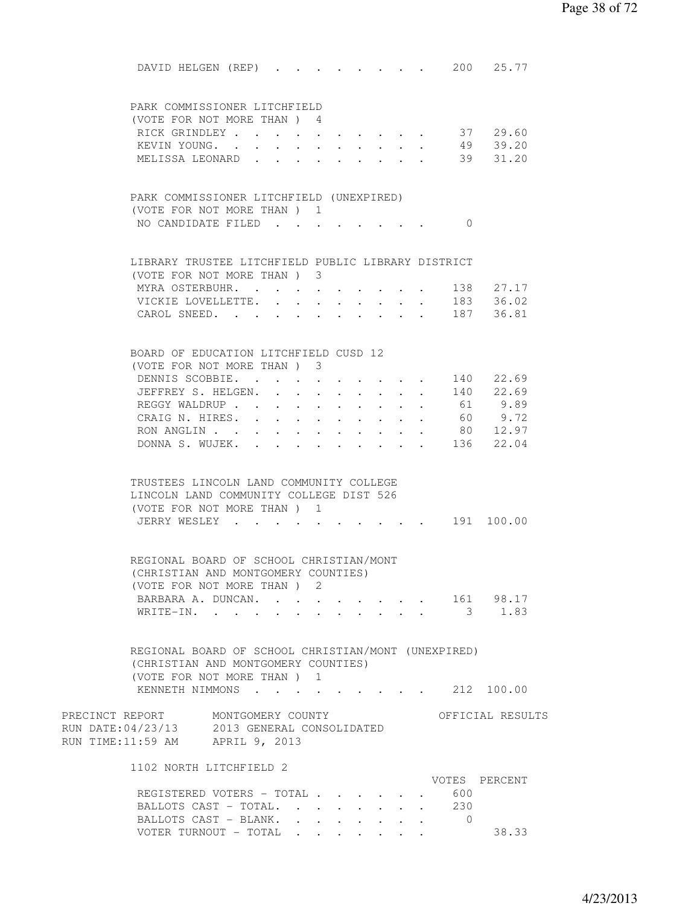| DAVID HELGEN (REP) 200 25.77                                       |            |                                          |                      |        |        |                                          |            |                                        |
|--------------------------------------------------------------------|------------|------------------------------------------|----------------------|--------|--------|------------------------------------------|------------|----------------------------------------|
|                                                                    |            |                                          |                      |        |        |                                          |            |                                        |
| PARK COMMISSIONER LITCHFIELD                                       |            |                                          |                      |        |        |                                          |            |                                        |
| (VOTE FOR NOT MORE THAN) 4                                         |            |                                          |                      |        |        |                                          |            |                                        |
| RICK GRINDLEY 37 29.60                                             |            |                                          |                      |        |        |                                          |            |                                        |
| KEVIN YOUNG. 49 39.20                                              |            |                                          |                      |        |        |                                          |            |                                        |
| MELISSA LEONARD 39 31.20                                           |            |                                          |                      |        |        |                                          |            |                                        |
|                                                                    |            |                                          |                      |        |        |                                          |            |                                        |
| PARK COMMISSIONER LITCHFIELD (UNEXPIRED)                           |            |                                          |                      |        |        |                                          |            |                                        |
| (VOTE FOR NOT MORE THAN) 1                                         |            |                                          |                      |        |        |                                          |            |                                        |
| NO CANDIDATE FILED                                                 |            |                                          |                      |        |        |                                          | $\bigcirc$ |                                        |
|                                                                    |            |                                          |                      |        |        |                                          |            |                                        |
| LIBRARY TRUSTEE LITCHFIELD PUBLIC LIBRARY DISTRICT                 |            |                                          |                      |        |        |                                          |            |                                        |
| (VOTE FOR NOT MORE THAN) 3                                         |            |                                          |                      |        |        |                                          |            |                                        |
| MYRA OSTERBUHR.                                                    |            |                                          |                      |        |        |                                          |            |                                        |
| VICKIE LOVELLETTE. .                                               |            | $\sim$ 100 $\pm$                         |                      |        |        |                                          |            | 138  27.17<br>183  36.02<br>187  36.81 |
| CAROL SNEED.                                                       | $\sim$ $-$ | $\ddot{\phantom{0}}$                     |                      |        |        |                                          |            |                                        |
|                                                                    |            |                                          |                      |        |        |                                          |            |                                        |
| BOARD OF EDUCATION LITCHFIELD CUSD 12                              |            |                                          |                      |        |        |                                          |            |                                        |
| (VOTE FOR NOT MORE THAN) 3                                         |            |                                          |                      |        |        |                                          |            |                                        |
| DENNIS SCOBBIE. 140                                                |            |                                          |                      |        |        |                                          |            | 22.69                                  |
| JEFFREY S. HELGEN.                                                 |            |                                          |                      |        |        |                                          |            | $\cdot$ 140 22.69                      |
| REGGY WALDRUP                                                      |            |                                          |                      |        |        |                                          | 61         | 9.89                                   |
| CRAIG N. HIRES.                                                    |            | $\mathbf{r} = \mathbf{r} + \mathbf{r}$ . | $\ddot{\phantom{0}}$ |        |        | $\mathbf{r} = \mathbf{r} + \mathbf{r}$ . | 60         | 9.72<br>80 12.97                       |
| RON ANGLIN<br>DONNA S. WUJEK.                                      | $\sim 100$ |                                          |                      | $\sim$ | $\sim$ |                                          |            | $\cdot$ $\cdot$ 136 22.04              |
|                                                                    |            |                                          |                      |        |        |                                          |            |                                        |
|                                                                    |            |                                          |                      |        |        |                                          |            |                                        |
| TRUSTEES LINCOLN LAND COMMUNITY COLLEGE                            |            |                                          |                      |        |        |                                          |            |                                        |
| LINCOLN LAND COMMUNITY COLLEGE DIST 526                            |            |                                          |                      |        |        |                                          |            |                                        |
| (VOTE FOR NOT MORE THAN) 1<br>JERRY WESLEY                         |            |                                          |                      |        |        |                                          |            | $\cdot$ 191 100.00                     |
|                                                                    |            |                                          |                      |        |        |                                          |            |                                        |
|                                                                    |            |                                          |                      |        |        |                                          |            |                                        |
| REGIONAL BOARD OF SCHOOL CHRISTIAN/MONT                            |            |                                          |                      |        |        |                                          |            |                                        |
| (CHRISTIAN AND MONTGOMERY COUNTIES)                                |            |                                          |                      |        |        |                                          |            |                                        |
| (VOTE FOR NOT MORE THAN ) 2<br>BARBARA A. DUNCAN. 161 98.17        |            |                                          |                      |        |        |                                          |            |                                        |
| WRITE-IN.                                                          |            |                                          |                      |        |        |                                          |            | $3 \t 1.83$                            |
|                                                                    |            |                                          |                      |        |        |                                          |            |                                        |
|                                                                    |            |                                          |                      |        |        |                                          |            |                                        |
| REGIONAL BOARD OF SCHOOL CHRISTIAN/MONT (UNEXPIRED)                |            |                                          |                      |        |        |                                          |            |                                        |
| (CHRISTIAN AND MONTGOMERY COUNTIES)<br>(VOTE FOR NOT MORE THAN ) 1 |            |                                          |                      |        |        |                                          |            |                                        |
| KENNETH NIMMONS 212 100.00                                         |            |                                          |                      |        |        |                                          |            |                                        |
|                                                                    |            |                                          |                      |        |        |                                          |            |                                        |
| PRECINCT REPORT MONTGOMERY COUNTY                                  |            |                                          |                      |        |        |                                          |            | OFFICIAL RESULTS                       |
| RUN DATE: 04/23/13 2013 GENERAL CONSOLIDATED                       |            |                                          |                      |        |        |                                          |            |                                        |
| RUN TIME:11:59 AM APRIL 9, 2013                                    |            |                                          |                      |        |        |                                          |            |                                        |
| 1102 NORTH LITCHFIELD 2                                            |            |                                          |                      |        |        |                                          |            |                                        |
|                                                                    |            |                                          |                      |        |        |                                          |            | VOTES PERCENT                          |
| REGISTERED VOTERS - TOTAL                                          |            |                                          |                      |        |        |                                          | 600        |                                        |
| BALLOTS CAST - TOTAL. 230                                          |            |                                          |                      |        |        |                                          |            |                                        |
| BALLOTS CAST - BLANK. 0                                            |            |                                          |                      |        |        |                                          |            |                                        |
| VOTER TURNOUT - TOTAL                                              |            |                                          |                      |        |        |                                          |            | 38.33                                  |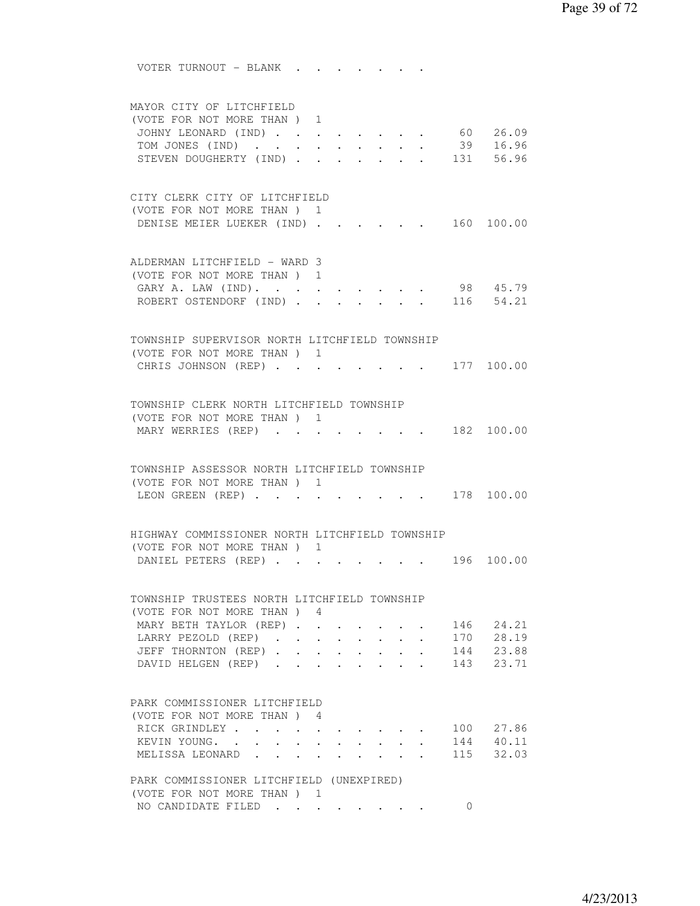VOTER TURNOUT - BLANK . . . . . . . MAYOR CITY OF LITCHFIELD (VOTE FOR NOT MORE THAN ) 1 JOHNY LEONARD (IND) . . . . . . . . 60 26.09 TOM JONES (IND) . . . . . . . . . 39 16.96 STEVEN DOUGHERTY (IND) . . . . . . 131 56.96 CITY CLERK CITY OF LITCHFIELD (VOTE FOR NOT MORE THAN ) 1 DENISE MEIER LUEKER (IND) . . . . . 160 100.00 ALDERMAN LITCHFIELD - WARD 3 (VOTE FOR NOT MORE THAN ) 1 GARY A. LAW (IND). . . . . . . . . 98 45.79 ROBERT OSTENDORF (IND) . . . . . TOWNSHIP SUPERVISOR NORTH LITCHFIELD TOWNSHIP (VOTE FOR NOT MORE THAN ) 1 CHRIS JOHNSON (REP) . . . . . . . . 177 100.00 TOWNSHIP CLERK NORTH LITCHFIELD TOWNSHIP (VOTE FOR NOT MORE THAN ) 1 MARY WERRIES (REP) . . . . . . . . 182 100.00 TOWNSHIP ASSESSOR NORTH LITCHFIELD TOWNSHIP (VOTE FOR NOT MORE THAN ) 1 LEON GREEN (REP) . . . . . . . . . 178 100.00 HIGHWAY COMMISSIONER NORTH LITCHFIELD TOWNSHIP (VOTE FOR NOT MORE THAN ) 1 DANIEL PETERS (REP) . . . . . . . . 196 100.00 TOWNSHIP TRUSTEES NORTH LITCHFIELD TOWNSHIP (VOTE FOR NOT MORE THAN ) 4 MARY BETH TAYLOR (REP) . . . . . . 146 24.21 LARRY PEZOLD (REP) . . . . . . . . 170 28.19 JEFF THORNTON (REP) . . . . . . . . 144 23.88<br>DAVID HELGEN (REP) . . . . . . . . 143 23.71 DAVID HELGEN (REP) . . . . . . . . 143 23.71 PARK COMMISSIONER LITCHFIELD (VOTE FOR NOT MORE THAN ) 4 RICK GRINDLEY . . . . . . . . . . 100 27.86 KEVIN YOUNG. . . . . . . . . . . 144 40.11 MELISSA LEONARD . . . . . . . . 115 32.03 PARK COMMISSIONER LITCHFIELD (UNEXPIRED) (VOTE FOR NOT MORE THAN ) 1 NO CANDIDATE FILED . . . . . . . 0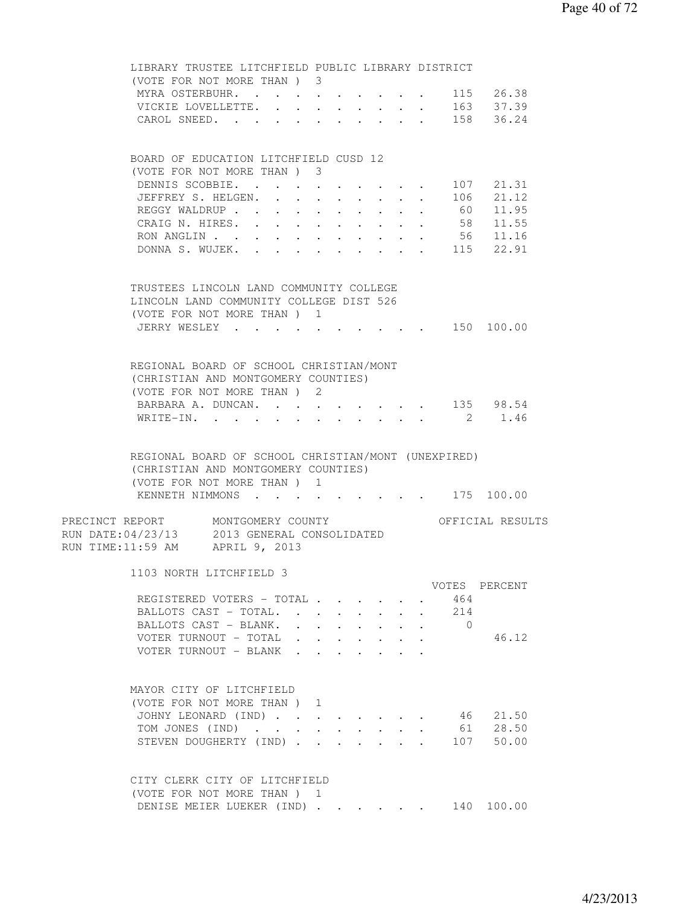| LIBRARY TRUSTEE LITCHFIELD PUBLIC LIBRARY DISTRICT<br>(VOTE FOR NOT MORE THAN) 3                                          |                      |                                         |  |                |                                           |
|---------------------------------------------------------------------------------------------------------------------------|----------------------|-----------------------------------------|--|----------------|-------------------------------------------|
|                                                                                                                           |                      |                                         |  |                |                                           |
| MYRA OSTERBUHR. 115 26.38                                                                                                 |                      |                                         |  |                |                                           |
| VICKIE LOVELLETTE. 163 37.39                                                                                              |                      |                                         |  |                |                                           |
| CAROL SNEED. 158 36.24                                                                                                    |                      |                                         |  |                |                                           |
|                                                                                                                           |                      |                                         |  |                |                                           |
| BOARD OF EDUCATION LITCHFIELD CUSD 12                                                                                     |                      |                                         |  |                |                                           |
| (VOTE FOR NOT MORE THAN) 3                                                                                                |                      |                                         |  |                |                                           |
| DENNIS SCOBBIE.                                                                                                           |                      |                                         |  |                | . 107 21.31                               |
| JEFFREY S. HELGEN.                                                                                                        |                      |                                         |  |                | 106 21.12                                 |
| REGGY WALDRUP 60 11.95                                                                                                    |                      |                                         |  |                |                                           |
| CRAIG N. HIRES. 58 11.55                                                                                                  |                      |                                         |  |                |                                           |
| RON ANGLIN 56 11.16                                                                                                       |                      |                                         |  |                |                                           |
| DONNA S. WUJEK. 115 22.91                                                                                                 |                      |                                         |  |                |                                           |
|                                                                                                                           |                      |                                         |  |                |                                           |
| TRUSTEES LINCOLN LAND COMMUNITY COLLEGE                                                                                   |                      |                                         |  |                |                                           |
| LINCOLN LAND COMMUNITY COLLEGE DIST 526                                                                                   |                      |                                         |  |                |                                           |
| (VOTE FOR NOT MORE THAN) 1                                                                                                |                      |                                         |  |                |                                           |
| JERRY WESLEY 150 100.00                                                                                                   |                      |                                         |  |                |                                           |
|                                                                                                                           |                      |                                         |  |                |                                           |
|                                                                                                                           |                      |                                         |  |                |                                           |
| REGIONAL BOARD OF SCHOOL CHRISTIAN/MONT<br>(CHRISTIAN AND MONTGOMERY COUNTIES)                                            |                      |                                         |  |                |                                           |
| (VOTE FOR NOT MORE THAN) 2                                                                                                |                      |                                         |  |                |                                           |
| BARBARA A. DUNCAN.                                                                                                        |                      |                                         |  |                |                                           |
|                                                                                                                           | $\ddot{\phantom{0}}$ |                                         |  |                | $\cdot \cdot \cdot \cdot \cdot 135$ 98.54 |
| WRITE-IN.<br>$\cdots$                                                                                                     | $\ddot{\phantom{0}}$ | $\cdot$ $\cdot$ $\cdot$ $\cdot$ $\cdot$ |  | $\overline{2}$ | 1.46                                      |
|                                                                                                                           |                      |                                         |  |                |                                           |
| REGIONAL BOARD OF SCHOOL CHRISTIAN/MONT (UNEXPIRED)<br>(CHRISTIAN AND MONTGOMERY COUNTIES)<br>(VOTE FOR NOT MORE THAN ) 1 |                      |                                         |  |                |                                           |
| KENNETH NIMMONS 175 100.00                                                                                                |                      |                                         |  |                |                                           |
| PRECINCT REPORT MONTGOMERY COUNTY<br>RUN DATE: 04/23/13 2013 GENERAL CONSOLIDATED<br>RUN TIME:11:59 AM APRIL 9, 2013      |                      |                                         |  |                | OFFICIAL RESULTS                          |
| 1103 NORTH LITCHFIELD 3                                                                                                   |                      |                                         |  |                |                                           |
|                                                                                                                           |                      |                                         |  |                | VOTES PERCENT                             |
| REGISTERED VOTERS - TOTAL                                                                                                 |                      |                                         |  | 464            |                                           |
|                                                                                                                           | $\sim$               |                                         |  | 214            |                                           |
| BALLOTS CAST - TOTAL. .<br>BALLOTS CAST - BLANK.                                                                          |                      |                                         |  | $\bigcirc$     |                                           |
| $\ddot{\phantom{0}}$                                                                                                      |                      |                                         |  |                | 46.12                                     |
| VOTER TURNOUT - TOTAL<br>VOTER TURNOUT - BLANK                                                                            | $\ddot{\phantom{0}}$ |                                         |  |                |                                           |
|                                                                                                                           |                      |                                         |  |                |                                           |
|                                                                                                                           |                      |                                         |  |                |                                           |
| MAYOR CITY OF LITCHFIELD                                                                                                  |                      |                                         |  |                |                                           |
| (VOTE FOR NOT MORE THAN )                                                                                                 | 1                    |                                         |  |                |                                           |
| JOHNY LEONARD (IND)                                                                                                       |                      |                                         |  | 46             | 21.50                                     |
| TOM JONES (IND)                                                                                                           | $\ddot{\phantom{0}}$ |                                         |  |                | 61 28.50                                  |
| STEVEN DOUGHERTY (IND).                                                                                                   |                      |                                         |  |                | 107 50.00                                 |
|                                                                                                                           |                      |                                         |  |                |                                           |
| CITY CLERK CITY OF LITCHFIELD                                                                                             |                      |                                         |  |                |                                           |
| (VOTE FOR NOT MORE THAN) 1<br>DENISE MEIER LUEKER (IND)                                                                   |                      |                                         |  |                | 140 100.00                                |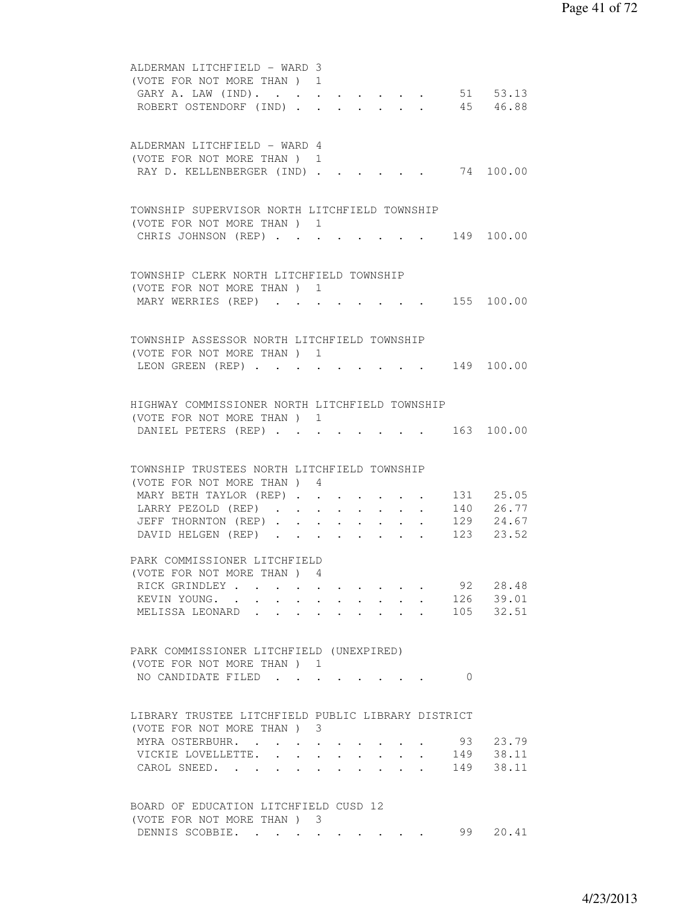| ALDERMAN LITCHFIELD - WARD 3<br>(VOTE FOR NOT MORE THAN) 1                                                                                                         |       |
|--------------------------------------------------------------------------------------------------------------------------------------------------------------------|-------|
| 51 53.13<br>GARY A. LAW (IND).                                                                                                                                     |       |
| 45 46.88<br>ROBERT OSTENDORF (IND).                                                                                                                                |       |
| ALDERMAN LITCHFIELD - WARD 4                                                                                                                                       |       |
| (VOTE FOR NOT MORE THAN) 1                                                                                                                                         |       |
| 74 100.00<br>RAY D. KELLENBERGER (IND)                                                                                                                             |       |
| TOWNSHIP SUPERVISOR NORTH LITCHFIELD TOWNSHIP                                                                                                                      |       |
| (VOTE FOR NOT MORE THAN) 1                                                                                                                                         |       |
| CHRIS JOHNSON (REP)<br>$\cdot$ 149 100.00                                                                                                                          |       |
| TOWNSHIP CLERK NORTH LITCHFIELD TOWNSHIP                                                                                                                           |       |
| (VOTE FOR NOT MORE THAN) 1                                                                                                                                         |       |
| MARY WERRIES (REP) 155 100.00                                                                                                                                      |       |
| TOWNSHIP ASSESSOR NORTH LITCHFIELD TOWNSHIP                                                                                                                        |       |
| (VOTE FOR NOT MORE THAN) 1                                                                                                                                         |       |
| $\cdot$ 149 100.00<br>LEON GREEN (REP)                                                                                                                             |       |
| HIGHWAY COMMISSIONER NORTH LITCHFIELD TOWNSHIP                                                                                                                     |       |
| (VOTE FOR NOT MORE THAN) 1                                                                                                                                         |       |
| 163 100.00<br>DANIEL PETERS (REP)                                                                                                                                  |       |
| TOWNSHIP TRUSTEES NORTH LITCHFIELD TOWNSHIP                                                                                                                        |       |
| (VOTE FOR NOT MORE THAN) 4                                                                                                                                         |       |
| MARY BETH TAYLOR (REP) 131 25.05                                                                                                                                   |       |
| $\cdot$ 140 26.77<br>LARRY PEZOLD (REP)<br>$\bullet$ .<br><br><br><br><br><br><br><br><br><br><br><br><br>$\cdot$ $\cdot$ $\cdot$ 129 24.67<br>JEFF THORNTON (REP) |       |
| $\bullet$<br>$\bullet$ .<br><br><br><br><br><br><br><br><br><br><br><br><br>DAVID HELGEN (REP) 123 23.52                                                           |       |
| PARK COMMISSIONER LITCHFIELD                                                                                                                                       |       |
| (VOTE FOR NOT MORE THAN) 4                                                                                                                                         |       |
| 92<br>RICK GRINDLEY                                                                                                                                                | 28.48 |
| 126 39.01<br>KEVIN YOUNG.<br>$\mathbf{r}$ , $\mathbf{r}$ , $\mathbf{r}$<br>$\sim$                                                                                  |       |
| 105 32.51<br>MELISSA LEONARD                                                                                                                                       |       |
| PARK COMMISSIONER LITCHFIELD (UNEXPIRED)                                                                                                                           |       |
| (VOTE FOR NOT MORE THAN) 1                                                                                                                                         |       |
| NO CANDIDATE FILED<br>$\bigcirc$                                                                                                                                   |       |
| LIBRARY TRUSTEE LITCHFIELD PUBLIC LIBRARY DISTRICT                                                                                                                 |       |
| (VOTE FOR NOT MORE THAN) 3                                                                                                                                         |       |
| 93 23.79<br>MYRA OSTERBUHR.                                                                                                                                        |       |
| VICKIE LOVELLETTE. 149 38.11                                                                                                                                       |       |
| CAROL SNEED. 149                                                                                                                                                   | 38.11 |
| BOARD OF EDUCATION LITCHFIELD CUSD 12                                                                                                                              |       |
| (VOTE FOR NOT MORE THAN ) 3<br>99<br>DENNIS SCOBBIE.                                                                                                               | 20.41 |
|                                                                                                                                                                    |       |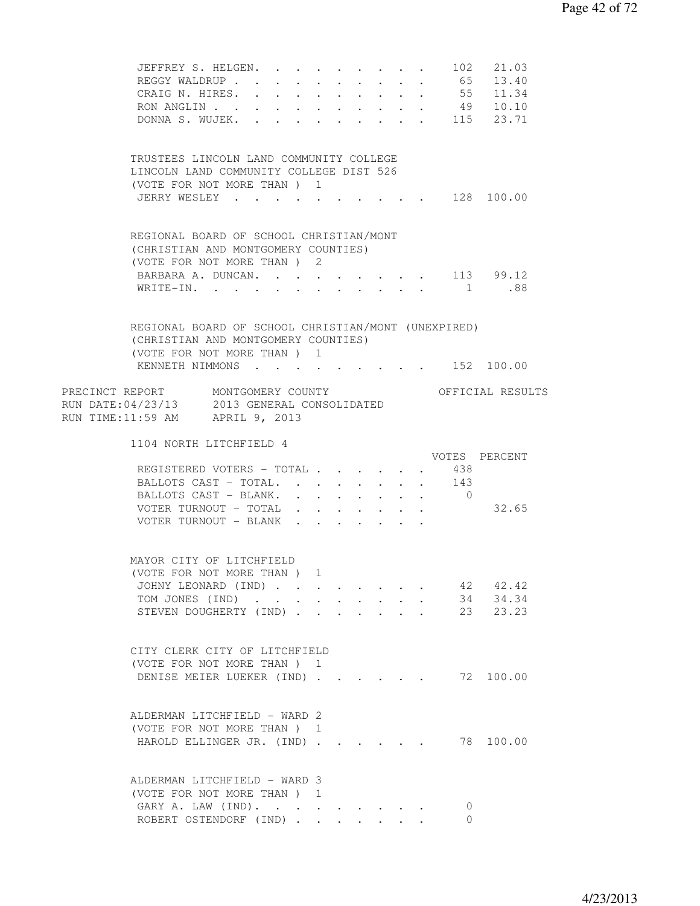|                                                                                                                                           | JEFFREY S. HELGEN. 102 21.03<br>REGGY WALDRUP 65 13.40<br>CRAIG N. HIRES. 55 11.34<br>RON ANGLIN 49 10.10<br>DONNA S. WUJEK. 115 23.71                     |  |                      |  |                       |                                            |                      |        |                              |                               |
|-------------------------------------------------------------------------------------------------------------------------------------------|------------------------------------------------------------------------------------------------------------------------------------------------------------|--|----------------------|--|-----------------------|--------------------------------------------|----------------------|--------|------------------------------|-------------------------------|
|                                                                                                                                           | TRUSTEES LINCOLN LAND COMMUNITY COLLEGE<br>LINCOLN LAND COMMUNITY COLLEGE DIST 526<br>(VOTE FOR NOT MORE THAN ) 1<br>JERRY WESLEY 128 100.00               |  |                      |  |                       |                                            |                      |        |                              |                               |
|                                                                                                                                           | REGIONAL BOARD OF SCHOOL CHRISTIAN/MONT<br>(CHRISTIAN AND MONTGOMERY COUNTIES)<br>(VOTE FOR NOT MORE THAN ) 2<br>BARBARA A. DUNCAN. 113 99.12<br>WRITE-IN. |  |                      |  |                       |                                            |                      |        |                              | 1 .88                         |
|                                                                                                                                           | REGIONAL BOARD OF SCHOOL CHRISTIAN/MONT (UNEXPIRED)<br>(CHRISTIAN AND MONTGOMERY COUNTIES)<br>(VOTE FOR NOT MORE THAN) 1<br>KENNETH NIMMONS 152 100.00     |  |                      |  |                       |                                            |                      |        |                              |                               |
| PRECINCT REPORT MONTGOMERY COUNTY THE OFFICIAL RESULTS<br>RUN DATE: 04/23/13 2013 GENERAL CONSOLIDATED<br>RUN TIME:11:59 AM APRIL 9, 2013 |                                                                                                                                                            |  |                      |  |                       |                                            |                      |        |                              |                               |
|                                                                                                                                           | 1104 NORTH LITCHFIELD 4                                                                                                                                    |  |                      |  |                       |                                            |                      |        |                              | VOTES PERCENT                 |
|                                                                                                                                           | REGISTERED VOTERS - TOTAL<br>BALLOTS CAST - TOTAL.<br>BALLOTS CAST - BLANK.                                                                                |  |                      |  | <b>All All Andrew</b> |                                            | $\sim$ $-$           | $\sim$ | 438<br>143<br>$\overline{0}$ |                               |
|                                                                                                                                           | VOTER TURNOUT - TOTAL<br>VOTER TURNOUT - BLANK                                                                                                             |  |                      |  |                       |                                            | $\ddot{\phantom{0}}$ | $\sim$ |                              | 32.65                         |
|                                                                                                                                           | MAYOR CITY OF LITCHFIELD<br>(VOTE FOR NOT MORE THAN ) 1                                                                                                    |  |                      |  |                       |                                            |                      |        |                              |                               |
|                                                                                                                                           | JOHNY LEONARD (IND)<br>TOM JONES (IND)<br>STEVEN DOUGHERTY (IND).                                                                                          |  | $\ddot{\phantom{0}}$ |  |                       |                                            |                      |        | 34                           | 42 42.42<br>34.34<br>23 23.23 |
|                                                                                                                                           | CITY CLERK CITY OF LITCHFIELD<br>(VOTE FOR NOT MORE THAN) 1<br>DENISE MEIER LUEKER (IND)                                                                   |  |                      |  |                       |                                            |                      |        |                              | 72 100.00                     |
|                                                                                                                                           | ALDERMAN LITCHFIELD - WARD 2<br>(VOTE FOR NOT MORE THAN) 1<br>HAROLD ELLINGER JR. (IND)                                                                    |  |                      |  |                       |                                            |                      |        |                              | 78 100.00                     |
|                                                                                                                                           | ALDERMAN LITCHFIELD - WARD 3<br>(VOTE FOR NOT MORE THAN) 1<br>GARY A. LAW (IND).<br>ROBERT OSTENDORF (IND)                                                 |  |                      |  |                       | $\mathbf{r}$ , $\mathbf{r}$ , $\mathbf{r}$ |                      |        | $\mathbf{0}$<br>0            |                               |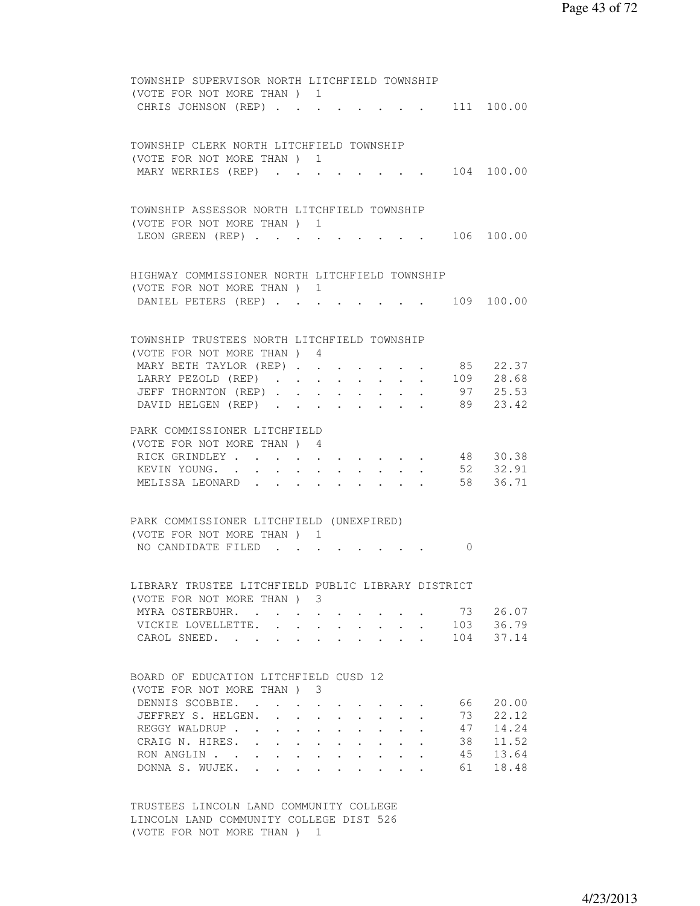| TOWNSHIP SUPERVISOR NORTH LITCHFIELD TOWNSHIP<br>(VOTE FOR NOT MORE THAN) 1                                                                                             |       |
|-------------------------------------------------------------------------------------------------------------------------------------------------------------------------|-------|
| . 111 100.00<br>CHRIS JOHNSON (REP)                                                                                                                                     |       |
|                                                                                                                                                                         |       |
| TOWNSHIP CLERK NORTH LITCHFIELD TOWNSHIP                                                                                                                                |       |
| (VOTE FOR NOT MORE THAN) 1                                                                                                                                              |       |
| 104 100.00<br>MARY WERRIES (REP)                                                                                                                                        |       |
| TOWNSHIP ASSESSOR NORTH LITCHFIELD TOWNSHIP                                                                                                                             |       |
| (VOTE FOR NOT MORE THAN) 1                                                                                                                                              |       |
| LEON GREEN (REP) 106 100.00                                                                                                                                             |       |
|                                                                                                                                                                         |       |
| HIGHWAY COMMISSIONER NORTH LITCHFIELD TOWNSHIP                                                                                                                          |       |
| (VOTE FOR NOT MORE THAN) 1                                                                                                                                              |       |
| DANIEL PETERS (REP) 109 100.00                                                                                                                                          |       |
| TOWNSHIP TRUSTEES NORTH LITCHFIELD TOWNSHIP                                                                                                                             |       |
| (VOTE FOR NOT MORE THAN) 4                                                                                                                                              |       |
| MARY BETH TAYLOR (REP) 85 22.37                                                                                                                                         |       |
| LARRY PEZOLD (REP) 109 28.68                                                                                                                                            |       |
| 97 25.53<br>JEFF THORNTON (REP)                                                                                                                                         |       |
| 89 23.42<br>DAVID HELGEN (REP)                                                                                                                                          |       |
| PARK COMMISSIONER LITCHFIELD                                                                                                                                            |       |
| (VOTE FOR NOT MORE THAN) 4                                                                                                                                              |       |
| RICK GRINDLEY<br>48 30.38<br>$\mathbf{r}$ , and $\mathbf{r}$ , and $\mathbf{r}$ , and $\mathbf{r}$                                                                      |       |
| 52 32.91<br>KEVIN YOUNG.<br>58 36.71<br>MELISSA LEONARD                                                                                                                 |       |
|                                                                                                                                                                         |       |
| PARK COMMISSIONER LITCHFIELD (UNEXPIRED)                                                                                                                                |       |
| (VOTE FOR NOT MORE THAN) 1                                                                                                                                              |       |
| NO CANDIDATE FILED<br>$\Omega$                                                                                                                                          |       |
|                                                                                                                                                                         |       |
| LIBRARY TRUSTEE LITCHFIELD PUBLIC LIBRARY DISTRICT<br>(VOTE FOR NOT MORE THAN ) 3                                                                                       |       |
| 73 26.07<br>MYRA OSTERBUHR.                                                                                                                                             |       |
| 103 36.79<br>VICKIE LOVELLETTE.                                                                                                                                         |       |
| 104 37.14<br>CAROL SNEED.                                                                                                                                               |       |
|                                                                                                                                                                         |       |
| BOARD OF EDUCATION LITCHFIELD CUSD 12                                                                                                                                   |       |
| (VOTE FOR NOT MORE THAN ) 3<br>DENNIS SCOBBIE.<br>66                                                                                                                    | 20.00 |
| JEFFREY S. HELGEN.<br>73<br>$\mathbf{L}$<br>$\mathbf{L}$<br>$\cdot$ $\cdot$ $\cdot$ $\cdot$ $\cdot$ $\cdot$ $\cdot$<br>$\ddot{\phantom{0}}$                             | 22.12 |
| REGGY WALDRUP<br>47<br>$\mathbf{r} = \mathbf{r} + \mathbf{r}$<br>$\mathbf{z} = \mathbf{z} + \mathbf{z}$ , where $\mathbf{z} = \mathbf{z}$<br>$\bullet$ .<br>$\bullet$ . | 14.24 |
| 38<br>CRAIG N. HIRES. .<br>$\mathbf{r} = \mathbf{r} + \mathbf{r} + \mathbf{r} + \mathbf{r}$                                                                             | 11.52 |
| RON ANGLIN<br>45<br>$\mathbf{z} = \mathbf{z} + \mathbf{z}$ , where $\mathbf{z} = \mathbf{z}$                                                                            | 13.64 |
| DONNA S. WUJEK. .<br>61<br>$\ddot{\phantom{0}}$<br>$\bullet$ . In the set of $\bullet$                                                                                  | 18.48 |
|                                                                                                                                                                         |       |

 TRUSTEES LINCOLN LAND COMMUNITY COLLEGE LINCOLN LAND COMMUNITY COLLEGE DIST 526 (VOTE FOR NOT MORE THAN ) 1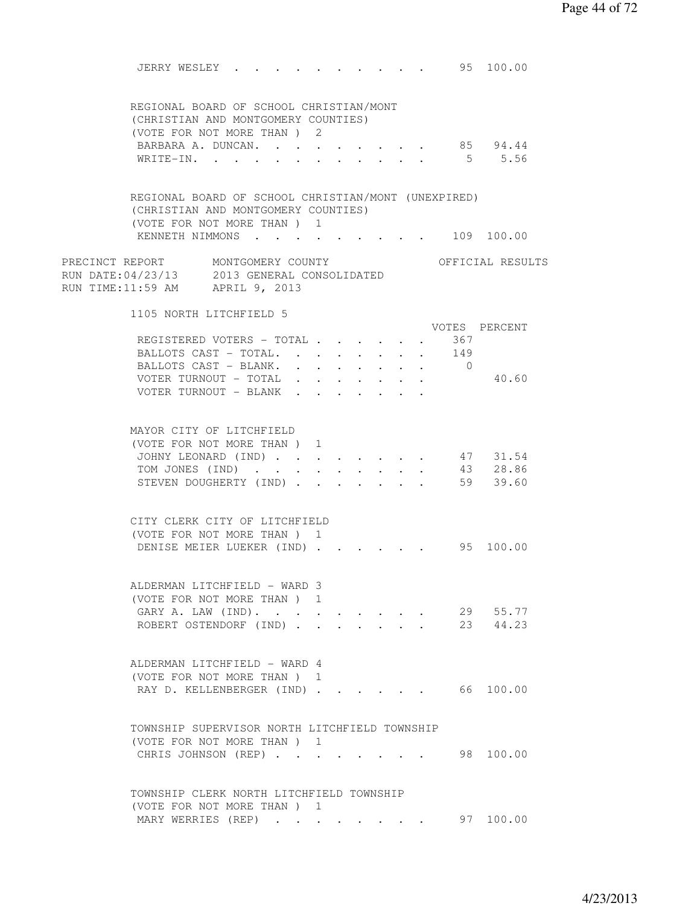|                                                                                                                              | JERRY WESLEY                                                              |  |      |  |  |  | 95 100.00            |  |
|------------------------------------------------------------------------------------------------------------------------------|---------------------------------------------------------------------------|--|------|--|--|--|----------------------|--|
| REGIONAL BOARD OF SCHOOL CHRISTIAN/MONT<br>(CHRISTIAN AND MONTGOMERY COUNTIES)                                               |                                                                           |  |      |  |  |  |                      |  |
|                                                                                                                              | (VOTE FOR NOT MORE THAN) 2                                                |  |      |  |  |  |                      |  |
|                                                                                                                              | BARBARA A. DUNCAN.                                                        |  |      |  |  |  | 85 94.44             |  |
|                                                                                                                              | WRITE-IN.                                                                 |  |      |  |  |  | 55.56                |  |
| REGIONAL BOARD OF SCHOOL CHRISTIAN/MONT (UNEXPIRED)<br>(CHRISTIAN AND MONTGOMERY COUNTIES)<br>(VOTE FOR NOT MORE THAN ) 1    | KENNETH NIMMONS 109 100.00                                                |  |      |  |  |  |                      |  |
| PRECINCT REPORT MONTGOMERY COUNTY<br>RUN DATE:04/23/13      2013 GENERAL CONSOLIDATED<br>RUN TIME:11:59 AM     APRIL 9, 2013 |                                                                           |  |      |  |  |  | OFFICIAL RESULTS     |  |
| 1105 NORTH LITCHFIELD 5                                                                                                      |                                                                           |  |      |  |  |  | VOTES PERCENT        |  |
|                                                                                                                              | REGISTERED VOTERS - TOTAL 367                                             |  |      |  |  |  |                      |  |
|                                                                                                                              | BALLOTS CAST - TOTAL. 149                                                 |  |      |  |  |  |                      |  |
|                                                                                                                              | BALLOTS CAST - BLANK. 0                                                   |  |      |  |  |  |                      |  |
|                                                                                                                              | VOTER TURNOUT - TOTAL                                                     |  |      |  |  |  | 40.60                |  |
|                                                                                                                              | VOTER TURNOUT - BLANK                                                     |  |      |  |  |  |                      |  |
| MAYOR CITY OF LITCHFIELD<br>(VOTE FOR NOT MORE THAN) 1                                                                       | JOHNY LEONARD (IND) 47 31.54<br>TOM JONES (IND) 43 28.86                  |  |      |  |  |  |                      |  |
| CITY CLERK CITY OF LITCHFIELD                                                                                                | STEVEN DOUGHERTY (IND) 59 39.60                                           |  |      |  |  |  |                      |  |
| (VOTE FOR NOT MORE THAN) 1                                                                                                   | DENISE MEIER LUEKER (IND) 95 100.00                                       |  |      |  |  |  |                      |  |
| ALDERMAN LITCHFIELD - WARD 3                                                                                                 | (VOTE FOR NOT MORE THAN)<br>GARY A. LAW (IND).<br>ROBERT OSTENDORF (IND). |  | - 11 |  |  |  | 29 55.77<br>23 44.23 |  |
| ALDERMAN LITCHFIELD - WARD 4                                                                                                 | (VOTE FOR NOT MORE THAN) 1<br>RAY D. KELLENBERGER (IND) 66 100.00         |  |      |  |  |  |                      |  |
| TOWNSHIP SUPERVISOR NORTH LITCHFIELD TOWNSHIP                                                                                | (VOTE FOR NOT MORE THAN) 1<br>CHRIS JOHNSON (REP)                         |  |      |  |  |  | 98 100.00            |  |
| TOWNSHIP CLERK NORTH LITCHFIELD TOWNSHIP                                                                                     | (VOTE FOR NOT MORE THAN) 1<br>MARY WERRIES (REP)                          |  |      |  |  |  | 97 100.00            |  |
|                                                                                                                              |                                                                           |  |      |  |  |  |                      |  |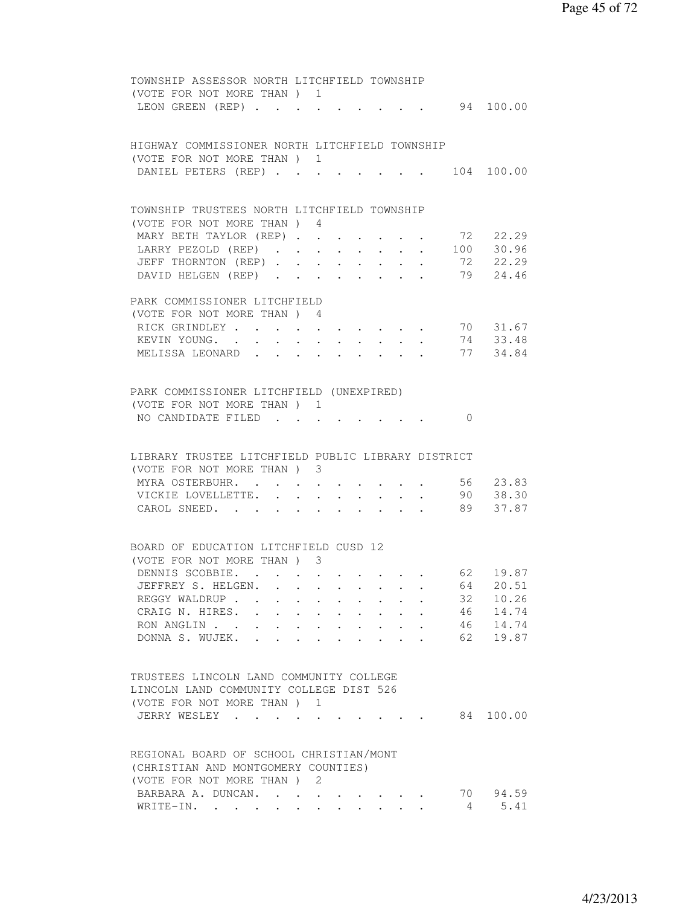|  | TOWNSHIP ASSESSOR NORTH LITCHFIELD TOWNSHIP        |                                                                                                                 |                                          |  |  |  |          |                          |
|--|----------------------------------------------------|-----------------------------------------------------------------------------------------------------------------|------------------------------------------|--|--|--|----------|--------------------------|
|  | (VOTE FOR NOT MORE THAN) 1                         |                                                                                                                 |                                          |  |  |  |          |                          |
|  | LEON GREEN (REP)                                   |                                                                                                                 |                                          |  |  |  |          | 94 100.00                |
|  |                                                    |                                                                                                                 |                                          |  |  |  |          |                          |
|  |                                                    |                                                                                                                 |                                          |  |  |  |          |                          |
|  | HIGHWAY COMMISSIONER NORTH LITCHFIELD TOWNSHIP     |                                                                                                                 |                                          |  |  |  |          |                          |
|  |                                                    |                                                                                                                 |                                          |  |  |  |          |                          |
|  | (VOTE FOR NOT MORE THAN) 1                         |                                                                                                                 |                                          |  |  |  |          |                          |
|  | DANIEL PETERS (REP)                                |                                                                                                                 |                                          |  |  |  |          | 104 100.00               |
|  |                                                    |                                                                                                                 |                                          |  |  |  |          |                          |
|  |                                                    |                                                                                                                 |                                          |  |  |  |          |                          |
|  | TOWNSHIP TRUSTEES NORTH LITCHFIELD TOWNSHIP        |                                                                                                                 |                                          |  |  |  |          |                          |
|  | (VOTE FOR NOT MORE THAN) 4                         |                                                                                                                 |                                          |  |  |  |          |                          |
|  | MARY BETH TAYLOR (REP) 72 22.29                    |                                                                                                                 |                                          |  |  |  |          |                          |
|  | LARRY PEZOLD (REP) 100 30.96                       |                                                                                                                 |                                          |  |  |  |          |                          |
|  | JEFF THORNTON (REP)                                |                                                                                                                 |                                          |  |  |  |          | 72 22.29                 |
|  |                                                    |                                                                                                                 |                                          |  |  |  |          | 79 24.46                 |
|  | DAVID HELGEN (REP)                                 |                                                                                                                 |                                          |  |  |  |          |                          |
|  |                                                    |                                                                                                                 |                                          |  |  |  |          |                          |
|  | PARK COMMISSIONER LITCHFIELD                       |                                                                                                                 |                                          |  |  |  |          |                          |
|  | (VOTE FOR NOT MORE THAN) 4                         |                                                                                                                 |                                          |  |  |  |          |                          |
|  | RICK GRINDLEY                                      |                                                                                                                 |                                          |  |  |  |          | 70 31.67                 |
|  | KEVIN YOUNG.                                       |                                                                                                                 |                                          |  |  |  |          | 74 33.48                 |
|  | MELISSA LEONARD                                    |                                                                                                                 |                                          |  |  |  |          | 77 34.84                 |
|  |                                                    |                                                                                                                 |                                          |  |  |  |          |                          |
|  |                                                    |                                                                                                                 |                                          |  |  |  |          |                          |
|  |                                                    |                                                                                                                 |                                          |  |  |  |          |                          |
|  | PARK COMMISSIONER LITCHFIELD (UNEXPIRED)           |                                                                                                                 |                                          |  |  |  |          |                          |
|  | (VOTE FOR NOT MORE THAN) 1                         |                                                                                                                 |                                          |  |  |  |          |                          |
|  | NO CANDIDATE FILED                                 |                                                                                                                 |                                          |  |  |  | $\Omega$ |                          |
|  |                                                    |                                                                                                                 |                                          |  |  |  |          |                          |
|  |                                                    |                                                                                                                 |                                          |  |  |  |          |                          |
|  | LIBRARY TRUSTEE LITCHFIELD PUBLIC LIBRARY DISTRICT |                                                                                                                 |                                          |  |  |  |          |                          |
|  | (VOTE FOR NOT MORE THAN) 3                         |                                                                                                                 |                                          |  |  |  |          |                          |
|  | MYRA OSTERBUHR.                                    |                                                                                                                 |                                          |  |  |  |          | 56 23.83                 |
|  | VICKIE LOVELLETTE.                                 |                                                                                                                 |                                          |  |  |  |          | 90 38.30                 |
|  | CAROL SNEED. .                                     |                                                                                                                 |                                          |  |  |  | 89       | 37.87                    |
|  |                                                    | the contract of the contract of the contract of the contract of the contract of the contract of the contract of |                                          |  |  |  |          |                          |
|  |                                                    |                                                                                                                 |                                          |  |  |  |          |                          |
|  |                                                    |                                                                                                                 |                                          |  |  |  |          |                          |
|  | BOARD OF EDUCATION LITCHFIELD CUSD 12              |                                                                                                                 |                                          |  |  |  |          |                          |
|  | (VOTE FOR NOT MORE THAN) 3                         |                                                                                                                 |                                          |  |  |  |          |                          |
|  |                                                    |                                                                                                                 |                                          |  |  |  |          | DENNIS SCOBBIE. 62 19.87 |
|  | JEFFREY S. HELGEN.                                 |                                                                                                                 |                                          |  |  |  |          | 64 20.51                 |
|  | REGGY WALDRUP                                      |                                                                                                                 |                                          |  |  |  | 32       | 10.26                    |
|  | CRAIG N. HIRES. .                                  |                                                                                                                 |                                          |  |  |  | 46       | 14.74                    |
|  |                                                    |                                                                                                                 | $\mathbf{z} = \mathbf{z} + \mathbf{z}$ . |  |  |  |          |                          |
|  | RON ANGLIN                                         |                                                                                                                 |                                          |  |  |  | 46       | 14.74                    |
|  | DONNA S. WUJEK.                                    |                                                                                                                 |                                          |  |  |  | 62       | 19.87                    |
|  |                                                    |                                                                                                                 |                                          |  |  |  |          |                          |
|  |                                                    |                                                                                                                 |                                          |  |  |  |          |                          |
|  | TRUSTEES LINCOLN LAND COMMUNITY COLLEGE            |                                                                                                                 |                                          |  |  |  |          |                          |
|  | LINCOLN LAND COMMUNITY COLLEGE DIST 526            |                                                                                                                 |                                          |  |  |  |          |                          |
|  | (VOTE FOR NOT MORE THAN ) 1                        |                                                                                                                 |                                          |  |  |  |          |                          |
|  | JERRY WESLEY                                       |                                                                                                                 |                                          |  |  |  | 84       | 100.00                   |
|  |                                                    |                                                                                                                 |                                          |  |  |  |          |                          |
|  |                                                    |                                                                                                                 |                                          |  |  |  |          |                          |
|  |                                                    |                                                                                                                 |                                          |  |  |  |          |                          |
|  | REGIONAL BOARD OF SCHOOL CHRISTIAN/MONT            |                                                                                                                 |                                          |  |  |  |          |                          |
|  | (CHRISTIAN AND MONTGOMERY COUNTIES)                |                                                                                                                 |                                          |  |  |  |          |                          |
|  | (VOTE FOR NOT MORE THAN) 2                         |                                                                                                                 |                                          |  |  |  |          |                          |
|  | BARBARA A. DUNCAN.                                 |                                                                                                                 |                                          |  |  |  | 70       | 94.59                    |
|  | WRITE-IN.                                          |                                                                                                                 |                                          |  |  |  | 4        | 5.41                     |
|  |                                                    |                                                                                                                 |                                          |  |  |  |          |                          |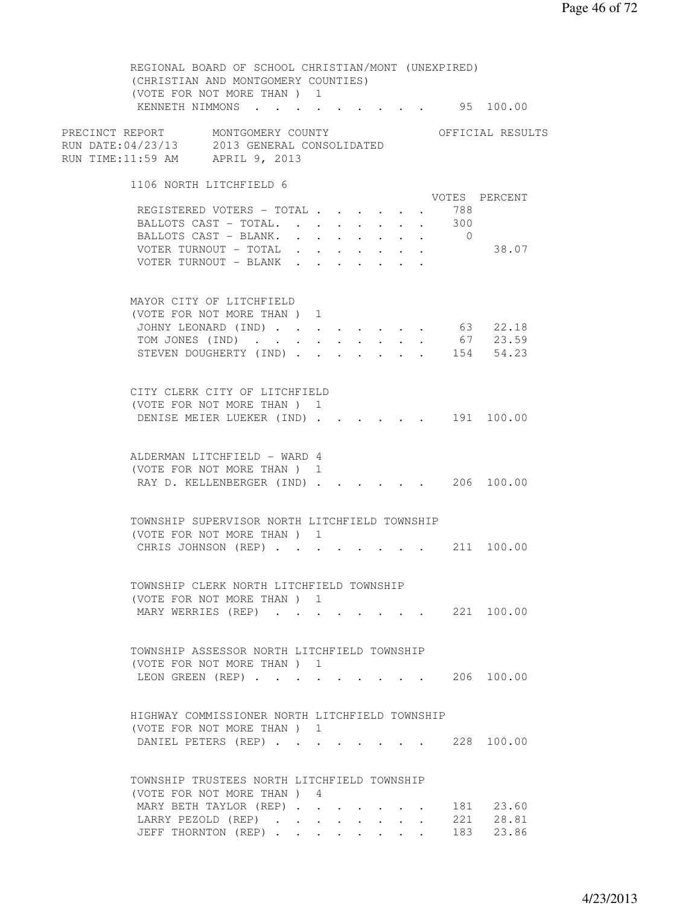REGIONAL BOARD OF SCHOOL CHRISTIAN/MONT (UNEXPIRED) (CHRISTIAN AND MONTGOMERY COUNTIES) (VOTE FOR NOT MORE THAN ) 1 KENNETH NIMMONS . . . . . . . . . 95 100.00 PRECINCT REPORT MONTGOMERY COUNTY THE OFFICIAL RESULTS RUN DATE:04/23/13 2013 GENERAL CONSOLIDATED RUN TIME:11:59 AM APRIL 9, 2013 1106 NORTH LITCHFIELD 6 VOTES PERCENT REGISTERED VOTERS - TOTAL . . . . . . 788<br>BALLOTS CAST - TOTAL. . . . . . . . 300 BALLOTS CAST - TOTAL. . . . . . . . 300<br>BALLOTS CAST - BLANK. . . . . . . . . 0 BALLOTS CAST - BLANK. . . . . . . . VOTER TURNOUT - TOTAL . . . . . . . 38.07 VOTER TURNOUT - BLANK . . . . . . . MAYOR CITY OF LITCHFIELD (VOTE FOR NOT MORE THAN ) 1 JOHNY LEONARD (IND) . . . . . . . . 63 22.18 TOM JONES (IND) . . . . . . . . . 67 23.59 STEVEN DOUGHERTY (IND) . . . . . . 154 54.23 CITY CLERK CITY OF LITCHFIELD (VOTE FOR NOT MORE THAN ) 1 DENISE MEIER LUEKER (IND) . . . . . . 191 100.00 ALDERMAN LITCHFIELD - WARD 4 (VOTE FOR NOT MORE THAN ) 1 RAY D. KELLENBERGER (IND) . . . . . 206 100.00 TOWNSHIP SUPERVISOR NORTH LITCHFIELD TOWNSHIP (VOTE FOR NOT MORE THAN ) 1 CHRIS JOHNSON (REP) . . . . . . . . 211 100.00 TOWNSHIP CLERK NORTH LITCHFIELD TOWNSHIP (VOTE FOR NOT MORE THAN ) 1 MARY WERRIES (REP) . . . . . . . 221 100.00 TOWNSHIP ASSESSOR NORTH LITCHFIELD TOWNSHIP (VOTE FOR NOT MORE THAN ) 1 LEON GREEN (REP) . . . . . . . . . 206 100.00 HIGHWAY COMMISSIONER NORTH LITCHFIELD TOWNSHIP (VOTE FOR NOT MORE THAN ) 1 DANIEL PETERS (REP) . . . . . . . . 228 100.00 TOWNSHIP TRUSTEES NORTH LITCHFIELD TOWNSHIP (VOTE FOR NOT MORE THAN ) 4 MARY BETH TAYLOR (REP) . . . . . . . 181 23.60<br>
LARRY PEZOLD (REP) . . . . . . . . 221 28.81<br>
JEFF THORNTON (REP) . . . . . . . 183 23.86 LARRY PEZOLD (REP) . . . . . . . . JEFF THORNTON (REP) . . . . . . . .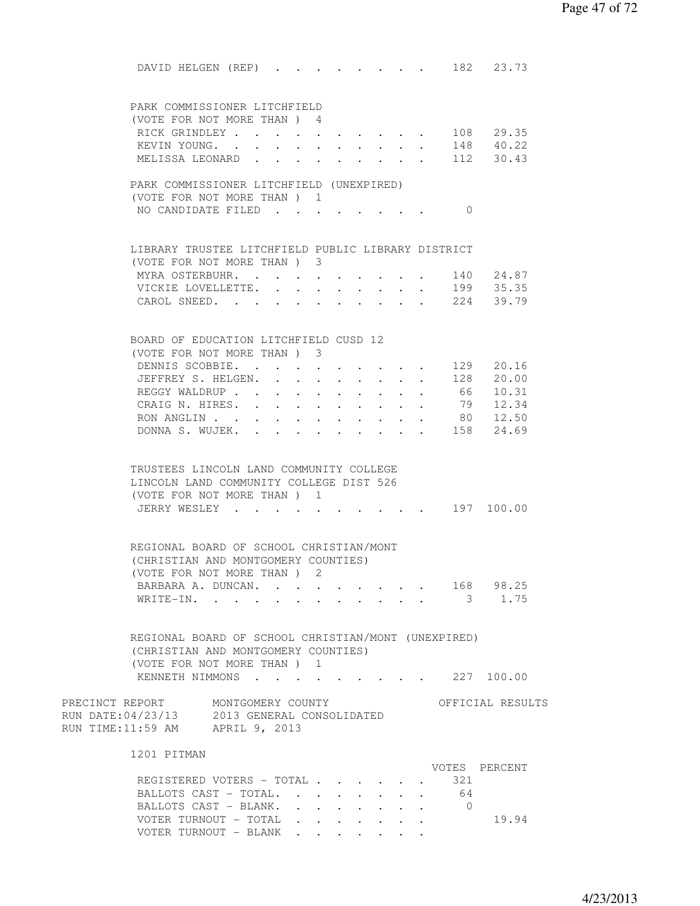| DAVID HELGEN (REP) 182 23.73                                                                                                     |                                         |                      |                                          |             |                                          |  |            |                                            |  |
|----------------------------------------------------------------------------------------------------------------------------------|-----------------------------------------|----------------------|------------------------------------------|-------------|------------------------------------------|--|------------|--------------------------------------------|--|
| PARK COMMISSIONER LITCHFIELD                                                                                                     |                                         |                      |                                          |             |                                          |  |            |                                            |  |
| (VOTE FOR NOT MORE THAN) 4                                                                                                       |                                         |                      |                                          |             |                                          |  |            |                                            |  |
| RICK GRINDLEY 108 29.35                                                                                                          |                                         |                      |                                          |             |                                          |  |            |                                            |  |
| KEVIN YOUNG. 148 40.22                                                                                                           |                                         |                      |                                          |             |                                          |  |            |                                            |  |
| MELISSA LEONARD                                                                                                                  |                                         |                      |                                          |             |                                          |  |            | $\cdot$ 112 30.43                          |  |
|                                                                                                                                  |                                         |                      |                                          |             |                                          |  |            |                                            |  |
| PARK COMMISSIONER LITCHFIELD (UNEXPIRED)                                                                                         |                                         |                      |                                          |             |                                          |  |            |                                            |  |
| (VOTE FOR NOT MORE THAN) 1                                                                                                       |                                         |                      |                                          |             |                                          |  |            |                                            |  |
| NO CANDIDATE FILED                                                                                                               |                                         |                      |                                          |             |                                          |  | $\bigcirc$ |                                            |  |
|                                                                                                                                  |                                         |                      |                                          |             |                                          |  |            |                                            |  |
|                                                                                                                                  |                                         |                      |                                          |             |                                          |  |            |                                            |  |
| LIBRARY TRUSTEE LITCHFIELD PUBLIC LIBRARY DISTRICT                                                                               |                                         |                      |                                          |             |                                          |  |            |                                            |  |
| (VOTE FOR NOT MORE THAN) 3                                                                                                       |                                         |                      |                                          |             |                                          |  |            |                                            |  |
| MYRA OSTERBUHR.                                                                                                                  |                                         |                      |                                          |             |                                          |  |            | 140 24.87                                  |  |
| VICKIE LOVELLETTE.                                                                                                               | $\sim$                                  |                      |                                          |             |                                          |  |            | 199 35.35                                  |  |
| CAROL SNEED.                                                                                                                     | $\bullet$ .<br><br><br><br><br><br><br> |                      |                                          |             |                                          |  |            | 224 39.79                                  |  |
|                                                                                                                                  |                                         |                      |                                          |             |                                          |  |            |                                            |  |
|                                                                                                                                  |                                         |                      |                                          |             |                                          |  |            |                                            |  |
| BOARD OF EDUCATION LITCHFIELD CUSD 12                                                                                            |                                         |                      |                                          |             |                                          |  |            |                                            |  |
| (VOTE FOR NOT MORE THAN) 3                                                                                                       |                                         |                      |                                          |             |                                          |  |            |                                            |  |
| DENNIS SCOBBIE. 129 20.16                                                                                                        |                                         |                      |                                          |             |                                          |  |            |                                            |  |
| JEFFREY S. HELGEN.                                                                                                               |                                         |                      |                                          |             |                                          |  |            | 128 20.00                                  |  |
| REGGY WALDRUP                                                                                                                    |                                         |                      |                                          |             |                                          |  |            | 66 10.31                                   |  |
| CRAIG N. HIRES. .                                                                                                                | $\mathbf{L}$                            | $\ddot{\phantom{0}}$ | $\mathbf{r} = \mathbf{r} + \mathbf{r}$ . | $\bullet$ . |                                          |  | 79         | 12.34                                      |  |
| RON ANGLIN                                                                                                                       |                                         |                      |                                          |             |                                          |  |            | 80 12.50                                   |  |
| DONNA S. WUJEK.                                                                                                                  |                                         |                      |                                          |             |                                          |  |            | 158 24.69                                  |  |
|                                                                                                                                  |                                         | <b>Service</b>       | $\sim$ 100 $\sim$                        | $\sim$      | $\ddot{\phantom{a}}$                     |  |            |                                            |  |
| TRUSTEES LINCOLN LAND COMMUNITY COLLEGE<br>LINCOLN LAND COMMUNITY COLLEGE DIST 526<br>(VOTE FOR NOT MORE THAN) 1<br>JERRY WESLEY |                                         |                      |                                          |             |                                          |  |            | $\cdot$ $\cdot$ $\cdot$ $\cdot$ 197 100.00 |  |
| REGIONAL BOARD OF SCHOOL CHRISTIAN/MONT<br>(CHRISTIAN AND MONTGOMERY COUNTIES)                                                   |                                         |                      |                                          |             |                                          |  |            |                                            |  |
| (VOTE FOR NOT MORE THAN) 2                                                                                                       |                                         |                      |                                          |             |                                          |  |            |                                            |  |
| BARBARA A. DUNCAN.                                                                                                               |                                         |                      |                                          |             |                                          |  |            | 168 98.25                                  |  |
| WRITE-IN.                                                                                                                        |                                         |                      |                                          |             |                                          |  |            | 3 1.75                                     |  |
|                                                                                                                                  |                                         |                      |                                          |             |                                          |  |            |                                            |  |
| REGIONAL BOARD OF SCHOOL CHRISTIAN/MONT (UNEXPIRED)<br>(CHRISTIAN AND MONTGOMERY COUNTIES)<br>(VOTE FOR NOT MORE THAN ) 1        |                                         |                      |                                          |             |                                          |  |            |                                            |  |
| KENNETH NIMMONS 227 100.00                                                                                                       |                                         |                      |                                          |             |                                          |  |            |                                            |  |
|                                                                                                                                  |                                         |                      |                                          |             |                                          |  |            |                                            |  |
| PRECINCT REPORT MONTGOMERY COUNTY<br>RUN DATE: 04/23/13 2013 GENERAL CONSOLIDATED<br>RUN TIME:11:59 AM APRIL 9, 2013             |                                         |                      |                                          |             |                                          |  |            | OFFICIAL RESULTS                           |  |
| 1201 PITMAN                                                                                                                      |                                         |                      |                                          |             |                                          |  |            |                                            |  |
|                                                                                                                                  |                                         |                      |                                          |             |                                          |  |            | VOTES PERCENT                              |  |
| REGISTERED VOTERS - TOTAL                                                                                                        |                                         |                      |                                          |             |                                          |  | 321        |                                            |  |
| BALLOTS CAST - TOTAL.                                                                                                            |                                         |                      |                                          |             |                                          |  | 64         |                                            |  |
| BALLOTS CAST - BLANK.                                                                                                            |                                         |                      |                                          |             |                                          |  | . 0        |                                            |  |
| VOTER TURNOUT - TOTAL                                                                                                            |                                         |                      |                                          |             |                                          |  |            | 19.94                                      |  |
| VOTER TURNOUT - BLANK                                                                                                            |                                         |                      |                                          |             | $\mathbf{z} = \mathbf{z} + \mathbf{z}$ . |  |            |                                            |  |
|                                                                                                                                  |                                         |                      |                                          |             |                                          |  |            |                                            |  |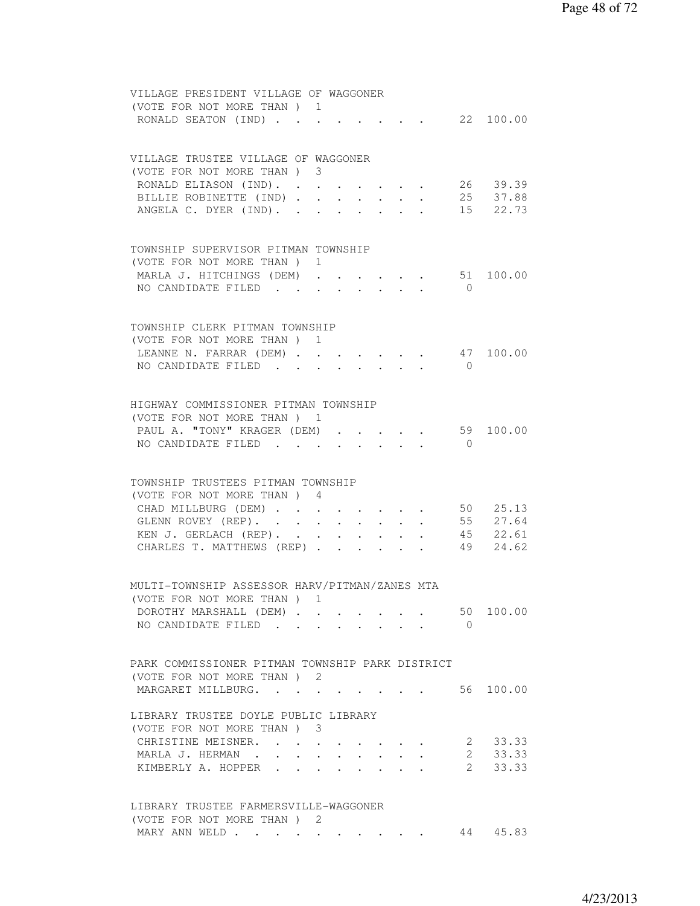| VILLAGE PRESIDENT VILLAGE OF WAGGONER                                                                                |
|----------------------------------------------------------------------------------------------------------------------|
| (VOTE FOR NOT MORE THAN) 1                                                                                           |
| RONALD SEATON (IND) 22 100.00                                                                                        |
|                                                                                                                      |
| VILLAGE TRUSTEE VILLAGE OF WAGGONER                                                                                  |
| (VOTE FOR NOT MORE THAN) 3                                                                                           |
| 26 39.39<br>RONALD ELIASON (IND).                                                                                    |
| BILLIE ROBINETTE (IND).<br>25 37.88                                                                                  |
| $\mathbf{L}$ and $\mathbf{L}$<br>$\sim$ 100 $\mu$<br>$\bullet$ .<br>15 22.73<br>ANGELA C. DYER (IND). .              |
| $\mathbf{r} = \mathbf{r} \cdot \mathbf{r}$ , where $\mathbf{r} = \mathbf{r} \cdot \mathbf{r}$<br>$\sim$              |
|                                                                                                                      |
| TOWNSHIP SUPERVISOR PITMAN TOWNSHIP                                                                                  |
| (VOTE FOR NOT MORE THAN) 1                                                                                           |
| MARLA J. HITCHINGS (DEM) 51 100.00                                                                                   |
| NO CANDIDATE FILED<br>$\bigcirc$                                                                                     |
|                                                                                                                      |
|                                                                                                                      |
| TOWNSHIP CLERK PITMAN TOWNSHIP                                                                                       |
| (VOTE FOR NOT MORE THAN ) 1                                                                                          |
| LEANNE N. FARRAR (DEM) 47 100.00                                                                                     |
| NO CANDIDATE FILED<br>$\bigcirc$                                                                                     |
|                                                                                                                      |
|                                                                                                                      |
| HIGHWAY COMMISSIONER PITMAN TOWNSHIP                                                                                 |
| (VOTE FOR NOT MORE THAN) 1                                                                                           |
| PAUL A. "TONY" KRAGER (DEM) .<br>59 100.00<br>$\ddot{\phantom{a}}$                                                   |
| NO CANDIDATE FILED<br>$\bigcirc$                                                                                     |
|                                                                                                                      |
|                                                                                                                      |
| TOWNSHIP TRUSTEES PITMAN TOWNSHIP                                                                                    |
| (VOTE FOR NOT MORE THAN) 4                                                                                           |
| 50 25.13<br>CHAD MILLBURG (DEM)                                                                                      |
| 55 27.64<br>GLENN ROVEY (REP).                                                                                       |
| KEN J. GERLACH (REP).<br>45 22.61                                                                                    |
| CHARLES T. MATTHEWS (REP)<br>49 24.62                                                                                |
|                                                                                                                      |
|                                                                                                                      |
| MULTI-TOWNSHIP ASSESSOR HARV/PITMAN/ZANES MTA                                                                        |
| (VOTE FOR NOT MORE THAN ) 1                                                                                          |
| 100.00<br>DOROTHY MARSHALL (DEM)<br>50                                                                               |
| NO CANDIDATE FILED<br>$\bigcirc$                                                                                     |
|                                                                                                                      |
|                                                                                                                      |
| PARK COMMISSIONER PITMAN TOWNSHIP PARK DISTRICT                                                                      |
| (VOTE FOR NOT MORE THAN) 2                                                                                           |
| 56 100.00<br>MARGARET MILLBURG.<br><b>Contract Contract Contract</b>                                                 |
|                                                                                                                      |
| LIBRARY TRUSTEE DOYLE PUBLIC LIBRARY                                                                                 |
| (VOTE FOR NOT MORE THAN) 3                                                                                           |
| 33.33<br>CHRISTINE MEISNER.<br>2<br>$\ddot{\phantom{a}}$<br>$\sim$ $\sim$ $\sim$                                     |
| 2 33.33<br>MARLA J. HERMAN.<br>$\mathbf{r}$ , and $\mathbf{r}$<br>$\mathbf{r}$ , and $\mathbf{r}$ , and $\mathbf{r}$ |
| $2 \quad$<br>33.33<br>KIMBERLY A. HOPPER                                                                             |
|                                                                                                                      |
|                                                                                                                      |
| LIBRARY TRUSTEE FARMERSVILLE-WAGGONER                                                                                |
| (VOTE FOR NOT MORE THAN) 2                                                                                           |
| 45.83<br>MARY ANN WELD<br>44                                                                                         |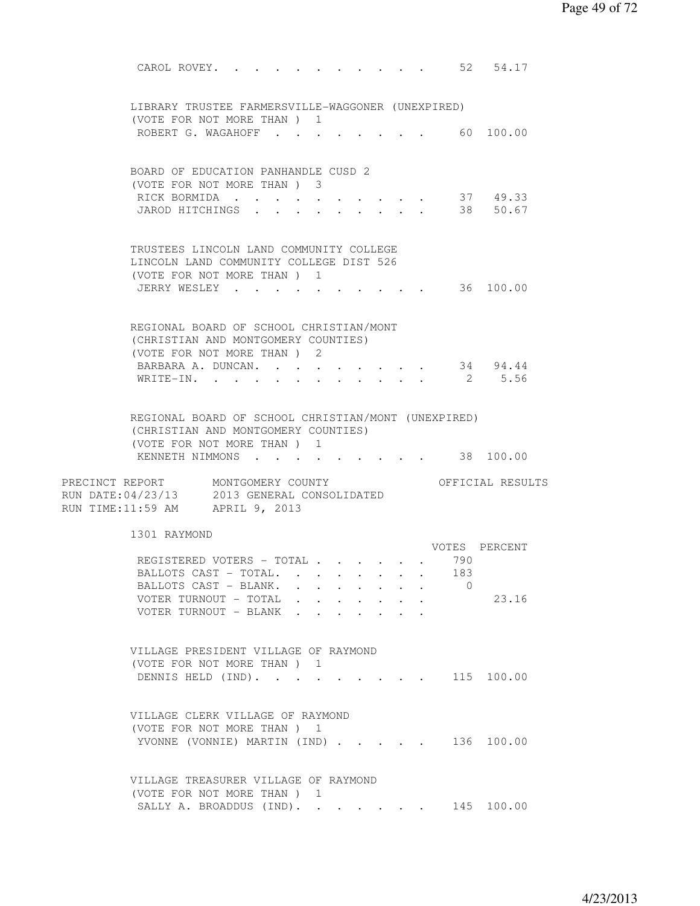CAROL ROVEY. . . . . . . . . . . 52 54.17 LIBRARY TRUSTEE FARMERSVILLE-WAGGONER (UNEXPIRED) (VOTE FOR NOT MORE THAN ) 1 ROBERT G. WAGAHOFF . . . . . . . . 60 100.00 BOARD OF EDUCATION PANHANDLE CUSD 2 (VOTE FOR NOT MORE THAN ) 3 RICK BORMIDA . . . . . . . . . . 37 49.33 JAROD HITCHINGS . . . . . . . . . 38 50.67 TRUSTEES LINCOLN LAND COMMUNITY COLLEGE LINCOLN LAND COMMUNITY COLLEGE DIST 526 (VOTE FOR NOT MORE THAN ) 1 JERRY WESLEY . . . . . . . . . . . 36 100.00 REGIONAL BOARD OF SCHOOL CHRISTIAN/MONT (CHRISTIAN AND MONTGOMERY COUNTIES) (VOTE FOR NOT MORE THAN ) 2 BARBARA A. DUNCAN. . . . . . . . . 34 94.44 WRITE-IN. . . . . . . . . . . . 2 5.56 REGIONAL BOARD OF SCHOOL CHRISTIAN/MONT (UNEXPIRED) (CHRISTIAN AND MONTGOMERY COUNTIES) (VOTE FOR NOT MORE THAN ) 1 KENNETH NIMMONS . . . . . . . . . 38 100.00 PRECINCT REPORT MONTGOMERY COUNTY THE OFFICIAL RESULTS RUN DATE:04/23/13 2013 GENERAL CONSOLIDATED RUN TIME:11:59 AM APRIL 9, 2013 1301 RAYMOND VOTES PERCENT<br>. 790 REGISTERED VOTERS - TOTAL . . . . . . 790<br>BALLOTS CAST - TOTAL. . . . . . . . 183 BALLOTS CAST - TOTAL. . . . . . . . BALLOTS CAST - BLANK. . . . . . . . 0 VOTER TURNOUT - TOTAL . . . . . . . 23.16 VOTER TURNOUT - BLANK . . . . . . . VILLAGE PRESIDENT VILLAGE OF RAYMOND (VOTE FOR NOT MORE THAN ) 1 DENNIS HELD (IND). . . . . . . . . 115 100.00 VILLAGE CLERK VILLAGE OF RAYMOND (VOTE FOR NOT MORE THAN ) 1 YVONNE (VONNIE) MARTIN (IND) . . . . . 136 100.00 VILLAGE TREASURER VILLAGE OF RAYMOND (VOTE FOR NOT MORE THAN ) 1 SALLY A. BROADDUS (IND). . . . . . 145 100.00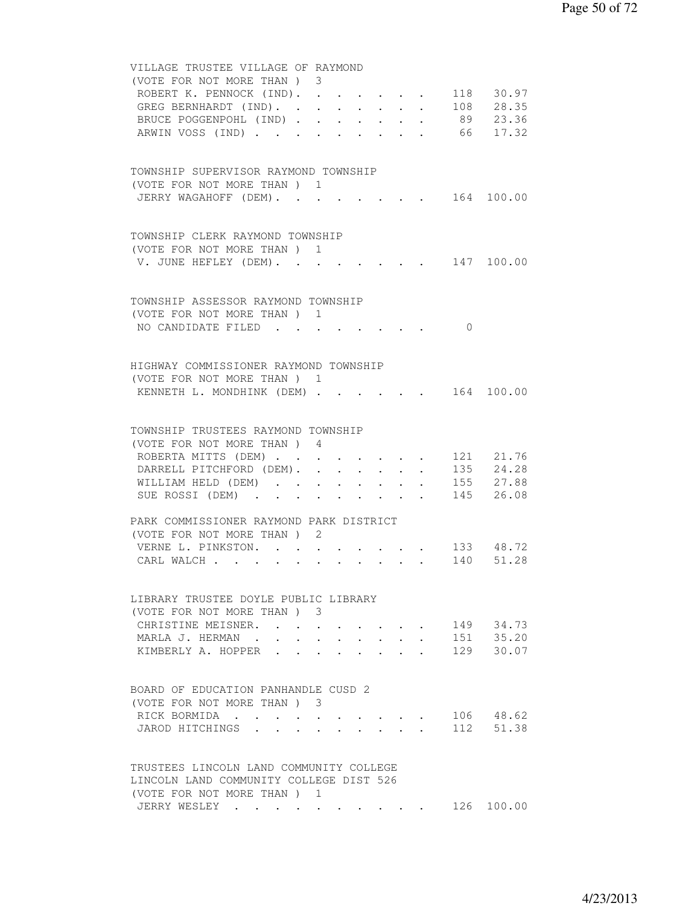| VILLAGE TRUSTEE VILLAGE OF RAYMOND<br>(VOTE FOR NOT MORE THAN) 3                                           |  |
|------------------------------------------------------------------------------------------------------------|--|
| ROBERT K. PENNOCK (IND). 118 30.97                                                                         |  |
| $\cdot$ 108 28.35<br>GREG BERNHARDT (IND). .                                                               |  |
| $\cdot$ $\cdot$ $\cdot$ $\cdot$ $\cdot$ $\cdot$ $\cdot$ 89 23.36<br>BRUCE POGGENPOHL (IND).                |  |
| ARWIN VOSS (IND) 66 17.32                                                                                  |  |
|                                                                                                            |  |
| TOWNSHIP SUPERVISOR RAYMOND TOWNSHIP                                                                       |  |
| (VOTE FOR NOT MORE THAN) 1                                                                                 |  |
| $\cdot$ 164 100.00<br>JERRY WAGAHOFF (DEM).                                                                |  |
|                                                                                                            |  |
| TOWNSHIP CLERK RAYMOND TOWNSHIP                                                                            |  |
| (VOTE FOR NOT MORE THAN) 1                                                                                 |  |
| V. JUNE HEFLEY (DEM). 147 100.00                                                                           |  |
|                                                                                                            |  |
| TOWNSHIP ASSESSOR RAYMOND TOWNSHIP                                                                         |  |
| (VOTE FOR NOT MORE THAN) 1<br>NO CANDIDATE FILED<br>$\bigcirc$                                             |  |
|                                                                                                            |  |
| HIGHWAY COMMISSIONER RAYMOND TOWNSHIP                                                                      |  |
| (VOTE FOR NOT MORE THAN) 1                                                                                 |  |
| $\cdot$ 164 100.00<br>KENNETH L. MONDHINK (DEM)                                                            |  |
|                                                                                                            |  |
| TOWNSHIP TRUSTEES RAYMOND TOWNSHIP                                                                         |  |
| (VOTE FOR NOT MORE THAN) 4                                                                                 |  |
| ROBERTA MITTS (DEM) 121 21.76                                                                              |  |
| DARRELL PITCHFORD (DEM). 135 24.28                                                                         |  |
| WILLIAM HELD (DEM) 155 27.88                                                                               |  |
| SUE ROSSI (DEM) 145 26.08                                                                                  |  |
| PARK COMMISSIONER RAYMOND PARK DISTRICT                                                                    |  |
| (VOTE FOR NOT MORE THAN) 2                                                                                 |  |
| VERNE L. PINKSTON.<br>$\cdot$ 133 48.72                                                                    |  |
| 140 51.28<br>CARL WALCH<br>$\mathbf{u} = \mathbf{u} + \mathbf{u} + \mathbf{u} + \mathbf{u} + \mathbf{u}$ . |  |
|                                                                                                            |  |
| LIBRARY TRUSTEE DOYLE PUBLIC LIBRARY<br>(VOTE FOR NOT MORE THAN) 3                                         |  |
| 149 34.73<br>CHRISTINE MEISNER. .                                                                          |  |
| $151$ $35.20$<br>MARLA J. HERMAN.                                                                          |  |
| 129<br>KIMBERLY A. HOPPER<br>30.07                                                                         |  |
|                                                                                                            |  |
| BOARD OF EDUCATION PANHANDLE CUSD 2                                                                        |  |
| (VOTE FOR NOT MORE THAN) 3                                                                                 |  |
| 106 48.62<br>RICK BORMIDA                                                                                  |  |
| 112 51.38<br>JAROD HITCHINGS                                                                               |  |
|                                                                                                            |  |
| TRUSTEES LINCOLN LAND COMMUNITY COLLEGE                                                                    |  |
| LINCOLN LAND COMMUNITY COLLEGE DIST 526                                                                    |  |
| (VOTE FOR NOT MORE THAN) 1                                                                                 |  |
| JERRY WESLEY 126 100.00                                                                                    |  |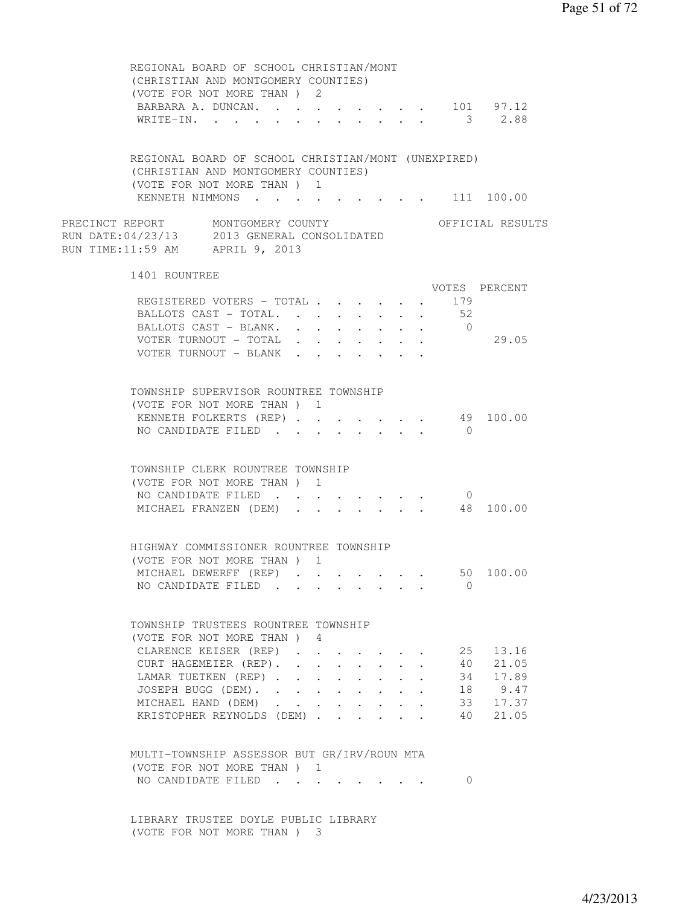| REGIONAL BOARD OF SCHOOL CHRISTIAN/MONT<br>(CHRISTIAN AND MONTGOMERY COUNTIES)<br>(VOTE FOR NOT MORE THAN ) 2<br>BARBARA A. DUNCAN. 101 97.12<br>WRITE-IN. 3 2.88 |  |  |                                                         |                      |                |                                    |
|-------------------------------------------------------------------------------------------------------------------------------------------------------------------|--|--|---------------------------------------------------------|----------------------|----------------|------------------------------------|
| REGIONAL BOARD OF SCHOOL CHRISTIAN/MONT (UNEXPIRED)<br>(CHRISTIAN AND MONTGOMERY COUNTIES)<br>(VOTE FOR NOT MORE THAN) 1<br>KENNETH NIMMONS 111 100.00            |  |  |                                                         |                      |                |                                    |
| PRECINCT REPORT MONTGOMERY COUNTY                                                                                                                                 |  |  |                                                         |                      |                | OFFICIAL RESULTS                   |
| RUN DATE:04/23/13 2013 GENERAL CONSOLIDATED<br>RUN TIME:11:59 AM APRIL 9, 2013                                                                                    |  |  |                                                         |                      |                |                                    |
| 1401 ROUNTREE                                                                                                                                                     |  |  |                                                         |                      |                | VOTES PERCENT                      |
|                                                                                                                                                                   |  |  |                                                         |                      |                |                                    |
| REGISTERED VOTERS - TOTAL                                                                                                                                         |  |  |                                                         |                      | 179            |                                    |
| BALLOTS CAST - TOTAL.                                                                                                                                             |  |  |                                                         |                      | 52             |                                    |
| BALLOTS CAST - BLANK.                                                                                                                                             |  |  |                                                         |                      | $\overline{0}$ |                                    |
| VOTER TURNOUT - TOTAL                                                                                                                                             |  |  |                                                         |                      |                | 29.05                              |
| VOTER TURNOUT - BLANK                                                                                                                                             |  |  |                                                         |                      |                |                                    |
| TOWNSHIP SUPERVISOR ROUNTREE TOWNSHIP                                                                                                                             |  |  |                                                         |                      |                |                                    |
| (VOTE FOR NOT MORE THAN) 1                                                                                                                                        |  |  |                                                         |                      |                |                                    |
| KENNETH FOLKERTS (REP)                                                                                                                                            |  |  | $\cdot$ $\cdot$ $\cdot$ $\cdot$ $\cdot$ $\cdot$ $\cdot$ |                      |                | 49 100.00                          |
| NO CANDIDATE FILED                                                                                                                                                |  |  |                                                         |                      | $\bigcirc$     |                                    |
| TOWNSHIP CLERK ROUNTREE TOWNSHIP<br>(VOTE FOR NOT MORE THAN) 1<br>NO CANDIDATE FILED<br>MICHAEL FRANZEN (DEM)                                                     |  |  |                                                         |                      | $\overline{0}$ | 48 100.00                          |
| HIGHWAY COMMISSIONER ROUNTREE TOWNSHIP                                                                                                                            |  |  |                                                         |                      |                |                                    |
| (VOTE FOR NOT MORE THAN) 1                                                                                                                                        |  |  |                                                         |                      |                |                                    |
| MICHAEL DEWERFF (REP)                                                                                                                                             |  |  |                                                         |                      |                | 50 100.00                          |
| NO CANDIDATE FILED                                                                                                                                                |  |  |                                                         |                      | $\Omega$       |                                    |
| TOWNSHIP TRUSTEES ROUNTREE TOWNSHIP<br>(VOTE FOR NOT MORE THAN) 4<br>CLARENCE KEISER (REP)<br>CURT HAGEMEIER (REP).<br>LAMAR TUETKEN (REP)<br>JOSEPH BUGG (DEM).  |  |  |                                                         | $\ddot{\phantom{a}}$ | 25<br>40<br>34 | 13.16<br>21.05<br>17.89<br>18 9.47 |
|                                                                                                                                                                   |  |  |                                                         |                      |                |                                    |
| MICHAEL HAND (DEM)<br>KRISTOPHER REYNOLDS (DEM)                                                                                                                   |  |  |                                                         |                      | 40             | 33 17.37<br>21.05                  |
| MULTI-TOWNSHIP ASSESSOR BUT GR/IRV/ROUN MTA<br>(VOTE FOR NOT MORE THAN) 1<br>NO CANDIDATE FILED<br>LIBRARY TRUSTEE DOYLE PUBLIC LIBRARY                           |  |  |                                                         |                      | $\Omega$       |                                    |
| (VOTE FOR NOT MORE THAN) 3                                                                                                                                        |  |  |                                                         |                      |                |                                    |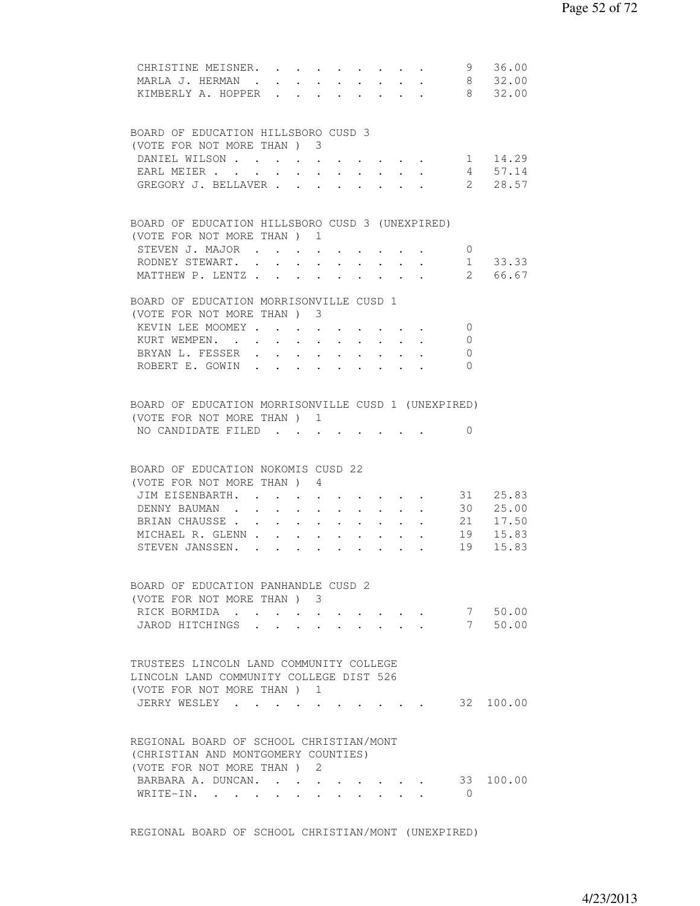| CHRISTINE MEISNER. 9 36.00<br>MARLA J. HERMAN.<br>KIMBERLY A. HOPPER 8 32.00                                     |            |                      |                                                             |                      |                                                           |                            |                      |                  | $\cdot$ 8 32.00   |
|------------------------------------------------------------------------------------------------------------------|------------|----------------------|-------------------------------------------------------------|----------------------|-----------------------------------------------------------|----------------------------|----------------------|------------------|-------------------|
| BOARD OF EDUCATION HILLSBORO CUSD 3                                                                              |            |                      |                                                             |                      |                                                           |                            |                      |                  |                   |
| (VOTE FOR NOT MORE THAN) 3                                                                                       |            |                      |                                                             |                      |                                                           |                            |                      |                  |                   |
| DANIEL WILSON                                                                                                    |            |                      |                                                             |                      |                                                           |                            |                      |                  | 1 14.29           |
| EARL MEIER                                                                                                       |            |                      |                                                             |                      |                                                           |                            |                      |                  | 4 57.14           |
| GREGORY J. BELLAVER                                                                                              |            |                      |                                                             |                      |                                                           |                            |                      |                  | 2 28.57           |
| BOARD OF EDUCATION HILLSBORO CUSD 3 (UNEXPIRED)<br>(VOTE FOR NOT MORE THAN) 1                                    |            |                      |                                                             |                      |                                                           |                            |                      |                  |                   |
| STEVEN J. MAJOR                                                                                                  |            |                      |                                                             |                      | $\cdot$ $\cdot$ $\cdot$ $\cdot$ $\cdot$                   |                            |                      | $\circ$          |                   |
| RODNEY STEWART. .                                                                                                | $\sim$     | $\mathbf{L}$         |                                                             |                      | $\cdot$ $\cdot$                                           | $\mathcal{L}^{\text{max}}$ | $\ddot{\phantom{0}}$ |                  | 1 33.33           |
| MATTHEW P. LENTZ                                                                                                 |            |                      |                                                             |                      |                                                           |                            |                      |                  | 2 66.67           |
| BOARD OF EDUCATION MORRISONVILLE CUSD 1                                                                          |            |                      |                                                             |                      |                                                           |                            |                      |                  |                   |
| (VOTE FOR NOT MORE THAN) 3                                                                                       |            |                      |                                                             |                      |                                                           |                            |                      |                  |                   |
| KEVIN LEE MOOMEY                                                                                                 |            |                      |                                                             |                      |                                                           |                            |                      | $\overline{0}$   |                   |
| KURT WEMPEN.                                                                                                     |            |                      |                                                             |                      |                                                           |                            |                      | 0                |                   |
| BRYAN L. FESSER .                                                                                                |            |                      |                                                             |                      |                                                           |                            |                      | $\mathbf{0}$     |                   |
| ROBERT E. GOWIN.                                                                                                 | $\sim$ $-$ | $\ddot{\phantom{0}}$ |                                                             | $\ddot{\phantom{0}}$ |                                                           |                            |                      | $\Omega$         |                   |
| BOARD OF EDUCATION MORRISONVILLE CUSD 1 (UNEXPIRED)<br>(VOTE FOR NOT MORE THAN) 1                                |            |                      |                                                             |                      |                                                           |                            |                      |                  |                   |
| NO CANDIDATE FILED                                                                                               |            |                      |                                                             |                      |                                                           |                            |                      | $\Omega$         |                   |
| BOARD OF EDUCATION NOKOMIS CUSD 22<br>(VOTE FOR NOT MORE THAN) 4                                                 |            |                      |                                                             |                      |                                                           |                            |                      |                  |                   |
| JIM EISENBARTH.                                                                                                  |            | $\bullet$ .          | $\bullet$ .<br><br><br><br><br><br><br><br><br><br><br><br> |                      | $\cdot$ $\cdot$ $\cdot$ $\cdot$ $\cdot$                   |                            |                      |                  | 31 25.83          |
| DENNY BAUMAN                                                                                                     |            |                      |                                                             |                      |                                                           |                            |                      |                  | $\cdot$ 30 25.00  |
| BRIAN CHAUSSE 21 17.50                                                                                           |            |                      |                                                             |                      |                                                           |                            |                      |                  |                   |
| MICHAEL R. GLENN                                                                                                 |            |                      |                                                             |                      |                                                           |                            |                      |                  | 19 15.83          |
| STEVEN JANSSEN.                                                                                                  |            |                      |                                                             |                      |                                                           |                            |                      |                  | 19 15.83          |
| BOARD OF EDUCATION PANHANDLE CUSD 2                                                                              |            |                      |                                                             |                      |                                                           |                            |                      |                  |                   |
| (VOTE FOR NOT MORE THAN) 3                                                                                       |            |                      |                                                             |                      |                                                           |                            |                      |                  |                   |
| RICK BORMIDA                                                                                                     |            |                      |                                                             |                      |                                                           |                            |                      |                  | 7 50.00           |
| JAROD HITCHINGS                                                                                                  |            |                      |                                                             |                      | $\mathbf{r}$ , $\mathbf{r}$ , $\mathbf{r}$ , $\mathbf{r}$ |                            |                      |                  | 7 50.00           |
| TRUSTEES LINCOLN LAND COMMUNITY COLLEGE<br>LINCOLN LAND COMMUNITY COLLEGE DIST 526<br>(VOTE FOR NOT MORE THAN) 1 |            |                      |                                                             |                      |                                                           |                            |                      |                  |                   |
| JERRY WESLEY                                                                                                     |            |                      |                                                             |                      |                                                           |                            |                      |                  | $\cdot$ 32 100.00 |
| REGIONAL BOARD OF SCHOOL CHRISTIAN/MONT<br>(CHRISTIAN AND MONTGOMERY COUNTIES)                                   |            |                      |                                                             |                      |                                                           |                            |                      |                  |                   |
| (VOTE FOR NOT MORE THAN)                                                                                         |            |                      | -2                                                          |                      |                                                           |                            |                      |                  |                   |
| BARBARA A. DUNCAN.<br>WRITE-IN.                                                                                  |            |                      |                                                             |                      | $\cdot$ $\cdot$ $\cdot$ $\cdot$ $\cdot$ $\cdot$           |                            |                      | 33<br>$\bigcirc$ | 100.00            |

REGIONAL BOARD OF SCHOOL CHRISTIAN/MONT (UNEXPIRED)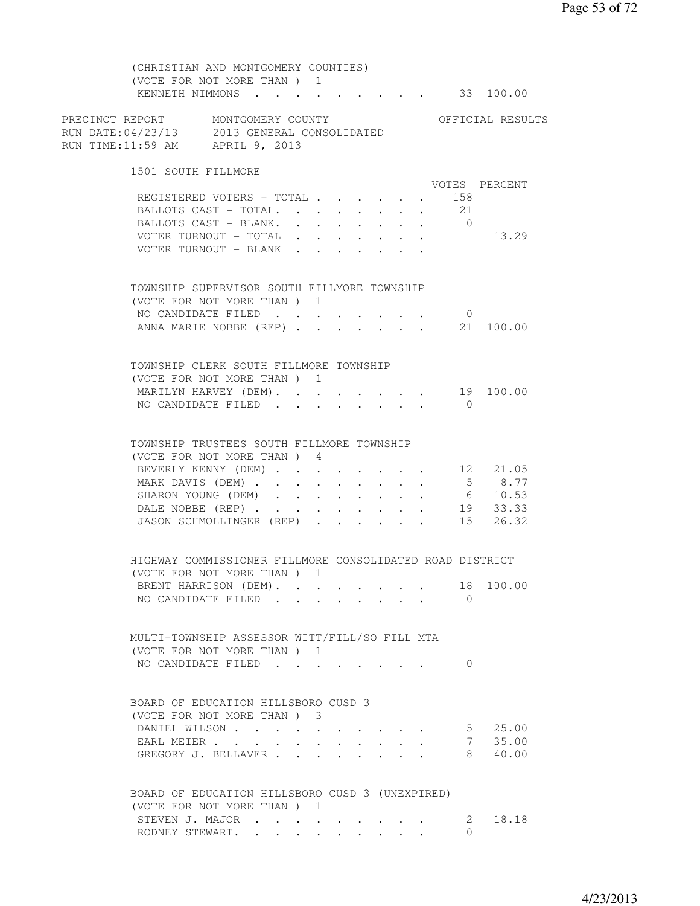(CHRISTIAN AND MONTGOMERY COUNTIES) (VOTE FOR NOT MORE THAN ) 1 KENNETH NIMMONS . . . . . . . . . 33 100.00 PRECINCT REPORT MONTGOMERY COUNTY THE OFFICIAL RESULTS RUN DATE:04/23/13 2013 GENERAL CONSOLIDATED RUN TIME:11:59 AM APRIL 9, 2013 1501 SOUTH FILLMORE VOTES PERCENT REGISTERED VOTERS - TOTAL . . . . . . 158<br>BALLOTS CAST - TOTAL. . . . . . . . 21 BALLOTS CAST - TOTAL. . . . . . . . BALLOTS CAST - BLANK. . . . . . . . 0 VOTER TURNOUT - TOTAL . . . . . . . 13.29 VOTER TURNOUT - BLANK . . . . . . . TOWNSHIP SUPERVISOR SOUTH FILLMORE TOWNSHIP (VOTE FOR NOT MORE THAN ) 1 NO CANDIDATE FILED . . . . . . . . 0 ANNA MARIE NOBBE (REP) . . . . . . . 21 100.00 TOWNSHIP CLERK SOUTH FILLMORE TOWNSHIP (VOTE FOR NOT MORE THAN ) 1 MARILYN HARVEY (DEM). . . . . . . . 19 100.00 NO CANDIDATE FILED . . . . . . . . 0 TOWNSHIP TRUSTEES SOUTH FILLMORE TOWNSHIP (VOTE FOR NOT MORE THAN ) 4 BEVERLY KENNY (DEM) . . . . . . . . 12 21.05 MARK DAVIS (DEM) . . . . . . . . . . 5 8.77<br>SHARON YOUNG (DEM) . . . . . . . . 6 10.53 SHARON YOUNG (DEM) . . . . . . . . . 6 10.53<br>DALE NOBBE (REP) . . . . . . . . 19 33.33 DALE NOBBE (REP) . . . . . . . . . 19 33.33 JASON SCHMOLLINGER (REP) . . . . . 15 26.32 HIGHWAY COMMISSIONER FILLMORE CONSOLIDATED ROAD DISTRICT (VOTE FOR NOT MORE THAN ) 1 BRENT HARRISON (DEM). . . . . . . . 18 100.00 NO CANDIDATE FILED . . . . . . . . 0 MULTI-TOWNSHIP ASSESSOR WITT/FILL/SO FILL MTA (VOTE FOR NOT MORE THAN ) 1 NO CANDIDATE FILED . . . . . . . . 0 BOARD OF EDUCATION HILLSBORO CUSD 3 (VOTE FOR NOT MORE THAN ) 3 DANIEL WILSON . . . . . . . . . . 5 25.00 EARL MEIER . . . . . . . . . . . 7 35.00 EARL MEIER . . . . . . . . . . . . 7 35.00<br>GREGORY J. BELLAVER . . . . . . . . 8 40.00 BOARD OF EDUCATION HILLSBORO CUSD 3 (UNEXPIRED) (VOTE FOR NOT MORE THAN ) 1<br>STEVEN J. MAJOR . . . .  $\cdots$  . . . . . . 2 18.18 RODNEY STEWART. . . . . . . . . 0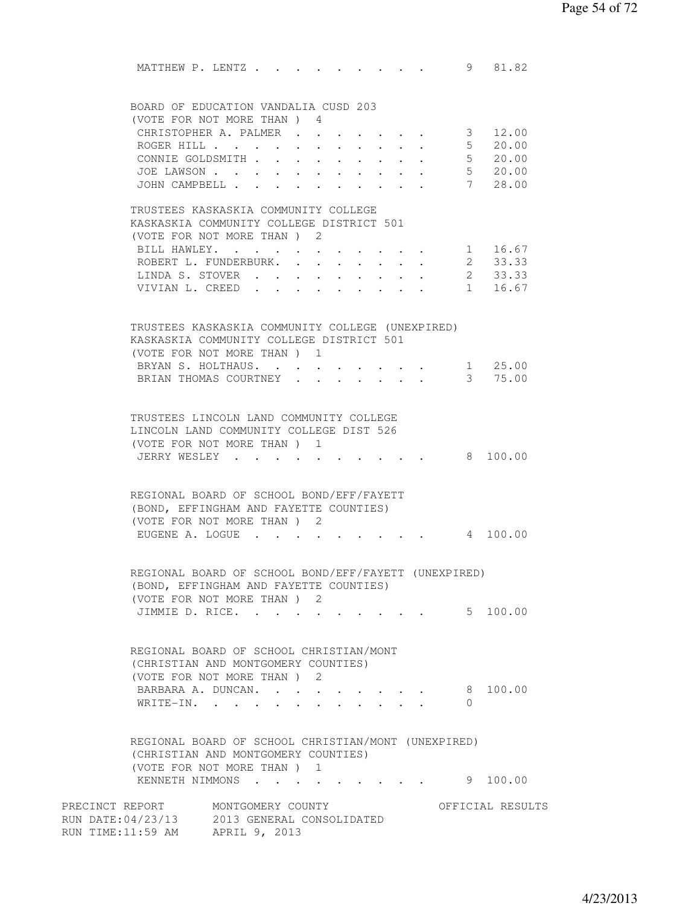MATTHEW P. LENTZ . . . . . . . . . . 9 81.82 BOARD OF EDUCATION VANDALIA CUSD 203 (VOTE FOR NOT MORE THAN ) 4 CHRISTOPHER A. PALMER . . . . . . . 3 12.00 ROGER HILL . . . . . . . . . . . 5 20.00 CONNIE GOLDSMITH . . . . . . . . . 5 20.00 JOE LAWSON . . . . . . . . . . . 5 20.00 JOHN CAMPBELL . . . . . . . . . . . 7 28.00 TRUSTEES KASKASKIA COMMUNITY COLLEGE KASKASKIA COMMUNITY COLLEGE DISTRICT 501 (VOTE FOR NOT MORE THAN ) 2 BILL HAWLEY. . . . . . . . . . . 1 16.67 ROBERT L. FUNDERBURK. . . . . . . . 2 33.33 LINDA S. STOVER . . . . . . . . . . 2 33.33<br>VIVIAN L. CREED . . . . . . . . . 1 16.67 VIVIAN L. CREED . . . . . TRUSTEES KASKASKIA COMMUNITY COLLEGE (UNEXPIRED) KASKASKIA COMMUNITY COLLEGE DISTRICT 501 (VOTE FOR NOT MORE THAN ) 1 BRYAN S. HOLTHAUS. . . . . . . . . 1 25.00 BRIAN THOMAS COURTNEY . . . . . . . 3 75.00 TRUSTEES LINCOLN LAND COMMUNITY COLLEGE LINCOLN LAND COMMUNITY COLLEGE DIST 526 (VOTE FOR NOT MORE THAN ) 1 JERRY WESLEY . . . . . . . . . . 8 100.00 REGIONAL BOARD OF SCHOOL BOND/EFF/FAYETT (BOND, EFFINGHAM AND FAYETTE COUNTIES) (VOTE FOR NOT MORE THAN ) 2 EUGENE A. LOGUE . . . . . . . . . 4 100.00 REGIONAL BOARD OF SCHOOL BOND/EFF/FAYETT (UNEXPIRED) (BOND, EFFINGHAM AND FAYETTE COUNTIES) (VOTE FOR NOT MORE THAN ) 2 JIMMIE D. RICE. . . . . . . . . . . 5 100.00 REGIONAL BOARD OF SCHOOL CHRISTIAN/MONT (CHRISTIAN AND MONTGOMERY COUNTIES) (VOTE FOR NOT MORE THAN ) 2 BARBARA A. DUNCAN. . . . . . . . . 8 100.00 WRITE-IN. . . . . . . . . . . . 0 REGIONAL BOARD OF SCHOOL CHRISTIAN/MONT (UNEXPIRED) (CHRISTIAN AND MONTGOMERY COUNTIES) (VOTE FOR NOT MORE THAN ) 1 KENNETH NIMMONS . . . . . . . . . . 9 100.00 PRECINCT REPORT MONTGOMERY COUNTY THE OFFICIAL RESULTS RUN DATE:04/23/13 2013 GENERAL CONSOLIDATED RUN TIME:11:59 AM APRIL 9, 2013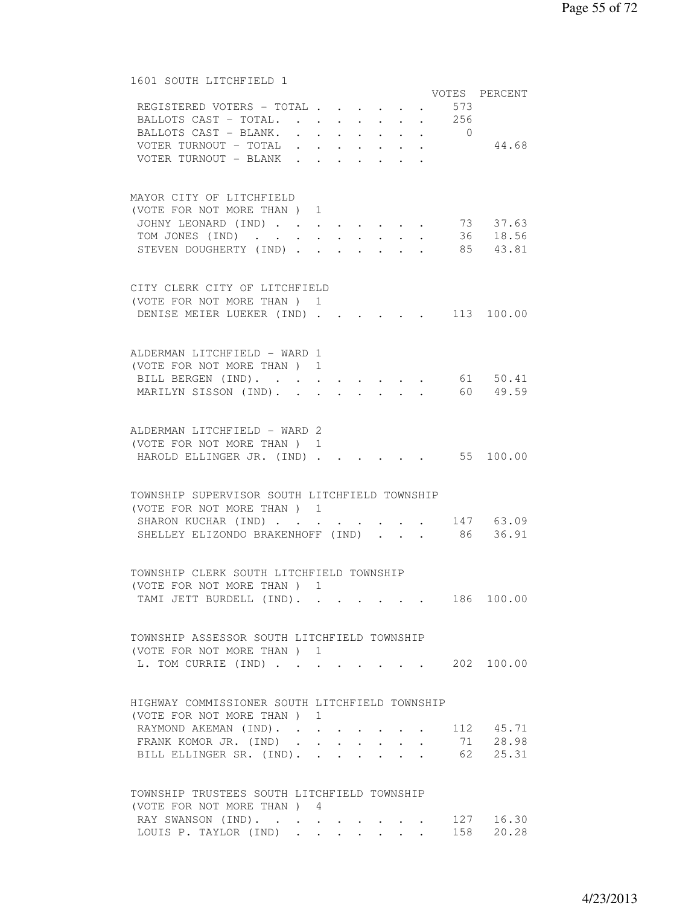## 1601 SOUTH LITCHFIELD 1

|                                                |  |  |  |        |     | VOTES PERCENT                            |
|------------------------------------------------|--|--|--|--------|-----|------------------------------------------|
| REGISTERED VOTERS - TOTAL                      |  |  |  | $\sim$ | 573 |                                          |
| BALLOTS CAST - TOTAL. 256                      |  |  |  |        |     |                                          |
| BALLOTS CAST - BLANK. 0                        |  |  |  |        |     |                                          |
| VOTER TURNOUT - TOTAL                          |  |  |  |        |     | 44.68                                    |
| VOTER TURNOUT - BLANK                          |  |  |  |        |     |                                          |
|                                                |  |  |  |        |     |                                          |
|                                                |  |  |  |        |     |                                          |
| MAYOR CITY OF LITCHFIELD                       |  |  |  |        |     |                                          |
| (VOTE FOR NOT MORE THAN ) 1                    |  |  |  |        |     |                                          |
| JOHNY LEONARD (IND) 73 37.63                   |  |  |  |        |     |                                          |
| TOM JONES (IND) 36 18.56                       |  |  |  |        |     |                                          |
| STEVEN DOUGHERTY (IND) 85 43.81                |  |  |  |        |     |                                          |
|                                                |  |  |  |        |     |                                          |
| CITY CLERK CITY OF LITCHFIELD                  |  |  |  |        |     |                                          |
| (VOTE FOR NOT MORE THAN) 1                     |  |  |  |        |     |                                          |
| DENISE MEIER LUEKER (IND).                     |  |  |  |        |     | $\cdot$ 113 100.00                       |
|                                                |  |  |  |        |     |                                          |
|                                                |  |  |  |        |     |                                          |
| ALDERMAN LITCHFIELD - WARD 1                   |  |  |  |        |     |                                          |
| (VOTE FOR NOT MORE THAN ) 1                    |  |  |  |        |     |                                          |
| BILL BERGEN (IND). 61 50.41                    |  |  |  |        |     |                                          |
| MARILYN SISSON (IND).                          |  |  |  |        |     | $\cdot$ $\cdot$ $\cdot$ $\cdot$ 60 49.59 |
|                                                |  |  |  |        |     |                                          |
|                                                |  |  |  |        |     |                                          |
| ALDERMAN LITCHFIELD - WARD 2                   |  |  |  |        |     |                                          |
| (VOTE FOR NOT MORE THAN) 1                     |  |  |  |        |     |                                          |
| HAROLD ELLINGER JR. (IND).                     |  |  |  |        |     | $\cdot \cdot \cdot \cdot$ 55 100.00      |
|                                                |  |  |  |        |     |                                          |
|                                                |  |  |  |        |     |                                          |
| TOWNSHIP SUPERVISOR SOUTH LITCHFIELD TOWNSHIP  |  |  |  |        |     |                                          |
| (VOTE FOR NOT MORE THAN) 1                     |  |  |  |        |     |                                          |
| SHARON KUCHAR (IND)                            |  |  |  |        |     | 147 63.09                                |
| SHELLEY ELIZONDO BRAKENHOFF (IND)              |  |  |  |        |     | 86 36.91                                 |
|                                                |  |  |  |        |     |                                          |
| TOWNSHIP CLERK SOUTH LITCHFIELD TOWNSHIP       |  |  |  |        |     |                                          |
|                                                |  |  |  |        |     |                                          |
| (VOTE FOR NOT MORE THAN) 1                     |  |  |  |        |     |                                          |
| TAMI JETT BURDELL (IND).                       |  |  |  |        |     | 186 100.00                               |
|                                                |  |  |  |        |     |                                          |
| TOWNSHIP ASSESSOR SOUTH LITCHFIELD TOWNSHIP    |  |  |  |        |     |                                          |
| (VOTE FOR NOT MORE THAN) 1                     |  |  |  |        |     |                                          |
| L. TOM CURRIE (IND)                            |  |  |  |        |     | 202 100.00                               |
|                                                |  |  |  |        |     |                                          |
|                                                |  |  |  |        |     |                                          |
| HIGHWAY COMMISSIONER SOUTH LITCHFIELD TOWNSHIP |  |  |  |        |     |                                          |
| (VOTE FOR NOT MORE THAN ) 1                    |  |  |  |        |     |                                          |
| RAYMOND AKEMAN (IND).                          |  |  |  |        |     | 112 45.71                                |
| FRANK KOMOR JR. (IND)                          |  |  |  |        |     | 71 28.98                                 |
| BILL ELLINGER SR. (IND).                       |  |  |  |        |     | 62 25.31                                 |
|                                                |  |  |  |        |     |                                          |
|                                                |  |  |  |        |     |                                          |
| TOWNSHIP TRUSTEES SOUTH LITCHFIELD TOWNSHIP    |  |  |  |        |     |                                          |
| (VOTE FOR NOT MORE THAN) 4                     |  |  |  |        |     |                                          |
| RAY SWANSON (IND).                             |  |  |  |        |     | 127 16.30                                |
| LOUIS P. TAYLOR (IND)                          |  |  |  |        |     | 158 20.28                                |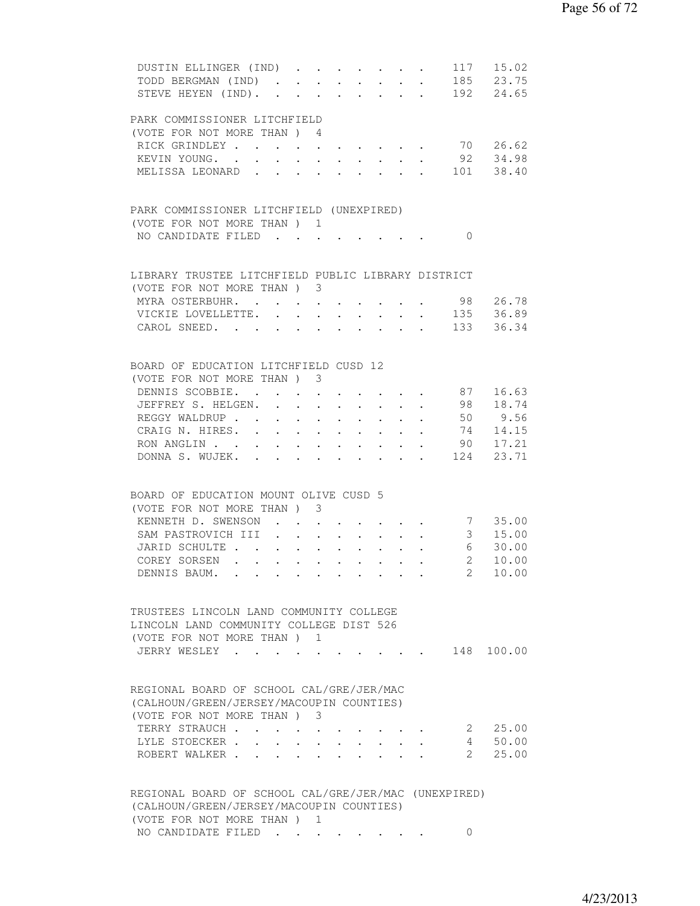| DUSTIN ELLINGER (IND)                                |                      |                                          |             |                               |                                                                                     |            |              | 117 15.02         |
|------------------------------------------------------|----------------------|------------------------------------------|-------------|-------------------------------|-------------------------------------------------------------------------------------|------------|--------------|-------------------|
| TODD BERGMAN (IND)                                   |                      |                                          |             | $\mathbf{L}$ and $\mathbf{L}$ | $\mathbf{r} = \mathbf{r} + \mathbf{r}$ , where $\mathbf{r} = \mathbf{r}$            |            |              | 185 23.75         |
| STEVE HEYEN (IND). 192 24.65                         |                      |                                          |             |                               |                                                                                     |            |              |                   |
|                                                      |                      |                                          |             |                               |                                                                                     |            |              |                   |
| PARK COMMISSIONER LITCHFIELD                         |                      |                                          |             |                               |                                                                                     |            |              |                   |
| (VOTE FOR NOT MORE THAN) 4                           |                      |                                          |             |                               |                                                                                     |            |              |                   |
|                                                      |                      |                                          |             |                               |                                                                                     |            |              |                   |
| RICK GRINDLEY                                        |                      |                                          |             |                               |                                                                                     |            |              | 70 26.62          |
| KEVIN YOUNG.                                         |                      |                                          |             |                               |                                                                                     |            |              | 92 34.98          |
| MELISSA LEONARD.                                     |                      | $\ddot{\phantom{a}}$                     |             |                               |                                                                                     |            |              | 101 38.40         |
|                                                      |                      |                                          |             |                               |                                                                                     |            |              |                   |
|                                                      |                      |                                          |             |                               |                                                                                     |            |              |                   |
| PARK COMMISSIONER LITCHFIELD (UNEXPIRED)             |                      |                                          |             |                               |                                                                                     |            |              |                   |
| (VOTE FOR NOT MORE THAN) 1                           |                      |                                          |             |                               |                                                                                     |            |              |                   |
| NO CANDIDATE FILED                                   |                      |                                          |             |                               |                                                                                     |            | $\bigcirc$   |                   |
|                                                      |                      |                                          |             |                               |                                                                                     |            |              |                   |
|                                                      |                      |                                          |             |                               |                                                                                     |            |              |                   |
| LIBRARY TRUSTEE LITCHFIELD PUBLIC LIBRARY DISTRICT   |                      |                                          |             |                               |                                                                                     |            |              |                   |
| (VOTE FOR NOT MORE THAN) 3                           |                      |                                          |             |                               |                                                                                     |            |              |                   |
|                                                      |                      |                                          |             |                               |                                                                                     |            |              | 98 26.78          |
| MYRA OSTERBUHR.                                      |                      |                                          |             |                               |                                                                                     |            |              |                   |
| VICKIE LOVELLETTE.                                   |                      |                                          |             |                               |                                                                                     |            |              | $\cdot$ 135 36.89 |
| CAROL SNEED. 133 36.34                               |                      |                                          |             |                               |                                                                                     |            |              |                   |
|                                                      |                      |                                          |             |                               |                                                                                     |            |              |                   |
|                                                      |                      |                                          |             |                               |                                                                                     |            |              |                   |
| BOARD OF EDUCATION LITCHFIELD CUSD 12                |                      |                                          |             |                               |                                                                                     |            |              |                   |
| (VOTE FOR NOT MORE THAN ) 3                          |                      |                                          |             |                               |                                                                                     |            |              |                   |
| DENNIS SCOBBIE. .                                    |                      |                                          |             |                               |                                                                                     |            |              | 87 16.63          |
| JEFFREY S. HELGEN. .                                 |                      |                                          |             |                               |                                                                                     |            |              | 98 18.74          |
|                                                      |                      | $\mathbf{L}$ . The set of $\mathbf{L}$   |             | $\bullet$ $\bullet$ $\bullet$ | $\mathbf{r} = \mathbf{r} + \mathbf{r}$ .                                            |            |              | 50 9.56           |
| REGGY WALDRUP                                        | $\ddot{\phantom{0}}$ | $\sim$                                   | $\bullet$ . | $\bullet$ .                   | $\mathbf{r}$ , and $\mathbf{r}$                                                     |            |              |                   |
| CRAIG N. HIRES.                                      |                      |                                          |             |                               |                                                                                     |            |              | 74 14.15          |
| RON ANGLIN 90 17.21                                  |                      |                                          |             |                               |                                                                                     |            |              |                   |
| DONNA S. WUJEK. 124 23.71                            |                      |                                          |             |                               |                                                                                     |            |              |                   |
|                                                      |                      |                                          |             |                               |                                                                                     |            |              |                   |
|                                                      |                      |                                          |             |                               |                                                                                     |            |              |                   |
| BOARD OF EDUCATION MOUNT OLIVE CUSD 5                |                      |                                          |             |                               |                                                                                     |            |              |                   |
| (VOTE FOR NOT MORE THAN) 3                           |                      |                                          |             |                               |                                                                                     |            |              |                   |
| KENNETH D. SWENSON.                                  |                      |                                          |             |                               |                                                                                     |            |              | 7 35.00           |
|                                                      | $\ddot{\phantom{0}}$ | $\ddot{\phantom{0}}$                     |             |                               |                                                                                     | $\sim$ $-$ |              | 3, 15.00          |
| SAM PASTROVICH III .                                 | $\sim$               | $\ddot{\phantom{0}}$                     |             | $\ddot{\phantom{0}}$          |                                                                                     | $\sim$     |              |                   |
| JARID SCHULTE                                        |                      | $\mathbf{r}$ , and $\mathbf{r}$          | $\sim$      | $\ddot{\phantom{0}}$          | $\mathcal{L}^{\mathcal{A}}(\mathcal{A})$ , $\mathcal{L}^{\mathcal{A}}(\mathcal{A})$ |            |              | 6 30.00           |
| COREY SORSEN                                         |                      |                                          |             |                               |                                                                                     |            |              | 2 10.00           |
| DENNIS BAUM.                                         |                      |                                          |             |                               |                                                                                     |            |              | 2 10.00           |
|                                                      |                      |                                          |             |                               |                                                                                     |            |              |                   |
|                                                      |                      |                                          |             |                               |                                                                                     |            |              |                   |
| TRUSTEES LINCOLN LAND COMMUNITY COLLEGE              |                      |                                          |             |                               |                                                                                     |            |              |                   |
| LINCOLN LAND COMMUNITY COLLEGE DIST 526              |                      |                                          |             |                               |                                                                                     |            |              |                   |
|                                                      |                      |                                          |             |                               |                                                                                     |            |              |                   |
| (VOTE FOR NOT MORE THAN) 1                           |                      |                                          |             |                               |                                                                                     |            |              |                   |
| JERRY WESLEY                                         |                      |                                          |             |                               |                                                                                     |            |              | 148 100.00        |
|                                                      |                      |                                          |             |                               |                                                                                     |            |              |                   |
|                                                      |                      |                                          |             |                               |                                                                                     |            |              |                   |
| REGIONAL BOARD OF SCHOOL CAL/GRE/JER/MAC             |                      |                                          |             |                               |                                                                                     |            |              |                   |
| (CALHOUN/GREEN/JERSEY/MACOUPIN COUNTIES)             |                      |                                          |             |                               |                                                                                     |            |              |                   |
| (VOTE FOR NOT MORE THAN) 3                           |                      |                                          |             |                               |                                                                                     |            |              |                   |
| TERRY STRAUCH.                                       |                      |                                          |             |                               |                                                                                     |            |              | 2 25.00           |
| LYLE STOECKER .                                      |                      |                                          |             |                               |                                                                                     |            | 4            | 50.00             |
|                                                      |                      | $\mathbf{r} = \mathbf{r} + \mathbf{r}$ . |             |                               |                                                                                     |            |              |                   |
| ROBERT WALKER.                                       |                      |                                          |             |                               |                                                                                     |            | $\mathbf{2}$ | 25.00             |
|                                                      |                      |                                          |             |                               |                                                                                     |            |              |                   |
|                                                      |                      |                                          |             |                               |                                                                                     |            |              |                   |
| REGIONAL BOARD OF SCHOOL CAL/GRE/JER/MAC (UNEXPIRED) |                      |                                          |             |                               |                                                                                     |            |              |                   |
| (CALHOUN/GREEN/JERSEY/MACOUPIN COUNTIES)             |                      |                                          |             |                               |                                                                                     |            |              |                   |
| (VOTE FOR NOT MORE THAN) 1                           |                      |                                          |             |                               |                                                                                     |            |              |                   |
| NO CANDIDATE FILED                                   |                      |                                          |             |                               |                                                                                     |            | $\Omega$     |                   |
|                                                      |                      |                                          |             |                               |                                                                                     |            |              |                   |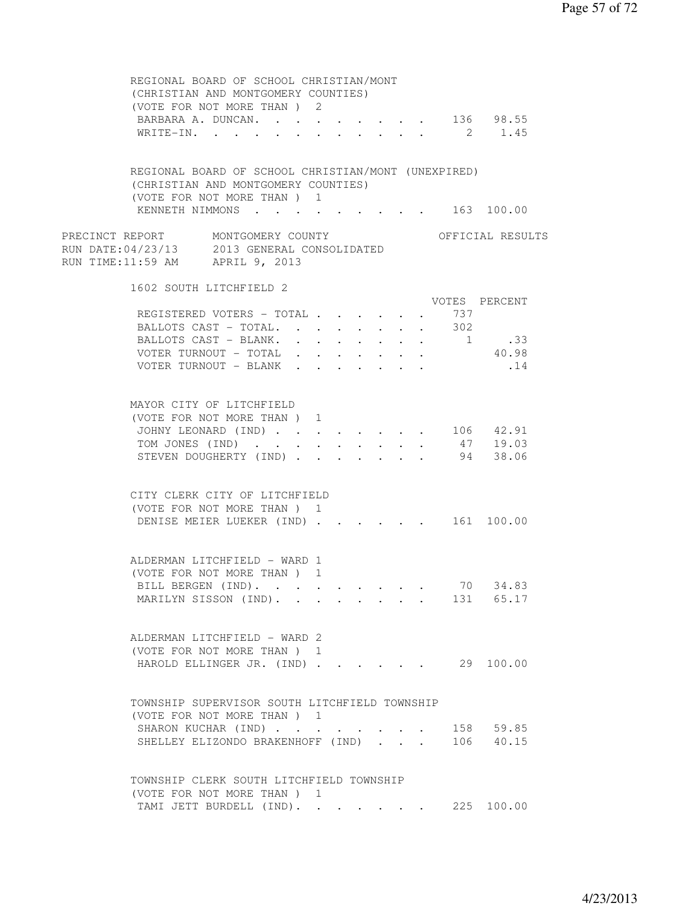| REGIONAL BOARD OF SCHOOL CHRISTIAN/MONT<br>(CHRISTIAN AND MONTGOMERY COUNTIES)<br>(VOTE FOR NOT MORE THAN) 2<br>BARBARA A. DUNCAN. 136 98.55<br>WRITE-IN. 2 1.45 |            |                                                                     |        |                               |                               |     |                  |  |
|------------------------------------------------------------------------------------------------------------------------------------------------------------------|------------|---------------------------------------------------------------------|--------|-------------------------------|-------------------------------|-----|------------------|--|
|                                                                                                                                                                  |            |                                                                     |        |                               |                               |     |                  |  |
| REGIONAL BOARD OF SCHOOL CHRISTIAN/MONT (UNEXPIRED)<br>(CHRISTIAN AND MONTGOMERY COUNTIES)<br>(VOTE FOR NOT MORE THAN ) 1                                        |            |                                                                     |        |                               |                               |     |                  |  |
| KENNETH NIMMONS 163 100.00                                                                                                                                       |            |                                                                     |        |                               |                               |     |                  |  |
| PRECINCT REPORT MONTGOMERY COUNTY<br>RUN DATE:04/23/13 2013 GENERAL CONSOLIDATED<br>RUN TIME:11:59 AM APRIL 9, 2013                                              |            |                                                                     |        |                               |                               |     | OFFICIAL RESULTS |  |
| 1602 SOUTH LITCHFIELD 2                                                                                                                                          |            |                                                                     |        |                               |                               |     |                  |  |
| REGISTERED VOTERS - TOTAL                                                                                                                                        |            |                                                                     |        |                               | $\ddot{\phantom{0}}$          | 737 | VOTES PERCENT    |  |
| BALLOTS CAST - TOTAL.                                                                                                                                            |            |                                                                     | $\sim$ |                               | $\mathbf{L}$ and $\mathbf{L}$ | 302 |                  |  |
| BALLOTS CAST - BLANK.                                                                                                                                            |            |                                                                     |        |                               |                               |     | 1 .33            |  |
| VOTER TURNOUT - TOTAL                                                                                                                                            |            |                                                                     |        |                               |                               |     | 40.98            |  |
| VOTER TURNOUT - BLANK                                                                                                                                            |            |                                                                     |        |                               |                               |     | .14              |  |
| MAYOR CITY OF LITCHFIELD                                                                                                                                         |            |                                                                     |        |                               |                               |     |                  |  |
| (VOTE FOR NOT MORE THAN) 1                                                                                                                                       |            |                                                                     |        |                               |                               |     |                  |  |
| JOHNY LEONARD (IND) 106 42.91                                                                                                                                    |            |                                                                     |        |                               |                               |     | 47 19.03         |  |
| TOM JONES (IND)<br>STEVEN DOUGHERTY (IND)                                                                                                                        | $\sim$ $-$ | $\bullet$ .<br><br><br><br><br><br><br><br><br><br><br><br><br><br> |        | $\mathbf{r}$ and $\mathbf{r}$ |                               |     | 94 38.06         |  |
|                                                                                                                                                                  |            |                                                                     |        |                               |                               |     |                  |  |
| CITY CLERK CITY OF LITCHFIELD                                                                                                                                    |            |                                                                     |        |                               |                               |     |                  |  |
| (VOTE FOR NOT MORE THAN) 1<br>DENISE MEIER LUEKER (IND) 161 100.00                                                                                               |            |                                                                     |        |                               |                               |     |                  |  |
|                                                                                                                                                                  |            |                                                                     |        |                               |                               |     |                  |  |
| ALDERMAN LITCHFIELD - WARD 1                                                                                                                                     |            |                                                                     |        |                               |                               |     |                  |  |
| (VOTE FOR NOT MORE THAN) 1<br>BILL BERGEN (IND).                                                                                                                 |            |                                                                     |        |                               |                               |     | 70 34.83         |  |
| MARILYN SISSON (IND).                                                                                                                                            |            |                                                                     |        |                               |                               |     | 131 65.17        |  |
|                                                                                                                                                                  |            |                                                                     |        |                               |                               |     |                  |  |
| ALDERMAN LITCHFIELD - WARD 2                                                                                                                                     |            |                                                                     |        |                               |                               |     |                  |  |
| (VOTE FOR NOT MORE THAN ) 1                                                                                                                                      |            |                                                                     |        |                               |                               |     |                  |  |
| HAROLD ELLINGER JR. (IND)                                                                                                                                        |            |                                                                     |        |                               |                               |     | 29 100.00        |  |
| TOWNSHIP SUPERVISOR SOUTH LITCHFIELD TOWNSHIP                                                                                                                    |            |                                                                     |        |                               |                               |     |                  |  |
| (VOTE FOR NOT MORE THAN ) 1                                                                                                                                      |            |                                                                     |        |                               |                               |     |                  |  |
| SHARON KUCHAR (IND)                                                                                                                                              |            |                                                                     |        |                               |                               |     | 158 59.85        |  |
| SHELLEY ELIZONDO BRAKENHOFF (IND)                                                                                                                                |            |                                                                     |        |                               |                               |     | 106 40.15        |  |
| TOWNSHIP CLERK SOUTH LITCHFIELD TOWNSHIP                                                                                                                         |            |                                                                     |        |                               |                               |     |                  |  |
| (VOTE FOR NOT MORE THAN) 1<br>TAMI JETT BURDELL (IND).                                                                                                           |            |                                                                     |        |                               |                               |     | 225 100.00       |  |
|                                                                                                                                                                  |            |                                                                     |        |                               |                               |     |                  |  |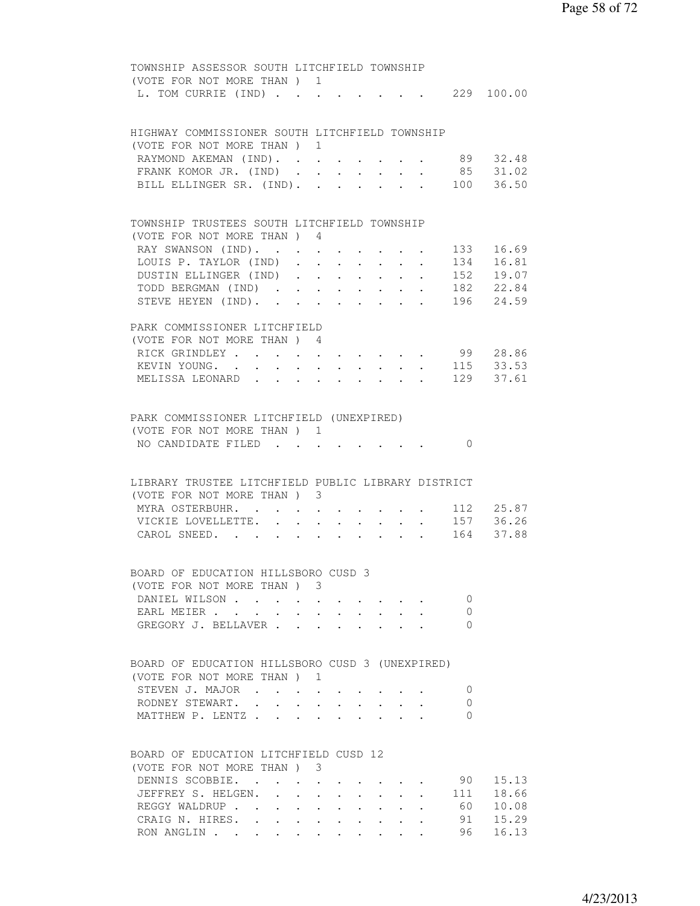| (VOTE FOR NOT MORE THAN ) 1<br>L. TOM CURRIE (IND) 229 100.00<br>HIGHWAY COMMISSIONER SOUTH LITCHFIELD TOWNSHIP<br>(VOTE FOR NOT MORE THAN) 1<br>89 32.48<br>RAYMOND AKEMAN (IND).<br>FRANK KOMOR JR. (IND)<br>$\begin{array}{ccccccccc}\n\cdot & \cdot & \cdot & \cdot & & 85 & 31.02 \\ \cdot & \cdot & \cdot & \cdot & & 100 & 36.50\n\end{array}$<br>BILL ELLINGER SR. (IND).<br>$\ddot{\phantom{0}}$ |       |
|-----------------------------------------------------------------------------------------------------------------------------------------------------------------------------------------------------------------------------------------------------------------------------------------------------------------------------------------------------------------------------------------------------------|-------|
|                                                                                                                                                                                                                                                                                                                                                                                                           |       |
|                                                                                                                                                                                                                                                                                                                                                                                                           |       |
|                                                                                                                                                                                                                                                                                                                                                                                                           |       |
|                                                                                                                                                                                                                                                                                                                                                                                                           |       |
|                                                                                                                                                                                                                                                                                                                                                                                                           |       |
|                                                                                                                                                                                                                                                                                                                                                                                                           |       |
|                                                                                                                                                                                                                                                                                                                                                                                                           |       |
|                                                                                                                                                                                                                                                                                                                                                                                                           |       |
|                                                                                                                                                                                                                                                                                                                                                                                                           |       |
|                                                                                                                                                                                                                                                                                                                                                                                                           |       |
|                                                                                                                                                                                                                                                                                                                                                                                                           |       |
| TOWNSHIP TRUSTEES SOUTH LITCHFIELD TOWNSHIP                                                                                                                                                                                                                                                                                                                                                               |       |
| (VOTE FOR NOT MORE THAN) 4                                                                                                                                                                                                                                                                                                                                                                                |       |
| RAY SWANSON (IND). 133 16.69                                                                                                                                                                                                                                                                                                                                                                              |       |
| LOUIS P. TAYLOR (IND).<br>$\cdot$ 134 16.81                                                                                                                                                                                                                                                                                                                                                               |       |
| DUSTIN ELLINGER (IND)                                                                                                                                                                                                                                                                                                                                                                                     |       |
| TODD BERGMAN (IND)                                                                                                                                                                                                                                                                                                                                                                                        |       |
| STEVE HEYEN (IND).<br>$\sim$ 100 $\sim$ 100 $\sim$<br>$\mathbf{r} = \mathbf{r} + \mathbf{r}$ , where $\mathbf{r} = \mathbf{r}$                                                                                                                                                                                                                                                                            |       |
|                                                                                                                                                                                                                                                                                                                                                                                                           |       |
| PARK COMMISSIONER LITCHFIELD                                                                                                                                                                                                                                                                                                                                                                              |       |
| (VOTE FOR NOT MORE THAN ) 4                                                                                                                                                                                                                                                                                                                                                                               |       |
| RICK GRINDLEY 99 28.86                                                                                                                                                                                                                                                                                                                                                                                    |       |
| KEVIN YOUNG. 115 33.53                                                                                                                                                                                                                                                                                                                                                                                    |       |
| MELISSA LEONARD 129 37.61                                                                                                                                                                                                                                                                                                                                                                                 |       |
|                                                                                                                                                                                                                                                                                                                                                                                                           |       |
|                                                                                                                                                                                                                                                                                                                                                                                                           |       |
| PARK COMMISSIONER LITCHFIELD (UNEXPIRED)                                                                                                                                                                                                                                                                                                                                                                  |       |
| (VOTE FOR NOT MORE THAN) 1                                                                                                                                                                                                                                                                                                                                                                                |       |
| NO CANDIDATE FILED<br>$\bigcirc$                                                                                                                                                                                                                                                                                                                                                                          |       |
|                                                                                                                                                                                                                                                                                                                                                                                                           |       |
|                                                                                                                                                                                                                                                                                                                                                                                                           |       |
| LIBRARY TRUSTEE LITCHFIELD PUBLIC LIBRARY DISTRICT                                                                                                                                                                                                                                                                                                                                                        |       |
| (VOTE FOR NOT MORE THAN) 3                                                                                                                                                                                                                                                                                                                                                                                |       |
|                                                                                                                                                                                                                                                                                                                                                                                                           |       |
|                                                                                                                                                                                                                                                                                                                                                                                                           |       |
|                                                                                                                                                                                                                                                                                                                                                                                                           |       |
|                                                                                                                                                                                                                                                                                                                                                                                                           |       |
| MYRA OSTERBUHR. 112 25.87<br>VICKIE LOVELLETTE. 157 36.26<br>CAROL SNEED. 164 37.88                                                                                                                                                                                                                                                                                                                       |       |
|                                                                                                                                                                                                                                                                                                                                                                                                           |       |
| BOARD OF EDUCATION HILLSBORO CUSD 3                                                                                                                                                                                                                                                                                                                                                                       |       |
| (VOTE FOR NOT MORE THAN) 3                                                                                                                                                                                                                                                                                                                                                                                |       |
| DANIEL WILSON<br>0                                                                                                                                                                                                                                                                                                                                                                                        |       |
| 0<br>$\mathbf{r}$ , and $\mathbf{r}$ , and $\mathbf{r}$ , and $\mathbf{r}$                                                                                                                                                                                                                                                                                                                                |       |
| EARL MEIER<br>GREGORY J. BELLAVER<br>0                                                                                                                                                                                                                                                                                                                                                                    |       |
|                                                                                                                                                                                                                                                                                                                                                                                                           |       |
|                                                                                                                                                                                                                                                                                                                                                                                                           |       |
| BOARD OF EDUCATION HILLSBORO CUSD 3 (UNEXPIRED)                                                                                                                                                                                                                                                                                                                                                           |       |
| (VOTE FOR NOT MORE THAN) 1                                                                                                                                                                                                                                                                                                                                                                                |       |
| $\Omega$                                                                                                                                                                                                                                                                                                                                                                                                  |       |
| STEVEN J. MAJOR<br>$\Omega$                                                                                                                                                                                                                                                                                                                                                                               |       |
| RODNEY STEWART.<br>0                                                                                                                                                                                                                                                                                                                                                                                      |       |
| MATTHEW P. LENTZ                                                                                                                                                                                                                                                                                                                                                                                          |       |
|                                                                                                                                                                                                                                                                                                                                                                                                           |       |
| BOARD OF EDUCATION LITCHFIELD CUSD 12                                                                                                                                                                                                                                                                                                                                                                     |       |
| (VOTE FOR NOT MORE THAN) 3                                                                                                                                                                                                                                                                                                                                                                                |       |
| 90 —                                                                                                                                                                                                                                                                                                                                                                                                      | 15.13 |
| DENNIS SCOBBIE.<br>JEFFREY S. HELGEN.<br>111                                                                                                                                                                                                                                                                                                                                                              | 18.66 |
| 60<br>REGGY WALDRUP                                                                                                                                                                                                                                                                                                                                                                                       | 10.08 |
| CRAIG N. HIRES.<br>91                                                                                                                                                                                                                                                                                                                                                                                     | 15.29 |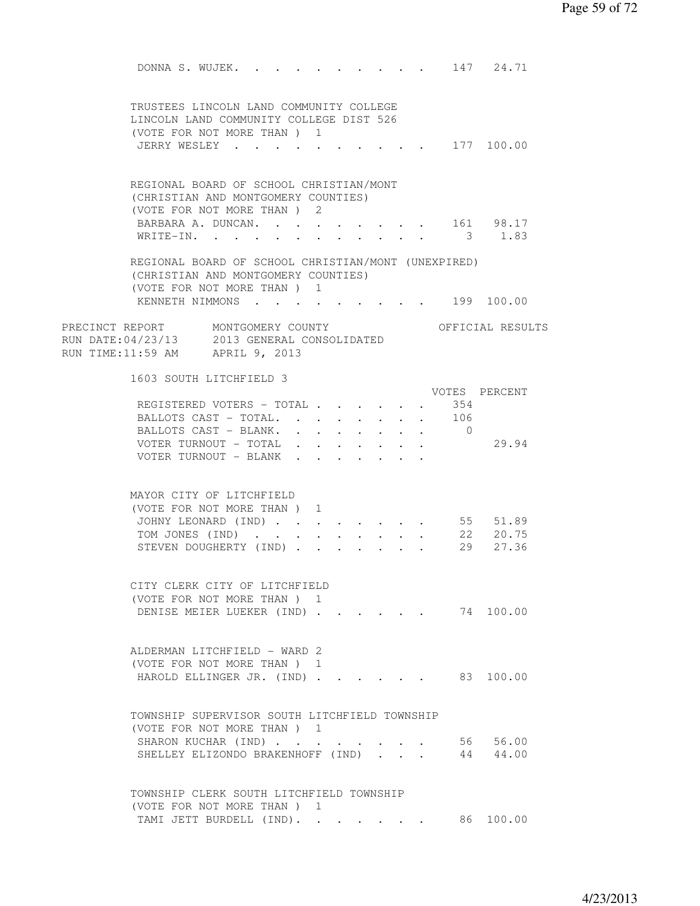DONNA S. WUJEK. . . . . . . . . . 147 24.71 TRUSTEES LINCOLN LAND COMMUNITY COLLEGE LINCOLN LAND COMMUNITY COLLEGE DIST 526 (VOTE FOR NOT MORE THAN ) 1 JERRY WESLEY . . . . . . . . . . 177 100.00 REGIONAL BOARD OF SCHOOL CHRISTIAN/MONT (CHRISTIAN AND MONTGOMERY COUNTIES) (VOTE FOR NOT MORE THAN ) 2 BARBARA A. DUNCAN. . . . . . . . . 161 98.17 WRITE-IN. . . . . . . . . . . . 3 1.83 REGIONAL BOARD OF SCHOOL CHRISTIAN/MONT (UNEXPIRED) (CHRISTIAN AND MONTGOMERY COUNTIES) (VOTE FOR NOT MORE THAN ) 1 KENNETH NIMMONS . . . . . . . . . . 199 100.00 PRECINCT REPORT MONTGOMERY COUNTY THE OFFICIAL RESULTS RUN DATE:04/23/13 2013 GENERAL CONSOLIDATED RUN TIME:11:59 AM APRIL 9, 2013 1603 SOUTH LITCHFIELD 3 VOTES PERCENT REGISTERED VOTERS - TOTAL . . . . . . 354 BALLOTS CAST - TOTAL. . . . . . . . 106 BALLOTS CAST - BLANK. . . . . . . . 0 VOTER TURNOUT - TOTAL . . . . . . . 29.94 VOTER TURNOUT - BLANK . . . . . . . MAYOR CITY OF LITCHFIELD (VOTE FOR NOT MORE THAN ) 1 JOHNY LEONARD (IND) . . . . . . . . 55 51.89 TOM JONES (IND) . . . . . . . . . 22 20.75 TOM JONES (IND) . . . . . . . . . 22 20.75<br>STEVEN DOUGHERTY (IND) . . . . . . . 29 27.36 CITY CLERK CITY OF LITCHFIELD (VOTE FOR NOT MORE THAN ) 1 DENISE MEIER LUEKER (IND) . . . . . . 74 100.00 ALDERMAN LITCHFIELD - WARD 2 (VOTE FOR NOT MORE THAN ) 1 HAROLD ELLINGER JR. (IND) . . . . . . 83 100.00 TOWNSHIP SUPERVISOR SOUTH LITCHFIELD TOWNSHIP (VOTE FOR NOT MORE THAN ) 1 SHARON KUCHAR (IND) . . . . . . . . 56 56.00 SHELLEY ELIZONDO BRAKENHOFF (IND) . . . 44 44.00 TOWNSHIP CLERK SOUTH LITCHFIELD TOWNSHIP (VOTE FOR NOT MORE THAN ) 1 TAMI JETT BURDELL (IND). . . . . . . 86 100.00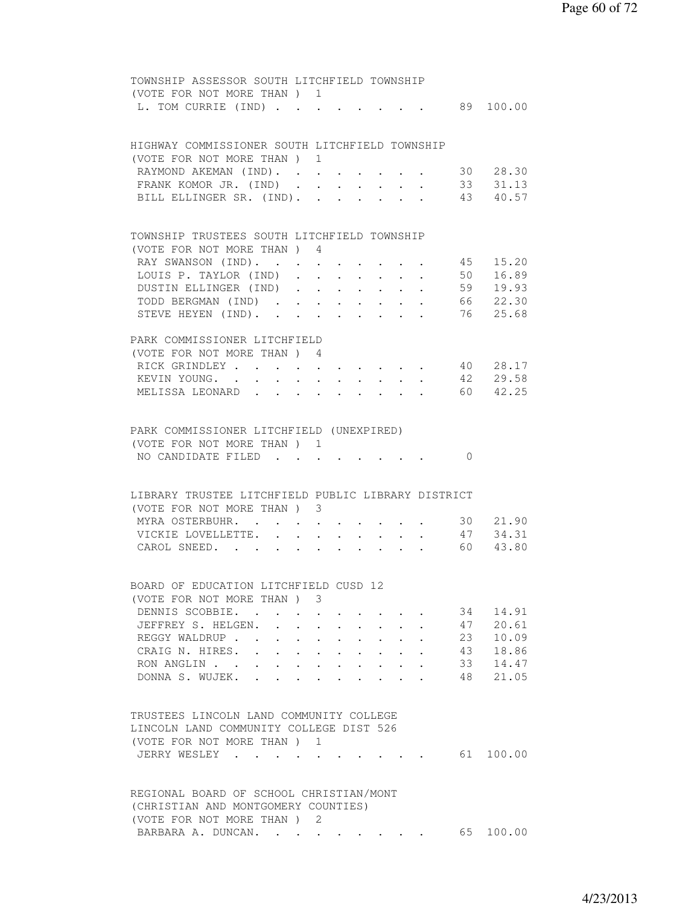|                 | TOWNSHIP ASSESSOR SOUTH LITCHFIELD TOWNSHIP        |                                |                                                                  |             |                                          |                                            |  |            |                      |
|-----------------|----------------------------------------------------|--------------------------------|------------------------------------------------------------------|-------------|------------------------------------------|--------------------------------------------|--|------------|----------------------|
|                 | (VOTE FOR NOT MORE THAN) 1                         |                                |                                                                  |             |                                          |                                            |  |            |                      |
|                 | L. TOM CURRIE (IND)                                |                                |                                                                  |             |                                          |                                            |  |            | 89 100.00            |
|                 |                                                    |                                |                                                                  |             |                                          |                                            |  |            |                      |
|                 |                                                    |                                |                                                                  |             |                                          |                                            |  |            |                      |
|                 | HIGHWAY COMMISSIONER SOUTH LITCHFIELD TOWNSHIP     |                                |                                                                  |             |                                          |                                            |  |            |                      |
|                 | (VOTE FOR NOT MORE THAN ) 1                        |                                |                                                                  |             |                                          |                                            |  |            |                      |
|                 | RAYMOND AKEMAN (IND).                              |                                |                                                                  |             |                                          |                                            |  |            |                      |
|                 | FRANK KOMOR JR. (IND).                             |                                |                                                                  |             |                                          |                                            |  |            | 30 28.30             |
|                 |                                                    |                                | $\sim$                                                           |             |                                          | $\mathbf{r}$ , $\mathbf{r}$ , $\mathbf{r}$ |  |            | 33 31.13<br>43 40.57 |
|                 | BILL ELLINGER SR. (IND).                           |                                | $\sim$                                                           |             |                                          |                                            |  |            |                      |
|                 |                                                    |                                |                                                                  |             |                                          |                                            |  |            |                      |
|                 |                                                    |                                |                                                                  |             |                                          |                                            |  |            |                      |
|                 | TOWNSHIP TRUSTEES SOUTH LITCHFIELD TOWNSHIP        |                                |                                                                  |             |                                          |                                            |  |            |                      |
|                 | (VOTE FOR NOT MORE THAN) 4                         |                                |                                                                  |             |                                          |                                            |  |            |                      |
|                 | RAY SWANSON (IND).                                 |                                |                                                                  |             |                                          |                                            |  |            | 45 15.20             |
|                 | LOUIS P. TAYLOR (IND)                              |                                |                                                                  |             |                                          |                                            |  |            | 50 16.89             |
|                 | DUSTIN ELLINGER (IND)                              |                                |                                                                  |             |                                          |                                            |  |            | 59 19.93             |
|                 | TODD BERGMAN (IND).                                |                                | $\mathbf{r} = \mathbf{r} + \mathbf{r} + \mathbf{r} + \mathbf{r}$ |             |                                          |                                            |  |            | 66 22.30             |
|                 | STEVE HEYEN (IND).                                 |                                | $\sim$ $\sim$                                                    |             | $\mathbf{z} = \mathbf{z} + \mathbf{z}$ . | $\ddot{\phantom{0}}$                       |  |            | 76 25.68             |
|                 |                                                    |                                |                                                                  |             |                                          |                                            |  |            |                      |
|                 | PARK COMMISSIONER LITCHFIELD                       |                                |                                                                  |             |                                          |                                            |  |            |                      |
|                 | (VOTE FOR NOT MORE THAN) 4                         |                                |                                                                  |             |                                          |                                            |  |            |                      |
|                 | RICK GRINDLEY 40 28.17                             |                                |                                                                  |             |                                          |                                            |  |            |                      |
|                 | KEVIN YOUNG. 42 29.58                              |                                |                                                                  |             |                                          |                                            |  |            |                      |
|                 | MELISSA LEONARD                                    |                                |                                                                  |             |                                          |                                            |  |            | 60 42.25             |
|                 |                                                    |                                |                                                                  |             |                                          |                                            |  |            |                      |
|                 |                                                    |                                |                                                                  |             |                                          |                                            |  |            |                      |
|                 | PARK COMMISSIONER LITCHFIELD (UNEXPIRED)           |                                |                                                                  |             |                                          |                                            |  |            |                      |
|                 | (VOTE FOR NOT MORE THAN ) 1                        |                                |                                                                  |             |                                          |                                            |  |            |                      |
|                 |                                                    |                                |                                                                  |             |                                          |                                            |  | $\bigcirc$ |                      |
|                 | NO CANDIDATE FILED                                 |                                |                                                                  |             |                                          |                                            |  |            |                      |
|                 |                                                    |                                |                                                                  |             |                                          |                                            |  |            |                      |
|                 |                                                    |                                |                                                                  |             |                                          |                                            |  |            |                      |
|                 | LIBRARY TRUSTEE LITCHFIELD PUBLIC LIBRARY DISTRICT |                                |                                                                  |             |                                          |                                            |  |            |                      |
|                 | (VOTE FOR NOT MORE THAN) 3                         |                                |                                                                  |             |                                          |                                            |  |            |                      |
|                 | MYRA OSTERBUHR. .                                  |                                |                                                                  |             |                                          |                                            |  |            | 30 21.90             |
|                 | VICKIE LOVELLETTE.                                 | $\ddot{\phantom{0}}$           | $\ddot{\phantom{a}}$                                             | $\bullet$ . | $\sim$ $-$                               |                                            |  |            | $47 \quad 34.31$     |
|                 | CAROL SNEED.                                       |                                | $\bullet$ .<br><br><br><br><br><br><br><br><br><br><br><br>      |             | $\bullet$ . In the set of $\bullet$      |                                            |  |            | 60 43.80             |
|                 |                                                    |                                |                                                                  |             |                                          |                                            |  |            |                      |
|                 |                                                    |                                |                                                                  |             |                                          |                                            |  |            |                      |
|                 | BOARD OF EDUCATION LITCHFIELD CUSD 12              |                                |                                                                  |             |                                          |                                            |  |            |                      |
|                 | (VOTE FOR NOT MORE THAN) 3                         |                                |                                                                  |             |                                          |                                            |  |            |                      |
| DENNIS SCOBBIE. | $\sim$ $\sim$                                      |                                |                                                                  |             |                                          |                                            |  | 34         | 14.91                |
|                 | JEFFREY S. HELGEN.                                 |                                |                                                                  |             |                                          |                                            |  | 47         | 20.61                |
|                 | REGGY WALDRUP                                      | $\ddot{\phantom{0}}$           |                                                                  |             |                                          |                                            |  | 23         | 10.09                |
|                 | CRAIG N. HIRES.                                    | $\ddot{\phantom{0}}$           | $\sim$ $-$                                                       |             |                                          |                                            |  | 43         | 18.86                |
|                 | RON ANGLIN                                         | $\sim$<br>$\ddot{\phantom{0}}$ |                                                                  |             |                                          |                                            |  | 33         | 14.47                |
|                 | DONNA S. WUJEK.<br>$\mathbf{L}$                    |                                |                                                                  |             |                                          |                                            |  | 48         | 21.05                |
|                 |                                                    |                                |                                                                  |             |                                          |                                            |  |            |                      |
|                 |                                                    |                                |                                                                  |             |                                          |                                            |  |            |                      |
|                 | TRUSTEES LINCOLN LAND COMMUNITY COLLEGE            |                                |                                                                  |             |                                          |                                            |  |            |                      |
|                 | LINCOLN LAND COMMUNITY COLLEGE DIST 526            |                                |                                                                  |             |                                          |                                            |  |            |                      |
|                 |                                                    |                                |                                                                  |             |                                          |                                            |  |            |                      |
|                 | (VOTE FOR NOT MORE THAN ) 1                        |                                |                                                                  |             |                                          |                                            |  |            |                      |
| JERRY WESLEY .  |                                                    |                                |                                                                  |             |                                          |                                            |  |            | 61 100.00            |
|                 |                                                    |                                |                                                                  |             |                                          |                                            |  |            |                      |
|                 |                                                    |                                |                                                                  |             |                                          |                                            |  |            |                      |
|                 | REGIONAL BOARD OF SCHOOL CHRISTIAN/MONT            |                                |                                                                  |             |                                          |                                            |  |            |                      |
|                 | (CHRISTIAN AND MONTGOMERY COUNTIES)                |                                |                                                                  |             |                                          |                                            |  |            |                      |
|                 | (VOTE FOR NOT MORE THAN ) 2                        |                                |                                                                  |             |                                          |                                            |  |            |                      |
|                 | BARBARA A. DUNCAN.                                 |                                |                                                                  |             |                                          |                                            |  |            | 65 100.00            |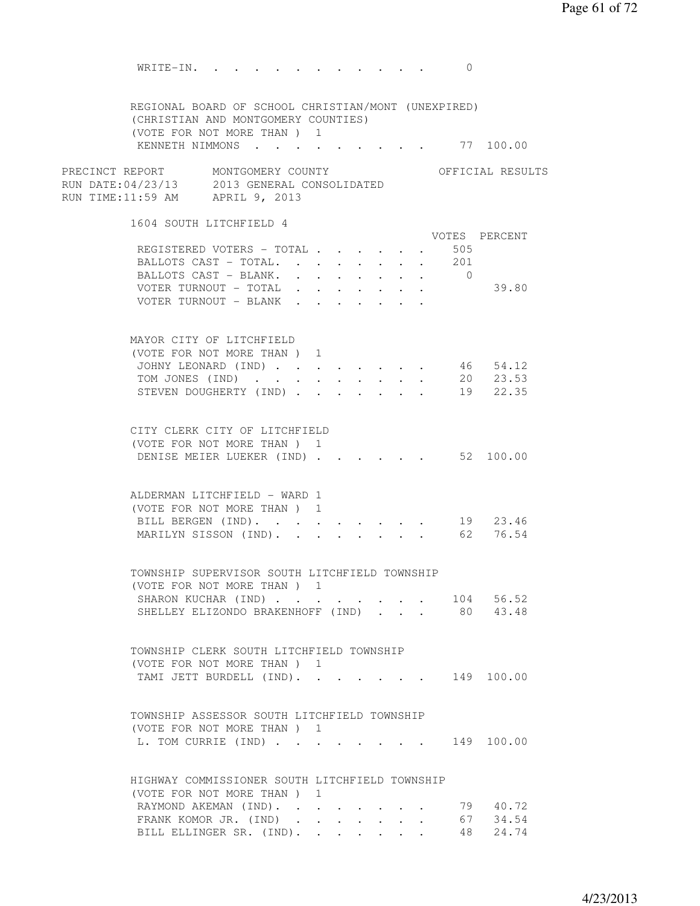Page 61 of 72

WRITE-IN. . . . . . . . . . . . 0 REGIONAL BOARD OF SCHOOL CHRISTIAN/MONT (UNEXPIRED) (CHRISTIAN AND MONTGOMERY COUNTIES) (VOTE FOR NOT MORE THAN ) 1 KENNETH NIMMONS . . . . . . . . . 77 100.00 PRECINCT REPORT MONTGOMERY COUNTY THE OFFICIAL RESULTS RUN DATE:04/23/13 2013 GENERAL CONSOLIDATED RUN TIME:11:59 AM APRIL 9, 2013 1604 SOUTH LITCHFIELD 4 VOTES PERCENT REGISTERED VOTERS - TOTAL . . . . . . 505 BALLOTS CAST - TOTAL. . . . . . . . 201 BALLOTS CAST - BLANK. . . . . . . . 0 VOTER TURNOUT - TOTAL . . . . . . . 39.80 VOTER TURNOUT - BLANK . . MAYOR CITY OF LITCHFIELD (VOTE FOR NOT MORE THAN ) 1 JOHNY LEONARD (IND) . . . . . . . . 46 54.12 TOM JONES (IND) . . . . . . . . . 20 23.53 STEVEN DOUGHERTY (IND) . . . . . . 19 22.35 CITY CLERK CITY OF LITCHFIELD (VOTE FOR NOT MORE THAN ) 1 DENISE MEIER LUEKER (IND) . . . . . . 52 100.00 ALDERMAN LITCHFIELD - WARD 1 (VOTE FOR NOT MORE THAN ) 1 BILL BERGEN (IND). . . . . . . . . 19 23.46 MARILYN SISSON (IND). . . . . . . . 62 76.54 TOWNSHIP SUPERVISOR SOUTH LITCHFIELD TOWNSHIP (VOTE FOR NOT MORE THAN ) 1 SHARON KUCHAR (IND) . . . . . . . . 104 56.52 SHELLEY ELIZONDO BRAKENHOFF (IND) . . . 80 43.48 TOWNSHIP CLERK SOUTH LITCHFIELD TOWNSHIP (VOTE FOR NOT MORE THAN ) 1 TAMI JETT BURDELL (IND). . . . . . . 149 100.00 TOWNSHIP ASSESSOR SOUTH LITCHFIELD TOWNSHIP (VOTE FOR NOT MORE THAN ) 1 L. TOM CURRIE (IND) . . . . . . . . 149 100.00 HIGHWAY COMMISSIONER SOUTH LITCHFIELD TOWNSHIP (VOTE FOR NOT MORE THAN ) 1 RAYMOND AKEMAN (IND). . . . . . . . 79 40.72 FRANK KOMOR JR. (IND) . . . . . . . 67 34.54

BILL ELLINGER SR. (IND). . . . . . . 48 24.74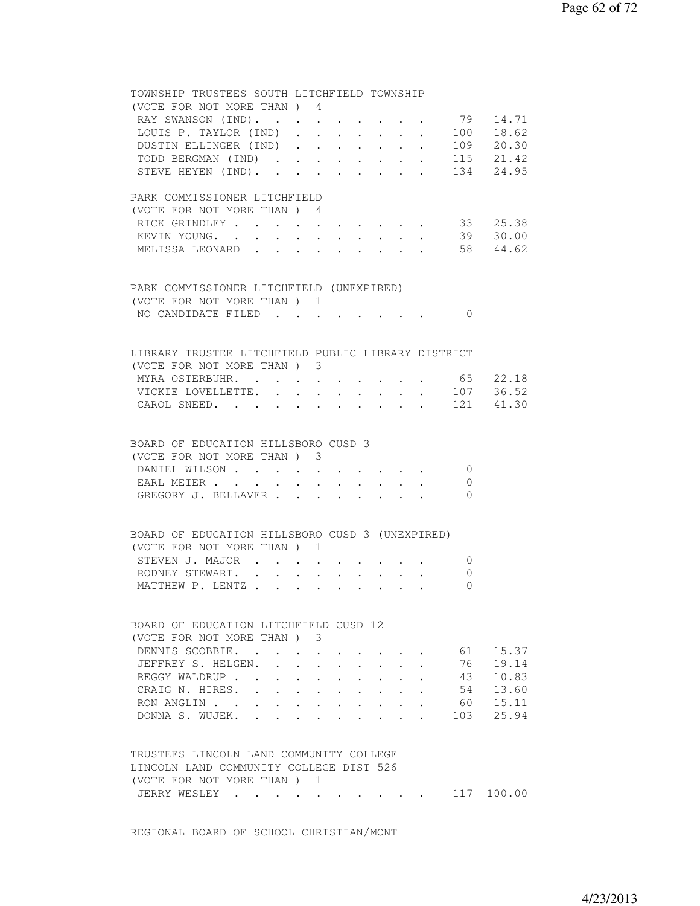| TOWNSHIP TRUSTEES SOUTH LITCHFIELD TOWNSHIP        |                      |                                         |                      |               |                      |                                                         |                         |                |                   |
|----------------------------------------------------|----------------------|-----------------------------------------|----------------------|---------------|----------------------|---------------------------------------------------------|-------------------------|----------------|-------------------|
| (VOTE FOR NOT MORE THAN) 4                         |                      |                                         |                      |               |                      |                                                         |                         |                |                   |
| RAY SWANSON (IND).                                 |                      |                                         |                      |               |                      |                                                         |                         |                | . 79 14.71        |
| LOUIS P. TAYLOR (IND)                              |                      |                                         |                      |               |                      |                                                         |                         |                | $\cdot$ 100 18.62 |
| DUSTIN ELLINGER (IND) 109 20.30                    |                      |                                         |                      |               |                      |                                                         |                         |                |                   |
| TODD BERGMAN (IND) 115 21.42                       |                      |                                         |                      |               |                      |                                                         |                         |                |                   |
| STEVE HEYEN (IND). 134 24.95                       |                      |                                         |                      |               |                      |                                                         |                         |                |                   |
|                                                    |                      |                                         |                      |               |                      |                                                         |                         |                |                   |
| PARK COMMISSIONER LITCHFIELD                       |                      |                                         |                      |               |                      |                                                         |                         |                |                   |
| (VOTE FOR NOT MORE THAN) 4                         |                      |                                         |                      |               |                      |                                                         |                         |                |                   |
| RICK GRINDLEY                                      | $\bullet$ .          |                                         |                      |               |                      |                                                         | $\sim$ $-$              |                | 33 25.38          |
| KEVIN YOUNG. .                                     | $\ddot{\phantom{0}}$ | $\ddot{\phantom{0}}$                    | $\sim$               | $\sim$ $\sim$ | $\ddot{\phantom{a}}$ |                                                         |                         |                | 39 30.00          |
| MELISSA LEONARD                                    |                      |                                         |                      |               |                      | $\mathbf{r} = \mathbf{r}$ and $\mathbf{r} = \mathbf{r}$ |                         |                | 58 44.62          |
|                                                    |                      |                                         |                      |               |                      |                                                         |                         |                |                   |
|                                                    |                      |                                         |                      |               |                      |                                                         |                         |                |                   |
| PARK COMMISSIONER LITCHFIELD (UNEXPIRED)           |                      |                                         |                      |               |                      |                                                         |                         |                |                   |
| (VOTE FOR NOT MORE THAN ) 1                        |                      |                                         |                      |               |                      |                                                         |                         |                |                   |
| NO CANDIDATE FILED                                 |                      |                                         |                      |               |                      |                                                         |                         | $\bigcirc$     |                   |
|                                                    |                      |                                         |                      |               |                      |                                                         |                         |                |                   |
|                                                    |                      |                                         |                      |               |                      |                                                         |                         |                |                   |
| LIBRARY TRUSTEE LITCHFIELD PUBLIC LIBRARY DISTRICT |                      |                                         |                      |               |                      |                                                         |                         |                |                   |
| (VOTE FOR NOT MORE THAN) 3                         |                      |                                         |                      |               |                      |                                                         |                         |                |                   |
| MYRA OSTERBUHR. 65 22.18                           |                      |                                         |                      |               |                      |                                                         |                         |                |                   |
|                                                    |                      |                                         |                      |               |                      |                                                         |                         |                |                   |
| VICKIE LOVELLETTE. .                               |                      |                                         |                      |               |                      |                                                         |                         |                | $\cdot$ 107 36.52 |
| CAROL SNEED. 121 41.30                             |                      |                                         |                      |               |                      |                                                         |                         |                |                   |
|                                                    |                      |                                         |                      |               |                      |                                                         |                         |                |                   |
|                                                    |                      |                                         |                      |               |                      |                                                         |                         |                |                   |
| BOARD OF EDUCATION HILLSBORO CUSD 3                |                      |                                         |                      |               |                      |                                                         |                         |                |                   |
| (VOTE FOR NOT MORE THAN) 3                         |                      |                                         |                      |               |                      |                                                         |                         |                |                   |
| DANIEL WILSON                                      |                      |                                         |                      |               |                      |                                                         |                         | $\bigcirc$     |                   |
| EARL MEIER                                         |                      |                                         |                      |               |                      |                                                         |                         | $\overline{0}$ |                   |
| GREGORY J. BELLAVER                                |                      |                                         |                      |               |                      |                                                         | $\cdot$ $\cdot$ $\cdot$ | $\bigcirc$     |                   |
|                                                    |                      |                                         |                      |               |                      |                                                         |                         |                |                   |
|                                                    |                      |                                         |                      |               |                      |                                                         |                         |                |                   |
| BOARD OF EDUCATION HILLSBORO CUSD 3 (UNEXPIRED)    |                      |                                         |                      |               |                      |                                                         |                         |                |                   |
| (VOTE FOR NOT MORE THAN) 1                         |                      |                                         |                      |               |                      |                                                         |                         |                |                   |
| STEVEN J. MAJOR                                    |                      |                                         |                      |               |                      |                                                         |                         | $\overline{0}$ |                   |
| RODNEY STEWART. .<br>$\ddot{\phantom{0}}$          | $\ddot{\phantom{0}}$ |                                         |                      |               |                      |                                                         |                         | $\overline{0}$ |                   |
| MATTHEW P. LENTZ                                   |                      |                                         |                      |               | $\ddot{\phantom{0}}$ |                                                         |                         | $\Omega$       |                   |
|                                                    |                      |                                         |                      |               |                      |                                                         |                         |                |                   |
|                                                    |                      |                                         |                      |               |                      |                                                         |                         |                |                   |
| BOARD OF EDUCATION LITCHFIELD CUSD 12              |                      |                                         |                      |               |                      |                                                         |                         |                |                   |
| (VOTE FOR NOT MORE THAN)                           |                      | 3                                       |                      |               |                      |                                                         |                         |                |                   |
| DENNIS SCOBBIE. .                                  |                      |                                         |                      |               |                      |                                                         |                         | 61             | 15.37             |
| JEFFREY S. HELGEN.                                 |                      |                                         |                      |               |                      |                                                         |                         | 76             | 19.14             |
| REGGY WALDRUP                                      |                      |                                         |                      |               |                      |                                                         |                         | 43             | 10.83             |
| CRAIG N. HIRES.                                    | $\ddot{\phantom{a}}$ | $\ddot{\phantom{0}}$                    |                      |               |                      |                                                         |                         | 54             | 13.60             |
| RON ANGLIN<br>$\ddot{\phantom{0}}$                 | $\ddot{\phantom{0}}$ | $\mathbf{L}$                            | $\ddot{\phantom{a}}$ |               |                      |                                                         |                         | 60             | 15.11             |
| DONNA S. WUJEK.                                    |                      |                                         |                      |               |                      |                                                         |                         | 103            | 25.94             |
|                                                    |                      |                                         |                      |               |                      |                                                         |                         |                |                   |
|                                                    |                      |                                         |                      |               |                      |                                                         |                         |                |                   |
| TRUSTEES LINCOLN LAND COMMUNITY COLLEGE            |                      |                                         |                      |               |                      |                                                         |                         |                |                   |
| LINCOLN LAND COMMUNITY COLLEGE DIST 526            |                      |                                         |                      |               |                      |                                                         |                         |                |                   |
|                                                    |                      |                                         |                      |               |                      |                                                         |                         |                |                   |
| (VOTE FOR NOT MORE THAN) 1                         |                      |                                         |                      |               |                      |                                                         |                         |                |                   |
| JERRY WESLEY .                                     |                      | $\bullet$ .<br><br><br><br><br><br><br> |                      |               |                      |                                                         |                         |                | 117 100.00        |
|                                                    |                      |                                         |                      |               |                      |                                                         |                         |                |                   |

REGIONAL BOARD OF SCHOOL CHRISTIAN/MONT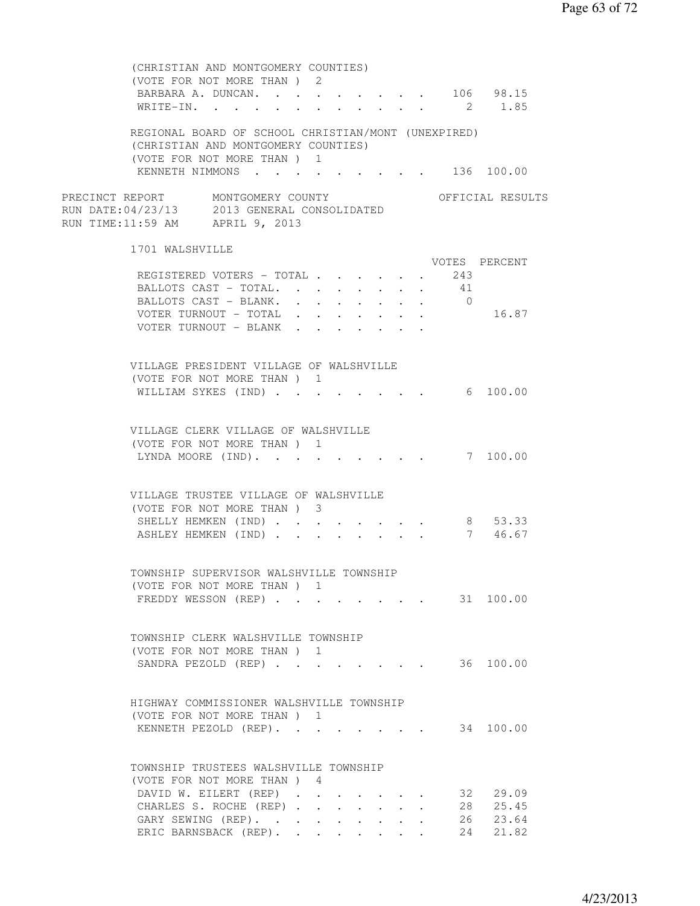| (CHRISTIAN AND MONTGOMERY COUNTIES)<br>(VOTE FOR NOT MORE THAN) 2<br>BARBARA A. DUNCAN. 106 98.15                        |  |                                                             |                                                |                                                                       |        |                                          |                         |                      |  |
|--------------------------------------------------------------------------------------------------------------------------|--|-------------------------------------------------------------|------------------------------------------------|-----------------------------------------------------------------------|--------|------------------------------------------|-------------------------|----------------------|--|
| WRITE-IN. 2 1.85                                                                                                         |  |                                                             |                                                |                                                                       |        |                                          |                         |                      |  |
| REGIONAL BOARD OF SCHOOL CHRISTIAN/MONT (UNEXPIRED)<br>(CHRISTIAN AND MONTGOMERY COUNTIES)<br>(VOTE FOR NOT MORE THAN) 1 |  |                                                             |                                                |                                                                       |        |                                          |                         |                      |  |
| KENNETH NIMMONS 136 100.00                                                                                               |  |                                                             |                                                |                                                                       |        |                                          |                         |                      |  |
| PRECINCT REPORT MONTGOMERY COUNTY<br>RUN DATE:04/23/13 2013 GENERAL CONSOLIDATED<br>RUN TIME:11:59 AM APRIL 9, 2013      |  |                                                             |                                                |                                                                       |        |                                          |                         | OFFICIAL RESULTS     |  |
| 1701 WALSHVILLE                                                                                                          |  |                                                             |                                                |                                                                       |        |                                          |                         |                      |  |
| REGISTERED VOTERS - TOTAL<br>BALLOTS CAST - TOTAL.<br>BALLOTS CAST - BLANK.                                              |  |                                                             |                                                | $\ddot{\phantom{0}}$                                                  | $\sim$ | $\mathbf{r} = \mathbf{r} + \mathbf{r}$ . | 243<br>41<br>$\bigcirc$ | VOTES PERCENT        |  |
| VOTER TURNOUT - TOTAL<br>VOTER TURNOUT - BLANK                                                                           |  |                                                             | $\mathbf{A}$ and $\mathbf{A}$ and $\mathbf{A}$ |                                                                       |        |                                          |                         | 16.87                |  |
| VILLAGE PRESIDENT VILLAGE OF WALSHVILLE<br>(VOTE FOR NOT MORE THAN) 1<br>WILLIAM SYKES (IND)                             |  |                                                             |                                                |                                                                       |        |                                          |                         | 6 100.00             |  |
| VILLAGE CLERK VILLAGE OF WALSHVILLE<br>(VOTE FOR NOT MORE THAN) 1<br>LYNDA MOORE (IND). 7 100.00                         |  |                                                             |                                                |                                                                       |        |                                          |                         |                      |  |
| VILLAGE TRUSTEE VILLAGE OF WALSHVILLE<br>(VOTE FOR NOT MORE THAN) 3                                                      |  |                                                             |                                                |                                                                       |        |                                          |                         |                      |  |
| SHELLY HEMKEN (IND)<br>ASHLEY HEMKEN (IND)                                                                               |  |                                                             |                                                | $\mathbf{r}$ , and $\mathbf{r}$ , and $\mathbf{r}$ , and $\mathbf{r}$ |        |                                          |                         | 8 53.33<br>7 46.67   |  |
| TOWNSHIP SUPERVISOR WALSHVILLE TOWNSHIP<br>(VOTE FOR NOT MORE THAN) 1                                                    |  |                                                             |                                                |                                                                       |        |                                          |                         |                      |  |
| FREDDY WESSON (REP) 31 100.00                                                                                            |  |                                                             |                                                |                                                                       |        |                                          |                         |                      |  |
| TOWNSHIP CLERK WALSHVILLE TOWNSHIP<br>(VOTE FOR NOT MORE THAN) 1                                                         |  |                                                             |                                                |                                                                       |        |                                          |                         |                      |  |
| SANDRA PEZOLD (REP)                                                                                                      |  |                                                             |                                                |                                                                       |        |                                          |                         | 36 100.00            |  |
| HIGHWAY COMMISSIONER WALSHVILLE TOWNSHIP<br>(VOTE FOR NOT MORE THAN) 1<br>KENNETH PEZOLD (REP).                          |  |                                                             |                                                |                                                                       |        |                                          |                         | 34 100.00            |  |
|                                                                                                                          |  |                                                             |                                                |                                                                       |        |                                          |                         |                      |  |
| TOWNSHIP TRUSTEES WALSHVILLE TOWNSHIP<br>(VOTE FOR NOT MORE THAN) 4                                                      |  |                                                             |                                                |                                                                       |        |                                          |                         |                      |  |
| DAVID W. EILERT (REP)<br>CHARLES S. ROCHE (REP)                                                                          |  |                                                             |                                                |                                                                       |        |                                          |                         | 32 29.09<br>28 25.45 |  |
| GARY SEWING (REP).<br>ERIC BARNSBACK (REP). .                                                                            |  | $\bullet$ .<br><br><br><br><br><br><br><br><br><br><br><br> |                                                | $\cdot$ $\cdot$ $\cdot$ $\cdot$                                       |        |                                          |                         | 26 23.64<br>24 21.82 |  |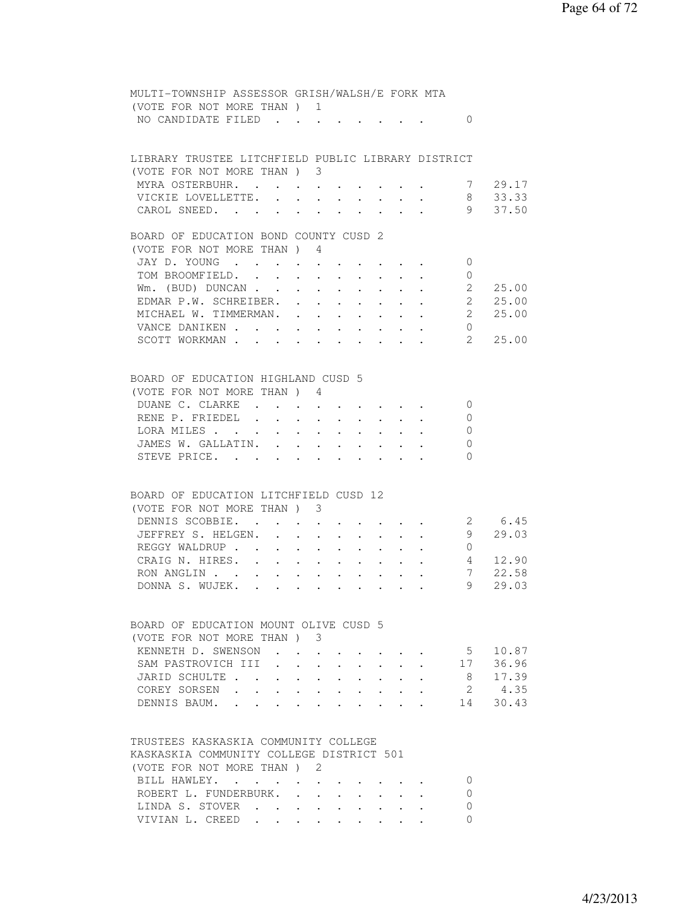| MULTI-TOWNSHIP ASSESSOR GRISH/WALSH/E FORK MTA                            |                                                                                                                                                                                                                                                                                                                                                                                                                                                                                                              |                                                                                                                                 |                                                             |                                                             |                      |                                                                                                                                   |                         |                |
|---------------------------------------------------------------------------|--------------------------------------------------------------------------------------------------------------------------------------------------------------------------------------------------------------------------------------------------------------------------------------------------------------------------------------------------------------------------------------------------------------------------------------------------------------------------------------------------------------|---------------------------------------------------------------------------------------------------------------------------------|-------------------------------------------------------------|-------------------------------------------------------------|----------------------|-----------------------------------------------------------------------------------------------------------------------------------|-------------------------|----------------|
| (VOTE FOR NOT MORE THAN) 1                                                |                                                                                                                                                                                                                                                                                                                                                                                                                                                                                                              |                                                                                                                                 |                                                             |                                                             |                      |                                                                                                                                   |                         |                |
| NO CANDIDATE FILED                                                        |                                                                                                                                                                                                                                                                                                                                                                                                                                                                                                              |                                                                                                                                 |                                                             |                                                             |                      |                                                                                                                                   | $\Omega$                |                |
|                                                                           |                                                                                                                                                                                                                                                                                                                                                                                                                                                                                                              |                                                                                                                                 |                                                             |                                                             |                      |                                                                                                                                   |                         |                |
|                                                                           |                                                                                                                                                                                                                                                                                                                                                                                                                                                                                                              |                                                                                                                                 |                                                             |                                                             |                      |                                                                                                                                   |                         |                |
| LIBRARY TRUSTEE LITCHFIELD PUBLIC LIBRARY DISTRICT                        |                                                                                                                                                                                                                                                                                                                                                                                                                                                                                                              |                                                                                                                                 |                                                             |                                                             |                      |                                                                                                                                   |                         |                |
| (VOTE FOR NOT MORE THAN ) 3                                               |                                                                                                                                                                                                                                                                                                                                                                                                                                                                                                              |                                                                                                                                 |                                                             |                                                             |                      |                                                                                                                                   |                         |                |
| MYRA OSTERBUHR. .                                                         |                                                                                                                                                                                                                                                                                                                                                                                                                                                                                                              | $\bullet$ .<br><br><br><br><br><br><br><br><br><br><br><br><br><br><br><br><br><br><br><br><br><br><br><br><br><br><br><br><br> |                                                             |                                                             |                      |                                                                                                                                   |                         | 7 29.17        |
| VICKIE LOVELLETTE. .                                                      | $\sim$                                                                                                                                                                                                                                                                                                                                                                                                                                                                                                       |                                                                                                                                 |                                                             | $\mathbf{r} = \mathbf{r} + \mathbf{r}$ .                    |                      |                                                                                                                                   |                         | 8 33.33        |
| CAROL SNEED.                                                              |                                                                                                                                                                                                                                                                                                                                                                                                                                                                                                              |                                                                                                                                 |                                                             | $\cdot$ $\cdot$                                             |                      |                                                                                                                                   |                         | $9\quad 37.50$ |
|                                                                           |                                                                                                                                                                                                                                                                                                                                                                                                                                                                                                              |                                                                                                                                 |                                                             |                                                             |                      |                                                                                                                                   |                         |                |
| BOARD OF EDUCATION BOND COUNTY CUSD 2                                     |                                                                                                                                                                                                                                                                                                                                                                                                                                                                                                              |                                                                                                                                 |                                                             |                                                             |                      |                                                                                                                                   |                         |                |
| (VOTE FOR NOT MORE THAN) 4                                                |                                                                                                                                                                                                                                                                                                                                                                                                                                                                                                              |                                                                                                                                 |                                                             |                                                             |                      |                                                                                                                                   |                         |                |
| JAY D. YOUNG                                                              |                                                                                                                                                                                                                                                                                                                                                                                                                                                                                                              |                                                                                                                                 |                                                             |                                                             |                      |                                                                                                                                   | $\overline{0}$          |                |
| TOM BROOMFIELD.                                                           |                                                                                                                                                                                                                                                                                                                                                                                                                                                                                                              |                                                                                                                                 |                                                             |                                                             |                      |                                                                                                                                   | $\overline{0}$          |                |
|                                                                           |                                                                                                                                                                                                                                                                                                                                                                                                                                                                                                              |                                                                                                                                 |                                                             |                                                             |                      |                                                                                                                                   |                         |                |
| $Wm.$ (BUD) DUNCAN $\cdots$ $\cdots$ $\cdots$                             |                                                                                                                                                                                                                                                                                                                                                                                                                                                                                                              |                                                                                                                                 |                                                             |                                                             |                      |                                                                                                                                   | $\sim$ 2                | 25.00          |
| EDMAR P.W. SCHREIBER.                                                     | $\ddot{\phantom{0}}$                                                                                                                                                                                                                                                                                                                                                                                                                                                                                         |                                                                                                                                 |                                                             |                                                             |                      | $\mathcal{A}^{\mathcal{A}}$ , and $\mathcal{A}^{\mathcal{A}}$ , and $\mathcal{A}^{\mathcal{A}}$ , and $\mathcal{A}^{\mathcal{A}}$ | $\overline{2}$          | 25.00          |
| MICHAEL W. TIMMERMAN.                                                     |                                                                                                                                                                                                                                                                                                                                                                                                                                                                                                              | $\mathbf{L} = \mathbf{L}$                                                                                                       |                                                             | $\mathbf{r} = \mathbf{r} + \mathbf{r}$ .                    |                      |                                                                                                                                   | $2^{\circ}$             | 25.00          |
| VANCE DANIKEN                                                             |                                                                                                                                                                                                                                                                                                                                                                                                                                                                                                              |                                                                                                                                 |                                                             |                                                             |                      |                                                                                                                                   | $\Omega$                |                |
| SCOTT WORKMAN                                                             |                                                                                                                                                                                                                                                                                                                                                                                                                                                                                                              |                                                                                                                                 |                                                             |                                                             | $\sim$ $\sim$        | $\mathbf{r}$ $\mathbf{r}$                                                                                                         | $2^{\circ}$             | 25.00          |
|                                                                           |                                                                                                                                                                                                                                                                                                                                                                                                                                                                                                              |                                                                                                                                 |                                                             |                                                             |                      |                                                                                                                                   |                         |                |
|                                                                           |                                                                                                                                                                                                                                                                                                                                                                                                                                                                                                              |                                                                                                                                 |                                                             |                                                             |                      |                                                                                                                                   |                         |                |
| BOARD OF EDUCATION HIGHLAND CUSD 5                                        |                                                                                                                                                                                                                                                                                                                                                                                                                                                                                                              |                                                                                                                                 |                                                             |                                                             |                      |                                                                                                                                   |                         |                |
| (VOTE FOR NOT MORE THAN ) 4                                               |                                                                                                                                                                                                                                                                                                                                                                                                                                                                                                              |                                                                                                                                 |                                                             |                                                             |                      |                                                                                                                                   |                         |                |
| DUANE C. CLARKE.                                                          | $\mathbf{r} = \mathbf{r} \times \mathbf{r} \times \mathbf{r} \times \mathbf{r} \times \mathbf{r} \times \mathbf{r} \times \mathbf{r} \times \mathbf{r} \times \mathbf{r} \times \mathbf{r} \times \mathbf{r} \times \mathbf{r} \times \mathbf{r} \times \mathbf{r} \times \mathbf{r} \times \mathbf{r} \times \mathbf{r} \times \mathbf{r} \times \mathbf{r} \times \mathbf{r} \times \mathbf{r} \times \mathbf{r} \times \mathbf{r} \times \mathbf{r} \times \mathbf{r} \times \mathbf{r} \times \mathbf{r$ |                                                                                                                                 |                                                             |                                                             |                      |                                                                                                                                   | $\circ$                 |                |
| RENE P. FRIEDEL .<br>$\sim$ $\sim$                                        | $\ddot{\phantom{0}}$                                                                                                                                                                                                                                                                                                                                                                                                                                                                                         | $\sim$                                                                                                                          |                                                             | $\mathbf{r} = \mathbf{r} + \mathbf{r}$ .                    |                      |                                                                                                                                   | $\mathbf{0}$            |                |
| LORA MILES<br>$\bullet$ .<br><br><br><br><br><br><br><br><br><br><br><br> |                                                                                                                                                                                                                                                                                                                                                                                                                                                                                                              |                                                                                                                                 |                                                             |                                                             |                      |                                                                                                                                   | $\mathbf{0}$            |                |
| JAMES W. GALLATIN. .                                                      | $\sim$                                                                                                                                                                                                                                                                                                                                                                                                                                                                                                       | $\sim$                                                                                                                          | $\sim 100$                                                  | $\bullet$ .                                                 |                      |                                                                                                                                   | 0                       |                |
| STEVE PRICE.                                                              |                                                                                                                                                                                                                                                                                                                                                                                                                                                                                                              |                                                                                                                                 |                                                             |                                                             |                      |                                                                                                                                   | $\Omega$                |                |
|                                                                           |                                                                                                                                                                                                                                                                                                                                                                                                                                                                                                              |                                                                                                                                 |                                                             |                                                             |                      |                                                                                                                                   |                         |                |
|                                                                           |                                                                                                                                                                                                                                                                                                                                                                                                                                                                                                              |                                                                                                                                 |                                                             |                                                             |                      |                                                                                                                                   |                         |                |
| BOARD OF EDUCATION LITCHFIELD CUSD 12                                     |                                                                                                                                                                                                                                                                                                                                                                                                                                                                                                              |                                                                                                                                 |                                                             |                                                             |                      |                                                                                                                                   |                         |                |
| (VOTE FOR NOT MORE THAN) 3                                                |                                                                                                                                                                                                                                                                                                                                                                                                                                                                                                              |                                                                                                                                 |                                                             |                                                             |                      |                                                                                                                                   |                         |                |
| DENNIS SCOBBIE. .                                                         | $\mathbf{r} = \left( \mathbf{r} - \mathbf{r} \right) \quad \mathbf{r} = \left( \mathbf{r} - \mathbf{r} \right) \quad \mathbf{r} = \left( \mathbf{r} - \mathbf{r} \right) \quad \mathbf{r} = \mathbf{r}$                                                                                                                                                                                                                                                                                                      |                                                                                                                                 |                                                             |                                                             |                      |                                                                                                                                   | $\overline{\mathbf{c}}$ | 6.45           |
| JEFFREY S. HELGEN. .                                                      | $\ddot{\phantom{0}}$                                                                                                                                                                                                                                                                                                                                                                                                                                                                                         | $\sim$ $-$                                                                                                                      |                                                             |                                                             |                      |                                                                                                                                   | 9                       | 29.03          |
| REGGY WALDRUP<br>$\bullet$ .                                              |                                                                                                                                                                                                                                                                                                                                                                                                                                                                                                              | $\mathbf{z} = \mathbf{z} + \mathbf{z}$ .                                                                                        | $\bullet$ .<br><br><br><br><br><br><br><br><br><br><br><br> | $\bullet$ .<br><br><br><br><br><br><br><br><br><br><br><br> |                      |                                                                                                                                   | $\overline{0}$          |                |
| CRAIG N. HIRES.                                                           |                                                                                                                                                                                                                                                                                                                                                                                                                                                                                                              | $\mathbf{z} = \mathbf{z} + \mathbf{z}$ .                                                                                        |                                                             | $\mathbf{A}^{\text{max}}$ , and $\mathbf{A}^{\text{max}}$   |                      | $\mathbf{r}$ , and $\mathbf{r}$                                                                                                   | 4                       | 12.90          |
| RON ANGLIN                                                                |                                                                                                                                                                                                                                                                                                                                                                                                                                                                                                              |                                                                                                                                 |                                                             |                                                             |                      |                                                                                                                                   | 7                       | 22.58          |
| DONNA S. WUJEK.                                                           |                                                                                                                                                                                                                                                                                                                                                                                                                                                                                                              |                                                                                                                                 |                                                             |                                                             |                      |                                                                                                                                   | 9                       | 29.03          |
|                                                                           |                                                                                                                                                                                                                                                                                                                                                                                                                                                                                                              |                                                                                                                                 |                                                             |                                                             |                      |                                                                                                                                   |                         |                |
|                                                                           |                                                                                                                                                                                                                                                                                                                                                                                                                                                                                                              |                                                                                                                                 |                                                             |                                                             |                      |                                                                                                                                   |                         |                |
|                                                                           |                                                                                                                                                                                                                                                                                                                                                                                                                                                                                                              |                                                                                                                                 |                                                             |                                                             |                      |                                                                                                                                   |                         |                |
| BOARD OF EDUCATION MOUNT OLIVE CUSD 5                                     |                                                                                                                                                                                                                                                                                                                                                                                                                                                                                                              |                                                                                                                                 |                                                             |                                                             |                      |                                                                                                                                   |                         |                |
| (VOTE FOR NOT MORE THAN) 3                                                |                                                                                                                                                                                                                                                                                                                                                                                                                                                                                                              |                                                                                                                                 |                                                             |                                                             |                      |                                                                                                                                   |                         |                |
| KENNETH D. SWENSON.                                                       |                                                                                                                                                                                                                                                                                                                                                                                                                                                                                                              |                                                                                                                                 |                                                             |                                                             |                      |                                                                                                                                   | 5 <sup>5</sup>          | 10.87          |
| SAM PASTROVICH III                                                        |                                                                                                                                                                                                                                                                                                                                                                                                                                                                                                              |                                                                                                                                 |                                                             |                                                             |                      |                                                                                                                                   | 17                      | 36.96          |
| JARID SCHULTE                                                             |                                                                                                                                                                                                                                                                                                                                                                                                                                                                                                              |                                                                                                                                 |                                                             |                                                             |                      |                                                                                                                                   | - 8                     | 17.39          |
| COREY SORSEN.<br>$\sim$                                                   |                                                                                                                                                                                                                                                                                                                                                                                                                                                                                                              | $\mathbf{r} = \mathbf{r}$                                                                                                       | $\sim$                                                      | $\ddot{\phantom{0}}$                                        | $\ddot{\phantom{0}}$ |                                                                                                                                   | 2                       | 4.35           |
| DENNIS BAUM.<br>$\mathbf{r}$ . The set of $\mathbf{r}$                    |                                                                                                                                                                                                                                                                                                                                                                                                                                                                                                              |                                                                                                                                 |                                                             |                                                             |                      |                                                                                                                                   | 14                      | 30.43          |
|                                                                           |                                                                                                                                                                                                                                                                                                                                                                                                                                                                                                              |                                                                                                                                 |                                                             |                                                             |                      |                                                                                                                                   |                         |                |
|                                                                           |                                                                                                                                                                                                                                                                                                                                                                                                                                                                                                              |                                                                                                                                 |                                                             |                                                             |                      |                                                                                                                                   |                         |                |
| TRUSTEES KASKASKIA COMMUNITY COLLEGE                                      |                                                                                                                                                                                                                                                                                                                                                                                                                                                                                                              |                                                                                                                                 |                                                             |                                                             |                      |                                                                                                                                   |                         |                |
| KASKASKIA COMMUNITY COLLEGE DISTRICT 501                                  |                                                                                                                                                                                                                                                                                                                                                                                                                                                                                                              |                                                                                                                                 |                                                             |                                                             |                      |                                                                                                                                   |                         |                |
| (VOTE FOR NOT MORE THAN) 2                                                |                                                                                                                                                                                                                                                                                                                                                                                                                                                                                                              |                                                                                                                                 |                                                             |                                                             |                      |                                                                                                                                   |                         |                |
| BILL HAWLEY.                                                              | $\bullet$ .<br><br><br><br><br>                                                                                                                                                                                                                                                                                                                                                                                                                                                                              | $\sim 10^{-10}$ m $^{-1}$                                                                                                       |                                                             |                                                             |                      |                                                                                                                                   | 0                       |                |
| ROBERT L. FUNDERBURK.                                                     |                                                                                                                                                                                                                                                                                                                                                                                                                                                                                                              |                                                                                                                                 |                                                             |                                                             |                      |                                                                                                                                   | 0                       |                |

LINDA S. STOVER . . . . . . . . 0 VIVIAN L. CREED . . . . . . . . 0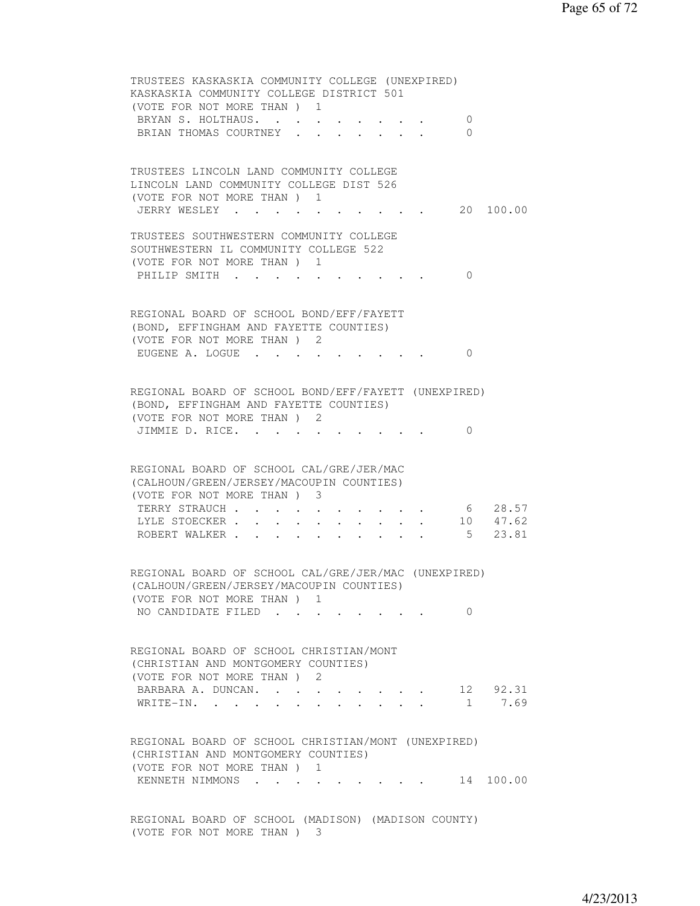TRUSTEES KASKASKIA COMMUNITY COLLEGE (UNEXPIRED) KASKASKIA COMMUNITY COLLEGE DISTRICT 501 (VOTE FOR NOT MORE THAN ) 1 BRYAN S. HOLTHAUS. . . . . . . . . 0 BRIAN THOMAS COURTNEY . . . . . . . 0 TRUSTEES LINCOLN LAND COMMUNITY COLLEGE LINCOLN LAND COMMUNITY COLLEGE DIST 526 (VOTE FOR NOT MORE THAN ) 1 JERRY WESLEY . . . . . . . . . . 20 100.00 TRUSTEES SOUTHWESTERN COMMUNITY COLLEGE SOUTHWESTERN IL COMMUNITY COLLEGE 522 (VOTE FOR NOT MORE THAN ) 1 PHILIP SMITH . . . . . . . . . . 0 REGIONAL BOARD OF SCHOOL BOND/EFF/FAYETT (BOND, EFFINGHAM AND FAYETTE COUNTIES) (VOTE FOR NOT MORE THAN ) 2 EUGENE A. LOGUE . . . . . . . . 0 REGIONAL BOARD OF SCHOOL BOND/EFF/FAYETT (UNEXPIRED) (BOND, EFFINGHAM AND FAYETTE COUNTIES) (VOTE FOR NOT MORE THAN ) 2 JIMMIE D. RICE. . . . . . . . . 0 REGIONAL BOARD OF SCHOOL CAL/GRE/JER/MAC (CALHOUN/GREEN/JERSEY/MACOUPIN COUNTIES) (VOTE FOR NOT MORE THAN ) 3 TERRY STRAUCH . . . . . . . . . . . 6 28.57 LYLE STOECKER . . . . . . . . . . 10 47.62 ROBERT WALKER . . . . . . . . . . . 5 23.81 REGIONAL BOARD OF SCHOOL CAL/GRE/JER/MAC (UNEXPIRED) (CALHOUN/GREEN/JERSEY/MACOUPIN COUNTIES) (VOTE FOR NOT MORE THAN ) 1 NO CANDIDATE FILED . . . . . . . . 0 REGIONAL BOARD OF SCHOOL CHRISTIAN/MONT (CHRISTIAN AND MONTGOMERY COUNTIES) (VOTE FOR NOT MORE THAN ) 2 BARBARA A. DUNCAN. . . . . . . . . 12 92.31 WRITE-IN. . . . . . . . . . . . 1 7.69 REGIONAL BOARD OF SCHOOL CHRISTIAN/MONT (UNEXPIRED) (CHRISTIAN AND MONTGOMERY COUNTIES) (VOTE FOR NOT MORE THAN ) 1 KENNETH NIMMONS . . . . . . . . . 14 100.00 REGIONAL BOARD OF SCHOOL (MADISON) (MADISON COUNTY)

(VOTE FOR NOT MORE THAN ) 3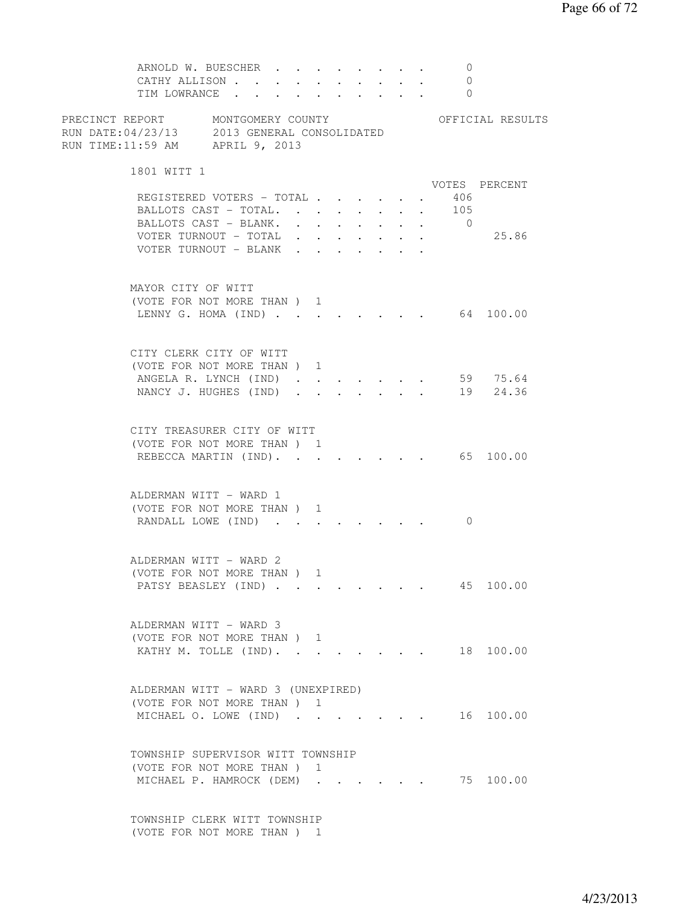ARNOLD W. BUESCHER . . . . . . . . 0 CATHY ALLISON . . . . . . . . . . 0 TIM LOWRANCE . . . . . . . . . . 0 PRECINCT REPORT MONTGOMERY COUNTY THE OFFICIAL RESULTS RUN DATE:04/23/13 2013 GENERAL CONSOLIDATED RUN TIME:11:59 AM APRIL 9, 2013 1801 WITT 1 VOTES PERCENT REGISTERED VOTERS - TOTAL . . . . . . 406<br>BALLOTS CAST - TOTAL. . . . . . . . 105 BALLOTS CAST - TOTAL. . . . . . . . 105<br>BALLOTS CAST - BLANK. . . . . . . . 0 BALLOTS CAST - BLANK. . . . . . . . VOTER TURNOUT - TOTAL . . . . . . . 25.86 VOTER TURNOUT - BLANK . . . . . . . MAYOR CITY OF WITT (VOTE FOR NOT MORE THAN ) 1 LENNY G. HOMA (IND) . . . . . . . . 64 100.00 CITY CLERK CITY OF WITT (VOTE FOR NOT MORE THAN ) 1 ANGELA R. LYNCH (IND) . . . . . . . 59 75.64 NANCY J. HUGHES (IND) . . . . . . . 19 24.36 CITY TREASURER CITY OF WITT (VOTE FOR NOT MORE THAN ) 1 REBECCA MARTIN (IND). . . . . . . . 65 100.00 ALDERMAN WITT - WARD 1 (VOTE FOR NOT MORE THAN ) 1 RANDALL LOWE (IND) . . . . . . . . 0 ALDERMAN WITT - WARD 2 (VOTE FOR NOT MORE THAN ) 1 PATSY BEASLEY (IND) . . . . . . . . 45 100.00 ALDERMAN WITT - WARD 3 (VOTE FOR NOT MORE THAN ) 1 KATHY M. TOLLE (IND). . . . . . . . 18 100.00 ALDERMAN WITT - WARD 3 (UNEXPIRED) (VOTE FOR NOT MORE THAN ) 1 MICHAEL O. LOWE (IND) . . . . . . . 16 100.00 TOWNSHIP SUPERVISOR WITT TOWNSHIP (VOTE FOR NOT MORE THAN ) 1 MICHAEL P. HAMROCK (DEM) . . . . . . 75 100.00 TOWNSHIP CLERK WITT TOWNSHIP

(VOTE FOR NOT MORE THAN ) 1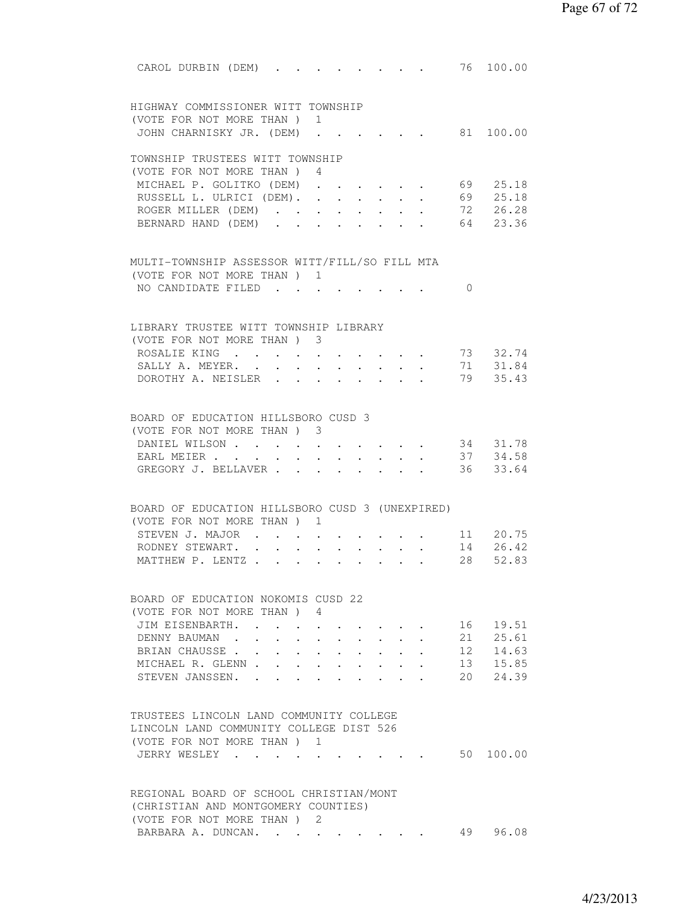| 76 100.00<br>CAROL DURBIN (DEM).<br>$\mathbf{r}$ , and $\mathbf{r}$ , and $\mathbf{r}$ , and $\mathbf{r}$                                                                                                    |  |
|--------------------------------------------------------------------------------------------------------------------------------------------------------------------------------------------------------------|--|
| HIGHWAY COMMISSIONER WITT TOWNSHIP                                                                                                                                                                           |  |
| (VOTE FOR NOT MORE THAN ) 1                                                                                                                                                                                  |  |
| 81 100.00<br>JOHN CHARNISKY JR. (DEM)                                                                                                                                                                        |  |
|                                                                                                                                                                                                              |  |
| TOWNSHIP TRUSTEES WITT TOWNSHIP                                                                                                                                                                              |  |
| (VOTE FOR NOT MORE THAN ) 4<br>69<br>MICHAEL P. GOLITKO (DEM)<br>25.18<br>$\mathbf{L} = \mathbf{L} \mathbf{L}$                                                                                               |  |
| $\cdot$ $\cdot$ $\cdot$ $\cdot$<br>69 25.18<br>RUSSELL L. ULRICI (DEM).<br>$\mathbf{L}$                                                                                                                      |  |
| 72 26.28<br>ROGER MILLER (DEM)                                                                                                                                                                               |  |
| 64<br>23.36<br>BERNARD HAND (DEM)                                                                                                                                                                            |  |
|                                                                                                                                                                                                              |  |
| MULTI-TOWNSHIP ASSESSOR WITT/FILL/SO FILL MTA                                                                                                                                                                |  |
| (VOTE FOR NOT MORE THAN ) 1                                                                                                                                                                                  |  |
| NO CANDIDATE FILED<br>$\Omega$                                                                                                                                                                               |  |
|                                                                                                                                                                                                              |  |
|                                                                                                                                                                                                              |  |
| LIBRARY TRUSTEE WITT TOWNSHIP LIBRARY                                                                                                                                                                        |  |
| (VOTE FOR NOT MORE THAN ) 3<br>ROSALIE KING 73 32.74                                                                                                                                                         |  |
| SALLY A. MEYER. 71 31.84                                                                                                                                                                                     |  |
| 79 35.43<br>DOROTHY A. NEISLER                                                                                                                                                                               |  |
|                                                                                                                                                                                                              |  |
|                                                                                                                                                                                                              |  |
| BOARD OF EDUCATION HILLSBORO CUSD 3                                                                                                                                                                          |  |
| (VOTE FOR NOT MORE THAN) 3                                                                                                                                                                                   |  |
| 34 31.78<br>DANIEL WILSON<br>37 34.58                                                                                                                                                                        |  |
| EARL MEIER<br>36 33.64<br>GREGORY J. BELLAVER                                                                                                                                                                |  |
|                                                                                                                                                                                                              |  |
|                                                                                                                                                                                                              |  |
| BOARD OF EDUCATION HILLSBORO CUSD 3 (UNEXPIRED)                                                                                                                                                              |  |
| (VOTE FOR NOT MORE THAN ) 1                                                                                                                                                                                  |  |
| STEVEN J. MAJOR<br>11 20.75<br>$\bullet$ .<br><br><br><br><br><br><br><br><br><br><br><br><br>$\cdot$ $\cdot$ $\cdot$ $\cdot$<br>14 26.42                                                                    |  |
| RODNEY STEWART.<br>$\mathbf{r}$ , $\mathbf{r}$ , $\mathbf{r}$ , $\mathbf{r}$ , $\mathbf{r}$<br>$\sim$<br>$\ddot{\phantom{0}}$<br>28<br>MATTHEW P. LENTZ<br>52.83                                             |  |
|                                                                                                                                                                                                              |  |
|                                                                                                                                                                                                              |  |
| BOARD OF EDUCATION NOKOMIS CUSD 22                                                                                                                                                                           |  |
| (VOTE FOR NOT MORE THAN) 4<br>16 19.51                                                                                                                                                                       |  |
| JIM EISENBARTH.<br>21<br>25.61<br>DENNY BAUMAN.                                                                                                                                                              |  |
| 12 14.63<br>BRIAN CHAUSSE.                                                                                                                                                                                   |  |
| $\ddot{\phantom{0}}$<br>$\ddot{\phantom{0}}$<br>$\ddot{\phantom{0}}$<br>13 15.85<br>$\mathbf{L} = \mathbf{L} \times \mathbf{L}$<br>MICHAEL R. GLENN.<br>$\mathbf{r} = \mathbf{r}$<br>$\cdot$ $\cdot$ $\cdot$ |  |
| 20<br>24.39<br>STEVEN JANSSEN.<br>$\mathbf{r}$ and $\mathbf{r}$<br>$\mathbf{r} = \mathbf{r}$                                                                                                                 |  |
|                                                                                                                                                                                                              |  |
|                                                                                                                                                                                                              |  |
| TRUSTEES LINCOLN LAND COMMUNITY COLLEGE                                                                                                                                                                      |  |
| LINCOLN LAND COMMUNITY COLLEGE DIST 526                                                                                                                                                                      |  |
| (VOTE FOR NOT MORE THAN) 1<br>JERRY WESLEY .<br>50 100.00                                                                                                                                                    |  |
|                                                                                                                                                                                                              |  |
|                                                                                                                                                                                                              |  |
| REGIONAL BOARD OF SCHOOL CHRISTIAN/MONT                                                                                                                                                                      |  |
| (CHRISTIAN AND MONTGOMERY COUNTIES)                                                                                                                                                                          |  |
| (VOTE FOR NOT MORE THAN) 2<br>49<br>96.08                                                                                                                                                                    |  |
| BARBARA A. DUNCAN.                                                                                                                                                                                           |  |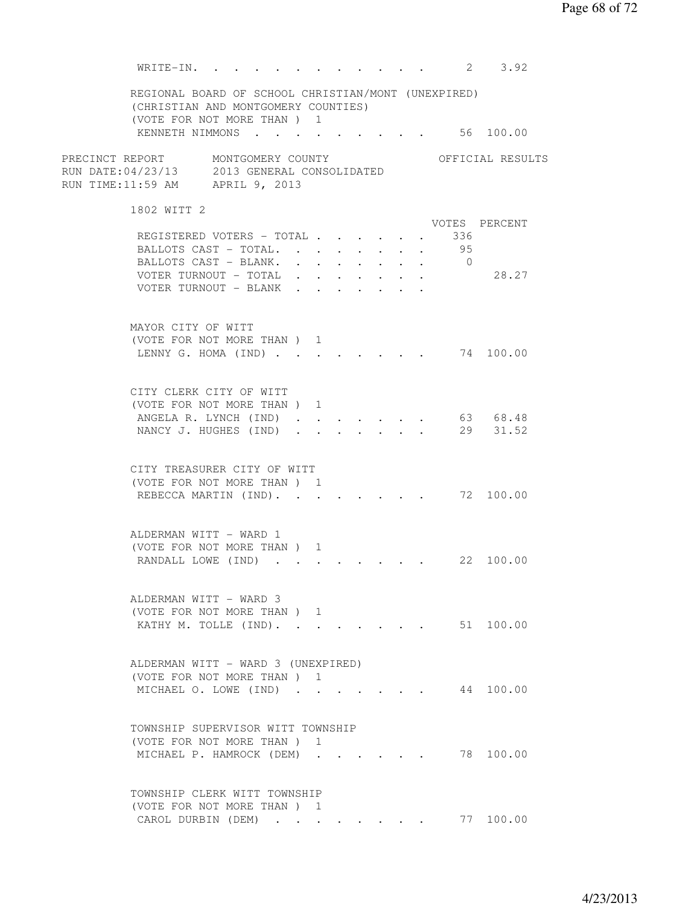WRITE-IN. . . . . . . . . . . . 2 3.92 REGIONAL BOARD OF SCHOOL CHRISTIAN/MONT (UNEXPIRED) (CHRISTIAN AND MONTGOMERY COUNTIES) (VOTE FOR NOT MORE THAN ) 1 KENNETH NIMMONS . . . . . . . . . . 56 100.00 PRECINCT REPORT MONTGOMERY COUNTY THE OFFICIAL RESULTS RUN DATE:04/23/13 2013 GENERAL CONSOLIDATED RUN TIME:11:59 AM APRIL 9, 2013 1802 WITT 2 VOTES PERCENT REGISTERED VOTERS - TOTAL . . . . . . 336 BALLOTS CAST - TOTAL. . . . . . . . 95 BALLOTS CAST - BLANK. . . . . . . . 0 VOTER TURNOUT - TOTAL . . . . . . . 28.27 VOTER TURNOUT - BLANK . . . MAYOR CITY OF WITT (VOTE FOR NOT MORE THAN ) 1 LENNY G. HOMA (IND) . . . . . . . . 74 100.00 CITY CLERK CITY OF WITT (VOTE FOR NOT MORE THAN ) 1 ANGELA R. LYNCH (IND) . . . . . . . 63 68.48 NANCY J. HUGHES (IND) . . . . . . 29 31.52 CITY TREASURER CITY OF WITT (VOTE FOR NOT MORE THAN ) 1 REBECCA MARTIN (IND). . . . . . . . 72 100.00 ALDERMAN WITT - WARD 1 (VOTE FOR NOT MORE THAN ) 1 RANDALL LOWE (IND) . . . . . . . . 22 100.00 ALDERMAN WITT - WARD 3 (VOTE FOR NOT MORE THAN ) 1 KATHY M. TOLLE (IND). . . . . . . . 51 100.00 ALDERMAN WITT - WARD 3 (UNEXPIRED) (VOTE FOR NOT MORE THAN ) 1 MICHAEL O. LOWE (IND) . . . . . . . 44 100.00 TOWNSHIP SUPERVISOR WITT TOWNSHIP (VOTE FOR NOT MORE THAN ) 1 MICHAEL P. HAMROCK (DEM) . . . . . . 78 100.00 TOWNSHIP CLERK WITT TOWNSHIP (VOTE FOR NOT MORE THAN ) 1 CAROL DURBIN (DEM) . . . . . . . . 77 100.00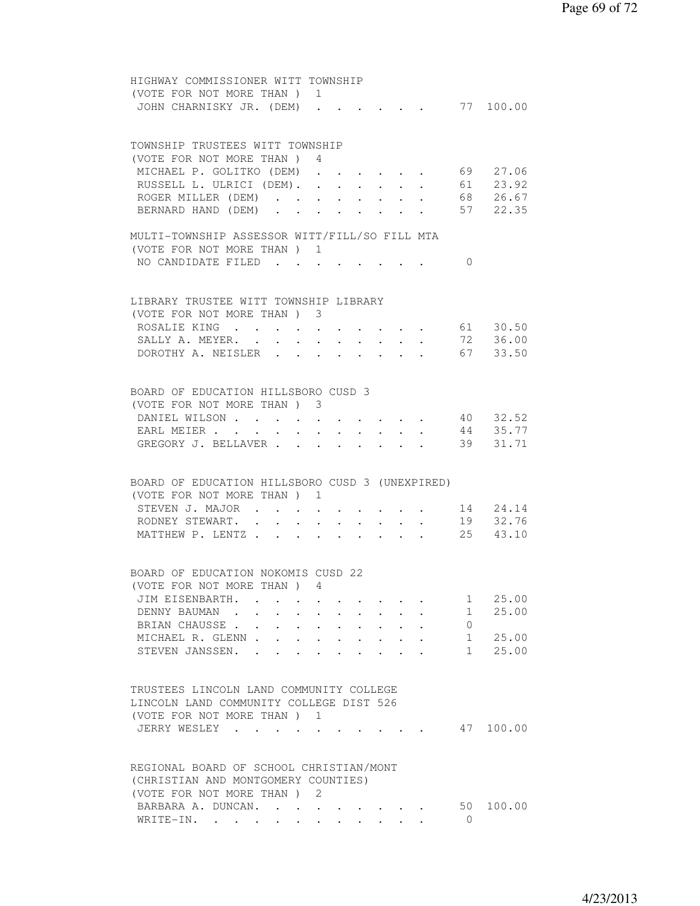| HIGHWAY COMMISSIONER WITT TOWNSHIP                                                        |                                                                                                                                                                                                                                           |                                                |                      |                                                |                                 |                |               |
|-------------------------------------------------------------------------------------------|-------------------------------------------------------------------------------------------------------------------------------------------------------------------------------------------------------------------------------------------|------------------------------------------------|----------------------|------------------------------------------------|---------------------------------|----------------|---------------|
| (VOTE FOR NOT MORE THAN ) 1                                                               |                                                                                                                                                                                                                                           |                                                |                      |                                                |                                 |                |               |
| JOHN CHARNISKY JR. (DEM).                                                                 |                                                                                                                                                                                                                                           |                                                |                      |                                                |                                 |                |               |
|                                                                                           |                                                                                                                                                                                                                                           |                                                |                      |                                                |                                 |                |               |
|                                                                                           |                                                                                                                                                                                                                                           |                                                |                      |                                                |                                 |                |               |
| TOWNSHIP TRUSTEES WITT TOWNSHIP                                                           |                                                                                                                                                                                                                                           |                                                |                      |                                                |                                 |                |               |
| (VOTE FOR NOT MORE THAN ) 4                                                               |                                                                                                                                                                                                                                           |                                                |                      |                                                |                                 |                |               |
|                                                                                           |                                                                                                                                                                                                                                           |                                                |                      |                                                |                                 |                |               |
| MICHAEL P. GOLITKO (DEM)                                                                  | $\mathcal{A}^{\mathcal{A}}$ . The contribution of the contribution of the contribution of the contribution of the contribution of the contribution of the contribution of the contribution of the contribution of the contribution of the |                                                |                      |                                                |                                 |                | 69 27.06      |
| RUSSELL L. ULRICI (DEM). .                                                                |                                                                                                                                                                                                                                           | $\mathbf{L}$ and $\mathbf{L}$                  |                      | <b>Service</b> State                           | $\sim$ $-$                      | 61             | 23.92         |
| ROGER MILLER (DEM).                                                                       |                                                                                                                                                                                                                                           | $\mathbf{A}$ and $\mathbf{A}$ and $\mathbf{A}$ |                      |                                                | $\cdot$ $\cdot$ $\cdot$ $\cdot$ |                | 68 26.67      |
| BERNARD HAND (DEM)                                                                        |                                                                                                                                                                                                                                           |                                                |                      |                                                |                                 |                | 57 22.35      |
|                                                                                           |                                                                                                                                                                                                                                           |                                                |                      |                                                |                                 |                |               |
| MULTI-TOWNSHIP ASSESSOR WITT/FILL/SO FILL MTA                                             |                                                                                                                                                                                                                                           |                                                |                      |                                                |                                 |                |               |
| (VOTE FOR NOT MORE THAN) 1                                                                |                                                                                                                                                                                                                                           |                                                |                      |                                                |                                 |                |               |
| NO CANDIDATE FILED                                                                        |                                                                                                                                                                                                                                           |                                                |                      |                                                |                                 | $\Omega$       |               |
|                                                                                           |                                                                                                                                                                                                                                           |                                                |                      |                                                |                                 |                |               |
|                                                                                           |                                                                                                                                                                                                                                           |                                                |                      |                                                |                                 |                |               |
| LIBRARY TRUSTEE WITT TOWNSHIP LIBRARY                                                     |                                                                                                                                                                                                                                           |                                                |                      |                                                |                                 |                |               |
| (VOTE FOR NOT MORE THAN) 3                                                                |                                                                                                                                                                                                                                           |                                                |                      |                                                |                                 |                |               |
|                                                                                           |                                                                                                                                                                                                                                           |                                                |                      |                                                |                                 |                |               |
| ROSALIE KING 61 30.50                                                                     |                                                                                                                                                                                                                                           |                                                |                      |                                                |                                 |                |               |
| SALLY A. MEYER. 72 36.00                                                                  |                                                                                                                                                                                                                                           |                                                |                      |                                                |                                 |                |               |
| DOROTHY A. NEISLER 67 33.50                                                               |                                                                                                                                                                                                                                           |                                                |                      |                                                |                                 |                |               |
|                                                                                           |                                                                                                                                                                                                                                           |                                                |                      |                                                |                                 |                |               |
|                                                                                           |                                                                                                                                                                                                                                           |                                                |                      |                                                |                                 |                |               |
| BOARD OF EDUCATION HILLSBORO CUSD 3                                                       |                                                                                                                                                                                                                                           |                                                |                      |                                                |                                 |                |               |
| (VOTE FOR NOT MORE THAN ) 3                                                               |                                                                                                                                                                                                                                           |                                                |                      |                                                |                                 |                |               |
| DANIEL WILSON                                                                             |                                                                                                                                                                                                                                           |                                                |                      |                                                |                                 |                | 40 32.52      |
| EARL MEIER                                                                                |                                                                                                                                                                                                                                           | $\mathbf{r} = \mathbf{r} + \mathbf{r}$ .       |                      | $\mathbf{A}$ and $\mathbf{A}$ and $\mathbf{A}$ |                                 |                | 44 35.77      |
| GREGORY J. BELLAVER                                                                       |                                                                                                                                                                                                                                           |                                                |                      |                                                |                                 | 39             | 31.71         |
|                                                                                           |                                                                                                                                                                                                                                           |                                                |                      |                                                |                                 |                |               |
|                                                                                           |                                                                                                                                                                                                                                           |                                                |                      |                                                |                                 |                |               |
|                                                                                           |                                                                                                                                                                                                                                           |                                                |                      |                                                |                                 |                |               |
| BOARD OF EDUCATION HILLSBORO CUSD 3 (UNEXPIRED)                                           |                                                                                                                                                                                                                                           |                                                |                      |                                                |                                 |                |               |
| (VOTE FOR NOT MORE THAN ) 1                                                               |                                                                                                                                                                                                                                           |                                                |                      |                                                |                                 |                |               |
| STEVEN J. MAJOR                                                                           |                                                                                                                                                                                                                                           |                                                |                      |                                                |                                 |                | 14 24.14      |
| RODNEY STEWART. .<br>$\sim$ $-$<br>$\sim$                                                 |                                                                                                                                                                                                                                           |                                                |                      |                                                |                                 |                | 19 32.76      |
| MATTHEW P. LENTZ                                                                          |                                                                                                                                                                                                                                           |                                                | $\ddot{\phantom{0}}$ |                                                |                                 |                | $25 \t 43.10$ |
|                                                                                           |                                                                                                                                                                                                                                           |                                                |                      |                                                |                                 |                |               |
|                                                                                           |                                                                                                                                                                                                                                           |                                                |                      |                                                |                                 |                |               |
| BOARD OF EDUCATION NOKOMIS CUSD 22                                                        |                                                                                                                                                                                                                                           |                                                |                      |                                                |                                 |                |               |
| (VOTE FOR NOT MORE THAN) 4                                                                |                                                                                                                                                                                                                                           |                                                |                      |                                                |                                 |                |               |
| JIM EISENBARTH.                                                                           |                                                                                                                                                                                                                                           |                                                |                      |                                                |                                 | $\mathbf{1}$   | 25.00         |
| DENNY BAUMAN.<br>$\sim$                                                                   |                                                                                                                                                                                                                                           |                                                |                      |                                                |                                 | 1              | 25.00         |
| BRIAN CHAUSSE<br>$\mathbf{r} = \mathbf{r} + \mathbf{r}$ , where $\mathbf{r} = \mathbf{r}$ |                                                                                                                                                                                                                                           |                                                |                      |                                                |                                 | $\overline{0}$ |               |
|                                                                                           |                                                                                                                                                                                                                                           |                                                |                      |                                                |                                 | $1 \quad$      | 25.00         |
| MICHAEL R. GLENN                                                                          |                                                                                                                                                                                                                                           |                                                |                      |                                                |                                 |                |               |
| STEVEN JANSSEN. .                                                                         |                                                                                                                                                                                                                                           |                                                |                      |                                                |                                 | $1 \quad$      | 25.00         |
|                                                                                           |                                                                                                                                                                                                                                           |                                                |                      |                                                |                                 |                |               |
|                                                                                           |                                                                                                                                                                                                                                           |                                                |                      |                                                |                                 |                |               |
| TRUSTEES LINCOLN LAND COMMUNITY COLLEGE                                                   |                                                                                                                                                                                                                                           |                                                |                      |                                                |                                 |                |               |
| LINCOLN LAND COMMUNITY COLLEGE DIST 526                                                   |                                                                                                                                                                                                                                           |                                                |                      |                                                |                                 |                |               |
| (VOTE FOR NOT MORE THAN) 1                                                                |                                                                                                                                                                                                                                           |                                                |                      |                                                |                                 |                |               |
| JERRY WESLEY                                                                              |                                                                                                                                                                                                                                           |                                                |                      |                                                |                                 |                | 47 100.00     |
|                                                                                           |                                                                                                                                                                                                                                           |                                                |                      |                                                |                                 |                |               |
|                                                                                           |                                                                                                                                                                                                                                           |                                                |                      |                                                |                                 |                |               |
| REGIONAL BOARD OF SCHOOL CHRISTIAN/MONT                                                   |                                                                                                                                                                                                                                           |                                                |                      |                                                |                                 |                |               |
| (CHRISTIAN AND MONTGOMERY COUNTIES)                                                       |                                                                                                                                                                                                                                           |                                                |                      |                                                |                                 |                |               |
|                                                                                           |                                                                                                                                                                                                                                           |                                                |                      |                                                |                                 |                |               |
| (VOTE FOR NOT MORE THAN) 2                                                                |                                                                                                                                                                                                                                           |                                                |                      |                                                |                                 |                |               |
| BARBARA A. DUNCAN.                                                                        |                                                                                                                                                                                                                                           |                                                |                      |                                                |                                 | 50             | 100.00        |
| WRITE-IN.                                                                                 |                                                                                                                                                                                                                                           |                                                |                      |                                                |                                 | $\circ$        |               |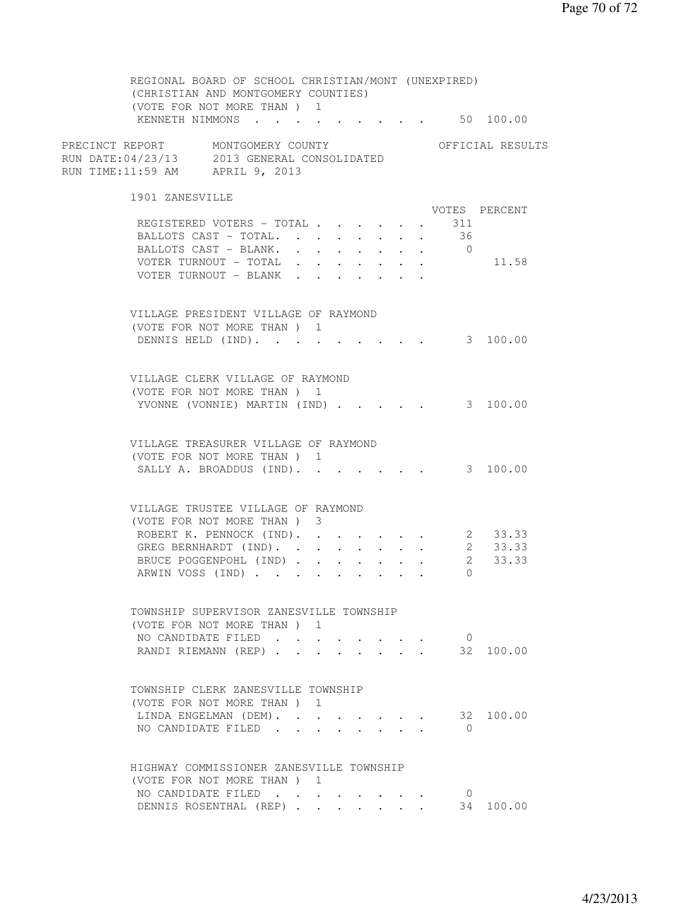REGIONAL BOARD OF SCHOOL CHRISTIAN/MONT (UNEXPIRED) (CHRISTIAN AND MONTGOMERY COUNTIES) (VOTE FOR NOT MORE THAN ) 1 KENNETH NIMMONS . . . . . . . . . 50 100.00 PRECINCT REPORT MONTGOMERY COUNTY THE OFFICIAL RESULTS RUN DATE:04/23/13 2013 GENERAL CONSOLIDATED RUN TIME:11:59 AM APRIL 9, 2013 1901 ZANESVILLE VOTES PERCENT REGISTERED VOTERS - TOTAL . . . . . . 311<br>BALLOTS CAST - TOTAL. . . . . . . . 36 BALLOTS CAST - TOTAL. . . . . . . . BALLOTS CAST - BLANK. . . . . . . . 0 VOTER TURNOUT - TOTAL . . . . . . . 11.58 VOTER TURNOUT - BLANK . . . . . . . VILLAGE PRESIDENT VILLAGE OF RAYMOND (VOTE FOR NOT MORE THAN ) 1 DENNIS HELD (IND). . . . . . . . . 3 100.00 VILLAGE CLERK VILLAGE OF RAYMOND (VOTE FOR NOT MORE THAN ) 1 YVONNE (VONNIE) MARTIN (IND) . . . . . 3 100.00 VILLAGE TREASURER VILLAGE OF RAYMOND (VOTE FOR NOT MORE THAN ) 1 SALLY A. BROADDUS (IND). . . . . . . 3 100.00 VILLAGE TRUSTEE VILLAGE OF RAYMOND (VOTE FOR NOT MORE THAN ) 3 ROBERT K. PENNOCK (IND). . . . . . . 2 33.33 GREG BERNHARDT (IND). . . . . . . . 2 33.33 BRUCE POGGENPOHL (IND) . . . . . . 2 33.33 ARWIN VOSS (IND) . . . . . . . . . 0 TOWNSHIP SUPERVISOR ZANESVILLE TOWNSHIP (VOTE FOR NOT MORE THAN ) 1 NO CANDIDATE FILED . . . . . . . 0 RANDI RIEMANN (REP) . . . . . . . . 32 100.00 TOWNSHIP CLERK ZANESVILLE TOWNSHIP (VOTE FOR NOT MORE THAN ) 1 LINDA ENGELMAN (DEM). . . . . . . . 32 100.00 NO CANDIDATE FILED . . . . . . . . 0 HIGHWAY COMMISSIONER ZANESVILLE TOWNSHIP (VOTE FOR NOT MORE THAN ) 1 NO CANDIDATE FILED . . . . . . . . 0 NO CANDIDATE FILED . . . . . . . . . 0<br>DENNIS ROSENTHAL (REP) . . . . . . . 34 100.00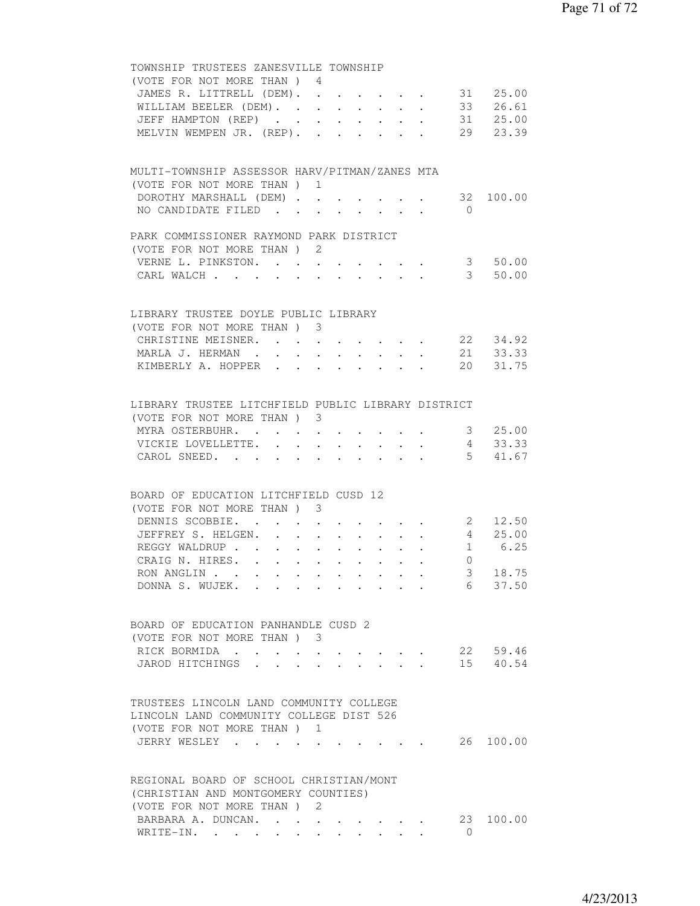| TOWNSHIP TRUSTEES ZANESVILLE TOWNSHIP                                        |                                                           |                |                           |
|------------------------------------------------------------------------------|-----------------------------------------------------------|----------------|---------------------------|
| (VOTE FOR NOT MORE THAN ) 4                                                  |                                                           |                |                           |
| JAMES R. LITTRELL (DEM). 31 25.00                                            |                                                           |                |                           |
| WILLIAM BEELER (DEM). 33 26.61                                               |                                                           |                |                           |
| JEFF HAMPTON (REP) 31 25.00                                                  |                                                           |                |                           |
| MELVIN WEMPEN JR. (REP). 29 23.39                                            |                                                           |                |                           |
|                                                                              |                                                           |                |                           |
|                                                                              |                                                           |                |                           |
| MULTI-TOWNSHIP ASSESSOR HARV/PITMAN/ZANES MTA                                |                                                           |                |                           |
| (VOTE FOR NOT MORE THAN) 1                                                   |                                                           |                |                           |
| DOROTHY MARSHALL (DEM) 32 100.00                                             |                                                           |                |                           |
| NO CANDIDATE FILED                                                           |                                                           | $\bigcirc$     |                           |
|                                                                              |                                                           |                |                           |
| PARK COMMISSIONER RAYMOND PARK DISTRICT                                      |                                                           |                |                           |
| (VOTE FOR NOT MORE THAN) 2                                                   |                                                           |                |                           |
| VERNE L. PINKSTON.                                                           | $\mathbf{A}^{\text{max}}$ , and $\mathbf{A}^{\text{max}}$ |                | 3 50.00                   |
| CARL WALCH                                                                   |                                                           |                | 3 50.00                   |
|                                                                              |                                                           |                |                           |
| LIBRARY TRUSTEE DOYLE PUBLIC LIBRARY                                         |                                                           |                |                           |
| (VOTE FOR NOT MORE THAN) 3                                                   |                                                           |                |                           |
| CHRISTINE MEISNER. 22 34.92                                                  |                                                           |                |                           |
| MARLA J. HERMAN 21 33.33                                                     |                                                           |                |                           |
| KIMBERLY A. HOPPER 20 31.75                                                  |                                                           |                |                           |
|                                                                              |                                                           |                |                           |
|                                                                              |                                                           |                |                           |
| LIBRARY TRUSTEE LITCHFIELD PUBLIC LIBRARY DISTRICT                           |                                                           |                |                           |
| (VOTE FOR NOT MORE THAN) 3                                                   |                                                           |                |                           |
| MYRA OSTERBUHR. 3 25.00                                                      |                                                           |                |                           |
| VICKIE LOVELLETTE.                                                           |                                                           |                | 4 33.33                   |
| CAROL SNEED.                                                                 |                                                           |                | 5 41.67                   |
|                                                                              |                                                           |                |                           |
|                                                                              |                                                           |                |                           |
| BOARD OF EDUCATION LITCHFIELD CUSD 12                                        |                                                           |                |                           |
| (VOTE FOR NOT MORE THAN) 3                                                   |                                                           |                |                           |
| DENNIS SCOBBIE.<br>$\cdot$ $\cdot$ $\cdot$ $\cdot$ $\cdot$ $\cdot$           |                                                           |                | 2 12.50<br>$4\quad 25.00$ |
| JEFFREY S. HELGEN. .<br>$\sim$<br>$\ddot{\phantom{0}}$                       | $\mathbf{L}^{\text{max}}$ , and $\mathbf{L}^{\text{max}}$ |                |                           |
| REGGY WALDRUP                                                                |                                                           |                | 1 6.25                    |
| CRAIG N. HIRES.                                                              |                                                           | $\overline{0}$ |                           |
| RON ANGLIN                                                                   |                                                           |                | 3 18.75                   |
| DONNA S. WUJEK.                                                              |                                                           | 6              | 37.50                     |
|                                                                              |                                                           |                |                           |
| BOARD OF EDUCATION PANHANDLE CUSD 2                                          |                                                           |                |                           |
| (VOTE FOR NOT MORE THAN ) 3                                                  |                                                           |                |                           |
| RICK BORMIDA                                                                 |                                                           |                | 22 59.46                  |
| $\bullet$ .<br>$\bullet$ . The set of $\bullet$<br>JAROD HITCHINGS<br>$\sim$ |                                                           |                | 15 40.54                  |
|                                                                              |                                                           |                |                           |
|                                                                              |                                                           |                |                           |
| TRUSTEES LINCOLN LAND COMMUNITY COLLEGE                                      |                                                           |                |                           |
| LINCOLN LAND COMMUNITY COLLEGE DIST 526                                      |                                                           |                |                           |
| (VOTE FOR NOT MORE THAN) 1                                                   |                                                           |                |                           |
| JERRY WESLEY                                                                 |                                                           |                | 26 100.00                 |
|                                                                              |                                                           |                |                           |
|                                                                              |                                                           |                |                           |
| REGIONAL BOARD OF SCHOOL CHRISTIAN/MONT                                      |                                                           |                |                           |
| (CHRISTIAN AND MONTGOMERY COUNTIES)                                          |                                                           |                |                           |
| (VOTE FOR NOT MORE THAN ) 2                                                  |                                                           |                |                           |
| BARBARA A. DUNCAN.                                                           |                                                           | 23             | 100.00                    |
| WRITE-IN.                                                                    |                                                           | $\Omega$       |                           |